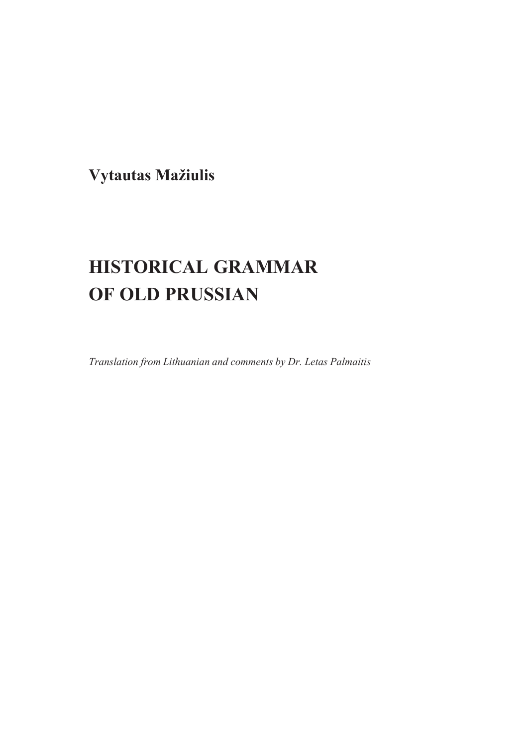**Vytautas Mažiulis** 

# **HISTORICAL GRAMMAR OF OLD PRUSSIAN**

*Translation from Lithuanian and comments by Dr. Letas Palmaitis*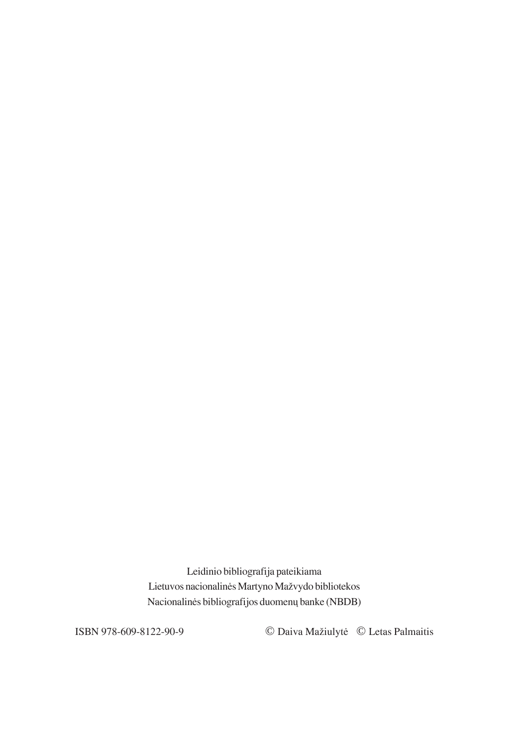Leidinio bibliografija pateikiama Lietuvos nacionalinės Martyno Mažvydo bibliotekos Nacionalinės bibliografijos duomenų banke (NBDB)

ISBN 978-609-8122-90-9 © Daiva Mažiulytė © Letas Palmaitis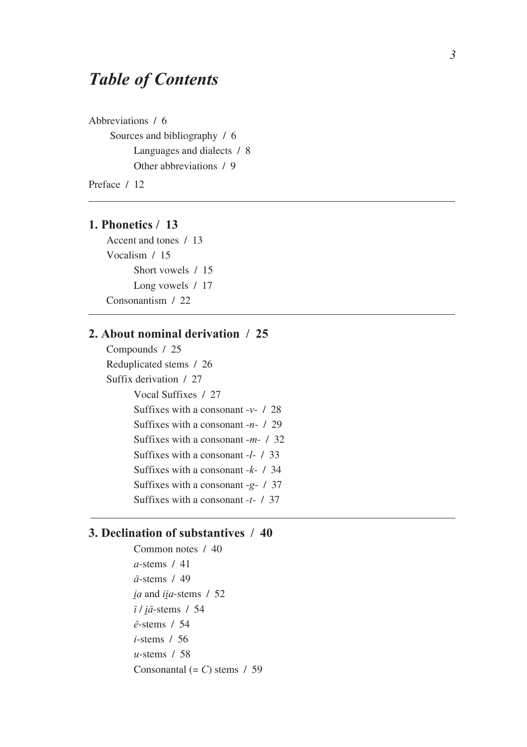# *Table of Contents*

Abbreviations / 6 Sources and bibliography / 6 Languages and dialects / 8 Other abbreviations / 9

Preface / 12

### **1. Phonetics / 13**

Accent and tones / 13 Vocalism / 15 Short vowels / 15 Long vowels / 17 Consonantism / 22

### **2. About nominal derivation / 25**

Compounds / 25 Reduplicated stems / 26 Suffix derivation / 27 Vocal Suffixes / 27 Suffixes with a consonant -*v*- / 28 Suffixes with a consonant -*n*- / 29 Suffixes with a consonant -*m*- / 32 Suffixes with a consonant -*l*- / 33 Suffixes with a consonant -*k*- / 34 Suffixes with a consonant -*g*- / 37 Suffixes with a consonant -*t*- / 37

### **3. Declination of substantives / 40**

Common notes / 40 *a*-stems / 41 *`*-stems / 49 *ia* and *iia*-stems / 52 *î* / *Ù`*-stems / 54 *ç*-stems / 54 *i*-stems / 56 *u*-stems / 58 Consonantal  $(= C)$  stems / 59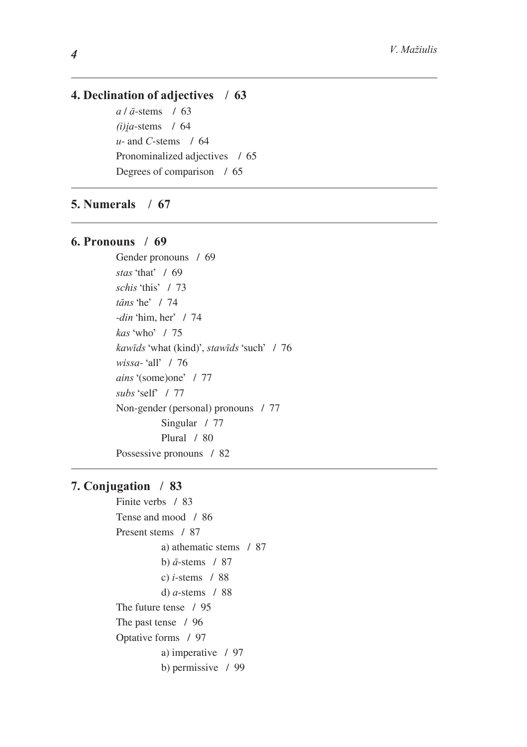#### 4. Declination of adjectives / 63

 $a/\bar{a}$ -stems / 63  $(i)$ ia-stems / 64  $u$ - and C-stems / 64 Pronominalized adjectives / 65 Degrees of comparison / 65

### 5. Numerals  $/67$

#### 6. Pronouns  $/69$

Gender pronouns / 69 stas 'that'  $/69$ schis 'this' / 73  $t\bar{a}ns$  'he' / 74 -din 'him, her'  $/74$  $kas$  'who'  $/75$ kawīds 'what (kind)', stawīds 'such' / 76 wissa-'all'  $/$  76 *ains* '(some)one' / 77 subs 'self' / 77 Non-gender (personal) pronouns / 77 Singular / 77 Plural / 80 Possessive pronouns / 82

### 7. Conjugation / 83

Finite verbs / 83 Tense and mood / 86 Present stems / 87 a) athematic stems / 87 b)  $\bar{a}$ -stems / 87 c)  $i$ -stems  $/88$ d)  $a$ -stems  $/88$ The future tense  $/ 95$ The past tense / 96 Optative forms / 97 a) imperative  $/97$ b) permissive / 99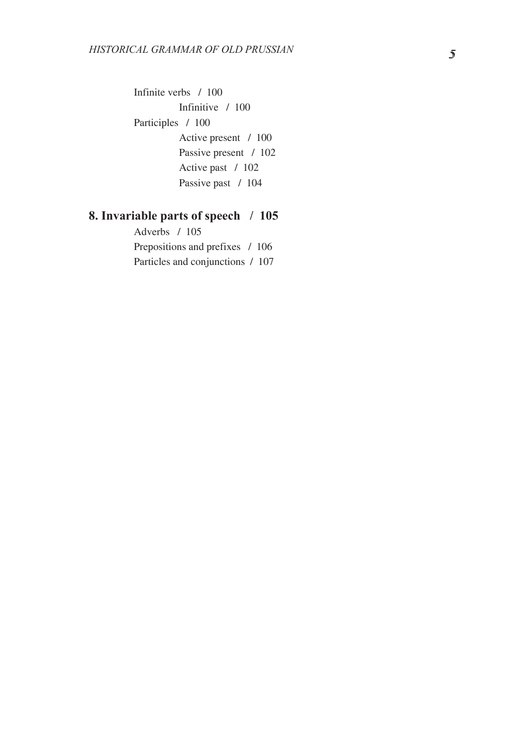Infinite verbs / 100 Infinitive / 100 Participles / 100 Active present / 100 Passive present / 102 Active past / 102 Passive past / 104

### **8. Invariable parts of speech / 105**

Adverbs / 105 Prepositions and prefixes / 106 Particles and conjunctions / 107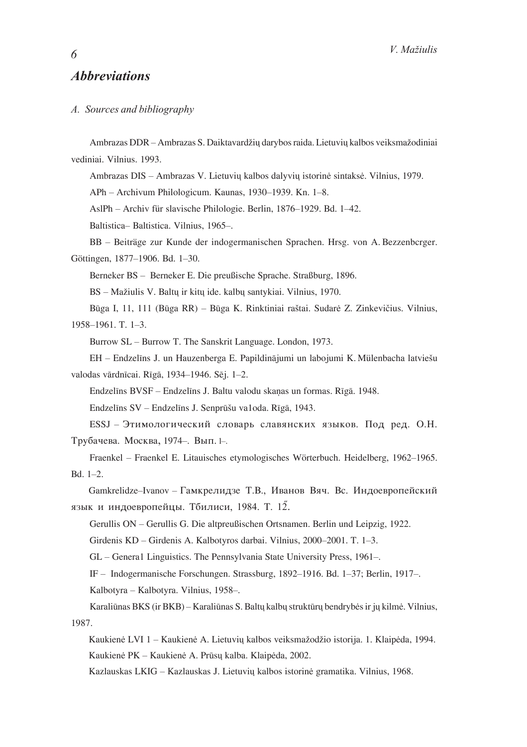### *Abbreviations*

- *A. Sources and bibliography*
- Ambrazas DDR Ambrazas S. Daiktavardžių darybos raida. Lietuvių kalbos veiksmažodiniai vediniai. Vilnius. 1993.

Ambrazas DIS - Ambrazas V. Lietuvių kalbos dalyvių istorinė sintaksė. Vilnius, 1979.

APh – Archivum Philologicum. Kaunas, 1930–1939. Kn. 1–8.

AslPh – Archiv für slavische Philologie. Berlin, 1876–1929. Bd. 1–42.

Baltistica– Baltistica. Vilnius, 1965–.

BB – Beiträge zur Kunde der indogermanischen Sprachen. Hrsg. von A. Bezzenbcrger. Göttingen, 1877–1906. Bd. 1–30.

Berneker BS – Berneker E. Die preußische Sprache. Straßburg, 1896.

BS – Mažiulis V. Baltų ir kitų ide. kalbų santykiai. Vilnius, 1970.

Bûga I, 11, 111 (Bûga RR) – Bûga K. Rinktiniai raðtai. Sudarë Z. Zinkevièius. Vilnius, 1958–1961. T. 1–3.

Burrow SL – Burrow T. The Sanskrit Language. London, 1973.

EH – Endzelîns J. un Hauzenberga E. Papildin`jumi un labojumi K. Mülenbacha latvieðu valodas vārdnīcai. Rīgā, 1934–1946. Sēj. 1–2.

Endzelīns BVSF – Endzelīns J. Baltu valodu skanas un formas. Rīgā. 1948.

Endzelīns SV – Endzelīns J. Senprūšu va1oda. Rīgā, 1943.

ESSJ – Этимологический словарь славянских языков. Под ред. О.Н. Трубачева. Москва, 1974–. Вып. 1–.

Fraenkel – Fraenkel E. Litauisches etymologisches Wörterbuch. Heidelberg, 1962–1965.  $Bd$  1–2.

Gamkrelidze–Ivanov – Гамкрелидзе Т.В., Иванов Вяч. Вс. Индоевропейский язык и индоевропейцы. Тбилиси, 1984. Т. 12.

Gerullis ON – Gerullis G. Die altpreußischen Ortsnamen. Berlin und Leipzig, 1922.

Girdenis KD – Girdenis A. Kalbotyros darbai. Vilnius, 2000–2001. T. 1–3.

GL – Genera1 Linguistics. The Pennsylvania State University Press, 1961–.

IF – Indogermanische Forschungen. Strassburg, 1892–1916. Bd. 1–37; Berlin, 1917–.

Kalbotyra – Kalbotyra. Vilnius, 1958–.

Karaliūnas BKS (ir BKB) – Karaliūnas S. Baltų kalbų struktūrų bendrybės ir jų kilmė. Vilnius, 1987.

Kaukienė LVI 1 – Kaukienė A. Lietuvių kalbos veiksmažodžio istorija. 1. Klaipėda, 1994. Kaukienė PK – Kaukienė A. Prūsų kalba. Klaipėda, 2002.

Kazlauskas LKIG – Kazlauskas J. Lietuviø kalbos istorinë gramatika. Vilnius, 1968.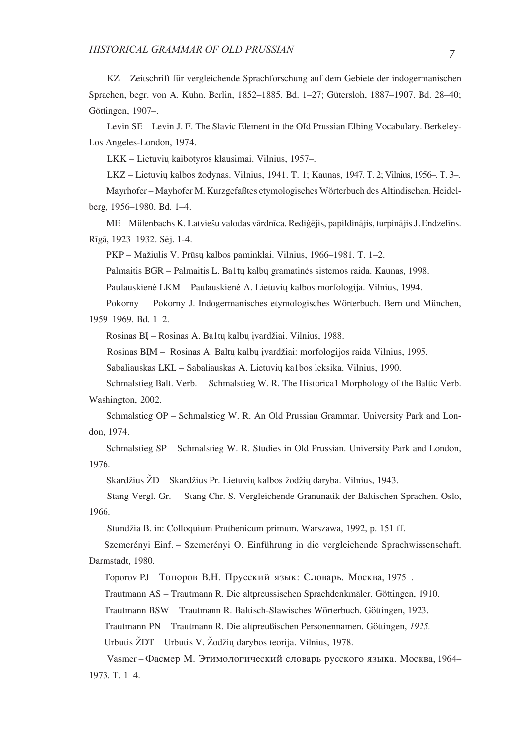KZ – Zeitschrift für vergleichende Sprachforschung auf dem Gebiete der indogermanischen Sprachen, begr. von A. Kuhn. Berlin, 1852–1885. Bd. 1–27; Gütersloh, 1887–1907. Bd. 28–40; Göttingen, 1907–.

Levin SE – Levin J. F. The Slavic Element in the OId Prussian Elbing Vocabulary. Berkeley-Los Angeles-London, 1974.

LKK – Lietuviø kaibotyros klausimai. Vilnius, 1957–.

LKZ – Lietuvių kalbos žodynas. Vilnius, 1941. T. 1; Kaunas, 1947. T. 2; Vilnius, 1956–. T. 3–.

Mayrhofer – Mayhofer M. Kurzgefaßtes etymologisches Wörterbuch des Altindischen. Heidelberg, 1956–1980. Bd. 1–4.

ME – Mülenbachs K. Latviešu valodas vārdnīca. Rediģējis, papildinājis, turpinājis J. Endzelīns. Rīgā, 1923-1932. Sēj. 1-4.

PKP – Mažiulis V. Prūsų kalbos paminklai. Vilnius, 1966–1981. T. 1–2.

Palmaitis BGR – Palmaitis L. Ba1tų kalbų gramatinės sistemos raida. Kaunas, 1998.

Paulauskienė LKM – Paulauskienė A. Lietuvių kalbos morfologija. Vilnius, 1994.

Pokorny – Pokorny J. Indogermanisches etymologisches Wörterbuch. Bern und München, 1959–1969. Bd. 1–2.

Rosinas BI – Rosinas A. Ba1tų kalbų įvardžiai. Vilnius, 1988.

Rosinas BIM – Rosinas A. Baltų kalbų įvardžiai: morfologijos raida Vilnius, 1995.

Sabaliauskas LKL *–* Sabaliauskas A. Lietuviø ka1bos leksika. Vilnius, 1990.

Schmalstieg Balt. Verb. – Schmalstieg W. R. The Historica1 Morphology of the Baltic Verb. Washington, 2002.

Schmalstieg OP *–* Schmalstieg W. R. An Old Prussian Grammar. University Park and London, 1974.

Schmalstieg SP – Schmalstieg W. R. Studies in Old Prussian. University Park and London, 1976.

Skardžius ŽD – Skardžius Pr. Lietuvių kalbos žodžių daryba. Vilnius, 1943.

Stang Vergl. Gr. – Stang Chr. S. Vergleichende Granunatik der Baltischen Sprachen. Oslo, 1966.

Stundžia B. in: Colloquium Pruthenicum primum. Warszawa, 1992, p. 151 ff.

Szemerényi Einf. – Szemerényi O. Einführung in die vergleichende Sprachwissenschaft.

Darmstadt, 1980.

Торогоv РЈ – Топоров В.Н. Прусский язык: Словарь. Москва, 1975–.

Trautmann AS – Trautmann R. Die altpreussischen Sprachdenkmäler. Göttingen, 1910.

Trautmann BSW – Trautmann R. Baltisch-Slawisches Wörterbuch. Göttingen, 1923.

Trautmann PN – Trautmann R. Die altpreußischen Personennamen. Göttingen, *1925.*

Urbutis ŽDT – Urbutis V. Žodžių darybos teorija. Vilnius, 1978.

Vasmer – Фасмер М. Этимологический словарь русского языка. Москва, 1964– 1973. T. 1–4.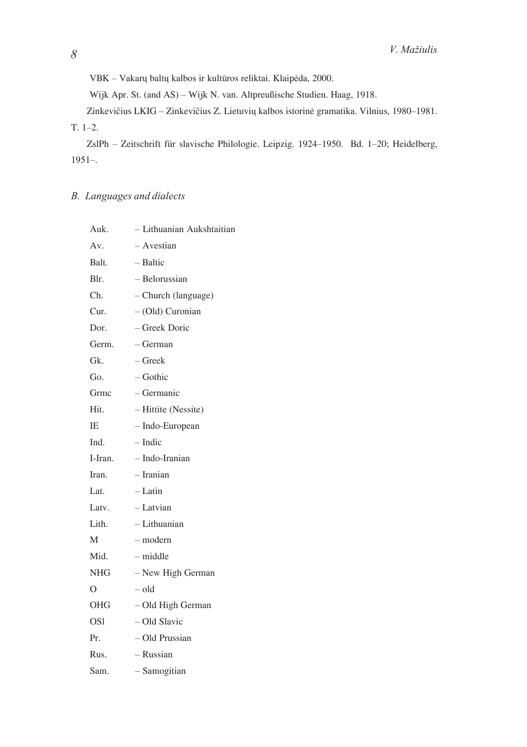VBK - Vakarų baltų kalbos ir kultūros reliktai. Klaipėda, 2000.

Wijk Apr. St. (and AS) – Wijk N. van. Altpreußische Studien. Haag, 1918.

Zinkevičius LKIG – Zinkevičius Z. Lietuvių kalbos istorinė gramatika. Vilnius, 1980–1981.

T. 1–2.

ZslPh – Zeitschrift für slavische Philologie. Leipzig. 1924–1950. Bd. 1–20; Heidelberg, 1951–.

### *B. Languages and dialects*

| Auk.       | - Lithuanian Aukshtaitian |  |  |
|------------|---------------------------|--|--|
| Av.        | - Avestian                |  |  |
| Balt.      | - Baltic                  |  |  |
| Blr.       | - Belorussian             |  |  |
| Ch.        | - Church (language)       |  |  |
| Cur.       | $-$ (Old) Curonian        |  |  |
| Dor.       | - Greek Doric             |  |  |
| Germ.      | – German                  |  |  |
| Gk.        | – Greek                   |  |  |
| Go.        | $-$ Gothic                |  |  |
| Grmc       | – Germanic                |  |  |
| Hit.       | - Hittite (Nessite)       |  |  |
| IE.        | - Indo-European           |  |  |
| Ind.       | – Indic                   |  |  |
| I-Iran.    | $-$ Indo-Iranian          |  |  |
| Iran.      | $-$ Iranian               |  |  |
| Lat.       | $-$ Latin                 |  |  |
| Latv.      | - Latvian                 |  |  |
| Lith.      | - Lithuanian              |  |  |
| М          | – modern                  |  |  |
| Mid.       | – middle                  |  |  |
| <b>NHG</b> | - New High German         |  |  |
| O          | – old                     |  |  |
| OHG        | - Old High German         |  |  |
| OS1        | - Old Slavic              |  |  |
| Pr.        | – Old Prussian            |  |  |
| Rus.       | – Russian                 |  |  |
| Sam.       | $-$ Samogitian            |  |  |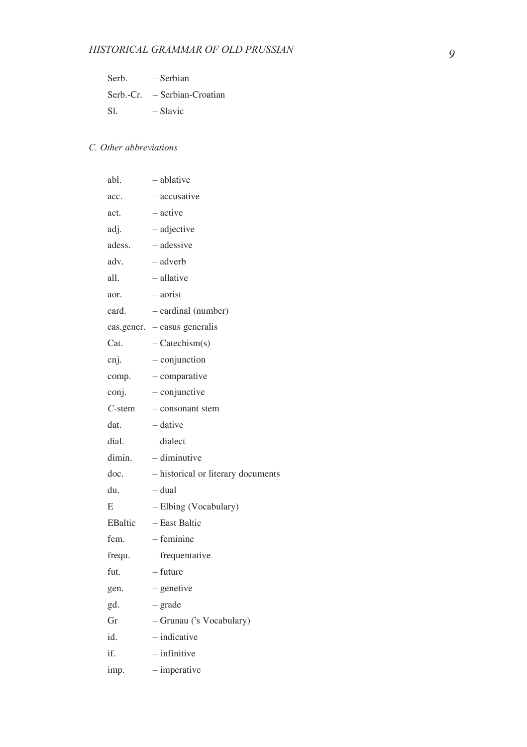| Serb. | $-$ Serbian                    |
|-------|--------------------------------|
|       | $Serb.-Cr.$ - Serbian-Croatian |
| -S1.  | $-$ Slavic                     |

#### *C. Other abbreviations*

| abl.       | - ablative                         |
|------------|------------------------------------|
| acc.       | - accusative                       |
| act.       | – active                           |
| adj.       | - adjective                        |
| adess.     | – adessive                         |
| adv.       | – adverb                           |
| a11.       | - allative                         |
| aor.       | - aorist                           |
| card.      | - cardinal (number)                |
| cas.gener. | - casus generalis                  |
| Cat.       | $-$ Catechism $(s)$                |
| cnj.       | $-$ conjunction                    |
| comp.      | $-$ comparative                    |
| conj.      | $-$ conjunctive                    |
| $C$ -stem  | $-$ consonant stem                 |
| dat.       | – dative                           |
| dial.      | - dialect                          |
| dimin.     | $-$ diminutive                     |
| doc.       | - historical or literary documents |
| du.        | $=$ dual                           |
| E          | - Elbing (Vocabulary)              |
| EBaltic    | - East Baltic                      |
| fem.       | $-$ feminine                       |
| frequ.     | $-$ frequentative                  |
| fut.       | – future                           |
| gen.       | – genetive                         |
| gd.        | $-$ grade                          |
| Gr         | - Grunau ('s Vocabulary)           |
| id.        | $-$ indicative                     |
| if.        | – infinitive                       |
| imp.       | $-$ imperative                     |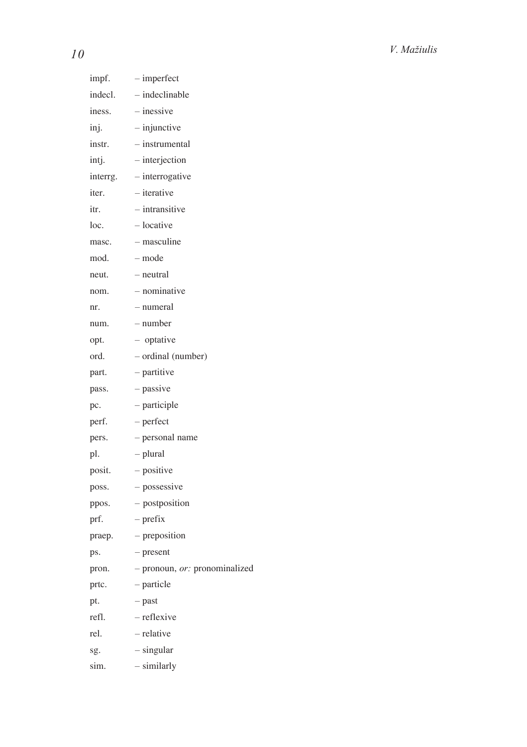| impf.    | $-$ imperfect                      |
|----------|------------------------------------|
| indecl.  | - indeclinable                     |
| iness.   | $-$ inessive                       |
| inj.     | $-$ injunctive                     |
| instr.   | - instrumental                     |
| intj.    | - interjection                     |
| interrg. | - interrogative                    |
| iter.    | - iterative                        |
| itr.     | $-$ intransitive                   |
| loc.     | $-$ locative                       |
| masc.    | - masculine                        |
| mod.     | – mode                             |
| neut.    | - neutral                          |
| nom.     | - nominative                       |
| nr.      | - numeral                          |
| num.     | – number                           |
| opt.     | - optative                         |
| ord.     | - ordinal (number)                 |
| part.    | - partitive                        |
| pass.    | - passive                          |
| pc.      | - participle                       |
| perf.    | - perfect                          |
| pers.    | - personal name                    |
| pl.      | - plural                           |
| posit.   | - positive                         |
| poss.    | - possessive                       |
| ppos.    | - postposition                     |
| prf.     | $-$ prefix                         |
| praep.   | $-$ preposition                    |
| ps.      | $-$ present                        |
| pron.    | $-$ pronoun, $or$ : pronominalized |
| prtc.    | - particle                         |
| pt.      | $-$ past                           |
| refl.    | - reflexive                        |
| rel.     | - relative                         |
| sg.      | – singular                         |
| sim.     | - similarly                        |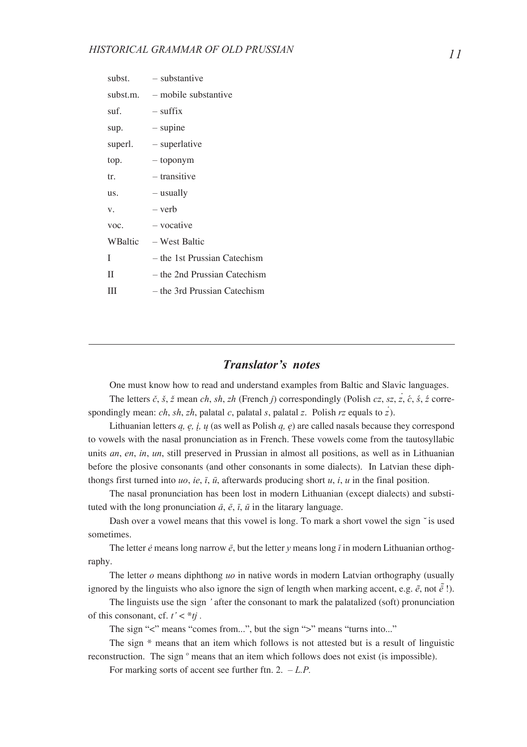| subst.   | $-$ substantive              |
|----------|------------------------------|
| subst.m. | $-$ mobile substantive       |
| suf.     | $-$ suffix                   |
| sup.     | $-$ supine                   |
| superl.  | - superlative                |
| top.     | $-$ toponym                  |
| tr.      | – transitive                 |
| us.      | – usually                    |
| V.       | $-$ verb                     |
| voc.     | $-$ vocative                 |
| WBaltic  | - West Baltic                |
| T        | – the 1st Prussian Catechism |
| П        | – the 2nd Prussian Catechism |
| Ш        | – the 3rd Prussian Catechism |
|          |                              |

### *Translator's notes*

One must know how to read and understand examples from Baltic and Slavic languages. The letters  $\check{c}$ ,  $\check{s}$ ,  $\check{z}$  mean *ch*, *sh*, *zh* (French *j*) correspondingly (Polish *cz*, *sz*, *z*,  $\acute{c}$ ,  $\acute{s}$ ,  $\acute{z}$  correspondingly mean: *ch*, *sh*, *zh*, palatal *c*, palatal *s*, palatal *z*. Polish  $rz$  equals to  $\overline{z}$ ).

Lithuanian letters *à, æ, á, ø* (as well as Polish *à, æ*) are called nasals because they correspond to vowels with the nasal pronunciation as in French. These vowels come from the tautosyllabic units *an*, *en*, *in*, *un*, still preserved in Prussian in almost all positions, as well as in Lithuanian before the plosive consonants (and other consonants in some dialects). In Latvian these diphthongs first turned into *uo*, *ie*,  $\bar{\imath}$ ,  $\bar{u}$ , afterwards producing short *u*, *i*, *u* in the final position.

The nasal pronunciation has been lost in modern Lithuanian (except dialects) and substituted with the long pronunciation  $\bar{a}$ ,  $\bar{e}$ ,  $\bar{i}$ ,  $\bar{u}$  in the litarary language.

Dash over a vowel means that this vowel is long. To mark a short vowel the sign  $\check{\,}$  is used sometimes.

The letter  $\acute{e}$  means long narrow  $\ddot{e}$ , but the letter  $\gamma$  means long  $\ddot{\tau}$  in modern Lithuanian orthography.

The letter *o* means diphthong *uo* in native words in modern Latvian orthography (usually ignored by the linguists who also ignore the sign of length when marking accent, e.g.  $\tilde{e}$ , not  $\tilde{\tilde{e}}$ !).

The linguists use the sign *'* after the consonant to mark the palatalized (soft) pronunciation of this consonant, cf.  $t' < * tj$ .

The sign "<" means "comes from...", but the sign ">" means "turns into..."

The sign \* means that an item which follows is not attested but is a result of linguistic reconstruction. The sign  $\circ$  means that an item which follows does not exist (is impossible).

For marking sorts of accent see further ftn. 2. – *L.P.*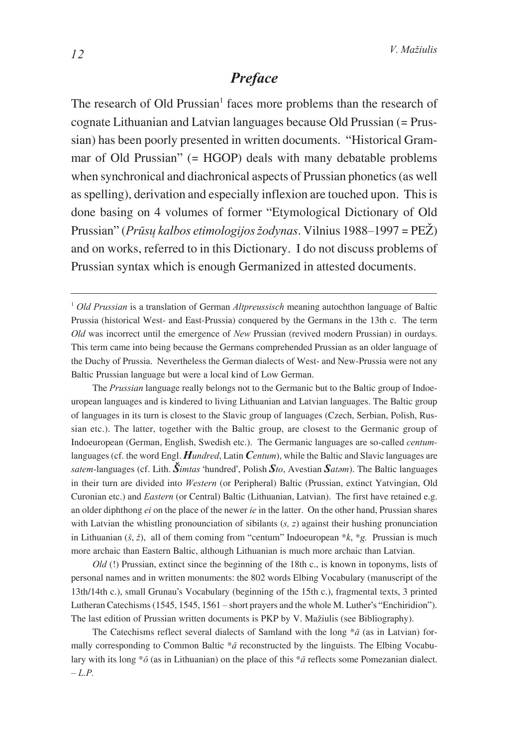### *Preface*

The research of Old Prussian<sup>1</sup> faces more problems than the research of cognate Lithuanian and Latvian languages because Old Prussian (= Prussian) has been poorly presented in written documents. "Historical Grammar of Old Prussian" (= HGOP) deals with many debatable problems when synchronical and diachronical aspects of Prussian phonetics (as well as spelling), derivation and especially inflexion are touched upon. This is done basing on 4 volumes of former "Etymological Dictionary of Old Prussian" (*Prûsø kalbos etimologijos þodynas*. Vilnius 1988–1997 = PEÞ) and on works, referred to in this Dictionary. I do not discuss problems of Prussian syntax which is enough Germanized in attested documents.

The *Prussian* language really belongs not to the Germanic but to the Baltic group of Indoeuropean languages and is kindered to living Lithuanian and Latvian languages. The Baltic group of languages in its turn is closest to the Slavic group of languages (Czech, Serbian, Polish, Russian etc.). The latter, together with the Baltic group, are closest to the Germanic group of Indoeuropean (German, English, Swedish etc.). The Germanic languages are so-called *centum*languages (cf. the word Engl. *Hundred*, Latin *Centum*), while the Baltic and Slavic languages are *satem*-languages (cf. Lith. *Ðimtas* 'hundred', Polish *Sto*, Avestian *Sat—m*). The Baltic languages in their turn are divided into *Western* (or Peripheral) Baltic (Prussian, extinct Yatvingian, Old Curonian etc.) and *Eastern* (or Central) Baltic (Lithuanian, Latvian). The first have retained e.g. an older diphthong *ei* on the place of the newer *ie* in the latter. On the other hand, Prussian shares with Latvian the whistling pronounciation of sibilants (*s*, *z*) against their hushing pronunciation in Lithuanian ( $\zeta$ ,  $\zeta$ ), all of them coming from "centum" Indoeuropean \* $k$ , \*g. Prussian is much more archaic than Eastern Baltic, although Lithuanian is much more archaic than Latvian.

*Old* (!) Prussian, extinct since the beginning of the 18th c., is known in toponyms, lists of personal names and in written monuments: the 802 words Elbing Vocabulary (manuscript of the 13th/14th c.), small Grunau's Vocabulary (beginning of the 15th c.), fragmental texts, 3 printed Lutheran Catechisms (1545, 1545, 1561 – short prayers and the whole M. Luther's "Enchiridion"). The last edition of Prussian written documents is PKP by V. Mažiulis (see Bibliography).

The Catechisms reflect several dialects of Samland with the long  $*\bar{a}$  (as in Latvian) formally corresponding to Common Baltic  $*\bar{a}$  reconstructed by the linguists. The Elbing Vocabulary with its long  $*\bar{o}$  (as in Lithuanian) on the place of this  $*\bar{a}$  reflects some Pomezanian dialect. – *L.P.*

<sup>1</sup> *Old Prussian* is a translation of German *Altpreussisch* meaning autochthon language of Baltic Prussia (historical West- and East-Prussia) conquered by the Germans in the 13th c. The term *Old* was incorrect until the emergence of *New* Prussian (revived modern Prussian) in ourdays. This term came into being because the Germans comprehended Prussian as an older language of the Duchy of Prussia. Nevertheless the German dialects of West- and New-Prussia were not any Baltic Prussian language but were a local kind of Low German.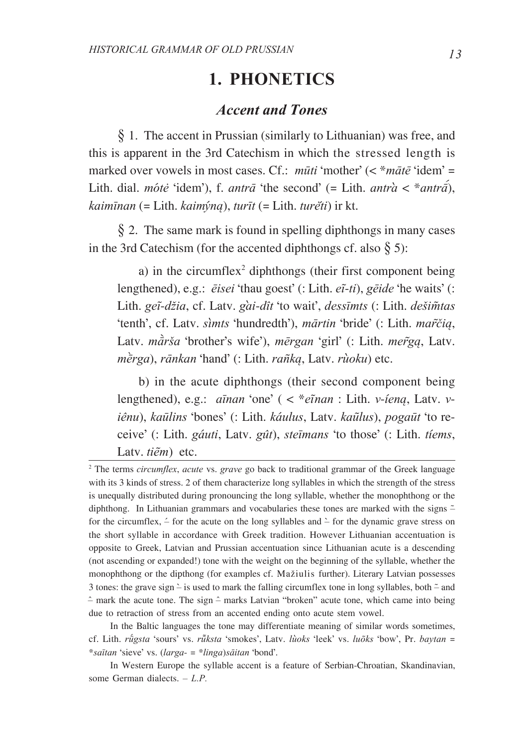# **1. PHONETICS**

### *Accent and Tones*

*\** 1. The accent in Prussian (similarly to Lithuanian) was free, and this is apparent in the 3rd Catechism in which the stressed length is marked over vowels in most cases. Cf.: *mūti* 'mother' (< \**mātē* 'idem' = Lith. dial. *mote* 'idem'), f. *antra* 'the second' (= Lith. *antra* < \**antra*), *kaimînan* (= Lith. *kaimynà ƒ* ), *turît* (= Lith. *turêti*) ir kt.

*\** 2. The same mark is found in spelling diphthongs in many cases in the 3rd Catechism (for the accented diphthongs cf. also  $\S$  5):

a) in the circumflex<sup>2</sup> diphthongs (their first component being lengthened), e.g.:  $\vec{e}$ *isei* 'thau goest' (: Lith.  $e\vec{i}$ -*ti*), *g* $\vec{e}$ *ide* 'he waits' (: Lith. geī-džia, cf. Latv. gai-dît 'to wait', dessīmts (: Lith. dešimtas 'tenth', cf. Latv. *simts* 'hundredth'), *mārtin* 'bride' (: Lith. *mar̃čia*, Latv. *màrša* 'brother's wife'), *mērgan* 'girl' (: Lith. *mer̃ga*, Latv. *mèrga*), *rānkan* 'hand' (: Lith. *rañka*, Latv. *rùoku*) etc.

b) in the acute diphthongs (their second component being lengthened), e.g.:  $a\bar{x}$ *anan* 'one' ( < \* $e\bar{x}$ *anan* : Lith. *v*-*iena*, Latv. *vienu °* ), *kaûlins* 'bones' (: Lith. *k³ulus*, Latv. *kaulus …* ), *pogaût* 'to receive' (: Lith. *g³uti*, Latv. *gut °* ), *steîmans* 'to those' (: Lith. *týems*, Latv. *tiẽm*) etc.

In the Baltic languages the tone may differentiate meaning of similar words sometimes, cf. Lith. *r#ûgsta* 'sours' vs. *r»ksta* 'smokes', Latv. *lùoks* 'leek' vs. *lu…oks* 'bow', Pr. *baytan* = \**saîtan* 'sieve' vs. (*larga*- = \**linga*)*s`itan* 'bond'.

In Western Europe the syllable accent is a feature of Serbian-Chroatian, Skandinavian, some German dialects. – *L.P.*

<sup>2</sup> The terms *circumflex*, *acute* vs. *grave* go back to traditional grammar of the Greek language with its 3 kinds of stress. 2 of them characterize long syllables in which the strength of the stress is unequally distributed during pronouncing the long syllable, whether the monophthong or the diphthong. In Lithuanian grammars and vocabularies these tones are marked with the signs  $\tilde{-}$ for the circumflex,  $\angle$  for the acute on the long syllables and  $\angle$  for the dynamic grave stress on the short syllable in accordance with Greek tradition. However Lithuanian accentuation is opposite to Greek, Latvian and Prussian accentuation since Lithuanian acute is a descending (not ascending or expanded!) tone with the weight on the beginning of the syllable, whether the monophthong or the dipthong (for examples cf. Mažiulis further). Literary Latvian possesses 3 tones: the grave sign – is used to mark the falling circumflex tone in long syllables, both  $\tilde{=}$  and  $\hat{-}$  mark the acute tone. The sign  $\hat{-}$  marks Latvian "broken" acute tone, which came into being due to retraction of stress from an accented ending onto acute stem vowel.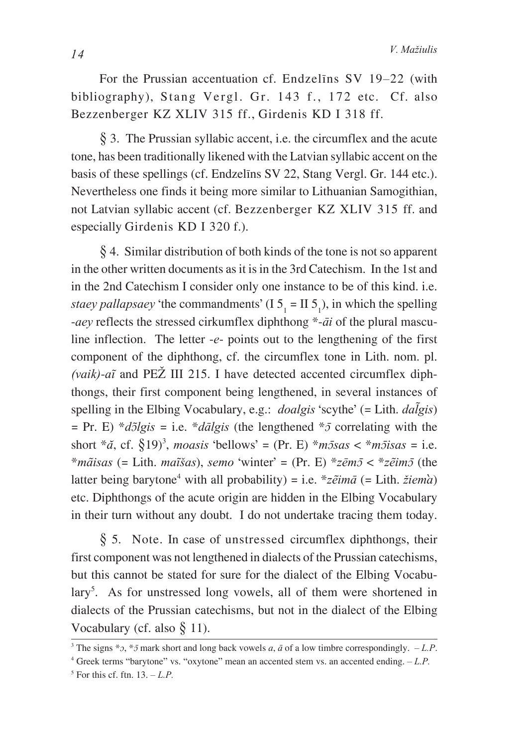For the Prussian accentuation cf. Endzelîns SV 19–22 (with bibliography), Stang Vergl. Gr. 143 f., 172 etc. Cf. also Bezzenberger KZ XLIV 315 ff., Girdenis KD I 318 ff.

*\** 3. The Prussian syllabic accent, i.e. the circumflex and the acute tone, has been traditionally likened with the Latvian syllabic accent on the basis of these spellings (cf. Endzelîns SV 22, Stang Vergl. Gr. 144 etc.). Nevertheless one finds it being more similar to Lithuanian Samogithian, not Latvian syllabic accent (cf. Bezzenberger KZ XLIV 315 ff. and especially Girdenis KD I 320 f.).

*\** 4. Similar distribution of both kinds of the tone is not so apparent in the other written documents as it is in the 3rd Catechism. In the 1st and in the 2nd Catechism I consider only one instance to be of this kind. i.e. *staey pallapsaey* 'the commandments'  $(I 5<sub>1</sub> = II 5<sub>1</sub>)$ , in which the spelling -*aey* reflects the stressed cirkumflex diphthong \*-*a*i of the plural masculine inflection. The letter -*e*- points out to the lengthening of the first component of the diphthong, cf. the circumflex tone in Lith. nom. pl.  $\alpha$ *(vaik)*- $a\tilde{\iota}$  and PE $\tilde{\iota}$  III 215. I have detected accented circumflex diphthongs, their first component being lengthened, in several instances of spelling in the Elbing Vocabulary, e.g.: *doalgis* 'scythe' (= Lith. *dalgis*)  $= Pr. E)$  \**d* $\tilde{Q}$ *lgis* = i.e. \**dalgis* (the lengthened \* $\tilde{Q}$  correlating with the short  $*\tilde{a}$ , cf.  $\S 19)^3$ , *moasis* 'bellows' = (Pr. E)  $*\tilde{m} \tilde{g}$ sas <  $*\tilde{m} \tilde{g}$ isas = i.e. \**mãisas* (= Lith. *maîšas*), *semo* 'winter' = (Pr. E) \**zēm* $\overline{z}$  < \**z* $\overline{e}$ *im* $\overline{z}$  (the latter being barytone<sup>4</sup> with all probability) = i.e. \*zeima (= Lith. žiema) etc. Diphthongs of the acute origin are hidden in the Elbing Vocabulary in their turn without any doubt. I do not undertake tracing them today.

 $\S$  5. Note. In case of unstressed circumflex diphthongs, their first component was not lengthened in dialects of the Prussian catechisms, but this cannot be stated for sure for the dialect of the Elbing Vocabulary<sup>5</sup>. As for unstressed long vowels, all of them were shortened in dialects of the Prussian catechisms, but not in the dialect of the Elbing Vocabulary (cf. also  $\S$  11).

<sup>&</sup>lt;sup>3</sup> The signs  $*_2$ ,  $*_2$  mark short and long back vowels *a*,  $\bar{a}$  of a low timbre correspondingly. *– L.P.* 

<sup>4</sup> Greek terms "barytone" vs. "oxytone" mean an accented stem vs. an accented ending. – *L.P.*

<sup>5</sup> For this cf. ftn. 13. – *L.P.*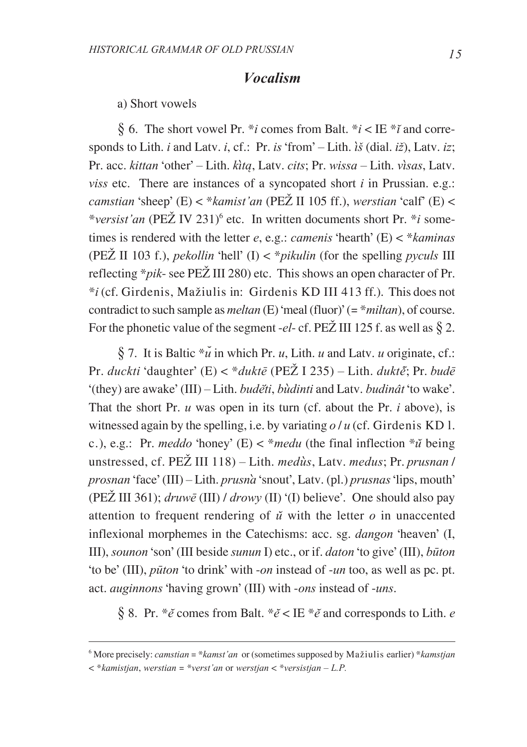### *Vocalism*

a) Short vowels

§ 6. The short vowel Pr. \**i* comes from Balt. \**i* < IE \**i* and corresponds to Lith. *i* and Latv. *i*, cf.: Pr. *is* 'from' – Lith. *ìš* (dial.  $i\zeta$ ), Latv.  $iz$ ; Pr. acc. *kittan* 'other' – Lith. *kita*, Latv. *cits*; Pr. *wissa* – Lith. *visas*, Latv. *viss* etc. There are instances of a syncopated short *i* in Prussian. e.g.: *camstian* 'sheep' (E)  $\lt^*$ *kamist'an* (PEŽ II 105 ff.), *werstian* 'calf' (E)  $\lt$ \*versist'an (PEŽ IV 231)<sup>6</sup> etc. In written documents short Pr. \**i* sometimes is rendered with the letter *e*, e.g.: *camenis* 'hearth' (E) < \**kaminas* (PEŽ II 103 f.), *pekollin* 'hell' (I)  $\lt^*$ *pikulin* (for the spelling *pyculs* III) reflecting \**pik*- see PEŽ III 280) etc. This shows an open character of Pr. \**i* (cf. Girdenis, Mažiulis in: Girdenis KD III 413 ff.). This does not contradict to such sample as *meltan* (E) 'meal (fluor)' (= \**miltan*), of course. For the phonetic value of the segment -*el*- cf. PEŽ III 125 f. as well as  $\frac{8}{3}$  2.

§ 7. It is Baltic  $*\tilde{u}$  in which Pr. *u*, Lith. *u* and Latv. *u* originate, cf.: Pr. *duckti* 'daughter' (E) < \**duktē* (PEŽ I 235) – Lith. *duktě*; Pr. *budē* '(they) are awake' (III) – Lith. *budêti*, *bùdinti* and Latv. *budinât* 'to wake'. That the short Pr. *u* was open in its turn (cf. about the Pr. *i* above), is witnessed again by the spelling, i.e. by variating *o* / *u* (cf. Girdenis KD l. c.), e.g.: Pr. *meddo* 'honey' (E) < \**medu* (the final inflection \* $\tilde{u}$  being unstressed, cf. PEZ III 118) – Lith. *medùs*, Latv. *medus*; Pr. *prusnan* / *prosnan* 'face' (III) – Lith. *prusna‡* 'snout', Latv. (pl.) *prusnas* 'lips, mouth' (PEŽ III 361);  $druw\bar{e}$  (III)  $/$   $drowy$  (II)  $($ I) believe'. One should also pay attention to frequent rendering of  $\tilde{u}$  with the letter  $\sigma$  in unaccented inflexional morphemes in the Catechisms: acc. sg. *dangon* 'heaven' (I, III), *sounon* 'son' (III beside *sunun* I) etc., or if. *daton* 'to give' (III), *bûton* 'to be' (III), *pûton* 'to drink' with -*on* instead of -*un* too, as well as pc. pt. act. *auginnons* 'having grown' (III) with -*ons* instead of -*uns*.

§ 8. Pr.  $*$ *e* comes from Balt.  $*$ *e* < IE  $*$ *e* and corresponds to Lith. *e* 

<sup>&</sup>lt;sup>6</sup> More precisely: *camstian* = \**kamst'an* or (sometimes supposed by Mažiulis earlier) \**kamstjan* < \**kamistjan*, *werstian* = \**verst'an* or *werstjan* < \**versistjan – L.P.*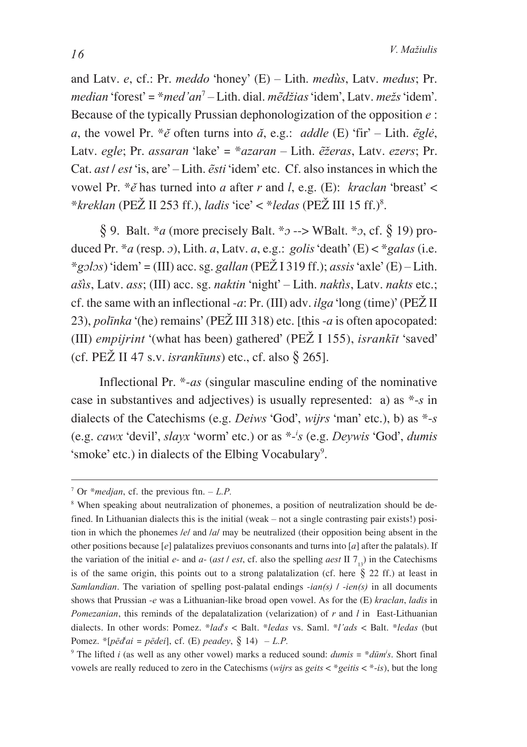and Latv. e, cf.: Pr. meddo 'honey'  $(E)$  – Lith. medus, Latv. medus; Pr. *median* 'forest' = \**med'an*<sup>7</sup> - Lith, dial,  $m\tilde{e}d\tilde{z}$ *ias* 'idem', Laty,  $me\tilde{z}s$  'idem'. Because of the typically Prussian dephonologization of the opposition  $e$ : a, the vowel Pr. \*e often turns into  $\tilde{a}$ , e.g.: addle (E) 'fir' – Lith.  $\tilde{e}$ gle, Latv. egle; Pr. assaran 'lake' = \*azaran – Lith.  $\tilde{e}$ zeras, Latv. ezers; Pr. Cat. *ast | est* 'is, are' – Lith. *ẽsti* 'idem' etc. Cf. also instances in which the vowel Pr. \*e has turned into a after r and l, e.g. (E): kraclan 'breast' < \*kreklan (PEŽ II 253 ff.), ladis 'ice' < \*ledas (PEŽ III 15 ff.)<sup>8</sup>.

§ 9. Balt. \* *a* (more precisely Balt. \*  $\sigma$  --> WBalt. \*  $\sigma$ , cf. § 19) produced Pr. \* a (resp. 2), Lith. a, Latv. a, e.g.: golis 'death' (E)  $\lt$  \* galas (i.e.  $*g$ olos) 'idem' = (III) acc. sg. gallan (PEŽ I 319 ff.); assis 'axle' (E) – Lith.  $a\ddot{s}$ is, Latv.  $ass$ ; (III) acc. sg. naktin 'night' - Lith. naktis, Latv. nakts etc.; cf. the same with an inflectional -a: Pr. (III) adv. ilga 'long (time)' (PEŽ II 23), *polinka* '(he) remains' (PEŽ III 318) etc. [this -*a* is often apocopated: (III) empijrint '(what has been) gathered' (PEŽ I 155), isrankīt 'saved' (cf. PEŽ II 47 s.v. *isrankūns*) etc., cf. also  $\S$  265].

Inflectional Pr.  $*-as$  (singular masculine ending of the nominative case in substantives and adjectives) is usually represented: a) as  $*$ -s in dialects of the Catechisms (e.g. *Deiws* 'God', *wijrs* 'man' etc.), b) as  $*_s$ (e.g. *cawx* 'devil', *slavx* 'worm' etc.) or as  $\ast$ -*'s* (e.g. *Devwis* 'God', *dumis* 'smoke' etc.) in dialects of the Elbing Vocabulary<sup>9</sup>.

<sup>&</sup>lt;sup>7</sup> Or \**medjan*, cf. the previous ftn. - L.P.

<sup>&</sup>lt;sup>8</sup> When speaking about neutralization of phonemes, a position of neutralization should be defined. In Lithuanian dialects this is the initial (weak  $-$  not a single contrasting pair exists!) position in which the phonemes  $\ell$ el and  $\ell$ al may be neutralized (their opposition being absent in the other positions because [e] palatalizes previous consonants and turns into [a] after the palatals). If the variation of the initial e- and a- (ast / est, cf. also the spelling aest II  $7_{12}$ ) in the Catechisms is of the same origin, this points out to a strong palatalization (cf. here  $\S$  22 ff.) at least in *Samlandian*. The variation of spelling post-palatal endings  $-ian(s)$  /  $-ien(s)$  in all documents shows that Prussian -e was a Lithuanian-like broad open vowel. As for the  $(E)$  kraclan, ladis in *Pomezanian*, this reminds of the depalatilization (velarization) of  $r$  and  $l$  in East-Lithuanian dialects. In other words: Pomez. \*lad<sup>i</sup>s < Balt. \*ledas vs. Saml. \*l'ads < Balt. \*ledas (but Pomez. \* [ $p\bar{e}d\bar{e}ai$  =  $p\bar{e}dei$ ], cf. (E)  $peadey$ , § 14) – L.P.

<sup>&</sup>lt;sup>9</sup> The lifted *i* (as well as any other vowel) marks a reduced sound:  $dumis = *d\bar{u}m's$ . Short final vowels are really reduced to zero in the Catechisms (wijrs as geits  $\lt^*$  geitis  $\lt^*$ -is), but the long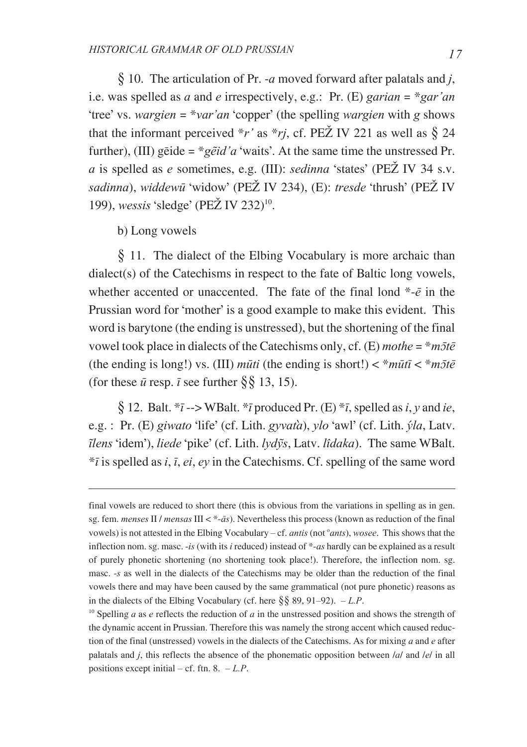*\** 10. The articulation of Pr. -*a* moved forward after palatals and *j*, i.e. was spelled as *a* and *e* irrespectively, e.g.: Pr. (E) *garian* = \**gar'an* 'tree' vs. *wargien* = \**var'an* 'copper' (the spelling *wargien* with *g* shows that the informant perceived  $\pi r$  as  $\pi r$ , cf. PEZ IV 221 as well as  $\delta$  24 further), (III) gēide = \**gẽid'a* 'waits'. At the same time the unstressed Pr. *a* is spelled as *e* sometimes, e.g. (III): *sedinna* 'states' (PEŽ IV 34 s.v.  $s$ adinna), widdewū 'widow' (PEŽ IV 234), (E): *tresde* 'thrush' (PEŽ IV 199), *wessis* 'sledge' (PEŽ IV 232)<sup>10</sup>.

b) Long vowels

*\** 11. The dialect of the Elbing Vocabulary is more archaic than dialect(s) of the Catechisms in respect to the fate of Baltic long vowels, whether accented or unaccented. The fate of the final lond \*-*ç* in the Prussian word for 'mother' is a good example to make this evident. This word is barytone (the ending is unstressed), but the shortening of the final vowel took place in dialects of the Catechisms only, cf. (E) *mothe* =  $**m* \bar{\jmath} t \bar{e}$ (the ending is long!) vs. (III)  $m\bar{u}t$  (the ending is short!)  $\langle m\bar{u}t\bar{u}\rangle \langle m\bar{u}t\bar{v}\rangle$ (for these  $\bar{u}$  resp.  $\bar{i}$  see further  $\frac{8}{9}$  13, 15).

 $\frac{1}{2}$  12. Balt. \**ī* --> WBalt. \**ī* produced Pr. (E) \**ī*, spelled as *i*, *y* and *ie*, e.g. : Pr. (E) *giwato* 'life' (cf. Lith. *gyvata*), *ylo* 'awl' (cf. Lith. *ýla*, Latv.  $\tilde{u}$ *lens* 'idem'), *liede* 'pike' (cf. Lith. *lydys*, Latv. *lidaka*). The same WBalt. \**î* is spelled as *i*, *î*, *ei*, *ey* in the Catechisms. Cf. spelling of the same word

final vowels are reduced to short there (this is obvious from the variations in spelling as in gen. sg. fem. *menses* II / *mensas* III  $\lt$  \*- $\bar{a}s$ ). Nevertheless this process (known as reduction of the final vowels) is not attested in the Elbing Vocabulary - cf. antis (not  $\degree$  ants), wosee. This shows that the inflection nom. sg. masc. -*is* (with its *i* reduced) instead of \*-*as* hardly can be explained as a result of purely phonetic shortening (no shortening took place!). Therefore, the inflection nom. sg. masc. -*s* as well in the dialects of the Catechisms may be older than the reduction of the final vowels there and may have been caused by the same grammatical (not pure phonetic) reasons as in the dialects of the Elbing Vocabulary (cf. here  $\frac{8}{9}$  89, 91–92). *– L.P.* 

<sup>&</sup>lt;sup>10</sup> Spelling *a* as *e* reflects the reduction of *a* in the unstressed position and shows the strength of the dynamic accent in Prussian. Therefore this was namely the strong accent which caused reduction of the final (unstressed) vowels in the dialects of the Catechisms. As for mixing *a* and *e* after palatals and *j*, this reflects the absence of the phonematic opposition between /*a*/ and /*e*/ in all positions except initial – cf. ftn. 8. *– L.P*.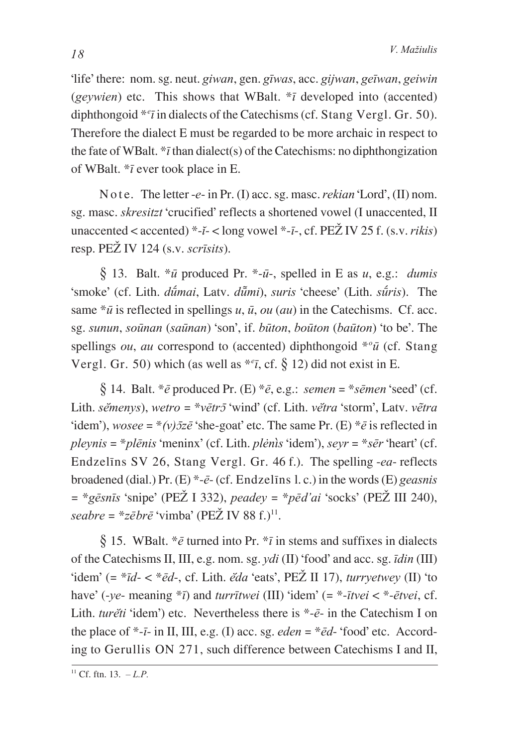'life' there: nom. sg. neut. *giwan*, gen. *gîwas*, acc. *gijwan*, *geîwan*, *geiwin* (*geywien*) etc. This shows that WBalt. \**î* developed into (accented) diphthongoid \**<sup>e</sup> î* in dialects of the Catechisms (cf. Stang Vergl. Gr. 50). Therefore the dialect E must be regarded to be more archaic in respect to the fate of WBalt. \**î* than dialect(s) of the Catechisms: no diphthongization of WBalt. \**î* ever took place in E.

N o t e. The letter -*e*- in Pr. (I) acc. sg. masc. *rekian* 'Lord', (II) nom. sg. masc. *skresitzt* 'crucified' reflects a shortened vowel (I unaccented, II unaccented  $\lt$  accented)  $*$ -*ĭ*- $\lt$  long vowel  $*$ -*ī*-, cf. PEŽ IV 25 f. (s.v. *rikis*) resp. PEÞ IV 124 (s.v. *scrîsits*).

*\** 13. Balt. \**û* produced Pr. \*-*û*-, spelled in E as *u*, e.g.: *dumis* 'smoke' (cf. Lith. *dūmai*, Laty. *dūmi*), *suris* 'cheese' (Lith. *sū́ris*). The same  $*\bar{u}$  is reflected in spellings *u*,  $\bar{u}$ , *ou* (*au*) in the Catechisms. Cf. acc. sg. *sunun*, *soûnan* (*saûnan*) 'son', if. *bûton*, *boûton* (*baûton*) 'to be'. The spellings *ou*, *au* correspond to (accented) diphthongoid \**<sup>o</sup> û* (cf. Stang Vergl. Gr. 50) which (as well as \**<sup>e</sup> î*, cf. *\** 12) did not exist in E.

 $\oint$  14. Balt. \*  $\bar{e}$  produced Pr. (E) \*  $\bar{e}$ , e.g.: *semen* = \* *s* $\bar{e}$ *men* 'seed' (cf. Lith. *sěmenys*), *wetro* = \**vētr*<sup>5</sup> 'wind' (cf. Lith. *větra* 'storm', Latv. *vetra* 'idem'), *wosee* =  $*(v)$   $\overline{z}$ *e* 'she-goat' etc. The same Pr. (E)  $*\overline{e}$  is reflected in *pleynis* = \**plçnis* 'meninx' (cf. Lith. *plënÑs* 'idem'), *seyr* = \**sçr* 'heart' (cf. Endzelîns SV 26, Stang Vergl. Gr. 46 f.). The spelling -*ea*- reflects broadened (dial.) Pr. (E) \*-*ç*- (cf. Endzelîns l. c.) in the words (E) *geasnis* = \**gçsnîs* 'snipe' (PEÞ I 332), *peadey* = \**pçd'ai* 'socks' (PEÞ III 240),  $seabre = *z\bar{e}br\bar{e}$ 'vimba' (PEŽ IV 88 f.)<sup>11</sup>.

 $\frac{1}{2}$  15. WBalt. \* $\bar{e}$  turned into Pr. \**ī* in stems and suffixes in dialects of the Catechisms II, III, e.g. nom. sg. *ydi* (II) 'food' and acc. sg. *îdin* (III) 'idem' ( $=\frac{4\pi}{d}$  <  $\frac{4\pi}{d}$ , cf. Lith. *ěda* 'eats', PEŽ II 17), *turryetwey* (II) 'to have' (-*ye*- meaning \**î*) and *turrîtwei* (III) 'idem' (= \*-*îtvei* < \*-*çtvei*, cf. Lith. *turêti* 'idem') etc. Nevertheless there is  $*$ - $\bar{e}$ - in the Catechism I on the place of  $*$ - $\bar{i}$ - in II, III, e.g. (I) acc. sg. *eden* =  $* \bar{e}d$ - 'food' etc. According to Gerullis ON 271, such difference between Catechisms I and II,

<sup>&</sup>lt;sup>11</sup> Cf. ftn. 13.  $-L.P.$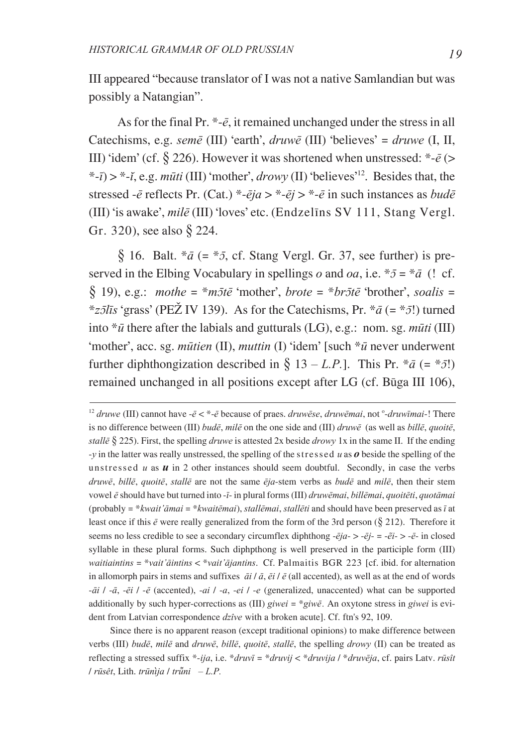III appeared "because translator of I was not a native Samlandian but was possibly a Natangian".

As for the final Pr. \*-*ç*, it remained unchanged under the stress in all Catechisms, e.g. *semç* (III) 'earth', *druwç* (III) 'believes' = *druwe* (I, II, III) 'idem' (cf.  $\delta$  226). However it was shortened when unstressed:  $*$ - $\bar{e}$  (> \*-*î*) > \*-*Ÿ*, e.g. *mûti* (III) 'mother', *drowy* (II) 'believes'12. Besides that, the stressed -*ç* reflects Pr. (Cat.) \*-*çja* > \*-*çj* > \*-*ç* in such instances as *budç* (III) 'is awake', *milç* (III) 'loves' etc. (Endzelîns SV 111, Stang Vergl. Gr. 320), see also *\** 224.

 $\frac{1}{2}$  16. Balt. \* $\bar{a}$  (= \* $\bar{z}$ , cf. Stang Vergl. Gr. 37, see further) is preserved in the Elbing Vocabulary in spellings *o* and *oa*, i.e.  $*5 = *a$  (! cf.  $\frac{1}{2}$  19), e.g.: *mothe* = \**mɔ̄tē* 'mother', *brote* = \**brɔ̄tē* 'brother', *soalis* =  $*z\bar{z}$ līs 'grass' (PEŽ IV 139). As for the Catechisms, Pr.  $*\bar{a}$  (=  $*\bar{z}$ !) turned into \**û* there after the labials and gutturals (LG), e.g.: nom. sg. *mûti* (III) 'mother', acc. sg. *mûtien* (II), *muttin* (I) 'idem' [such \**û* never underwent further diphthongization described in  $\frac{6}{5}$  13 – *L.P.*]. This Pr. \* $\bar{a}$  (= \* $\bar{a}$ ) remained unchanged in all positions except after LG (cf. Bûga III 106),

<sup>&</sup>lt;sup>12</sup> druwe (III) cannot have  $-\bar{e} < *-\bar{e}$  because of praes. *druwēse*, *druwēmai*, not °-*druwīmai*-! There is no difference between (III) *budç*, *milç* on the one side and (III) *druwç* (as well as *billç*, *quoitç*, *stalle*  $\frac{5}{2}$  225). First, the spelling *druwe* is attested 2x beside *drowy* 1x in the same II. If the ending -*y* in the latter was really unstressed, the spelling of the stressed *u* as *o* beside the spelling of the unstressed  $u$  as  $u$  in 2 other instances should seem doubtful. Secondly, in case the verbs *druwç*, *billç*, *quoitç*, *stallç* are not the same *çja*-stem verbs as *budç* and *milç*, then their stem vowel  $\vec{e}$  should have but turned into -*ī*- in plural forms (III) *druwēmai*, *billēmai*, *quoitēti*, *quotāmai* (probably = \**kwait'`mai* = \**kwaitçmai*), *stallçmai*, *stallçti* and should have been preserved as *î* at least once if this *ç* were really generalized from the form of the 3rd person (*\** 212). Therefore it seems no less credible to see a secondary circumflex diphthong  $-\bar{e}i\alpha - \bar{e}i\alpha - \bar{e}i\alpha - \bar{e}i\alpha$  in closed syllable in these plural forms. Such diphpthong is well preserved in the participle form (III) *waitiaintins* = \**vait'aintins* < \**vait'ajantins*. Cf. Palmaitis BGR 223 [cf. ibid. for alternation in allomorph pairs in stems and suffixes  $\vec{a}i / \vec{a}$ ,  $\vec{e}i / \vec{e}$  (all accented), as well as at the end of words -*`i* / -*`*, -*çi* / -*ç* (accented), -*ai* / -*a*, -*ei* / -*e* (generalized, unaccented) what can be supported additionally by such hyper-corrections as (III) *giwei* = \**giwç.* An oxytone stress in *giwei* is evident from Latvian correspondence *dzîve* with a broken acute]. Cf. ftn's 92, 109.

Since there is no apparent reason (except traditional opinions) to make difference between verbs (III) *budç*, *milç* and *druwç*, *billç*, *quoitç*, *stallç*, the spelling *drowy* (II) can be treated as reflecting a stressed suffix \*-*ija*, i.e. \**druvî* = \**druvij* < \**druvija* / \**druvçja*, cf. pairs Latv. *rûs±t*  $\ell$ *rūsêt*, Lith. *trūnìja*  $\ell$  *trū̃ni* – *L.P.*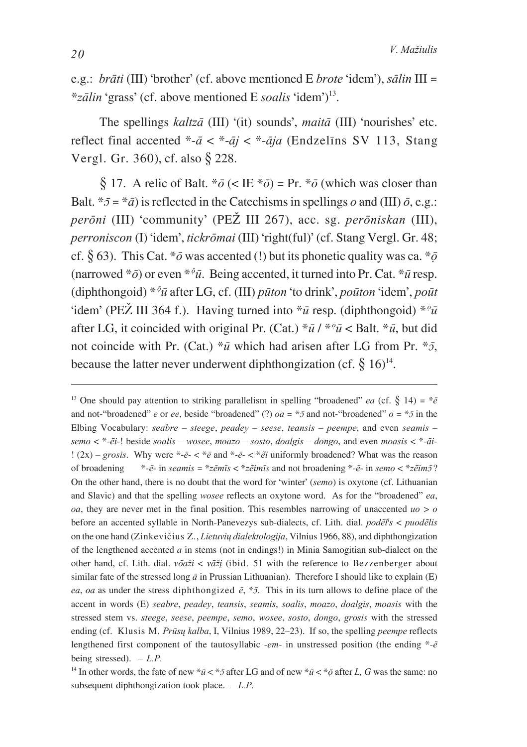e.g.: *brāti* (III) 'brother' (cf. above mentioned E *brote* 'idem'), *sālin* III = \*zālin 'grass' (cf. above mentioned E soalis 'idem')<sup>13</sup>.

The spellings *kaltza* (III) '(it) sounds', *maita* (III) 'nourishes' etc. reflect final accented \*- $\bar{a} <$  \*- $\bar{a}$  $i <$  \*- $\bar{a}$  $i$  (Endzelins SV 113, Stang Vergl. Gr. 360), cf. also § 228.

§ 17. A relic of Balt. \* $\bar{\sigma}$  (< IE \* $\bar{\sigma}$ ) = Pr. \* $\bar{\sigma}$  (which was closer than Balt. \* $\bar{z} = \dot{\bar{z}}$  is reflected in the Catechisms in spellings o and (III)  $\bar{o}$ , e.g.: perōni (III) 'community' (PEŽ III 267), acc. sg. perōniskan (III), *perroniscon* (I) 'idem', *tickrōmai* (III) 'right(ful)' (cf. Stang Vergl. Gr. 48; cf. § 63). This Cat. \* $\bar{o}$  was accented (!) but its phonetic quality was ca. \* $\bar{o}$ (narrowed  $*_{\bar{0}}$ ) or even  $*_{\bar{0}}\bar{u}$ . Being accented, it turned into Pr. Cat.  $*_{\bar{u}}$  resp. (diphthongoid) \*  $\bar{\phi}$ *u* after LG, cf. (III) *pūton* 'to drink', *poūton* 'idem', *poūt* 'idem' (PEŽ III 364 f.). Having turned into  $\overline{u}$  resp. (diphthongoid)  $\overline{u}$ after LG, it coincided with original Pr. (Cat.) \* $\bar{u}$  / \* $\bar{v}$  /  $\bar{v}$  / Salt. \* $\bar{u}$ , but did not coincide with Pr. (Cat.) \* $\bar{u}$  which had arisen after LG from Pr. \* $\bar{z}$ , because the latter never underwent diphthongization (cf.  $\hat{\S}$  16)<sup>14</sup>.

<sup>&</sup>lt;sup>13</sup> One should pay attention to striking parallelism in spelling "broadened" ea (cf. § 14) =  $*{\bar e}$ and not-"broadened" e or ee, beside "broadened" (?)  $oa = *5$  and not-"broadened"  $o = *5$  in the Elbing Vocabulary: seabre – steege, peadey – seese, teansis – peempe, and even seamis – semo  $\lt^*$ -ẽi-! beside soalis – wosee, moazo – sosto, doalgis – dongo, and even moasis  $\lt^*$ -ãi- $\frac{1}{2}(2x) -$  grosis. Why were \*- $\bar{e}$ - $\lt \dot \ast \bar{e}$  and \*- $\bar{e}$ - $\lt \dot \ast \bar{e}i$  uniformly broadened? What was the reason of broadening \*- $\bar{e}$ - in seamis = \* $z\bar{e}m\bar{u}s <$ \* $z\bar{e}im\bar{u}s$  and not broadening \*- $\bar{e}$ - in semo < \* $z\bar{e}im\bar{v}$ ? On the other hand, there is no doubt that the word for 'winter' (semo) is oxytone (cf. Lithuanian and Slavic) and that the spelling wosee reflects an oxytone word. As for the "broadened" ea, *oa*, they are never met in the final position. This resembles narrowing of unaccented  $uo > o$ before an accented syllable in North-Panevezys sub-dialects, cf. Lith. dial. podellis  $\epsilon$  puodellis on the one hand (Zinkevičius Z., *Lietuviu dialektologija*, Vilnius 1966, 88), and diphthongization of the lengthened accented  $a$  in stems (not in endings!) in Minia Samogitian sub-dialect on the other hand, cf. Lith. dial.  $v\tilde{o}a\tilde{z}i < v\tilde{a}zi$  (ibid. 51 with the reference to Bezzenberger about similar fate of the stressed long  $\bar{a}$  in Prussian Lithuanian). Therefore I should like to explain (E) ea, oa as under the stress diphthongized  $\bar{e}$ , \*5. This in its turn allows to define place of the accent in words (E) seabre, peadey, teansis, seamis, soalis, moazo, doalgis, moasis with the stressed stem vs. steege, seese, peempe, semo, wosee, sosto, dongo, grosis with the stressed ending (cf. Klusis M. Prūsų kalba, I, Vilnius 1989, 22–23). If so, the spelling peempe reflects lengthened first component of the tautosyllabic -em- in unstressed position (the ending  $*$ - $\bar{e}$ being stressed).  $-L.P$ .

<sup>&</sup>lt;sup>14</sup> In other words, the fate of new  $*\bar{u} < *5$  after LG and of new  $*\bar{u} < *5$  after L, G was the same: no subsequent diphthongization took place.  $-L.P$ .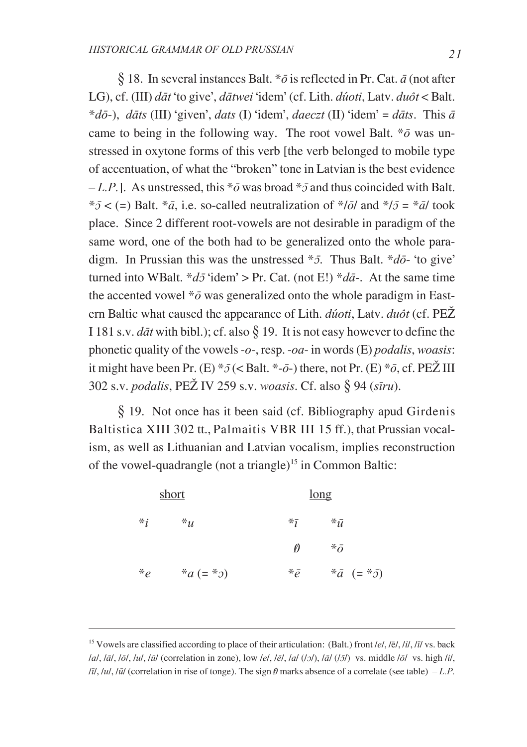$\frac{1}{2}$  18. In several instances Balt. \* $\overline{\sigma}$  is reflected in Pr. Cat.  $\overline{a}$  (not after LG), cf. (III)  $d\bar{a}t$  'to give',  $d\bar{a}twei$  'idem' (cf. Lith.  $d\acute{u}oti$ , Latv.  $du\acute{o}t$  < Balt.  $* d\bar{\sigma}$ -), *dāts* (III) 'given', *dats* (I) 'idem', *daeczt* (II) 'idem' = *dāts*. This  $\bar{a}$ came to being in the following way. The root vowel Balt.  $*$ <sup> $\bar{o}$ </sup> was unstressed in oxytone forms of this verb [the verb belonged to mobile type of accentuation, of what the "broken" tone in Latvian is the best evidence  $-L.P.$ ]. As unstressed, this  $*{\overline{\partial}}$  was broad  $*{\overline{\partial}}$  and thus coincided with Balt. \* $\bar{\sigma}$  < (=) Balt. \* $\bar{a}$ , i.e. so-called neutralization of \* $\bar{\sigma}$  and \* $\bar{\sigma}$  = \* $\bar{a}$ / took place. Since 2 different root-vowels are not desirable in paradigm of the same word, one of the both had to be generalized onto the whole paradigm. In Prussian this was the unstressed  $*_{\bar{0}}$ . Thus Balt.  $*_{d\bar{0}}$ - 'to give' turned into WBalt.  $*d\bar{z}$  'idem' > Pr. Cat. (not E!)  $*d\bar{a}$ -. At the same time the accented vowel  $*\bar{o}$  was generalized onto the whole paradigm in Eastern Baltic what caused the appearance of Lith. *dúoti*, Latv. *duôt* (cf. PEŽ I 181 s.v. *d`t* with bibl.); cf. also *\** 19. It is not easy however to define the phonetic quality of the vowels -*o*-, resp. -*oa*- in words (E) *podalis*, *woasis*: it might have been Pr. (E)  $*5$  (< Balt.  $*$ - $\bar{o}$ -) there, not Pr. (E)  $* \bar{o}$ , cf. PEŽ III 302 s.v. *podalis*, PEÞ IV 259 s.v. *woasis*. Cf. also *\** 94 (*sîru*).

*\** 19. Not once has it been said (cf. Bibliography apud Girdenis Baltistica XIII 302 tt., Palmaitis VBR III 15 ff.), that Prussian vocalism, as well as Lithuanian and Latvian vocalism, implies reconstruction of the vowel-quadrangle (not a triangle)<sup>15</sup> in Common Baltic:

| short |                           | long          |                              |
|-------|---------------------------|---------------|------------------------------|
| $*_i$ | $*_{\mathcal{U}}$         | $*_{\bar{L}}$ | ${}^*\bar{u}$                |
|       |                           | Ø             | $*_{\bar{O}}$                |
| $*_e$ | * $a (= *_{\mathcal{O}})$ | ${}^*\bar{e}$ | * $\bar{a}$ (= * $\bar{c}$ ) |

<sup>15</sup> Vowels are classified according to place of their articulation: (Balt.) front /*e*/, /ç/, /*i*/, /*î*/ vs. back /*a*/, /*`*/, /*ô*/, /*u*/, /*û*/ (correlation in zone), low /*e*/, /*ç*/, /*a*/ (/*É*/), /*`*/ (/*ɯ* /) vs. middle /*ô*/ vs. high /*i*/,  $\frac{\partial I}{\partial l}$ ,  $\frac{\partial I}{\partial u}$  (correlation in rise of tonge). The sign  $\theta$  marks absence of a correlate (see table) – L.P.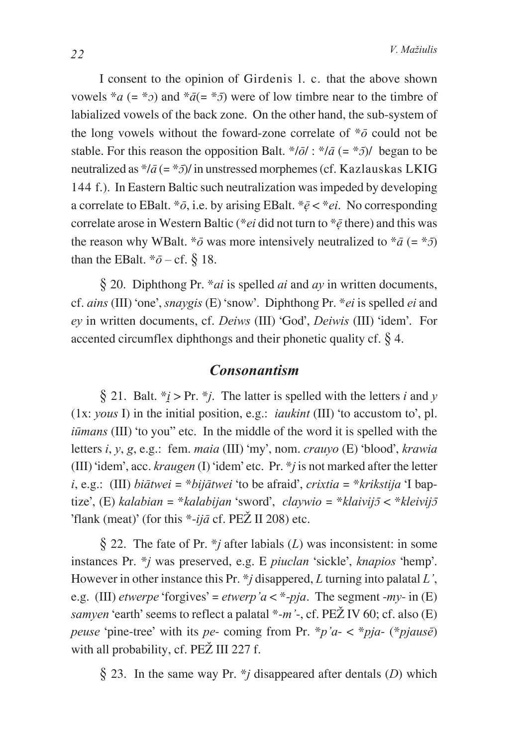I consent to the opinion of Girdenis l. c. that the above shown vowels  $*_a = *_a$  (=  $*_a$ ) and  $*_a = *_a$ ) were of low timbre near to the timbre of labialized vowels of the back zone. On the other hand, the sub-system of the long vowels without the foward-zone correlate of  $*{\overline{\sigma}}$  could not be stable. For this reason the opposition Balt.  $\angle \vec{a}$  (=  $\angle \vec{a}$ )/ began to be neutralized as  $*/\bar{a}$  (=  $*/\bar{a}$ ) in unstressed morphemes (cf. Kazlauskas LKIG 144 f.). In Eastern Baltic such neutralization was impeded by developing a correlate to EBalt.  $*{\bar{\sigma}}$ , i.e. by arising EBalt.  $*{\bar{\epsilon}} < *e$ *i*. No corresponding correlate arose in Western Baltic (\**ei* did not turn to \* $\bar{e}$  there) and this was the reason why WBalt.  $*{\bar{\sigma}}$  was more intensively neutralized to  $*{\bar{a}} (= *{\bar{\sigma}})$ than the EBalt.  $*{\bar{\sigma}}$  – cf.  $8$  18.

*\** 20. Diphthong Pr. \**ai* is spelled *ai* and *ay* in written documents, cf. *ains* (III) 'one', *snaygis* (E) 'snow'. Diphthong Pr. \**ei* is spelled *ei* and *ey* in written documents, cf. *Deiws* (III) 'God', *Deiwis* (III) 'idem'. For accented circumflex diphthongs and their phonetic quality cf. *\** 4.

### *Consonantism*

 $\oint$  21. Balt. \**i* > Pr. \**j*. The latter is spelled with the letters *i* and *y* (1x: *yous* I) in the initial position, e.g.: *iaukint* (III) 'to accustom to', pl. *iûmans* (III) 'to you" etc. In the middle of the word it is spelled with the letters *i*, *y*, *g*, e.g.: fem. *maia* (III) 'my', nom. *crauyo* (E) 'blood', *krawia* (III) 'idem', acc. *kraugen* (I) 'idem' etc. Pr. \**j* is not marked after the letter  $i$ , e.g.: (III) *biātwei* = \**bijātwei* 'to be afraid', *crixtia* = \**krikstija* 'I baptize', (E) *kalabian* = \**kalabijan* 'sword', *claywio* = \**klaivij* $\overline{O}$  < \**kleivij* $\overline{O}$ 'flank (meat)' (for this  $*$ -*ijā* cf. PE $\check{Z}$  II 208) etc.

*\** 22. The fate of Pr. \**j* after labials (*L*) was inconsistent: in some instances Pr. \**j* was preserved, e.g. E *piuclan* 'sickle', *knapios* 'hemp'. However in other instance this Pr. \**j* disappered, *L* turning into palatal *L'*, e.g. (III) *etwerpe* 'forgives' = *etwerp'a* < \*-*pja*. The segment -*my*- in (E) *samyen* 'earth' seems to reflect a palatal  $*$ -*m*'-, cf. PE $\angle$  IV 60; cf. also (E) *peuse* 'pine-tree' with its *pe*- coming from Pr. \**p'a*- < \**pja*- (\**pjausç*) with all probability, cf. PEŽ III 227 f.

*\** 23. In the same way Pr. \**j* disappeared after dentals (*D*) which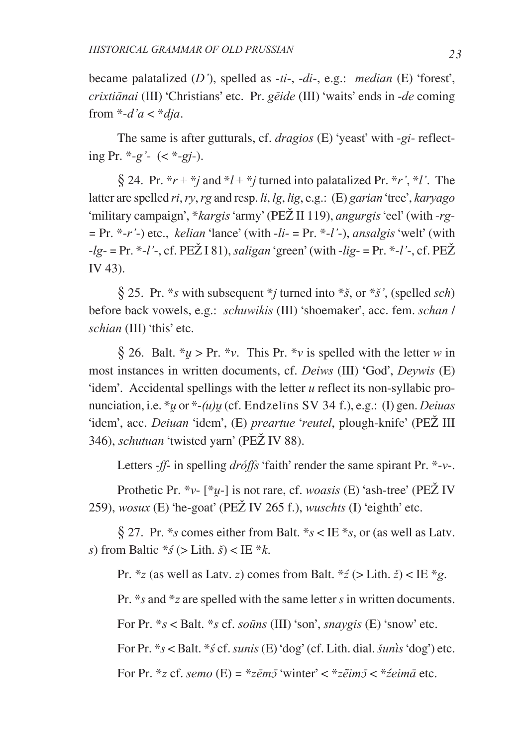became palatalized (*D'*), spelled as -*ti*-, -*di*-, e.g.: *median* (E) 'forest', *crixti`nai* (III) 'Christians' etc. Pr. *gçide* (III) 'waits' ends in -*de* coming from  $*$ -*d'a*  $\lt$   $*$ *dia*.

The same is after gutturals, cf. *dragios* (E) 'yeast' with -*gi*- reflecting Pr. \*-*g'*- (< \*-*gj*-).

 $\oint$  24. Pr. \**r* + \**j* and \**l* + \**j* turned into palatalized Pr. \**r'*, \**l'*. The latter are spelled *ri*, *ry*, *rg* and resp. *li*, *lg*, *lig*, e.g.: (E) *garian* 'tree', *karyago* 'military campaign', \**kargis* 'army' (PEŽ II 119), *angurgis* 'eel' (with -*rg*- $= Pr. * -r'$ ) etc., *kelian* 'lance' (with  $-li = Pr. * -l'$ ), *ansalgis* 'welt' (with  $-lg = Pr. * -l' -$ , cf. PE $\angle 181$ ), *saligan* 'green' (with  $-lig = Pr. * -l' -$ , cf. PE $\angle 2$ IV 43).

*\** 25. Pr. \**s* with subsequent \**j* turned into \**ð*, or \**ð'*, (spelled *sch*) before back vowels, e.g.: *schuwikis* (III) 'shoemaker', acc. fem. *schan* / *schian* (III) 'this' etc.

§ 26. Balt.  $*u > Pr$ .  $*v$ . This Pr.  $*v$  is spelled with the letter *w* in most instances in written documents, cf. *Deiws* (III) 'God', *Deywis* (E) 'idem'. Accidental spellings with the letter *u* reflect its non-syllabic pronunciation, i.e. \**u* or \*-*(u)u* (cf. Endzelins SV 34 f.), e.g.: (I) gen. *Deiuas* 'idem', acc. *Deiuan* 'idem', (E) *preartue* '*reutel*, plough-knife' (PEŽ III) 346), *schutuan* 'twisted yarn' (PEŽ IV 88).

Letters  $-ff$ - in spelling *droffs* 'faith' render the same spirant Pr.  $*$ - $v$ -.

Prothetic Pr. \**v*- [\**u*-] is not rare, cf. *woasis* (E) 'ash-tree' (PEŽ IV 259), *wosux* (E) 'he-goat' (PEÞ IV 265 f.), *wuschts* (I) 'eighth' etc.

*\** 27. Pr. \**s* comes either from Balt. \**s* < IE \**s*, or (as well as Latv. *s*) from Baltic  $*$ *s'* (> Lith. *š*) < IE  $*$ *k*.

Pr.  $*_z$  (as well as Latv. *z*) comes from Balt.  $*_z$  (> Lith.  $z$ ) < IE  $*_g$ .

Pr. \**s* and \**z* are spelled with the same letter *s* in written documents.

For Pr. \**s* < Balt. \**s* cf. *soûns* (III) 'son', *snaygis* (E) 'snow' etc.

For Pr.  $*_s$  < Balt.  $*_s$  cf. *sunis* (E) 'dog' (cf. Lith. dial.  $\frac{s}{u}$  *sunis* 'dog') etc.

For Pr.  $*z$  cf. *semo* (E) =  $*z\bar{e}m\bar{o}$  'winter' <  $*z\bar{e}im\bar{o}$  <  $*z\bar{e}im\bar{a}$  etc.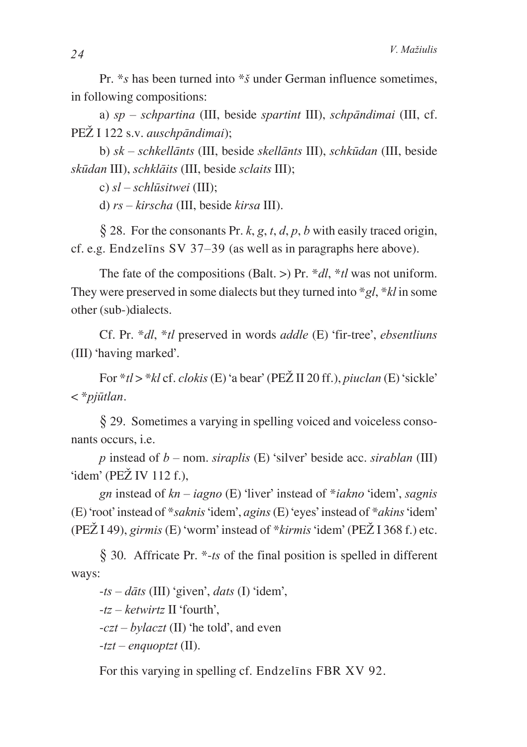Pr. \**s* has been turned into \**ð* under German influence sometimes, in following compositions:

a)  $sp - schpartial$  (III, beside *spartint* III), *schpāndimai* (III, cf. PEŽ I 122 s.v. *auschpāndimai*);

b) *sk* – *schkell`nts* (III, beside *skell`nts* III), *schkûdan* (III, beside *skûdan* III), *schkl`its* (III, beside *sclaits* III);

c) *sl* – *schlûsitwei* (III);

d) *rs* – *kirscha* (III, beside *kirsa* III).

 $\frac{1}{2}$  28. For the consonants Pr. *k*, *g*, *t*, *d*, *p*, *b* with easily traced origin, cf. e.g. Endzelîns SV 37–39 (as well as in paragraphs here above).

The fate of the compositions (Balt. >) Pr. \**dl*, \**tl* was not uniform. They were preserved in some dialects but they turned into \**gl*, \**kl* in some other (sub-)dialects.

Cf. Pr. \**dl*, \**tl* preserved in words *addle* (E) 'fir-tree', *ebsentliuns* (III) 'having marked'.

For \**tl* > \**kl* cf. *clokis* (E) 'a bear' (PEŽ II 20 ff.), *piuclan* (E) 'sickle' < \**pjûtlan*.

*\** 29. Sometimes a varying in spelling voiced and voiceless consonants occurs, i.e.

*p* instead of *b* – nom. *siraplis* (E) 'silver' beside acc. *sirablan* (III) 'idem' (PE $\check{Z}$  IV 112 f.),

*gn* instead of *kn* – *iagno* (E) 'liver' instead of \**iakno* 'idem', *sagnis* (E) 'root' instead of \**saknis* 'idem', *agins* (E) 'eyes' instead of \**akins* 'idem' (PEŽ I 49), *girmis* (E) 'worm' instead of \**kirmis* 'idem' (PEŽ I 368 f.) etc.

*\** 30. Affricate Pr. \*-*ts* of the final position is spelled in different ways:

 $-ts - d\bar{a}ts$  (III) 'given', *dats* (I) 'idem',

-*tz* – *ketwirtz* II 'fourth',

-*czt* – *bylaczt* (II) 'he told', and even

-*tzt* – *enquoptzt* (II).

For this varying in spelling cf. Endzelîns FBR XV 92.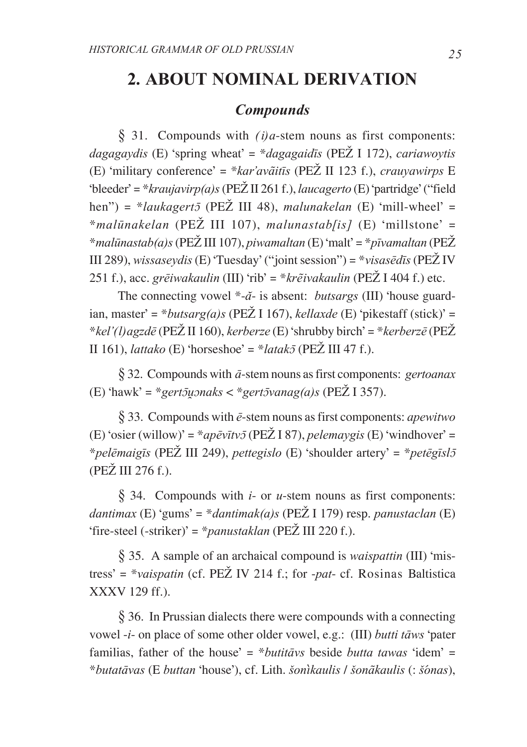# 2. ABOUT NOMINAL DERIVATION

### **Compounds**

§ 31. Compounds with  $(i)a$ -stem nouns as first components: *dagagavdis* (E) 'spring wheat' = \**dagagaidis* (PE $\check{Z}$  I 172), *cariawovtis* (E) 'military conference' = \*kar'avãitis (PEŽ II 123 f.), crauvawirps E 'bleeder' = \*kraujavirp(a)s (PEŽ II 261 f.), laucagerto (E) 'partridge' ("field") hen") = \*laukagert5 (PEŽ III 48), malunakelan (E) 'mill-wheel' = \*malūnakelan (PEŽ III 107), malunastablisl (E) 'millstone' = \*malūnastab(a)s (PEŽ III 107), piwamaltan (E) 'malt' = \*pīvamaltan (PEŽ III 289), wissasevdis (E) 'Tuesday' ("joint session") = \*visasedis (PEŽ IV 251 f.), acc. grēiwakaulin (III) 'rib' = \*krēivakaulin (PEŽ I 404 f.) etc.

The connecting vowel  $\dot{\tau}$ - $\ddot{a}$ - is absent: *butsargs* (III) 'house guardian, master' = \*butsarg(a)s (PEŽ I 167), kellaxde (E) 'pikestaff (stick)' = \*kel'(l)agzdē (PEŽ II 160), kerberze (E) 'shrubby birch' = \*kerberzē (PEŽ II 161), *lattako* (E) 'horseshoe' =  $**latak*5$  (PEŽ III 47 f.).

 $\S$  32. Compounds with  $\bar{a}$ -stem nouns as first components: gertoanax (E) 'hawk' = \*gert5u2naks < \*gert5vanag(a)s (PE $\check{Z}$  I 357).

§ 33. Compounds with  $\bar{e}$ -stem nouns as first components: *apewitwo* (E) 'osier (willow)' = \*apēvītvī (PEŽ I 87), pelemaygis (E) 'windhover' = \*pelēmaigīs (PEŽ III 249), pettegislo (E) 'shoulder artery' = \*petegīsl $\overline{\partial}$ (PEŽ III 276 f.).

§ 34. Compounds with  $i$ - or  $u$ -stem nouns as first components: dantimax (E) 'gums' = \*dantimak(a)s (PEŽ I 179) resp. panustaclan (E) 'fire-steel (-striker)' =  $*panustaklan$  (PEŽ III 220 f.).

 $\S$  35. A sample of an archaical compound is *waispattin* (III) 'mistress' = \*vaispatin (cf. PEŽ IV 214 f.; for -pat- cf. Rosinas Baltistica XXXV 129 ff.).

 $\S$  36. In Prussian dialects there were compounds with a connecting vowel -i- on place of some other older vowel, e.g.: (III) butti tāws 'pater familias, father of the house' = \*butitax beside butta tawas 'idem' = \*butatāvas (E buttan 'house'), cf. Lith. šonikaulis / šonākaulis (: šónas),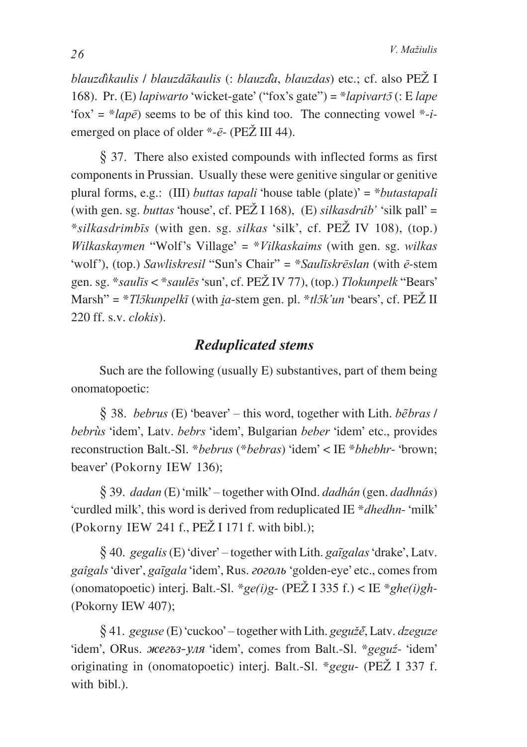*blauzdìkaulis* / *blauzdãkaulis* (: *blauzdà, blauzdas*) etc.; cf. also PEŽ I 168). Pr. (E) *lapiwarto* 'wicket-gate' ("fox's gate") =  $*$ *lapivart* $\overline{0}$  (: E *lape* 'fox' =  $*lap\bar{e}$ ) seems to be of this kind too. The connecting vowel  $*-i$ emerged on place of older  $*-e^-$  (PE $\check{Z}$  III 44).

*\** 37. There also existed compounds with inflected forms as first components in Prussian. Usually these were genitive singular or genitive plural forms, e.g.: (III) *buttas tapali* 'house table (plate)' = \**butastapali* (with gen. sg. *buttas* 'house', cf.  $PEZI168$ ), (E) *silkasdrûb'* 'silk pall' = \**silkasdrimbîs* (with gen. sg. *silkas* 'silk', cf. PEÞ IV 108), (top.) *Wilkaskaymen* "Wolf's Village' = \**Vilkaskaims* (with gen. sg. *wilkas* 'wolf'), (top.) *Sawliskresil* "Sun's Chair" = \**Saulîskrçslan* (with *ç*-stem gen. sg. \**saulîs* < \**saulçs* 'sun', cf. PEÞ IV 77), (top.) *Tlokunpelk* "Bears' Marsh" = \**Tl5kunpelkī* (with *ia*-stem gen. pl. \**tl5k'un* 'bears', cf. PEŽ II 220 ff. s.v. *clokis*).

### *Reduplicated stems*

Such are the following (usually E) substantives, part of them being onomatopoetic:

 $\hat{\mathcal{S}}$  38. *bebrus* (E) 'beaver' – this word, together with Lith. *b* $\hat{e}$ *bras* / *bebrùs* 'idem', Latv. *bebrs* 'idem', Bulgarian *beber* 'idem' etc., provides reconstruction Balt.-Sl. \**bebrus* (\**bebras*) 'idem' < IE \**bhebhr*- 'brown; beaver' (Pokorny IEW 136);

 $\hat{\mathcal{S}}$  39. *dadan* (E) 'milk' – together with OInd. *dadhán* (gen. *dadhnás*) 'curdled milk', this word is derived from reduplicated IE \**dhedhn*- 'milk' (Pokorny IEW 241 f.,  $PEZI171$  f. with bibl.);

 $\hat{\S}$  40. *gegalis* (E) 'diver' – together with Lith. *gaigalas* 'drake', Latv.  $gaigals'diver'$ , *gaigala* 'idem', Rus. *гоголь* 'golden-eye' etc., comes from (onomatopoetic) interj. Balt.-Sl. \* $ge(i)g$ - (PEŽ I 335 f.) < IE \* $she(i)gh$ -(Pokorny IEW 407);

*\** 41. *geguse* (E) 'cuckoo' – together with Lith. *geguþú*, Latv. *dzeguze* 'idem', ORus. *weerds-yna* 'idem', comes from Balt.-Sl. \*geguź- 'idem' originating in (onomatopoetic) interj. Balt.-Sl. \*gegu- (PEŽ I 337 f. with bibl.).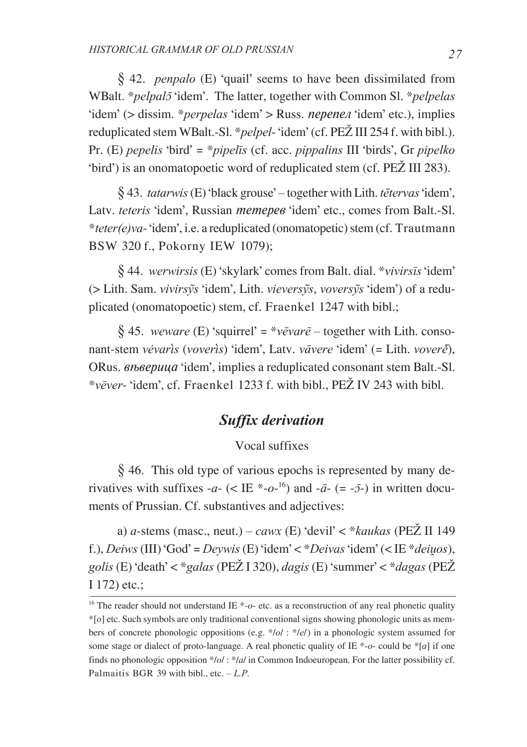$\&$  42. *penpalo* (E) 'quail' seems to have been dissimilated from WBalt. \**pelpal5* 'idem'. The latter, together with Common Sl. \**pelpelas* 'idem' (> dissim. \**perpelas* 'idem' > Russ. *nepenen* 'idem' etc.), implies reduplicated stem WBalt.-Sl. \**pelpel*-'idem' (cf. PEŽ III 254 f. with bibl.). Pr. (E) pepelis 'bird' =  $*$ pipelis (cf. acc. pippalins III 'birds', Gr pipelko 'bird') is an onomatopoetic word of reduplicated stem (cf. PEZ III 283).

§ 43. tatarwis (E) 'black grouse' – together with Lith. tetervas 'idem', Latv. teteris 'idem', Russian memepee 'idem' etc., comes from Balt.-Sl. \*teter(e)va-'idem', i.e. a reduplicated (onomatopetic) stem (cf. Trautmann BSW 320 f., Pokorny IEW 1079);

§ 44. werwirsis (E) 'skylark' comes from Balt. dial. \*vivirsis 'idem' (> Lith. Sam. vivirsṽs 'idem'. Lith. vieversṽs. voversṽs 'idem') of a reduplicated (onomatopoetic) stem, cf. Fraenkel 1247 with bibl.;

§ 45. weware (E) 'squirrel' = \*vevare – together with Lith. consonant-stem vėvaris (voveris) 'idem', Latv. vāvere 'idem' (= Lith. voverė̃), ORus. *вреверица* 'idem', implies a reduplicated consonant stem Balt.-Sl. \*vever-'idem', cf. Fraenkel 1233 f. with bibl., PEŽ IV 243 with bibl.

### **Suffix derivation**

### Vocal suffixes

 $\S$  46. This old type of various epochs is represented by many derivatives with suffixes  $-a - ($   $\lt E \times a^{-16})$  and  $-\bar{a} - ($  =  $-5$ - $)$  in written documents of Prussian. Cf. substantives and adjectives:

a) a-stems (masc., neut.) – cawx (E) 'devil' < \* kaukas (PEŽ II 149 f.), Deiws (III) 'God' = Deywis (E) 'idem' < \* Deivas 'idem' (< IE \* deiuos), golis (E) 'death' < \*galas (PEŽ I 320), dagis (E) 'summer' < \*dagas (PEŽ I 172) etc.:

<sup>&</sup>lt;sup>16</sup> The reader should not understand IE  $*$ - $o$ - etc. as a reconstruction of any real phonetic quality  $\pi$ [o] etc. Such symbols are only traditional conventional signs showing phonologic units as members of concrete phonologic oppositions (e.g.  $*$ /o/:  $*$ /e/) in a phonologic system assumed for some stage or dialect of proto-language. A real phonetic quality of IE  $*-o$ - could be  $* [a]$  if one finds no phonologic opposition  $*$ /o/:  $*$ /a/ in Common Indoeuropean. For the latter possibility cf. Palmaitis BGR 39 with bibl., etc.  $-L.P$ .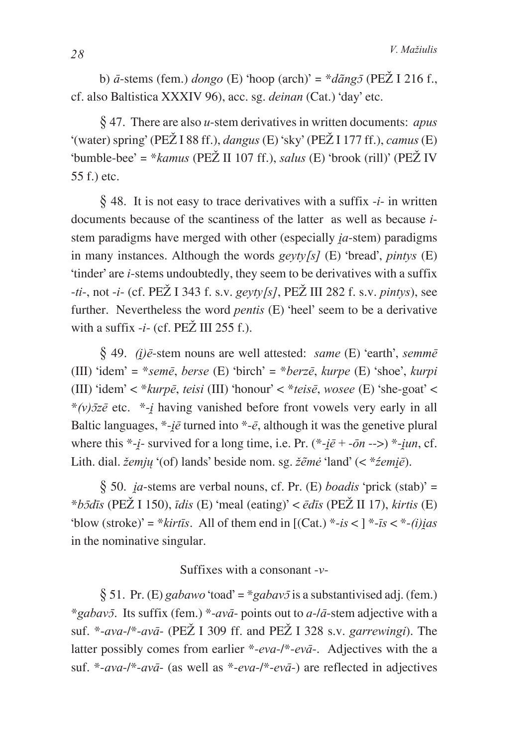b)  $\bar{a}$ -stems (fem.) *dongo* (E) 'hoop (arch)' = \* $d\tilde{a}$ ng<sub>2</sub> (PEŽ I 216 f., cf. also Baltistica XXXIV 96), acc. sg. *deinan* (Cat.) 'day' etc.

*\** 47. There are also *u*-stem derivatives in written documents: *apus*  $'(water)$  spring' (PE $\check{Z}$  I 88 ff.), *dangus* (E) 'sky' (PE $\check{Z}$  I 177 ff.), *camus* (E) 'bumble-bee' = \**kamus* (PEŽ II 107 ff.), *salus* (E) 'brook (rill)' (PEŽ IV 55 f.) etc.

*\** 48. It is not easy to trace derivatives with a suffix -*i*- in written documents because of the scantiness of the latter as well as because *i*stem paradigms have merged with other (especially *ia*-stem) paradigms in many instances. Although the words *geyty[s]* (E) 'bread', *pintys* (E) 'tinder' are *i*-stems undoubtedly, they seem to be derivatives with a suffix -*ti*-, not -*i*- (cf. PEÞ I 343 f. s.v. *geyty[s]*, PEÞ III 282 f. s.v. *pintys*), see further. Nevertheless the word *pentis* (E) 'heel' seem to be a derivative with a suffix  $-i$ - (cf. PE $\check{Z}$  III 255 f.).

*\** 49. *(Ù)ç*-stem nouns are well attested: *same* (E) 'earth', *semmç* (III) 'idem' = \**semç*, *berse* (E) 'birch' = \**berzç*, *kurpe* (E) 'shoe', *kurpi* (III) 'idem' < \**kurpç*, *teisi* (III) 'honour' < \**teisç*, *wosee* (E) 'she-goat' <  $*(v)$  $\bar{z}\bar{e}$  etc.  $*$ -*i* having vanished before front vowels very early in all Baltic languages,  $*$ - $i\bar{e}$  turned into  $*$ - $\bar{e}$ , although it was the genetive plural where this  $*-*i*$ - survived for a long time, i.e. Pr. ( $*-*i*\overline{e}$  +  $-*o*n$  -- $>$ )  $*-*i*un$ , cf. Lith. dial.  $\check{z}emju$  '(of) lands' beside nom. sg.  $\check{z}\check{e}m\check{e}$  'land' (< \* $\check{z}emi\check{e}$ ).

*\** 50. *Ùa*-stems are verbal nouns, cf. Pr. (E) *boadis* 'prick (stab)' =  $*$ *b* $\bar{\nu}$ *dīs* (PEŽ I 150), *īdis* (E) 'meal (eating)' < *ēdīs* (PEŽ II 17), *kirtis* (E) 'blow (stroke)' = \**kirt* $\overline{t}$ s. All of them end in  $[(Cat.) * -is < ] * -\overline{t}$ s < \*- $(i)$ *ias* in the nominative singular.

#### Suffixes with a consonant -*v*-

 $\hat{\S}$  51. Pr. (E) *gabawo* 'toad' = \**gabav* $\bar{\delta}$  is a substantivised adj. (fem.) \**gabav*<sup>5</sup>. Its suffix (fem.) \*-*av* $\bar{a}$ - points out to *a*-/ $\bar{a}$ -stem adjective with a suf. \*-*ava-/\*-avā*- (PEŽ I 309 ff. and PEŽ I 328 s.v. *garrewingi*). The latter possibly comes from earlier \*-*eva-l*\*-*eva*-. Adjectives with the a suf.  $*$ -*ava-*/ $*$ -*avā*- (as well as  $*$ -*eva-*/ $*$ -*evā*-) are reflected in adjectives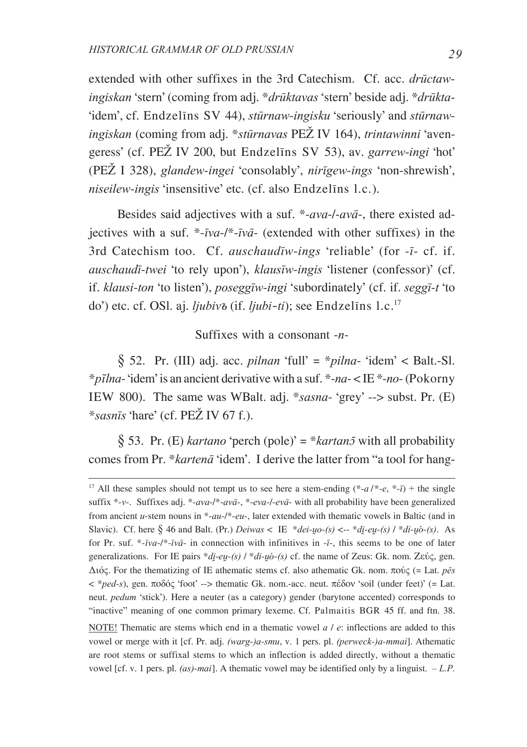extended with other suffixes in the 3rd Catechism. Cf. acc. *drûctawingiskan* 'stern' (coming from adj. \**drûktavas* 'stern' beside adj. \**drûkta*- 'idem', cf. Endzelîns SV 44), *stûrnaw*-*ingisku* 'seriously' and *stûrnawingiskan* (coming from adj. \**stūrnavas* PEŽ IV 164), *trintawinni* 'avengeress' (cf. PEÞ IV 200, but Endzelîns SV 53), av. *garrew*-*ingi* 'hot' (PEŽ I 328), *glandew-ingei* 'consolably', *nirīgew-ings* 'non-shrewish', *niseilew*-*ingis* 'insensitive' etc. (cf. also Endzelîns l.c.).

Besides said adjectives with a suf. \*-*ava-l-ava*-, there existed adjectives with a suf.  $*$ -*īva*-/ $*$ -*īvā*- (extended with other suffixes) in the 3rd Catechism too. Cf. *auschaudîw*-*ings* 'reliable' (for -*î*- cf. if. *auschaudî*-*twei* 'to rely upon'), *klausîw*-*ingis* 'listener (confessor)' (cf. if. *klausi*-*ton* 'to listen'), *poseggîw*-*ingi* 'subordinately' (cf. if. *seggî*-*t* 'to do') etc. cf. OSl. aj. *ljubiv*õ (if. *ljubi-ti*); see Endzelīns l.c.<sup>17</sup>

#### Suffixes with a consonant -*n*-

*\** 52. Pr. (III) adj. acc. *pilnan* 'full' = \**pilna*- 'idem' < Balt.-Sl. \**pµlna*- 'idem' is an ancient derivative with a suf. \*-*na*- < IE \*-*no*- (Pokorny IEW 800). The same was WBalt. adj. \**sasna*- 'grey' --> subst. Pr. (E) \**sasnīs* 'hare' (cf. PEŽ IV 67 f.).

 $\hat{\S}$  53. Pr. (E) *kartano* 'perch (pole)' = \**kartan* with all probability comes from Pr. \**kartenā* 'idem'. I derive the latter from "a tool for hang-

<sup>&</sup>lt;sup>17</sup> All these samples should not tempt us to see here a stem-ending  $(*-a/*-e, *-*i*)$  + the single suffix  $*_{-v}$ . Suffixes adj.  $*_{-av}a_{-v} - av\bar{a}_{-v} - \bar{c}_{-v}$  with all probability have been generalized from ancient *u*-stem nouns in \*-*au*-/\*-*eu*-, later extended with thematic vowels in Baltic (and in Slavic). Cf. here  $\oint$  46 and Balt. (Pr.) *Deiwas* < IE \**dei*-*uo*-*(s)* <-- \**di*-*eu*-*(s)* / \**di*-*uó*-*(s)*. As for Pr. suf.  $\dot{x}$ -*îva*-/ $\dot{x}$ -*īvā*- in connection with infinitives in -*ī*-, this seems to be one of later generalizations. For IE pairs  $*di$ - $eu$ - $(s)$  /  $*di$ - $u$ ó- $(s)$  cf. the name of Zeus: Gk. nom. Z $\varepsilon\acute{v}\varsigma$ , gen.  $Δ$ ιός. For the thematizing of IE athematic stems cf. also athematic Gk. nom. πούς (= Lat. *p* $\bar{e}$ s  $\langle \times \pi \rho e d - s \rangle$ , gen.  $\pi \delta \delta \zeta$  'foot' --> thematic Gk. nom.-acc. neut.  $\pi \epsilon \delta \delta v$  'soil (under feet)' (= Lat. neut. *pedum* 'stick'). Here a neuter (as a category) gender (barytone accented) corresponds to "inactive" meaning of one common primary lexeme. Cf. Palmaitis BGR 45 ff. and ftn. 38.

NOTE! Thematic are stems which end in a thematic vowel *a* / *e*: inflections are added to this vowel or merge with it [cf. Pr. adj. *(warg*-*)a*-*smu*, v. 1 pers. pl. *(perweck*-*)a*-*mmai*]. Athematic are root stems or suffixal stems to which an inflection is added directly, without a thematic vowel [cf. v. 1 pers. pl. *(as)*-*mai*]. A thematic vowel may be identified only by a linguist. – *L.P.*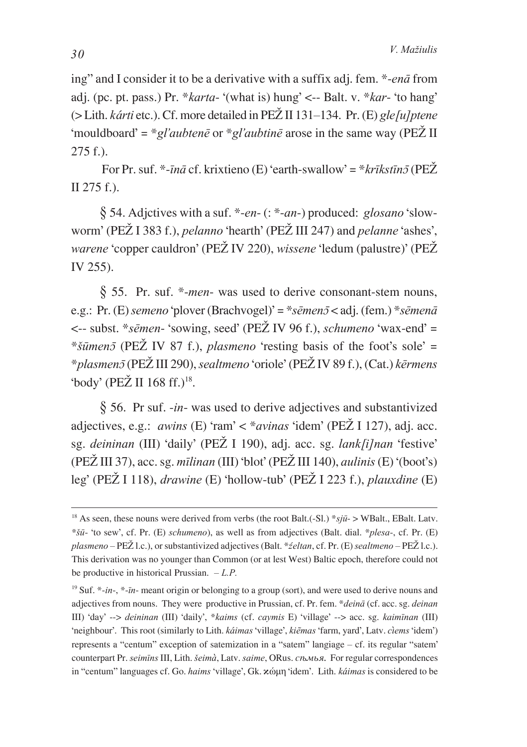ing" and I consider it to be a derivative with a suffix adj. fem. \*-ena from adj. (pc. pt. pass.) Pr. \* $karta$ - '(what is) hung' <-- Balt. v. \* $kar$ - 'to hang' (> Lith. kárti etc.). Cf. more detailed in PEŽ II 131–134. Pr. (E) gle [u] ptene 'mouldboard' = \*gl'aubtene or \*gl'aubtine arose in the same way (PE $\check{Z}$  II 275 f.).

For Pr. suf. \*- $\bar{\iota}$ nā cf. krixtieno (E) 'earth-swallow' = \* $k$ rīkstīn $\bar{\jmath}$  (PEŽ II  $275$  f.).

 $\frac{1}{2}$  54. Adictives with a suf. \*-en- $(:$ \*-an- $")$  produced: glosano 'slowworm' (PEŽ I 383 f.), *pelanno* 'hearth' (PEŽ III 247) and *pelanne* 'ashes'. warene 'copper cauldron' (PEŽ IV 220), wissene 'ledum (palustre)' (PEŽ IV 255).

§ 55. Pr. suf.  $*$ -men- was used to derive consonant-stem nouns, e.g.: Pr. (E) semeno 'plover (Brachvogel)' = \*semeno < adj. (fem.) \*semena <-- subst. \*sēmen- 'sowing, seed' (PEŽ IV 96 f.), schumeno 'wax-end' = \* $\tilde{s}$ *ūmen* $\tilde{\sigma}$  (PEŽ IV 87 f.), *plasmeno* 'resting basis of the foot's sole' = \*plasmen5 (PEŽ III 290), sealtmeno 'oriole' (PEŽ IV 89 f.), (Cat.) kērmens 'body' (PEŽ II  $168$  ff.)<sup>18</sup>.

 $§$  56. Pr suf. -in- was used to derive adjectives and substantivized adjectives, e.g.: *awins* (E) 'ram'  $\lt^*$ *avinas* 'idem' (PEŽ I 127), adj. acc. sg. deininan (III) 'daily' (PEŽ I 190), adj. acc. sg. lank[i]nan 'festive' (PEŽ III 37), acc. sg. mīlinan (III) 'blot' (PEŽ III 140), *aulinis* (E) '(boot's) leg' (PEŽ I 118), drawine (E) 'hollow-tub' (PEŽ I 223 f.), plauxdine (E)

<sup>&</sup>lt;sup>18</sup> As seen, these nouns were derived from verbs (the root Balt.(-Sl.) \* $sj\bar{u}$  > WBalt., EBalt. Latv. \*šū- 'to sew', cf. Pr. (E) schumeno), as well as from adjectives (Balt. dial. \*plesa-, cf. Pr. (E) plasmeno - PEŽ l.c.), or substantivized adjectives (Balt. \* *źeltan*, cf. Pr. (E) sealtmeno - PEŽ l.c.). This derivation was no younger than Common (or at lest West) Baltic epoch, therefore could not be productive in historical Prussian.  $-L.P$ .

<sup>&</sup>lt;sup>19</sup> Suf. \*-in-, \*-in- meant origin or belonging to a group (sort), and were used to derive nouns and adjectives from nouns. They were productive in Prussian, cf. Pr. fem. \*deina (cf. acc. sg. deinan III) 'day' --> deininan (III) 'daily', \*kaims (cf. caymis E) 'village' --> acc. sg. kaimīnan (III) 'neighbour'. This root (similarly to Lith. káimas 'village', kiẽmas 'farm, yard', Latv. cìems 'idem') represents a "centum" exception of satemization in a "satem" langiage - cf. its regular "satem" counterpart Pr. seimīns III, Lith. šeimà, Latv. saime, ORus. сѣмья. For regular correspondences in "centum" languages cf. Go. haims 'village', Gk.  $x\omega\mu$  'idem'. Lith. káimas is considered to be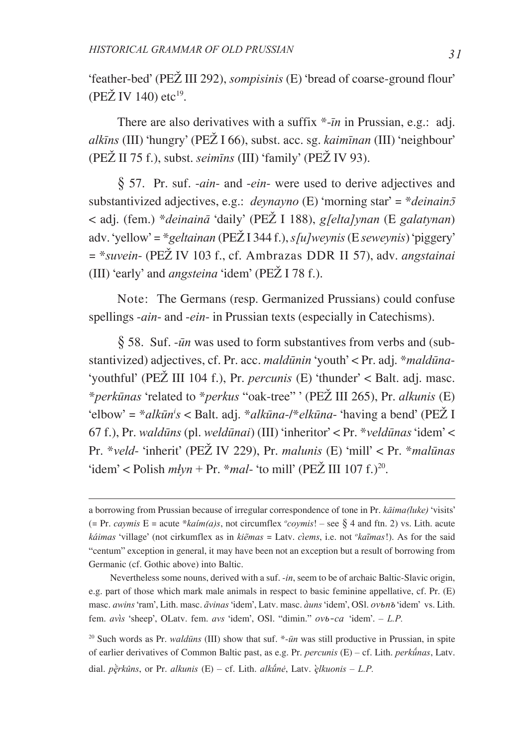'feather-bed' (PEŽ III 292), *sompisinis* (E) 'bread of coarse-ground flour' (PEŽ IV 140) etc<sup>19</sup>.

There are also derivatives with a suffix  $*$ - $\bar{i}n$  in Prussian, e.g.: adi. alkīns (III) 'hungry' (PEŽ I 66), subst. acc. sg. kaimīnan (III) 'neighbour' (PEŽ II 75 f.), subst. seimīns (III) 'family' (PEŽ IV 93).

§ 57. Pr. suf. -*ain*- and -*ein*- were used to derive adjectives and substantivized adjectives, e.g.: *devnavno* (E) 'morning star' =  $*deinain5$  $\alpha$  adj. (fem.) \*deinainā 'daily' (PEŽ I 188), g[elta]ynan (E galatynan) adv. 'yellow' = \*geltainan (PEŽ I 344 f.),  $s/u/wevnis$  (E seweynis) 'piggery'  $=$  \*suvein- (PEŽ IV 103 f., cf. Ambrazas DDR II 57), adv. angstainai (III) 'early' and *angsteina* 'idem' (PEŽ I 78 f.).

Note: The Germans (resp. Germanized Prussians) could confuse spellings -*ain*- and -*ein*- in Prussian texts (especially in Catechisms).

 $\S$  58. Suf. - $\bar{u}n$  was used to form substantives from verbs and (substantivized) adjectives, cf. Pr. acc. maldūnin 'youth' < Pr. adj. \*maldūna-'youthful' (PEŽ III 104 f.), Pr. *percunis* (E) 'thunder' < Balt. adj. masc. *\*perkūnas* 'related to *\*perkus* "oak-tree"' (PEŽ III 265), Pr. *alkunis* (E) 'elbow' = \*alkūn's < Balt. adj. \*alkūna-/\*elkūna- 'having a bend' (PEŽ I 67 f.), Pr. waldūns (pl. weldūnai) (III) 'inheritor' < Pr. \*veldūnas 'idem' < Pr. \*veld- 'inherit' (PEŽ IV 229), Pr. malunis (E) 'mill' < Pr. \*malūnas 'idem' < Polish  $m\ell yn$  + Pr. \*mal- 'to mill' (PEŽ III 107 f.)<sup>20</sup>.

a borrowing from Prussian because of irregular correspondence of tone in Pr. kāima(luke) 'visits' (= Pr. caymis E = acute \* $k\alpha/m(a)s$ , not circumflex  $^o$ coymis! – see § 4 and ftn. 2) vs. Lith. acute káimas 'village' (not cirkumflex as in kiemas = Latv. ciems, i.e. not  $\ell$ kaimas!). As for the said "centum" exception in general, it may have been not an exception but a result of borrowing from Germanic (cf. Gothic above) into Baltic.

Nevertheless some nouns, derived with a suf. -in, seem to be of archaic Baltic-Slavic origin, e.g. part of those which mark male animals in respect to basic feminine appellative, cf. Pr. (E) masc. awins 'ram', Lith. masc. avinas 'idem', Latv. masc. auns 'idem', OSI. ovbno 'idem' vs. Lith. fem. avis 'sheep', OLatv. fem. avs 'idem', OSl. "dimin."  $ovb-ca$  'idem'. - L.P.

<sup>&</sup>lt;sup>20</sup> Such words as Pr. waldūns (III) show that suf.  $*$ -ūn was still productive in Prussian, in spite of earlier derivatives of Common Baltic past, as e.g. Pr. percunis (E) - cf. Lith. perkūnas, Latv. dial.  $p\ddot{e}rk\hat{u}ns$ , or Pr. alkunis (E) – cf. Lith. alkūnė, Latv. elkuonis – L.P.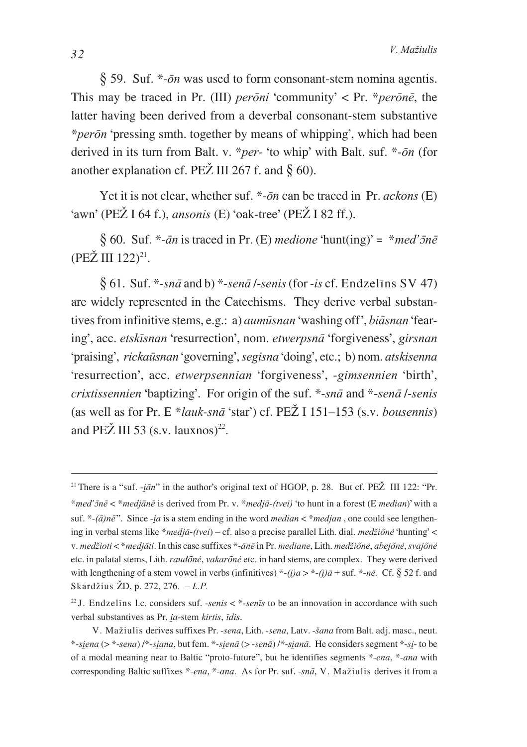*\** 59. Suf. \*-*ôn* was used to form consonant-stem nomina agentis. This may be traced in Pr. (III) *perôni* 'community' < Pr. \**perônç*, the latter having been derived from a deverbal consonant-stem substantive \**perôn* 'pressing smth. together by means of whipping', which had been derived in its turn from Balt. v. \**per*- 'to whip' with Balt. suf. \*-*ôn* (for another explanation cf. PE $\check{Z}$  III 267 f. and  $\hat{\S}$  60).

Yet it is not clear, whether suf. \*-*ôn* can be traced in Pr. *ackons* (E) 'awn' (PE $\check{Z}$  I 64 f.), *ansonis* (E) 'oak-tree' (PE $\check{Z}$  I 82 ff.).

 $\delta$  60. Suf. \*- $\bar{a}n$  is traced in Pr. (E) *medione* 'hunt(ing)' = \**med*' $\bar{c}n\bar{e}$  $(PEŽ III 122)^{21}$ .

*\** 61. Suf. \*-*sn`* and b) \*-*sen`* /-*senis* (for -*is* cf. Endzelîns SV 47) are widely represented in the Catechisms. They derive verbal substantives from infinitive stems, e.g.: a) *aumūsnan* 'washing off', *biāsnan* 'fearing', acc. *etskîsnan* 'resurrection', nom. *etwerpsn`* 'forgiveness', *girsnan* 'praising', *rickaûsnan* 'governing', *segisna* 'doing', etc.; b) nom. *atskisenna* 'resurrection', acc. *etwerpsennian* 'forgiveness', -*gimsennien* 'birth', *crixtissennien* 'baptizing'. For origin of the suf. \*-*sn`* and \*-*sen`* /-*senis* (as well as for Pr. E \**lauk*-*sn`* 'star') cf. PEÞ I 151–153 (s.v. *bousennis*) and PE $\check{Z}$  III 53 (s.v. lauxnos)<sup>22</sup>.

<sup>&</sup>lt;sup>21</sup> There is a "suf.  $-i\bar{a}n$ " in the author's original text of HGOP, p. 28. But cf. PEŽ III 122: "Pr. \**med'*  $\bar{\partial}n\bar{e}$  < \**medjānē* is derived from Pr. v. \**medjā-(tvei)* 'to hunt in a forest (E *median*)' with a suf. \*-*(`)nç*". Since -*Ùa* is a stem ending in the word *median* < \**medjan* , one could see lengthening in verbal stems like \**medjā-(tvei*) – cf. also a precise parallel Lith. dial. *medžiõnė* 'hunting' < v. *medþioti* < \**medj`ti*. In this case suffixes \*-*`nç* in Pr. *mediane*, Lith. *medþiõnë*, *abejõnë*, *svajõnë* etc. in palatal stems, Lith. *raudõnë*, *vakarõnë* etc. in hard stems, are complex. They were derived with lengthening of a stem vowel in verbs (infinitives) \*- $(i)a$  > \*- $(i)a$  + suf. \*- $n\bar{e}$ . Cf.  $\S$  52 f. and Skardžius ŽD, p. 272, 276. – *L.P.* 

<sup>&</sup>lt;sup>22</sup> J. Endzelins 1.c. considers suf. -*senis*  $\lt^*$ -*senis* to be an innovation in accordance with such verbal substantives as Pr. *ia*-stem *kirtis*, *īdis*.

V. Mažiulis derives suffixes Pr. -*sena*, Lith. -*sena*, Latv. -*šana* from Balt. adj. masc., neut. \*-*sÙena* (> \*-*sena*) /\*-*sÙana*, but fem. \*-*sÙen`* (> -*sen`*) /\*-*sÙan`*. He considers segment \*-*sÙ*- to be of a modal meaning near to Baltic "proto-future", but he identifies segments \*-*ena*, \*-*ana* with corresponding Baltic suffixes \*-*ena*, \*-*ana*. As for Pr. suf. -*snā*, V. Mažiulis derives it from a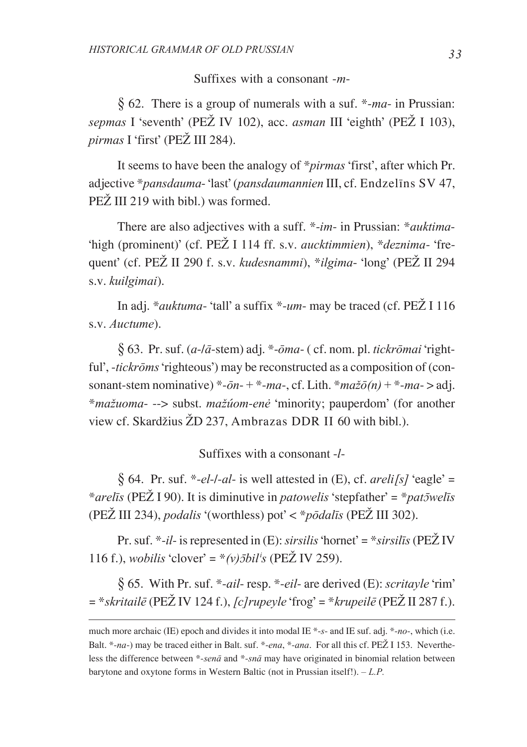Suffixes with a consonant -*m*-

*\** 62. There is a group of numerals with a suf. \*-*ma*- in Prussian: *sepmas* I 'seventh' (PEŽ IV 102), acc. *asman* III 'eighth' (PEŽ I 103), *pirmas* I 'first' (PEŽ III 284).

It seems to have been the analogy of \**pirmas* 'first', after which Pr. adjective \**pansdauma*- 'last' (*pansdaumannien* III, cf. Endzelîns SV 47, PEŽ III 219 with bibl.) was formed.

There are also adjectives with a suff. \*-*im*- in Prussian: \**auktima*- 'high (prominent)' (cf. PEŽ I 114 ff. s.v. *aucktimmien*), \**deznima*- 'frequent' (cf. PEŽ II 290 f. s.v. *kudesnammi*), \**ilgima*- 'long' (PEŽ II 294 s.v. *kuilgimai*).

In adj. \**auktuma*- 'tall' a suffix \*-*um*- may be traced (cf. PE $\check{Z}$  I 116 s.v. *Auctume*).

*\** 63. Pr. suf. (*a*-/*`*-stem) adj. \*-*ôma*- ( cf. nom. pl. *tickrômai* 'rightful', -*tickroms* 'righteous') may be reconstructed as a composition of (consonant-stem nominative) \*- $\bar{a}n$ - + \*- $ma$ -, cf. Lith. \* $ma\bar{z}\bar{o}(n)$  + \*- $ma$ - > adj. \**mažuoma*- --> subst. *mažúom-enė* 'minority; pauperdom' (for another view cf. Skardžius ŽD 237, Ambrazas DDR II 60 with bibl.).

Suffixes with a consonant -*l*-

 $\oint$  64. Pr. suf. \*-*el-/-al-* is well attested in (E), cf. *areli*[s] 'eagle' = \**arelis* (PEŽ I 90). It is diminutive in *patowelis* 'stepfather' = \**pat5welis* (PEŽ III 234), *podalis* '(worthless) pot' < \**põdalis* (PEŽ III 302).

Pr. suf.  $*$ -*il*- is represented in (E): *sirsilis* 'hornet' =  $*$ *sirsilis* (PEŽ IV 116 f.), *wobilis* 'clover' =  $*(v)$  *5bil<sup>i</sup>s* (PEŽ IV 259).

*\** 65. With Pr. suf. \*-*ail*- resp. \*-*eil*- are derived (E): *scritayle* 'rim'  $=$  \*skritailē (PEŽ IV 124 f.), *[c]rupeyle* 'frog' = \*krupeilē (PEŽ II 287 f.).

much more archaic (IE) epoch and divides it into modal IE \*-*s*- and IE suf. adj. \*-*no*-, which (i.e. Balt. \*-na-) may be traced either in Balt. suf. \*-*ena*, \*-ana. For all this cf. PEŽ I 153. Nevertheless the difference between \*-*senā* and \*-*snā* may have originated in binomial relation between barytone and oxytone forms in Western Baltic (not in Prussian itself!). – *L.P.*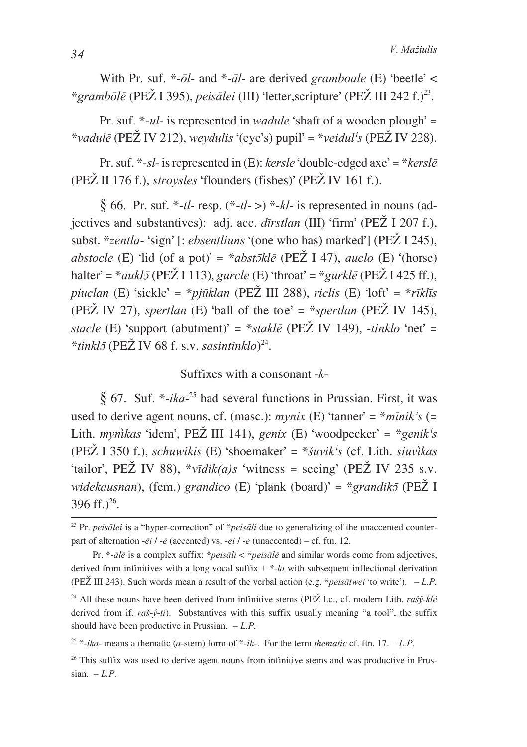With Pr. suf. \*-ol- and \*-al- are derived gramboale (E) 'beetle' < \*grambōlē (PEŽ I 395), peisālei (III) 'letter, scripture' (PEŽ III 242 f.)<sup>23</sup>.

Pr. suf. \*-ul- is represented in *wadule* 'shaft of a wooden plough' = \*vadulē (PEŽ IV 212), wevdulis '(eye's) pupil' = \*veidul's (PEŽ IV 228).

Pr. suf. \*-sl- is represented in (E): kersle 'double-edged axe' = \*kersle (PEŽ II 176 f.), *strovsles* 'flounders (fishes)' (PEŽ IV 161 f.).

 $\frac{1}{2}$  66. Pr. suf. \*-tl- resp. (\*-tl->) \*-kl- is represented in nouns (adjectives and substantives): adj. acc. *dīrstlan* (III) 'firm' (PEŽ I 207 f.). subst. \*zentla-'sign' [: ebsentliuns '(one who has) marked'] (PEŽ I 245), abstocle (E) 'lid (of a pot)' = \*abst $\bar{z}$ klē (PEŽ I 47), auclo (E) '(horse) halter' = \*aukl $\bar{z}$  (PE $\check{Z}$  I 113), gurcle (E) 'throat' = \*gurkl $\bar{e}$  (PE $\check{Z}$  I 425 ff.), *piuclan* (E) 'sickle' =  $*piiklan$  (PEŽ III 288), *riclis* (E) 'loft' =  $*riklis$ (PEŽ IV 27), spertlan (E) 'ball of the toe' = \*spertlan (PEŽ IV 145), stacle (E) 'support (abutment)' = \*stakle (PEŽ IV 149), -tinklo 'net' = \*tinkl5 (PEŽ IV 68 f. s.v. sasintinklo)<sup>24</sup>.

### Suffixes with a consonant  $-k$ -

§ 67. Suf. \*-*ika*-<sup>25</sup> had several functions in Prussian. First, it was used to derive agent nouns, cf. (masc.): mynix (E) 'tanner' =  $*$ mīnik<sup>i</sup>s (= Lith. mynikas 'idem', PEŽ III 141), genix (E) 'woodpecker' =  $*genik's$ (PEŽ I 350 f.), schuwikis (E) 'shoemaker' =  $*šuvik's$  (cf. Lith. siuvìkas 'tailor', PEŽ IV 88),  $*\overline{vidik}(a)$ s 'witness = seeing' (PEŽ IV 235 s.v. widekausnan), (fem.) grandico (E) 'plank (board)' = \*grandik5 (PEŽ I 396 ff. $)^{26}$ .

<sup>&</sup>lt;sup>23</sup> Pr. *peisālei* is a "hyper-correction" of \**peisāli* due to generalizing of the unaccented counterpart of alternation  $-\bar{e}i / -\bar{e}$  (accented) vs.  $-ei / -e$  (unaccented) – cf. ftn. 12.

Pr. \*-*ālē* is a complex suffix: \**peisāli* < \**peisālē* and similar words come from adjectives, derived from infinitives with a long vocal suffix  $+ *$ -la with subsequent inflectional derivation (PEŽ III 243). Such words mean a result of the verbal action (e.g. \**peisātwei* 'to write'). - L.P. <sup>24</sup> All these nouns have been derived from infinitive stems (PEŽ 1.c., cf. modern Lith.  $raš\tilde{v}$ -klė derived from if.  $ra\check{s}\text{-}\check{\nu}\text{-}ti$ ). Substantives with this suffix usually meaning "a tool", the suffix should have been productive in Prussian.  $-L.P$ .

<sup>&</sup>lt;sup>25</sup> \*-*ika*- means a thematic (*a*-stem) form of \*-*ik*-. For the term *thematic* cf. ftn. 17. - *L.P.* 

<sup>&</sup>lt;sup>26</sup> This suffix was used to derive agent nouns from infinitive stems and was productive in Prussian.  $-L.P.$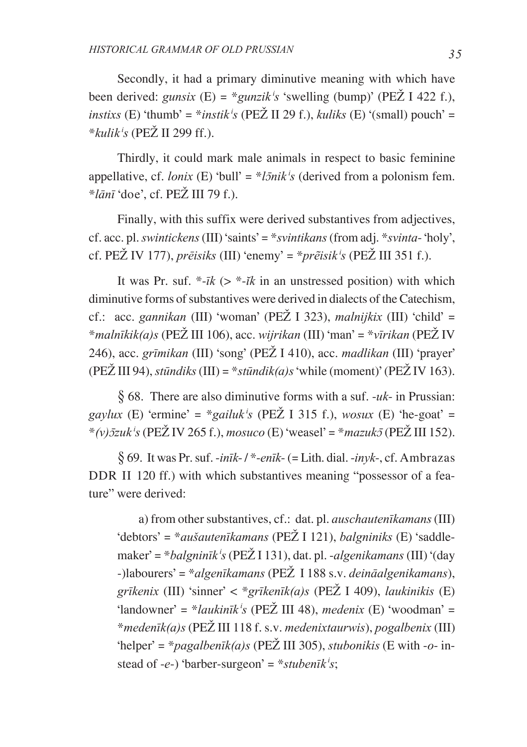Secondly, it had a primary diminutive meaning with which have been derived: *gunsix* (E) = \**gunzik<sup>i</sup>s* 'swelling (bump)' (PEŽ I 422 f.), *instixs* (E) 'thumb' =  $*instik's$  (PEŽ II 29 f.), *kuliks* (E) '(small) pouch' = \**kuliki s* (PEÞ II 299 ff.).

Thirdly, it could mark male animals in respect to basic feminine appellative, cf. *lonix* (E) 'bull' =  $*l\bar{5}nik\bar{s}$  (derived from a polonism fem. \**lānī* 'doe', cf. PEŽ III 79 f.).

Finally, with this suffix were derived substantives from adjectives, cf. acc. pl. *swintickens* (III) 'saints' = \**svintikans* (from adj. \**svinta*- 'holy', cf. PEÞ IV 177), *prçisiks* (III) 'enemy' = \**preisik … <sup>i</sup> s* (PEÞ III 351 f.).

It was Pr. suf.  $\overline{*}$ -*īk* (>  $\overline{*}$ -*īk* in an unstressed position) with which diminutive forms of substantives were derived in dialects of the Catechism, cf.: acc. *gannikan* (III) 'woman' (PEŽ I 323), *malnijkix* (III) 'child' = \**malnîkik(a)s* (PEÞ III 106), acc. *wijrikan* (III) 'man' = \**vîrikan* (PEÞ IV 246), acc. *grîmikan* (III) 'song' (PEÞ I 410), acc. *madlikan* (III) 'prayer' (PEŽ III 94), *stūndiks* (III) = \**stūndik(a)s* 'while (moment)' (PEŽ IV 163).

*\** 68. There are also diminutive forms with a suf. -*uk*- in Prussian:  $\frac{gaylux}{E}$  (E) 'ermine' =  $*$ *gailuk<sup>i</sup>s* (PEŽ I 315 f.), *wosux* (E) 'he-goat' = \**(v)Ézuk ¯ <sup>i</sup> s* (PEÞ IV 265 f.), *mosuco* (E) 'weasel' = \**mazukɯ* (PEÞ III 152).

*\** 69. It was Pr. suf. -*inîk*- / \*-*enîk*- (= Lith. dial. -*inyk*-, cf. Ambrazas DDR II 120 ff.) with which substantives meaning "possessor of a feature" were derived:

a) from other substantives, cf.: dat. pl. *auschautenîkamans* (III) 'debtors' = \**auðautenîkamans* (PEÞ I 121), *balgniniks* (E) 'saddlemaker' = \**balgninîki s* (PEÞ I 131), dat. pl. -*algenikamans* (III) '(day -)labourers' = \**algenîkamans* (PEÞ I 188 s.v. *dein`algenikamans*),  $gr\bar{\iota}ken\bar{\iota}x$  (III) 'sinner' < \* $gr\bar{\iota}ken\bar{\iota}k(a)s$  (PE $\bar{\i}$  I 409), *laukinikis* (E) 'landowner' = \**laukinīk<sup>i</sup>s* (PEŽ III 48), *medenix* (E) 'woodman' = \**medenîk(a)s* (PEÞ III 118 f. s.v. *medenixtaurwis*), *pogalbenix* (III) 'helper' =  $*$ *pagalbenīk(a)s* (PEŽ III 305), *stubonikis* (E with -*o*- instead of -*e*-) 'barber-surgeon' = \**stubenîki s*;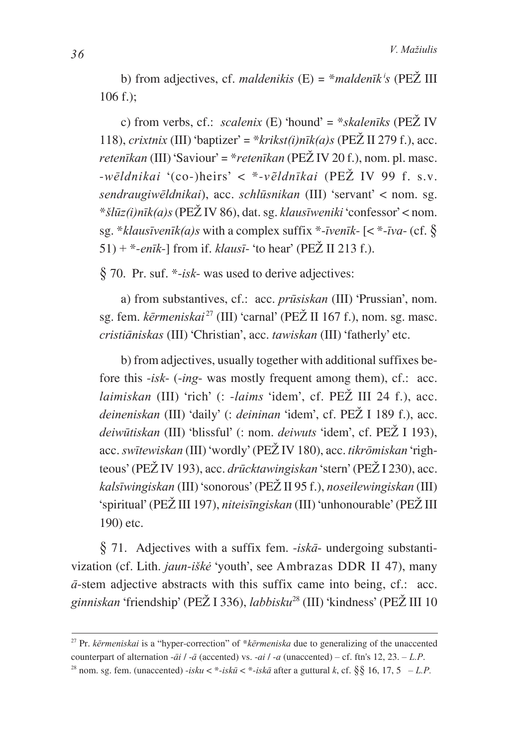b) from adjectives, cf. *maldenikis* (E) = \**maldenīk<sup>i</sup>s* (PEŽ III 106 f.);

c) from verbs, cf.: *scalenix* (E) 'hound' = \**skalenîks* (PEÞ IV 118), *crixtnix* (III) 'baptizer' = \**krikst(i)n* $\bar{x}$ (*a)s* (PE $\bar{Z}$  II 279 f.), acc. *retenīkan* (III) 'Saviour' = \**retenīkan* (PEŽ IV 20 f.), nom. pl. masc. -*wçldnikai* '(co-)heirs' < \*-*v…eldnîkai* (PEÞ IV 99 f. s.v. *sendraugiwçldnikai*), acc. *schlûsnikan* (III) 'servant' < nom. sg. \**ðlûz(i)nîk(a)s* (PEÞ IV 86), dat. sg. *klausîweniki* 'confessor' < nom. sg. \**klausîvenîk(a)s* with a complex suffix \*-*îvenîk*- [< \*-*îva*- (cf. *\**  $51$ ) + \*-*enīk*-] from if. *klausī*- 'to hear' (PEŽ II 213 f.).

*\** 70. Pr. suf. \*-*isk*- was used to derive adjectives:

a) from substantives, cf.: acc. *prûsiskan* (III) 'Prussian', nom. sg. fem. *kērmeniskai*<sup>27</sup> (III) 'carnal' (PEŽ II 167 f.), nom. sg. masc. *cristi`niskas* (III) 'Christian', acc. *tawiskan* (III) 'fatherly' etc.

b) from adjectives, usually together with additional suffixes before this -*isk*- (-*ing*- was mostly frequent among them), cf.: acc. *laimiskan* (III) 'rich' (: *-laims* 'idem', cf. PEŽ III 24 f.), acc. *deineniskan* (III) 'daily' (: *deininan* 'idem', cf. PEŽ I 189 f.), acc. deiwūtiskan (III) 'blissful' (: nom. *deiwuts* 'idem', cf. PEŽ I 193), acc. *swītewiskan* (III) 'wordly' (PEŽ IV 180), acc. *tikrōmiskan* 'righteous' (PEŽ IV 193), acc. *drūcktawingiskan* 'stern' (PEŽ I 230), acc. *kalsîwingiskan* (III) 'sonorous' (PEÞ II 95 f.), *noseilewingiskan* (III) 'spiritual' (PEŽ III 197), *niteisīngiskan* (III) 'unhonourable' (PEŽ III 190) etc.

§ 71. Adjectives with a suffix fem. *-iskā*- undergoing substantivization (cf. Lith. *jaun*-*iðkë* 'youth', see Ambrazas DDR II 47), many  $\bar{a}$ -stem adjective abstracts with this suffix came into being, cf.: acc. *ginniskan* 'friendship' (PEŽ I 336), *labbisku*<sup>28</sup> (III) 'kindness' (PEŽ III 10

<sup>27</sup> Pr. *kçrmeniskai* is a "hyper-correction" of \**kçrmeniska* due to generalizing of the unaccented counterpart of alternation  $-\overline{ai}$  /  $-\overline{a}$  (accented) vs.  $-\overline{ai}$  /  $-\overline{a}$  (unaccented) – cf. ftn's 12, 23. – *L.P.* 

<sup>&</sup>lt;sup>28</sup> nom. sg. fem. (unaccented)  $-isku < *-isk\bar{u} < *-isk\bar{a}$  after a guttural *k*, cf.  $\S\S 16, 17, 5 - L.P$ .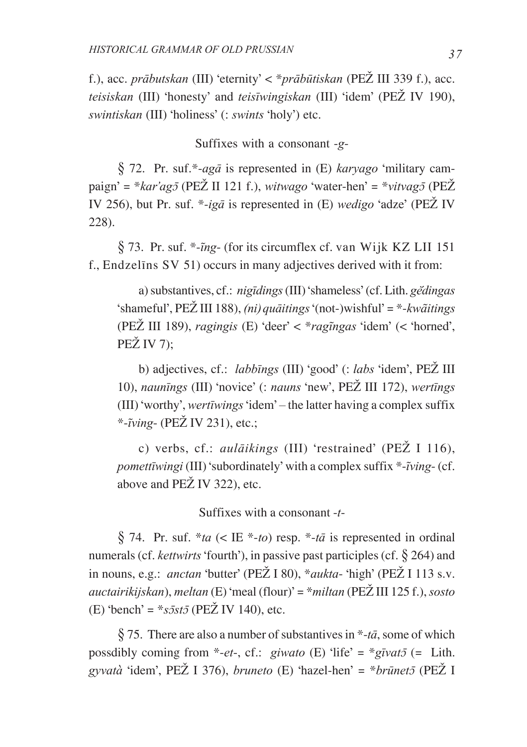f.), acc. prābutskan (III) 'eternity' < \* prābūtiskan (PEŽ III 339 f.). acc. teisiskan (III) 'honesty' and teisīwingiskan (III) 'idem' (PEŽ IV 190). swintiskan (III) 'holiness' (: swints 'holy') etc.

Suffixes with a consonant -g-

§ 72. Pr. suf.\*-agā is represented in (E) karyago 'military campaign' = \*kar'ag5 (PEŽ II 121 f.), witwago 'water-hen' = \*vityag5 (PEŽ IV 256), but Pr. suf. \*-*igā* is represented in  $(E)$  *wedigo* 'adze' (PEŽ IV  $228$ ).

§ 73. Pr. suf. \*-*ing*- (for its circumflex cf. van Wijk KZ LII 151) f., Endzelins SV 51) occurs in many adjectives derived with it from:

a) substantives, cf.: *nigīdings* (III) 'shameless' (cf. Lith. *gédingas* 'shameful', PEŽ III 188), *(ni) qualitings* '(not-)wishful' =  $*$ - $kw\tilde{a}$ *itings* (PEŽ III 189), ragingis (E) 'deer' < \*ragingas 'idem' (< 'horned',  $PEŽ IV 7$ :

b) adjectives, cf.: *labbings* (III) 'good' (: *labs* 'idem', PEŽ III 10), naunīngs (III) 'novice' (: nauns 'new', PEŽ III 172), wertīngs (III) 'worthy', wertiwings 'idem' – the latter having a complex suffix  $*$ -ĩving- (PEŽ IV 231), etc.;

c) verbs, cf.: *aulaikings* (III) 'restrained' (PE $\check{Z}$  I 116), pomettīwingi (III) 'subordinately' with a complex suffix \*-īving- (cf. above and PEŽ IV 322), etc.

Suffixes with a consonant  $-t$ -

§ 74. Pr. suf. \**ta* (< IE \*-*to*) resp. \*-*tā* is represented in ordinal numerals (cf. *kettwirts* 'fourth'), in passive past participles (cf.  $\S$  264) and in nouns, e.g.: *anctan* 'butter' (PEŽ I 80),  $*aukta$ - 'high' (PEŽ I 113 s.v. *auctairikiiskan*), *meltan* (E) 'meal (flour)' = \**miltan* (PEŽ III 125 f.), *sosto* (E) 'bench' =  $*_{s\bar{0}st\bar{0}}$  (PEŽ IV 140), etc.

§ 75. There are also a number of substantives in  $*$ -tā, some of which possdibly coming from \*-et-, cf.: giwato (E) 'life' = \*gīvatō (= Lith. gyvatà 'idem', PEŽ I 376), bruneto (E) 'hazel-hen' = \*brūnet $\bar{z}$  (PEŽ I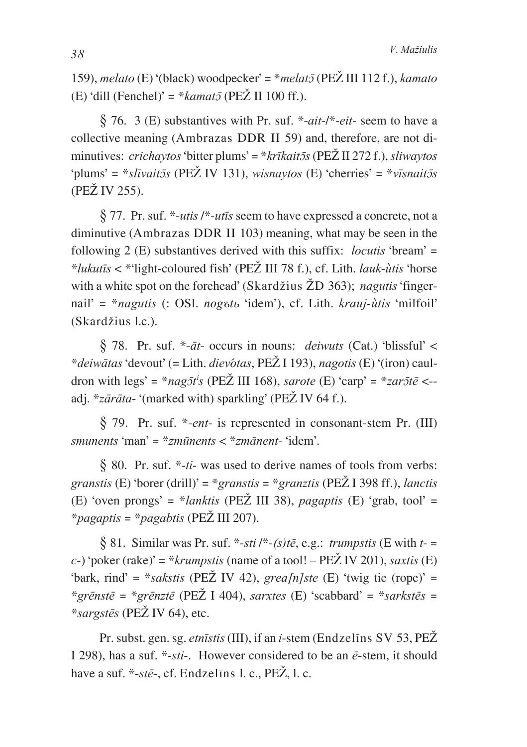159), melato (E) '(black) woodpecker' = \*melat $\bar{\jmath}$  (PEŽ III 112 f.), kamato (E) 'dill (Fenchel)' = \* kamat5 (PEŽ II 100 ff.).

§ 76. 3 (E) substantives with Pr. suf. \*-ait-/\*-eit- seem to have a collective meaning (Ambrazas DDR II 59) and, therefore, are not diminutives: *crichavtos* 'bitter plums' = \* $k$ rīkait $\bar{z}$ s (PEŽ II 272 f.), *sliwavtos* 'plums' = \*slīvaitōs (PEŽ IV 131), wisnaytos (E) 'cherries' = \*vīsnaitōs (PEŽ IV 255).

§ 77. Pr. suf. \*-*utis* /\*-*utis* seem to have expressed a concrete, not a diminutive (Ambrazas DDR II 103) meaning, what may be seen in the following 2 (E) substantives derived with this suffix: *locutis* 'bream' = \*lukutīs < \*'light-coloured fish' (PEŽ III 78 f.), cf. Lith. lauk-ùtis 'horse with a white spot on the forehead' (Skardžius  $\check{Z}D$  363); *nagutis* 'fingernail' =  $*$ nagutis (: OSI, nogot 'idem'), cf. Lith, krauj-ùtis 'milfoil' (Skardžius l.c.).

§ 78. Pr. suf. \*- $\bar{a}t$ - occurs in nouns: *deiwuts* (Cat.) 'blissful' < *\*deiwātas* 'devout' (= Lith. *dievótas*, PEŽ I 193), *nagotis* (E) '(iron) cauldron with legs' = \*nag5t<sup>i</sup>s (PEŽ III 168), sarote (E) 'carp' = \*zar5tē <-adj. \*zārāta- '(marked with) sparkling' (PEŽ IV 64 f.).

 $\S$  79. Pr. suf. \*-ent- is represented in consonant-stem Pr. (III) smunents 'man' =  $*zm\overline{u}$ nents <  $*zm\overline{u}$ nent- 'idem'.

 $\frac{1}{2}$  80. Pr. suf. \*-ti- was used to derive names of tools from verbs: granstis (E) 'borer (drill)' = \*granstis = \*granztis (PEŽ I 398 ff.), lanctis (E) 'oven prongs' = \**lanktis* (PEŽ III 38), *pagaptis* (E) 'grab, tool' = \**pagaptis* = \**pagabtis* (PE $\check{Z}$  III 207).

§ 81. Similar was Pr. suf. \*-*sti* /\*-*(s)tē*, e.g.: *trumpstis* (E with *t*c-) 'poker (rake)' = \*krumpstis (name of a tool! –  $PEZ$  IV 201), saxtis (E) 'bark, rind' = \*sakstis (PEŽ IV 42), grealn/ste (E) 'twig tie (rope)' = \*grēnstē = \*grēnztē (PEŽ I 404), sarxtes (E) 'scabbard' = \*sarkstēs = \*sargstes (PE $\check{Z}$  IV 64), etc.

Pr. subst. gen. sg. etnīstis (III), if an *i*-stem (Endzelīns SV 53, PEŽ I 298), has a suf. \*-sti-. However considered to be an  $\bar{e}$ -stem, it should have a suf.  $*$ -stē-, cf. Endzelins 1. c., PEŽ, 1. c.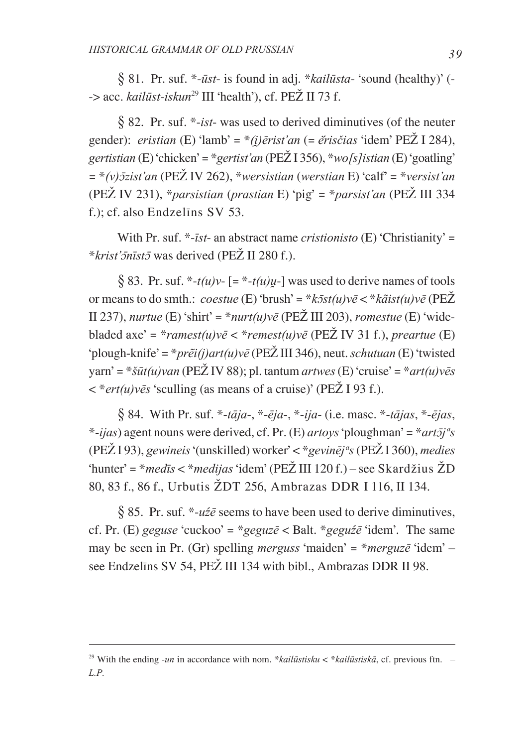$\frac{1}{2}$  81. Pr. suf. \*- $\bar{u}$ st- is found in adj. \* $kail\bar{u}$ sta- 'sound (healthy)' (--> acc. kailūst-iskun<sup>29</sup> III 'health'), cf. PEŽ II 73 f.

 $882$ . Pr. suf. \*-*ist*-was used to derived diminutives (of the neuter gender): *eristian* (E) 'lamb' = \*(*i*) $\bar{e}$ rist'an (=  $\bar{e}$ risčias 'idem' PEŽ I 284). gertistian (E) 'chicken' = \*gertist'an (PEŽI 356), \*wo [s] istian (E) 'goatling'  $=\frac{1}{2}(\nu)$ 5zist'an (PEŽ IV 262), \*wersistian (werstian E) 'calf' = \*versist'an (PEŽ IV 231), \*parsistian (prastian E) 'pig' = \*parsist'an (PEŽ III 334 f.): cf. also Endzelins SV 53.

With Pr. suf. \*-*īst*- an abstract name *cristionisto* (E) 'Christianity' = \*krist' onlisto was derived (PEŽ II 280 f.).

§ 83. Pr. suf. \*- $t(u)v$ - [= \*- $t(u)u$ -] was used to derive names of tools or means to do smth.: *coestue* (E) 'brush' = \* $k\overline{3}st(u)v\overline{e}$  < \* $k\overline{a}ist(u)v\overline{e}$  (PEŽ II 237), nurtue (E) 'shirt' = \*nurt(u)vē (PEŽ III 203), romestue (E) 'widebladed axe' = \*ramest(u)vē < \*remest(u)vē (PEŽ IV 31 f.), preartue (E) 'plough-knife' = \*pr $\tilde{e}$ i(j)art(u)v $\bar{e}$  (PEŽ III 346), neut. schutuan (E) 'twisted yarn' = \* $\delta \bar{u}t(u)v$ an (PEŽ IV 88); pl. tantum artwes (E) 'cruise' = \* $art(u)v\bar{e}s$  $\langle \ast \, \ast \, \text{ert}(u) \, \text{v}\, \text{e}\,$  sculling (as means of a cruise)' (PE $\check{Z}$  I 93 f.).

§ 84. With Pr. suf. \*-*tāja-*, \*-*ēja-*, \*-*ija-* (i.e. masc. \*-*tājas*, \*-*ējas*, \*-ijas) agent nouns were derived, cf. Pr. (E) artoys 'ploughman' = \*art5j's (PEŽ<sub>I</sub>93), gewineis '(unskilled) worker' < \* gevinēj<sup>a</sup>s (PEŽ<sub>I</sub>360), medies 'hunter' = \* medīs < \* medijas 'idem' (PEŽ III 120 f.) – see Skardžius ŽD 80, 83 f., 86 f., Urbutis ŽDT 256, Ambrazas DDR I 116, II 134.

§ 85. Pr. suf. \*- $u\acute{z}\acute{e}$  seems to have been used to derive diminutives, cf. Pr. (E) geguse 'cuckoo' = \*geguze < Balt. \*geguźe 'idem'. The same may be seen in Pr. (Gr) spelling *merguss* 'maiden' =  $*merguz\bar{e}$  'idem' – see Endzelins SV 54, PEŽ III 134 with bibl., Ambrazas DDR II 98.

<sup>&</sup>lt;sup>29</sup> With the ending *-un* in accordance with nom. \**kailustisku* < \**kailustisku*, cf. previous ftn. –  $L.P.$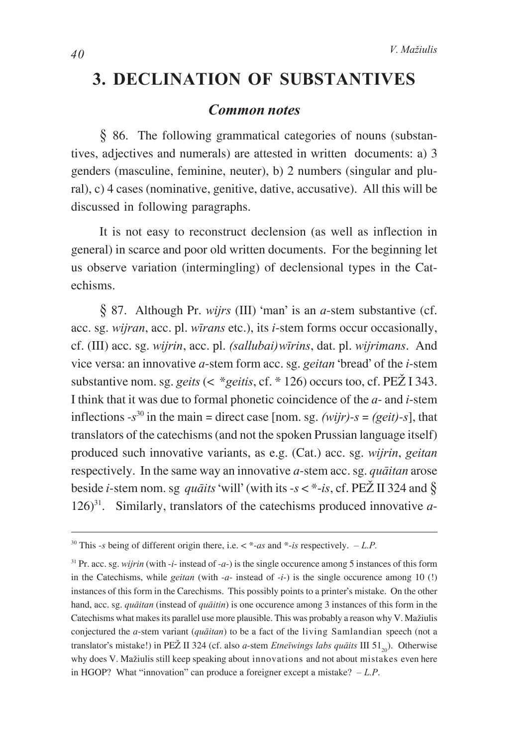# **3. DECLINATION OF SUBSTANTIVES**

## *Common notes*

*\** 86. The following grammatical categories of nouns (substantives, adjectives and numerals) are attested in written documents: a) 3 genders (masculine, feminine, neuter), b) 2 numbers (singular and plural), c) 4 cases (nominative, genitive, dative, accusative). All this will be discussed in following paragraphs.

It is not easy to reconstruct declension (as well as inflection in general) in scarce and poor old written documents. For the beginning let us observe variation (intermingling) of declensional types in the Catechisms.

*\** 87. Although Pr. *wijrs* (III) 'man' is an *a*-stem substantive (cf. acc. sg. *wijran*, acc. pl. *wîrans* etc.), its *i*-stem forms occur occasionally, cf. (III) acc. sg. *wijrin*, acc. pl. *(sallubai)wîrins*, dat. pl. *wijrimans*. And vice versa: an innovative *a*-stem form acc. sg. *geitan* 'bread' of the *i*-stem substantive nom. sg. *geits* (< \**geitis*, cf. \* 126) occurs too, cf. PEŽ I 343. I think that it was due to formal phonetic coincidence of the *a*- and *i*-stem inflections  $-s^{30}$  in the main = direct case [nom. sg. *(wijr)-s* = *(geit)-s*], that translators of the catechisms (and not the spoken Prussian language itself) produced such innovative variants, as e.g. (Cat.) acc. sg. *wijrin*, *geitan* respectively. In the same way an innovative *a*-stem acc. sg. *quatitan* arose beside *i*-stem nom. sg *qualits* 'will' (with its  $-s < *-is$ , cf. PE $\check{Z}$  II 324 and  $\hat{S}$ 126)<sup>31</sup>. Similarly, translators of the catechisms produced innovative  $a$ -

<sup>&</sup>lt;sup>30</sup> This -*s* being of different origin there, i.e.  $\lt^*$ -*as* and  $\cdot\text{-}$ *is* respectively.  $-L.P$ .

<sup>31</sup> Pr. acc. sg. *wijrin* (with -*i*- instead of -*a*-) is the single occurence among 5 instances of this form in the Catechisms, while *geitan* (with -*a*- instead of -*i*-) is the single occurence among 10 (!) instances of this form in the Carechisms. This possibly points to a printer's mistake. On the other hand, acc. sg. *quattan* (instead of *quattin*) is one occurence among 3 instances of this form in the Catechisms what makes its parallel use more plausible. This was probably a reason why V. Mažiulis conjectured the *a*-stem variant (*quatitan*) to be a fact of the living Samlandian speech (not a translator's mistake!) in PEŽ II 324 (cf. also *a*-stem *Etneïwings labs quaits* III 51<sub>0</sub>). Otherwise why does V. Mažiulis still keep speaking about innovations and not about mistakes even here in HGOP? What "innovation" can produce a foreigner except a mistake? – *L.P*.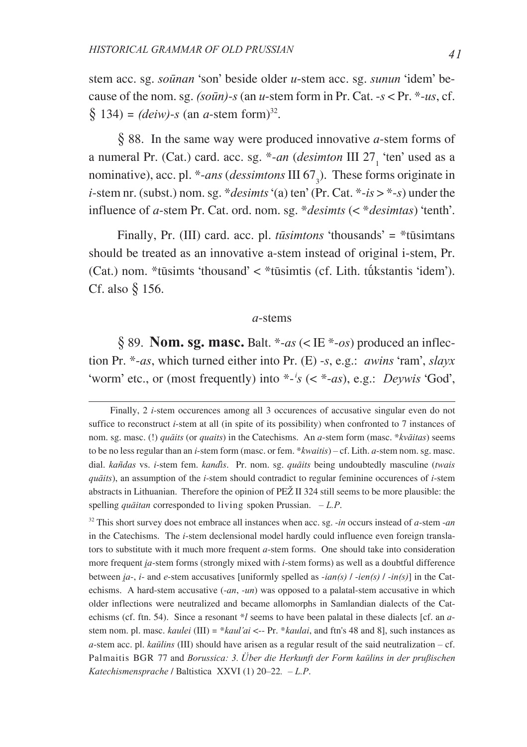stem acc. sg. *soûnan* 'son' beside older *u*-stem acc. sg. *sunun* 'idem' because of the nom. sg.  $(so\bar{u}n)$ -*s* (an *u*-stem form in Pr. Cat.  $-s < Pr. *-us, cf.$  $\{(8, 134) = (deiw) - s \text{ (an } a\text{-stem form})^{32}.$ 

*\** 88. In the same way were produced innovative *a*-stem forms of a numeral Pr. (Cat.) card. acc. sg. \*-*an* (*desimton* III 27<sub>1</sub> 'ten' used as a nominative), acc. pl.  $*$ -*ans* (*dessimtons* III 67<sub>3</sub>). These forms originate in *i*-stem nr. (subst.) nom. sg. \**desimts* '(a) ten' (Pr. Cat. \*-*is* > \*-*s*) under the influence of *a*-stem Pr. Cat. ord. nom. sg. \**desimts* (< \**desimtas*) 'tenth'.

Finally, Pr. (III) card. acc. pl. *tûsimtons* 'thousands' = \*tûsimtans should be treated as an innovative a-stem instead of original i-stem, Pr.  $(Cat.)$  nom. \*tūsimts 'thousand' < \*tūsimtis (cf. Lith. tū́kstantis 'idem'). Cf. also *\** 156.

#### *a*-stems

 $\S 89$ . **Nom. sg. masc.** Balt. \*-*as* (< IE \*-*os*) produced an inflection Pr. \*-*as*, which turned either into Pr. (E) -*s*, e.g.: *awins* 'ram', *slayx* 'worm' etc., or (most frequently) into \*-*<sup>i</sup> s* (< \*-*as*), e.g.: *Deywis* 'God',

Finally, 2 *i*-stem occurences among all 3 occurences of accusative singular even do not suffice to reconstruct *i*-stem at all (in spite of its possibility) when confronted to 7 instances of nom. sg. masc. (!) *quaits* (or *quaits*) in the Catechisms. An *a*-stem form (masc. \**kvãitas*) seems to be no less regular than an *i*-stem form (masc. or fem. \**kwaitis*) – cf. Lith. *a*-stem nom. sg. masc. dial. *kañdas* vs. *i*-stem fem. *kandìs*. Pr. nom. sg. *quātts* being undoubtedly masculine (*twais qu`its*), an assumption of the *i*-stem should contradict to regular feminine occurences of *i*-stem abstracts in Lithuanian. Therefore the opinion of PEŽ II 324 still seems to be more plausible: the spelling *quatitan* corresponded to living spoken Prussian.  $-L.P$ .

<sup>32</sup> This short survey does not embrace all instances when acc. sg. -*in* occurs instead of *a*-stem -*an* in the Catechisms. The *i*-stem declensional model hardly could influence even foreign translators to substitute with it much more frequent *a*-stem forms. One should take into consideration more frequent *Ùa*-stem forms (strongly mixed with *i*-stem forms) as well as a doubtful difference between *Ùa*-, *i*- and *e*-stem accusatives [uniformly spelled as -*ian(s)* / -*ien(s)* / -*in(s)*] in the Catechisms. A hard-stem accusative (-*an*, -*un*) was opposed to a palatal-stem accusative in which older inflections were neutralized and became allomorphs in Samlandian dialects of the Catechisms (cf. ftn. 54). Since a resonant \**l* seems to have been palatal in these dialects [cf. an *a*stem nom. pl. masc. *kaulei* (III) = \**kaul'ai* <-- Pr. \**kaulai*, and ftn's 48 and 8], such instances as *a*-stem acc. pl. *kaûlins* (III) should have arisen as a regular result of the said neutralization – cf. Palmaitis BGR 77 and *Borussica: 3. Über die Herkunft der Form kaûlins in der prußischen Katechismensprache* / Baltistica XXVI (1) 20–22*.* – *L.P*.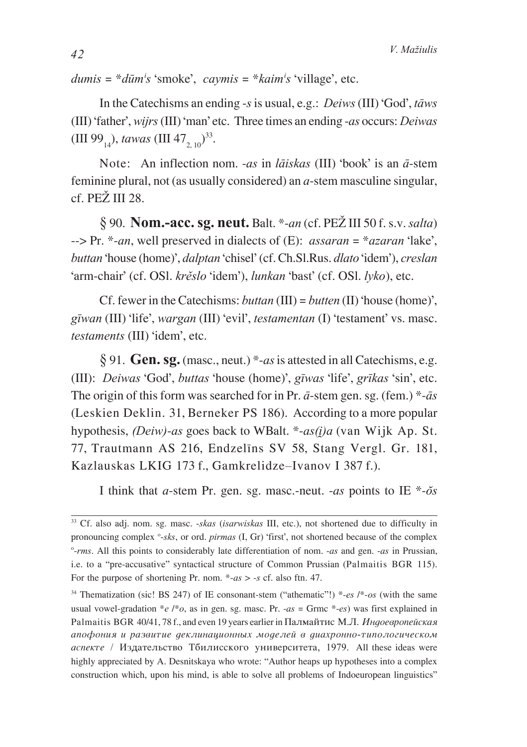$dumis = *d\bar{u}m's$  'smoke',  $cavmis = *kaim's$ 'village', etc.

In the Catechisms an ending -s is usual, e.g.: *Deiws* (III) 'God',  $t\bar{a}ws$ (III) 'father', wijrs (III) 'man' etc. Three times an ending -as occurs: Deiwas (III 99<sub>11</sub>), tawas (III 47<sub>210</sub>)<sup>33</sup>.

Note: An inflection nom. *-as* in *laiskas* (III) 'book' is an  $\bar{a}$ -stem feminine plural, not (as usually considered) an  $a$ -stem masculine singular, cf. PEŽ III 28.

§ 90. Nom.-acc. sg. neut. Balt. \*-an (cf. PEŽ III 50 f. s.v. salta) --> Pr.  $*$ -an, well preserved in dialects of (E): assaran =  $*$  azaran 'lake', buttan 'house (home)', dalptan 'chisel' (cf. Ch.Sl.Rus. dlato 'idem'), creslan 'arm-chair' (cf. OSl. krěslo 'idem'), lunkan 'bast' (cf. OSl. lyko), etc.

Cf. fewer in the Catechisms: buttan (III) = butten (II) 'house (home)', gīwan (III) 'life', wargan (III) 'evil', testamentan (I) 'testament' vs. masc. *testaments* (III) 'idem', etc.

§ 91. Gen. sg. (masc., neut.)  $*$ -as is attested in all Catechisms, e.g. (III): *Deiwas* 'God', *buttas* 'house (home)', *gīwas* 'life', *grīkas* 'sin', etc. The origin of this form was searched for in Pr.  $\bar{a}$ -stem gen. sg. (fem.) \*- $\bar{a}s$ (Leskien Deklin, 31, Berneker PS 186). According to a more popular hypothesis, (Deiw)-as goes back to WBalt. \*- $as(i)a$  (van Wijk Ap. St. 77, Trautmann AS 216, Endzelins SV 58, Stang Vergl. Gr. 181, Kazlauskas LKIG 173 f., Gamkrelidze-Ivanov I 387 f.).

I think that *a*-stem Pr. gen. sg. masc.-neut. -*as* points to IE  $*$ - $\delta s$ 

<sup>&</sup>lt;sup>33</sup> Cf. also adj. nom. sg. masc. -skas (isarwiskas III, etc.), not shortened due to difficulty in pronouncing complex °-sks, or ord. *pirmas* (I, Gr) 'first', not shortened because of the complex <sup>o</sup>-rms. All this points to considerably late differentiation of nom. -as and gen. -as in Prussian, i.e. to a "pre-accusative" syntactical structure of Common Prussian (Palmaitis BGR 115). For the purpose of shortening Pr. nom.  $*-as > -s$  cf. also ftn. 47.

<sup>&</sup>lt;sup>34</sup> Thematization (sic! BS 247) of IE consonant-stem ("athematic"!) \*-es /\*-os (with the same usual vowel-gradation  $*e/\dot*o$ , as in gen. sg. masc. Pr. -as = Grmc  $*$ -es) was first explained in Palmaitis BGR 40/41, 78 f., and even 19 years earlier in Палмайтис М.Л. Индоевропейская апофония и развитие деклинационных моделей в диахронно-типологическом аспекте / Издательство Тбилисского университета, 1979. All these ideas were highly appreciated by A. Desnitskaya who wrote: "Author heaps up hypotheses into a complex construction which, upon his mind, is able to solve all problems of Indoeuropean linguistics"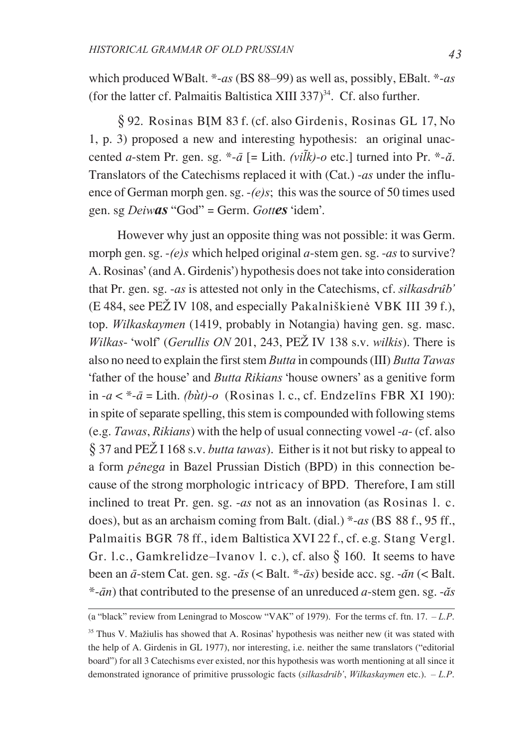which produced WBalt. \*-*as* (BS 88–99) as well as, possibly, EBalt. \*-*as* (for the latter cf. Palmaitis Baltistica XIII 337) $34$ . Cf. also further.

 $\S$  92. Rosinas BIM 83 f. (cf. also Girdenis, Rosinas GL 17, No 1, p. 3) proposed a new and interesting hypothesis: an original unaccented *a*-stem Pr. gen. sg.  $*$ - $\bar{a}$  [= Lith. *(vilk)*-*o* etc.] turned into Pr.  $*$ - $\tilde{a}$ . Translators of the Catechisms replaced it with (Cat.) -*as* under the influence of German morph gen. sg. -*(e)s*; this was the source of 50 times used gen. sg *Deiwas* "God" = Germ. *Gottes* 'idem'.

However why just an opposite thing was not possible: it was Germ. morph gen. sg. -*(e)s* which helped original *a*-stem gen. sg. -*as* to survive? A. Rosinas' (and A. Girdenis') hypothesis does not take into consideration that Pr. gen. sg. -*as* is attested not only in the Catechisms, cf. *silkasdrub' °*  $(E 484, \text{ see PEZ IV } 108, \text{ and especially Pakalniškienė VBK III } 39 \text{ f.}),$ top. *Wilkaskaymen* (1419, probably in Notangia) having gen. sg. masc. *Wilkas*- 'wolf' (*Gerullis ON* 201, 243, PEŽ IV 138 s.v. *wilkis*). There is also no need to explain the first stem *Butta* in compounds (III) *Butta Tawas* 'father of the house' and *Butta Rikians* 'house owners' as a genitive form in  $-a < \overline{a} =$  Lith. *(bùt)*-*o* (Rosinas l. c., cf. Endzelins FBR XI 190): in spite of separate spelling, this stem is compounded with following stems (e.g. *Tawas*, *Rikians*) with the help of usual connecting vowel -*a*- (cf. also  $\frac{8}{3}$  37 and PE $\angle$  I 168 s.v. *butta tawas*). Either is it not but risky to appeal to a form *pênega* in Bazel Prussian Distich (BPD) in this connection because of the strong morphologic intricacy of BPD. Therefore, I am still inclined to treat Pr. gen. sg. -*as* not as an innovation (as Rosinas l. c. does), but as an archaism coming from Balt. (dial.) \*-*as* (BS 88 f., 95 ff., Palmaitis BGR 78 ff., idem Baltistica XVI 22 f., cf. e.g. Stang Vergl. Gr. l.c., Gamkrelidze–Ivanov 1. c.), cf. also § 160. It seems to have been an  $\bar{a}$ -stem Cat. gen. sg. - $\bar{a}s$  (< Balt. \*- $\bar{a}s$ ) beside acc. sg. - $\bar{a}n$  (< Balt.  $*\text{-}\bar{a}$  that contributed to the presense of an unreduced *a*-stem gen. sg. - $\bar{a}s$ 

<sup>(</sup>a "black" review from Leningrad to Moscow "VAK" of 1979). For the terms cf. ftn. 17. – *L.P*.

<sup>&</sup>lt;sup>35</sup> Thus V. Mažiulis has showed that A. Rosinas' hypothesis was neither new (it was stated with the help of A. Girdenis in GL 1977), nor interesting, i.e. neither the same translators ("editorial board") for all 3 Catechisms ever existed, nor this hypothesis was worth mentioning at all since it demonstrated ignorance of primitive prussologic facts (*silkasdrub' °* , *Wilkaskaymen* etc.). – *L.P*.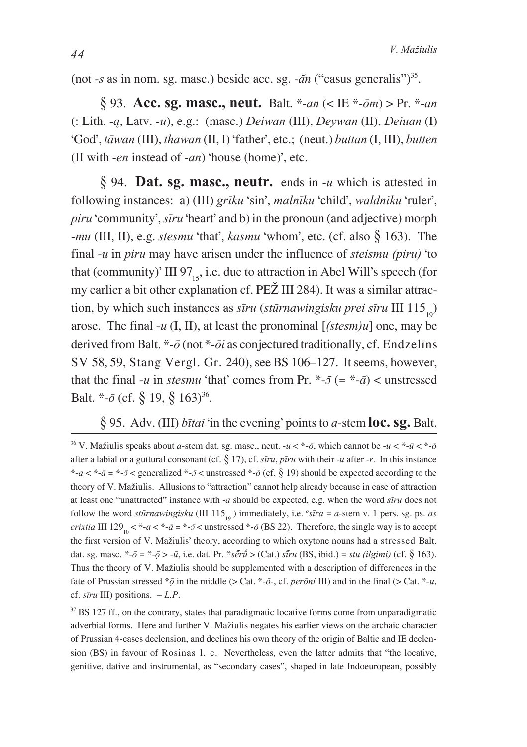(not  $-s$  as in nom. sg. masc.) beside acc. sg.  $-\tilde{a}n$  ("casus generalis")<sup>35</sup>.

*\** 93. **Acc. sg. masc., neut.** Balt. \*-*an* (< IE \*-*ôm*) > Pr. \*-*an* (: Lith. -*à*, Latv. -*u*), e.g.: (masc.) *Deiwan* (III), *Deywan* (II), *Deiuan* (I) 'God', *t`wan* (III), *thawan* (II, I) 'father', etc.; (neut.) *buttan* (I, III), *butten* (II with -*en* instead of -*an*) 'house (home)', etc.

*\** 94. **Dat. sg. masc., neutr.** ends in -*u* which is attested in following instances: a) (III) *grîku* 'sin', *malnîku* 'child', *waldniku* 'ruler', *piru* 'community', *sîru* 'heart' and b) in the pronoun (and adjective) morph -*mu* (III, II), e.g. *stesmu* 'that', *kasmu* 'whom', etc. (cf. also *\** 163). The final -*u* in *piru* may have arisen under the influence of *steismu (piru)* 'to that (community)' III 97 $\ldots$ , i.e. due to attraction in Abel Will's speech (for my earlier a bit other explanation cf. PEŽ III 284). It was a similar attraction, by which such instances as *sīru* (*stūrnawingisku prei sīru* III 115<sub>10</sub>) arose. The final -*u* (I, II), at least the pronominal [*(stesm)u*] one, may be derived from Balt. \*-*ô* (not \*-*ôi* as conjectured traditionally, cf. Endzelîns SV 58, 59, Stang Vergl. Gr. 240), see BS 106–127. It seems, however, that the final -*u* in *stesmu* 'that' comes from Pr. \*- $\bar{\jmath}$  (= \*- $\bar{a}$ ) < unstressed Balt.  $*$ - $\bar{o}$  (cf.  $\S$  19,  $\S$  163)<sup>36</sup>.

## *\** 95. Adv. (III) *bîtai* 'in the evening' points to *a*-stem **loc. sg.** Balt.

<sup>&</sup>lt;sup>36</sup> V. Mažiulis speaks about *a*-stem dat. sg. masc., neut.  $-u < \overline{a}$ , which cannot be  $-u < \overline{a}$ ,  $\overline{a}$ after a labial or a guttural consonant (cf.  $\frac{1}{2}$  17), cf. *sīru*, *pīru* with their -*u* after -*r*. In this instance \*-*a* < \*-*ā* = \*-*5* < generalized \*-*5* < unstressed \*-*ō* (cf.  $\S$  19) should be expected according to the theory of V. Mažiulis. Allusions to "attraction" cannot help already because in case of attraction at least one "unattracted" instance with -*a* should be expected, e.g. when the word *sîru* does not follow the word *stūrnawingisku* (III  $115_{19}$ ) immediately, i.e.  $\degree$ *sīra* = *a*-stem v. 1 pers. sg. ps. *as crixtia* III 129<sub>10</sub> < \*-*a* < \*-*ā* = \*-*5* < unstressed \*-*ō* (BS 22). Therefore, the single way is to accept the first version of V. Mažiulis' theory, according to which oxytone nouns had a stressed Balt. dat. sg. masc.  $*$ - $\bar{o}$  =  $*$ - $\bar{o}$  > - $\bar{u}$ , i.e. dat. Pr.  $*$  $s\tilde{e}\tilde{r}\tilde{u}$  > (Cat.)  $s\tilde{u}\tilde{v}u$  (BS, ibid.) = *stu (ilgimi)* (cf. § 163). Thus the theory of V. Mažiulis should be supplemented with a description of differences in the fate of Prussian stressed \**×ô* in the middle (> Cat. \*-*ô*-, cf. *perôni* III) and in the final (> Cat. \*-*u*, cf. *sîru* III) positions. – *L.P*.

<sup>&</sup>lt;sup>37</sup> BS 127 ff., on the contrary, states that paradigmatic locative forms come from unparadigmatic adverbial forms. Here and further V. Mažiulis negates his earlier views on the archaic character of Prussian 4-cases declension, and declines his own theory of the origin of Baltic and IE declension (BS) in favour of Rosinas l. c. Nevertheless, even the latter admits that "the locative, genitive, dative and instrumental, as "secondary cases", shaped in late Indoeuropean, possibly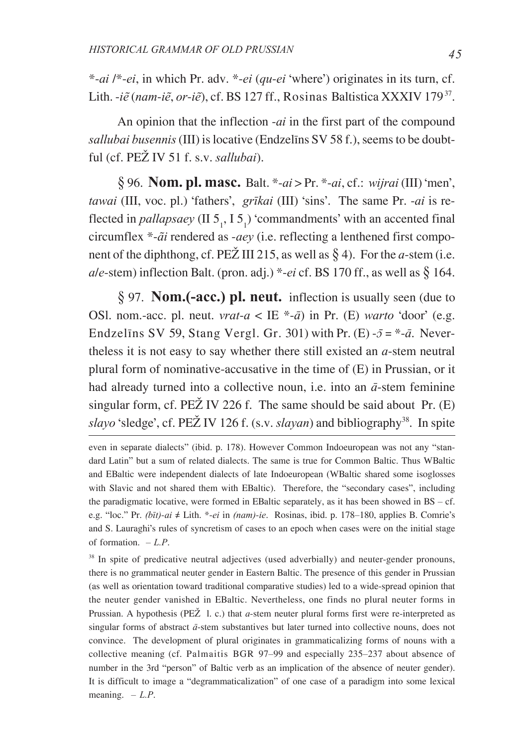\*-*ai* /\*-*ei*, in which Pr. adv. \*-*ei* (*qu*-*ei* 'where') originates in its turn, cf. Lith. -*iẽ* (nam-iẽ, or-*iẽ*), cf. BS 127 ff., Rosinas Baltistica XXXIV 179<sup>37</sup>.

An opinion that the inflection -*ai* in the first part of the compound *sallubai busennis* (III) is locative (Endzelîns SV 58 f.), seems to be doubtful (cf. PEŽ IV 51 f. s.v. *sallubai*).

*\** 96. **Nom. pl. masc.** Balt. \*-*ai* > Pr. \*-*ai*, cf.: *wijrai* (III) 'men', *tawai* (III, voc. pl.) 'fathers', *grîkai* (III) 'sins'. The same Pr. -*ai* is reflected in *pallapsaey* ( $II 5<sub>1</sub>$ ,  $I 5<sub>1</sub>$ ) 'commandments' with an accented final circumflex \*-*ãi* rendered as -*aey* (i.e. reflecting a lenthened first component of the diphthong, cf. PE $\check{Z}$  III 215, as well as  $\hat{\S}$  4). For the *a*-stem (i.e.  $a/e$ -stem) inflection Balt. (pron. adj.) \*-*ei* cf. BS 170 ff., as well as  $\delta$  164.

*\** 97. **Nom.(-acc.) pl. neut.** inflection is usually seen (due to OSI. nom.-acc. pl. neut. *vrat-a* < IE  $*$ - $\bar{a}$ ) in Pr. (E) *warto* 'door' (e.g. Endzelins SV 59, Stang Vergl. Gr. 301) with Pr. (E)  $-5 = -\bar{a}$ . Nevertheless it is not easy to say whether there still existed an *a*-stem neutral plural form of nominative-accusative in the time of (E) in Prussian, or it had already turned into a collective noun, i.e. into an  $\bar{a}$ -stem feminine singular form, cf. PE $\check{Z}$  IV 226 f. The same should be said about Pr. (E)  $slavo$  'sledge', cf. PE $\check{Z}$  IV 126 f. (s.v.  $slavan$ ) and bibliography<sup>38</sup>. In spite

even in separate dialects" (ibid. p. 178). However Common Indoeuropean was not any "standard Latin" but a sum of related dialects. The same is true for Common Baltic. Thus WBaltic and EBaltic were independent dialects of late Indoeuropean (WBaltic shared some isoglosses with Slavic and not shared them with EBaltic). Therefore, the "secondary cases", including the paradigmatic locative, were formed in EBaltic separately, as it has been showed in  $BS - cf$ . e.g. "loc." Pr.  $(b\bar{t})$ -*ai*  $\neq$  Lith. \*-*ei* in  $(nam)$ -*ie*. Rosinas, ibid. p. 178–180, applies B. Comrie's and S. Lauraghi's rules of syncretism of cases to an epoch when cases were on the initial stage of formation. – *L.P*.

<sup>38</sup> In spite of predicative neutral adjectives (used adverbially) and neuter-gender pronouns, there is no grammatical neuter gender in Eastern Baltic. The presence of this gender in Prussian (as well as orientation toward traditional comparative studies) led to a wide-spread opinion that the neuter gender vanished in EBaltic. Nevertheless, one finds no plural neuter forms in Prussian. A hypothesis (PEŽ 1. c.) that *a*-stem neuter plural forms first were re-interpreted as singular forms of abstract  $\bar{a}$ -stem substantives but later turned into collective nouns, does not convince. The development of plural originates in grammaticalizing forms of nouns with a collective meaning (cf. Palmaitis BGR 97–99 and especially 235–237 about absence of number in the 3rd "person" of Baltic verb as an implication of the absence of neuter gender). It is difficult to image a "degrammaticalization" of one case of a paradigm into some lexical meaning. – *L.P*.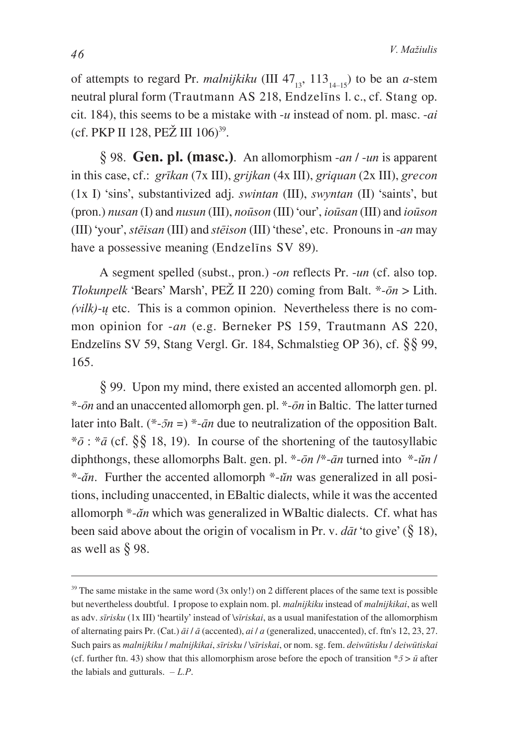of attempts to regard Pr. *malnijkiku* (III 47<sub>13</sub>, 113<sub>14-15</sub>) to be an *a*-stem neutral plural form (Trautmann AS 218, Endzelîns l. c., cf. Stang op. cit. 184), this seems to be a mistake with -*u* instead of nom. pl. masc. -*ai* (cf. PKP II 128, PEŽ III  $106$ )<sup>39</sup>.

*\** 98. **Gen. pl. (masc.)**. An allomorphism -*an* / -*un* is apparent in this case, cf.: *grîkan* (7x III), *grijkan* (4x III), *griquan* (2x III), *grecon* (1x I) 'sins', substantivized adj. *swintan* (III), *swyntan* (II) 'saints', but (pron.) *nusan* (I) and *nusun* (III), *noûson* (III) 'our', *ioûsan* (III) and *ioûson* (III) 'your', *stçisan* (III) and *stçison* (III) 'these', etc. Pronouns in -*an* may have a possessive meaning (Endzelîns SV 89).

A segment spelled (subst., pron.) -*on* reflects Pr. -*un* (cf. also top. *Tlokunpelk* 'Bears' Marsh', PEŽ II 220) coming from Balt. \*- $\bar{o}n >$  Lith. *(vilk)*-*ø* etc. This is a common opinion. Nevertheless there is no common opinion for -*an* (e.g. Berneker PS 159, Trautmann AS 220, Endzelins SV 59, Stang Vergl. Gr. 184, Schmalstieg OP 36), cf. §§ 99, 165.

*\** 99. Upon my mind, there existed an accented allomorph gen. pl. \*-*ôn* and an unaccented allomorph gen. pl. \*-*ôn* in Baltic. The latter turned later into Balt. (\*- $\bar{\rho}n =$ ) \*- $\bar{a}n$  due to neutralization of the opposition Balt.  $* \bar{\sigma}$ :  $* \bar{a}$  (cf. §§ 18, 19). In course of the shortening of the tautosyllabic diphthongs, these allomorphs Balt. gen. pl. \*- $\bar{c}n$  /\*- $\bar{a}n$  turned into \*- $\bar{u}n$  / \*-*an‹* . Further the accented allomorph \*-*un‹* was generalized in all positions, including unaccented, in EBaltic dialects, while it was the accented allomorph \*-*ăn* which was generalized in WBaltic dialects. Cf. what has been said above about the origin of vocalism in Pr. v.  $d\bar{a}t$  'to give' ( $\S$  18), as well as  $\frac{6}{98}$ .

 $39$  The same mistake in the same word  $(3x \text{ only!})$  on 2 different places of the same text is possible but nevertheless doubtful. I propose to explain nom. pl. *malnijkiku* instead of *malnijkikai*, as well as adv. *sîrisku* (1x III) 'heartily' instead of *\*sîriskai*, as a usual manifestation of the allomorphism of alternating pairs Pr. (Cat.) *`i* / *`* (accented), *ai* / *a* (generalized, unaccented), cf. ftn's 12, 23, 27. Such pairs as *malnijkiku* / *malnijkikai*, *sîrisku* / *\*sîriskai*, or nom. sg. fem. *deiwûtisku* / *deiwûtiskai* (cf. further ftn. 43) show that this allomorphism arose before the epoch of transition  $* \bar{\sigma} > \bar{u}$  after the labials and gutturals.  $-L.P$ .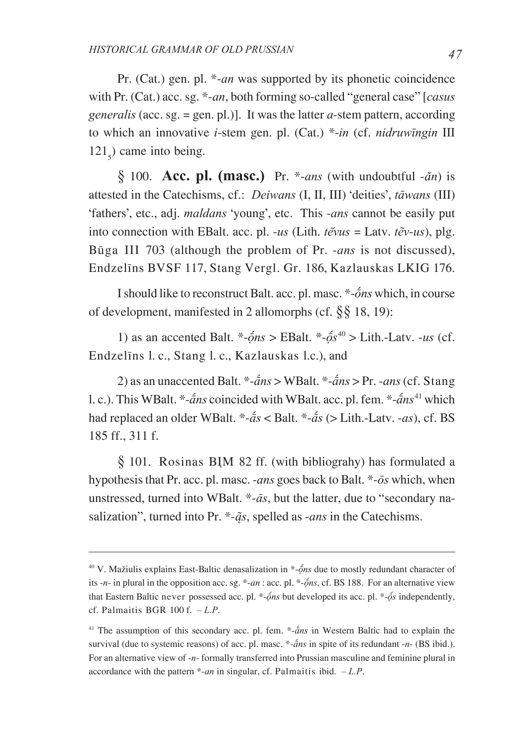Pr. (Cat.) gen. pl.  $*$ -*an* was supported by its phonetic coincidence with Pr. (Cat.) acc. sg.  $*$ -an, both forming so-called "general case" [*casus generalis* (acc. sg. = gen. pl.)]. It was the latter *a*-stem pattern, according to which an innovative *i*-stem gen. pl. (Cat.)  $*$ -in (cf. *nidruwingin* III 121<sub>-</sub>) came into being.

§ 100. **Acc. pl. (masc.)** Pr.  $*$ -ans (with undoubtful - $\check{a}n$ ) is attested in the Catechisms, cf.: Deiwans (I, II, III) 'deities', tāwans (III) 'fathers', etc., adj. *maldans* 'young', etc. This -*ans* cannot be easily put into connection with EBalt. acc. pl. -us (Lith.  $t\acute{e}vus =$  Latv.  $t\acute{e}v$ -us), plg. Būga III 703 (although the problem of Pr. -ans is not discussed), Endzelins BVSF 117, Stang Vergl. Gr. 186, Kazlauskas LKIG 176.

I should like to reconstruct Balt, acc. pl. masc.  $*-\delta ns$  which, in course of development, manifested in 2 allomorphs (cf.  $\S$ § 18, 19):

1) as an accented Balt. \*- $\delta$ ns > EBalt. \*- $\delta s^{40}$  > Lith.-Laty. -us (cf. Endzelins I. c., Stang I. c., Kazlauskas I.c.), and

2) as an unaccented Balt. \*- $\frac{2}{3}$  S WBalt. \*- $\frac{2}{3}$  S Pr. -ans (cf. Stang l. c.). This WBalt. \*-*ans* coincided with WBalt. acc. pl. fem. \*-*ans*<sup>41</sup> which had replaced an older WBalt. \*- $\frac{2}{3}$  < Balt. \*- $\frac{2}{3}$  (> Lith.-Latv. -as). cf. BS 185 ff., 311 f.

 $\S$  101. Rosinas BIM 82 ff. (with bibliograhy) has formulated a hypothesis that Pr. acc. pl. masc. -*ans* goes back to Balt.  $*$ - $\bar{o}s$  which, when unstressed, turned into WBalt.  $*$ - $\bar{a}s$ , but the latter, due to "secondary nasalization", turned into Pr.  $*-\tilde{a}s$ , spelled as -*ans* in the Catechisms.

<sup>&</sup>lt;sup>40</sup> V. Mažiulis explains East-Baltic denasalization in  $*-\delta$ ns due to mostly redundant character of its -n- in plural in the opposition acc. sg. \*-an : acc. pl. \*- $\delta$ ns, cf. BS 188. For an alternative view that Eastern Baltic never possessed acc. pl. \*- $\delta$ ns but developed its acc. pl. \*- $\delta$ s independently, cf. Palmaitis BGR 100 f.  $-L.P$ .

<sup>&</sup>lt;sup>41</sup> The assumption of this secondary acc. pl. fem.  $*-\hat{a}ns$  in Western Baltic had to explain the survival (due to systemic reasons) of acc. pl. masc.  $*-\hat{a}ns$  in spite of its redundant -n- (BS ibid.). For an alternative view of -n- formally transferred into Prussian masculine and feminine plural in accordance with the pattern  $*$ -*an* in singular, cf. Palmaitis ibid.  $-L.P$ .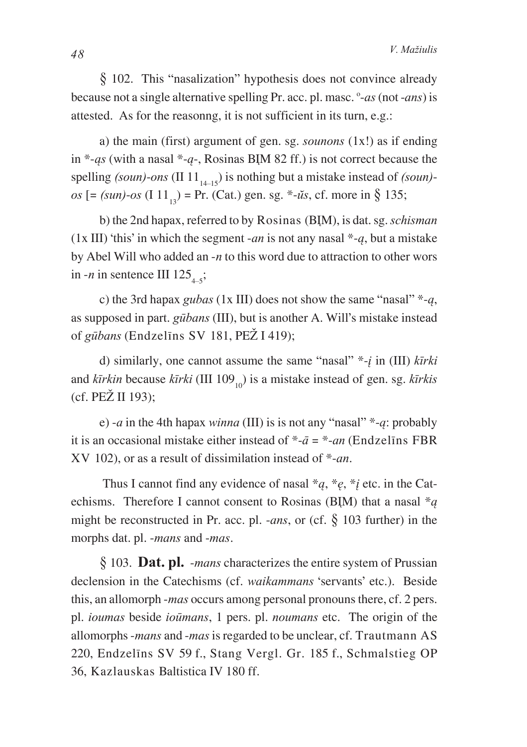*\** 102. This "nasalization" hypothesis does not convince already because not a single alternative spelling Pr. acc. pl. masc. <sup>o</sup>-as (not -ans) is attested. As for the reasonng, it is not sufficient in its turn, e.g.:

a) the main (first) argument of gen. sg. *sounons* (1x!) as if ending in  $*$ -*qs* (with a nasal  $*$ -*q*-, Rosinas BIM 82 ff.) is not correct because the spelling *(soun)-ons* (II 11 $_{14,15}$ ) is nothing but a mistake instead of *(soun)os* [=  $(sun)$ -*os* (I 11<sub>12</sub>) = Pr. (Cat.) gen. sg. \*-*us*, cf. more in § 135;

b) the 2nd hapax, referred to by Rosinas (BÁM), is dat. sg. *schisman* (1x III) 'this' in which the segment *-an* is not any nasal  $*_-q$ , but a mistake by Abel Will who added an -*n* to this word due to attraction to other wors in  $-n$  in sentence III 125<sub>4–5</sub>;

c) the 3rd hapax *gubas* (1x III) does not show the same "nasal" \*-*à*, as supposed in part. *gûbans* (III), but is another A. Will's mistake instead of *gūbans* (Endzelīns SV 181, PEŽ I 419);

d) similarly, one cannot assume the same "nasal" \*-*á* in (III) *kîrki* and *kīrkin* because *kīrki* (III 109<sub>10</sub>) is a mistake instead of gen. sg. *kīrkis*  $(cf. PEŽ II 193):$ 

e) -*a* in the 4th hapax *winna* (III) is is not any "nasal" \*-*à*: probably it is an occasional mistake either instead of  $*-a = *$ -*an* (Endzelins FBR XV 102), or as a result of dissimilation instead of \*-*an*.

 Thus I cannot find any evidence of nasal \**à*, \**æ*, \**á* etc. in the Catechisms. Therefore I cannot consent to Rosinas (BIM) that a nasal  $*_q$ might be reconstructed in Pr. acc. pl. -*ans*, or (cf. *\** 103 further) in the morphs dat. pl. -*mans* and -*mas*.

*\** 103. **Dat. pl.** -*mans* characterizes the entire system of Prussian declension in the Catechisms (cf. *waikammans* 'servants' etc.). Beside this, an allomorph -*mas* occurs among personal pronouns there, cf. 2 pers. pl. *ioumas* beside *ioûmans*, 1 pers. pl. *noumans* etc. The origin of the allomorphs -*mans* and -*mas* is regarded to be unclear, cf. Trautmann AS 220, Endzelîns SV 59 f., Stang Vergl. Gr. 185 f., Schmalstieg OP 36, Kazlauskas Baltistica IV 180 ff.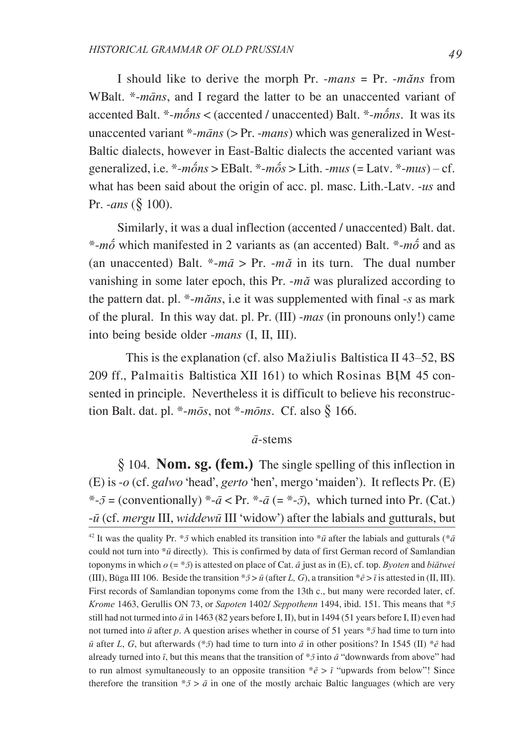I should like to derive the morph Pr. -*mans* = Pr. -*mans* from WBalt. \*-*mans*, and I regard the latter to be an unaccented variant of accented Balt. \*-*môns* < (accented / unaccented) Balt. \*-*môns*. It was its unaccented variant \*-*māns* (> Pr. -*mans*) which was generalized in West-Baltic dialects, however in East-Baltic dialects the accented variant was generalized, i.e.  $*$ - $m\acute{\theta}$ ns > EBalt.  $*$ - $m\acute{\theta}s$  > Lith. - $mus$  (= Latv.  $*$ - $mus$ ) – cf. what has been said about the origin of acc. pl. masc. Lith.-Latv. -*us* and Pr. -*ans* (*\** 100).

Similarly, it was a dual inflection (accented / unaccented) Balt. dat.  $*$ - $m\acute{\sigma}$  which manifested in 2 variants as (an accented) Balt.  $*$ - $m\acute{\sigma}$  and as (an unaccented) Balt.  $*$ - $m\bar{a} > Pr.$  - $m\tilde{a}$  in its turn. The dual number vanishing in some later epoch, this Pr. -*ma* was pluralized according to the pattern dat. pl.  $*$ - $m\tilde{a}$ ns, i.e it was supplemented with final -*s* as mark of the plural. In this way dat. pl. Pr. (III) -*mas* (in pronouns only!) came into being beside older -*mans* (I, II, III).

This is the explanation (cf. also Mažiulis Baltistica II  $43-52$ , BS 209 ff., Palmaitis Baltistica XII 161) to which Rosinas BIM 45 consented in principle. Nevertheless it is difficult to believe his reconstruction Balt. dat. pl. \*-*môs*, not \*-*môns*. Cf. also *\** 166.

#### $\bar{a}$ -stems

*\** 104. **Nom. sg. (fem.)** The single spelling of this inflection in (E) is -*o* (cf. *galwo* 'head', *gerto* 'hen', mergo 'maiden'). It reflects Pr. (E) \*- $\bar{J}$  = (conventionally) \*- $\bar{a}$  < Pr. \*- $\bar{a}$  (= \*- $\bar{J}$ ), which turned into Pr. (Cat.) -*û* (cf. *mergu* III, *widdewû* III 'widow') after the labials and gutturals, but

<sup>&</sup>lt;sup>42</sup> It was the quality Pr.  $* \bar{\jmath}$  which enabled its transition into  $* \bar{u}$  after the labials and gutturals ( $* \bar{a}$ could not turn into \**û* directly). This is confirmed by data of first German record of Samlandian toponyms in which  $o = *\overline{\mathfrak{I}}$  is attested on place of Cat.  $\overline{a}$  just as in (E), cf. top. *Byoten* and *biātwei* (III), Būga III 106. Beside the transition  $*5 > \bar{u}$  (after *L*, *G*), a transition  $* \bar{e} > \bar{i}$  is attested in (II, III). First records of Samlandian toponyms come from the 13th c., but many were recorded later, cf. *Krome* 1463, Gerullis ON 73, or *Sapoten* 1402/ *Seppothenn* 1494, ibid. 151. This means that \**ɯ* still had not turmed into  $\bar{a}$  in 1463 (82 years before I, II), but in 1494 (51 years before I, II) even had not turned into  $\bar{u}$  after p. A question arises whether in course of 51 years  $*\bar{\sigma}$  had time to turn into  $\bar{u}$  after *L*, *G*, but afterwards (\**z*) had time to turn into  $\bar{a}$  in other positions? In 1545 (II) \* $\bar{e}$  had already turned into  $\bar{i}$ , but this means that the transition of  $* \bar{\sigma}$  into  $\bar{a}$  "downwards from above" had to run almost symultaneously to an opposite transition  $* \bar{e} > \bar{i}$  "upwards from below"! Since therefore the transition  $*2 > a$  in one of the mostly archaic Baltic languages (which are very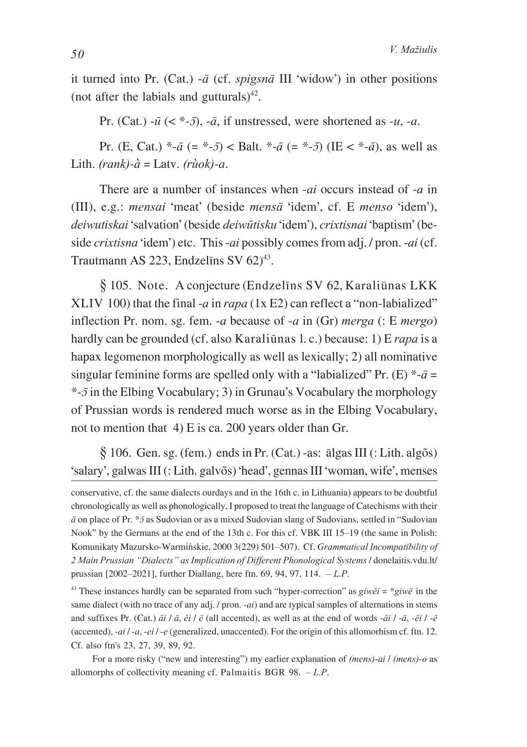it turned into Pr. (Cat.)  $-\bar{a}$  (cf. *spigsna* III 'widow') in other positions (not after the labials and gutturals)<sup>42</sup>.

Pr. (Cat.)  $-i\bar{u}$  ( $\lt$  \*- $\bar{z}$ ),  $-i\bar{a}$ , if unstressed, were shortened as  $-i\bar{u}$ ,  $-i\bar{a}$ .

Pr. (E, Cat.)  $*$ - $\bar{a}$  (=  $*$ - $\bar{a}$ ) < Balt.  $*$ - $\bar{a}$  (=  $*$ - $\bar{a}$ ) (IE <  $*$ - $\bar{a}$ ), as well as Lith. *(rank)*- $\dot{a}$  = Latv. *(ruok)-a*.

There are a number of instances when -*ai* occurs instead of -*a* in (III), e.g.: *mensai* 'meat' (beside *mens`* 'idem', cf. E *menso* 'idem'), *deiwutiskai* 'salvation' (beside *deiwûtisku* 'idem'), *crixtisnai* 'baptism' (beside *crixtisna* 'idem') etc. This -*ai* possibly comes from adj. / pron. -*ai* (cf. Trautmann AS 223, Endzelins SV  $62<sup>43</sup>$ .

§ 105. Note. A conjecture (Endzelins SV 62, Karaliūnas LKK XLIV 100) that the final -*a* in *rapa* (1x E2) can reflect a "non-labialized" inflection Pr. nom. sg. fem. -*a* because of -*a* in (Gr) *merga* (: E *mergo*) hardly can be grounded (cf. also Karaliûnas l. c.) because: 1) E *rapa* is a hapax legomenon morphologically as well as lexically; 2) all nominative singular feminine forms are spelled only with a "labialized" Pr.  $(E) * -\bar{a} =$ \*-*ɯ* in the Elbing Vocabulary; 3) in Grunau's Vocabulary the morphology of Prussian words is rendered much worse as in the Elbing Vocabulary, not to mention that 4) E is ca. 200 years older than Gr.

 $\frac{1}{2}$  106. Gen. sg. (fem.) ends in Pr. (Cat.) -as:  $\frac{1}{2}$  algas III (: Lith. algõs) 'salary', galwas III (: Lith. galvõs) 'head', gennas III 'woman, wife', menses

<sup>43</sup> These instances hardly can be separated from such "hyper-correction" as  $\frac{g}{w\bar{e}}i = \frac{k}{g}j\bar{w}\bar{e}$  in the same dialect (with no trace of any adj. / pron. -*ai*) and are typical samples of alternations in stems and suffixes Pr. (Cat.)  $\vec{a}i$  /  $\vec{a}$ ,  $\vec{e}i$  /  $\vec{e}$  (all accented), as well as at the end of words  $-\vec{a}i$  / $-\vec{a}$ ,  $-\vec{e}i$  /  $-\vec{e}$ (accented), -*ai* / -*a*, -*ei* / -*e* (generalized, unaccented). For the origin of this allomorhism cf. ftn. 12. Cf. also ftn's 23, 27, 39, 89, 92.

For a more risky ("new and interesting") my earlier explanation of *(mens)*-*ai* / *(mens)*-*o* as allomorphs of collectivity meaning cf. Palmaitis BGR 98. – *L.P*.

conservative, cf. the same dialects ourdays and in the 16th c. in Lithuania) appears to be doubtful chronologically as well as phonologically, I proposed to treat the language of Catechisms with their  $\bar{a}$  on place of Pr.  $*$  $\bar{a}$  as Sudovian or as a mixed Sudovian slang of Sudovians, settled in "Sudovian" Nook" by the Germans at the end of the 13th c. For this cf. VBK III 15–19 (the same in Polish: Komunikaty Mazursko-Warmińskie, 2000 3(229) 501-507). Cf. *Grammatical Incompatibility of 2 Main Prussian "Dialects" as Implication of Different Phonological Systems* / donelaitis.vdu.lt/ prussian [2002–2021], further Diallang, here ftn. 69, 94, 97, 114. – *L.P*.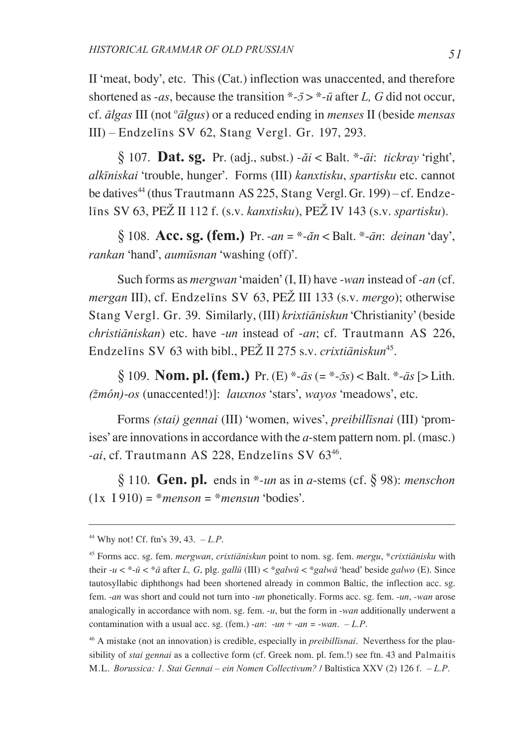II 'meat, body', etc. This (Cat.) inflection was unaccented, and therefore shortened as -*as*, because the transition \*- $\bar{z}$  > \*- $\bar{u}$  after L, G did not occur,  $cf. \bar{a}lgas III$  (not  $\partial \bar{a}lgus$ ) or a reduced ending in *menses* II (beside *mensas* III) - Endzelins SV 62, Stang Vergl. Gr. 197, 293.

§ 107. Dat. sg. Pr. (adj., subst.) -  $\tilde{a}i$  < Balt. \*- $\tilde{a}i$ : tickray 'right', alkīniskai 'trouble, hunger'. Forms (III) kanxtisku, spartisku etc. cannot be datives<sup>44</sup> (thus Trautmann AS 225, Stang Vergl. Gr. 199) – cf. Endzelīns SV 63, PEŽ II 112 f. (s.v. kanxtisku), PEŽ IV 143 (s.v. spartisku).

§ 108. Acc. sg. (fem.) Pr. -an =  $*\text{-}\tilde{a}n$  < Balt.  $*\text{-}\tilde{a}n$ : deinan 'day', rankan 'hand', aumūsnan 'washing (off)'.

Such forms as *mergwan* 'maiden' (I, II) have -wan instead of -an (cf. *mergan* III), cf. Endzelins SV 63, PEŽ III 133 (s.v. *mergo*); otherwise Stang Vergl. Gr. 39. Similarly, (III) krixtiāniskun 'Christianity' (beside *christiāniskan*) etc. have -un instead of -an; cf. Trautmann AS 226. Endzelins SV 63 with bibl., PEŽ II 275 s.v. crixtiāniskun<sup>45</sup>.

 $\frac{1}{2}$  109. **Nom. pl. (fem.)** Pr. (E)  $*-\bar{a}s$  (=  $*-\bar{a}s$ ) < Balt.  $*-\bar{a}s$  [> Lith.  $(\check{z}m\acute{o}n)$ -os (unaccented!)]: *lauxnos* 'stars', *wavos* 'meadows', etc.

Forms (stai) gennai (III) 'women, wives', preibillisnai (III) 'promises' are innovations in accordance with the *a*-stem pattern nom. pl. (masc.) -ai, cf. Trautmann AS 228, Endzelins SV 6346.

§ 110. Gen. pl. ends in  $*$ -un as in a-stems (cf. § 98): menschon  $(1x \t1910) = *$ menson = \*mensun 'bodies'.

<sup>&</sup>lt;sup>44</sup> Why not! Cf. ftn's 39, 43.  $-L.P$ .

<sup>&</sup>lt;sup>45</sup> Forms acc. sg. fem. *mergwan*, crixtiāniskun point to nom. sg. fem. *mergu*, \*crixtiānisku with their -u < \*-u < \*a after L, G, plg. gallu (III) < \*galwu < \*galwa 'head' beside galwo (E). Since tautosyllabic diphthongs had been shortened already in common Baltic, the inflection acc. sg. fem. - an was short and could not turn into -un phonetically. Forms acc. sg. fem. -un, -wan arose analogically in accordance with nom. sg. fem.  $-u$ , but the form in -wan additionally underwent a contamination with a usual acc. sg. (fem.) -an: -un + -an = -wan. -L.P.

<sup>&</sup>lt;sup>46</sup> A mistake (not an innovation) is credible, especially in *preibillisnai*. Neverthess for the plausibility of *stai gennai* as a collective form (cf. Greek nom. pl. fem.!) see ftn. 43 and Palmaitis M.L. Borussica: 1. Stai Gennai – ein Nomen Collectivum? / Baltistica XXV (2) 126 f. - L.P.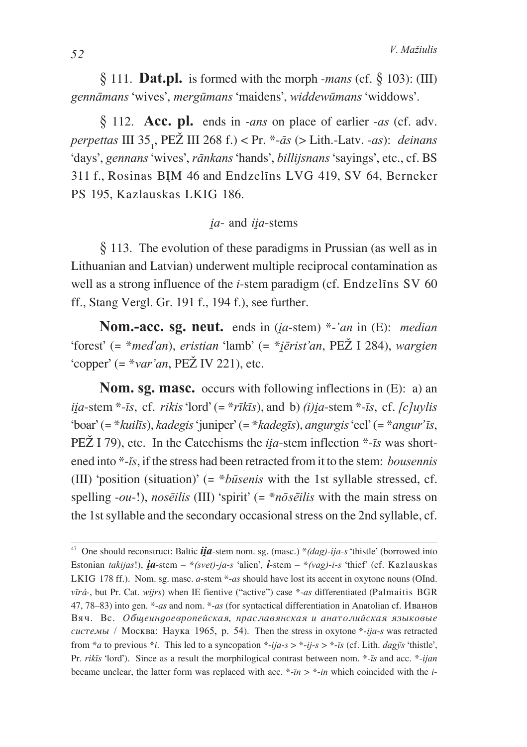$\oint$  111. **Dat.pl.** is formed with the morph -*mans* (cf.  $\oint$  103): (III) *genn`mans* 'wives', *mergûmans* 'maidens', *widdewûmans* 'widdows'.

*\** 112. **Acc. pl.** ends in -*ans* on place of earlier -*as* (cf. adv. *perpettas* III 351 , PEÞ III 268 f.) < Pr. \*-*`s* (> Lith.-Latv. -*as*): *deinans* 'days', *gennans* 'wives', *rānkans* 'hands', *billijsnans* 'sayings', etc., cf. BS 311 f., Rosinas BIM 46 and Endzelīns LVG 419, SV 64, Berneker PS 195, Kazlauskas LKIG 186.

## *ia*- and *iia*-stems

*\** 113. The evolution of these paradigms in Prussian (as well as in Lithuanian and Latvian) underwent multiple reciprocal contamination as well as a strong influence of the *i*-stem paradigm (cf. Endzelîns SV 60 ff., Stang Vergl. Gr. 191 f., 194 f.), see further.

**Nom.-acc. sg. neut.** ends in (*Ùa*-stem) \*-*'an* in (E): *median* 'forest' (= \*med'an), eristian 'lamb' (= \**i*erist'an, PEŽ I 284), wargien 'copper'  $(=\ast var'an, PE\check{Z}$  IV 221), etc.

**Nom. sg. masc.** occurs with following inflections in (E): a) an *iia*-stem  $*$ -*īs*, cf. *rikis* 'lord' (=  $*$ *rīkīs*), and b) *(i)ia*-stem  $*$ -*īs*, cf. *[c]uylis* 'boar' (= \**kuilîs*), *kadegis* 'juniper' (= \**kadegîs*), *angurgis* 'eel' (= \**angur'îs*, PEŽ I 79), etc. In the Catechisms the *iia*-stem inflection  $\overline{z}$ -*īs* was shortened into \*-*Ÿs*, if the stress had been retracted from it to the stem: *bousennis* (III) 'position (situation)' (= \**bûsenis* with the 1st syllable stressed, cf. spelling -*ou*-!), *nosēilis* (III) 'spirit' (= \**nōsēilis* with the main stress on the 1st syllable and the secondary occasional stress on the 2nd syllable, cf.

<sup>47</sup> One should reconstruct: Baltic *iÙa*-stem nom. sg. (masc.) \**(dag)*-*ija*-*s* 'thistle' (borrowed into Estonian *takijas*!),  $\mathbf{i}a$ -stem – \**(svet)*-*ja-s* 'alien',  $\mathbf{i}$ -stem – \* $\left(\frac{\partial a}{\partial s}\right)$ -*i*-*s* 'thief' (cf. Kazlauskas LKIG 178 ff.). Nom. sg. masc. *a*-stem \*-*as* should have lost its accent in oxytone nouns (OInd. *vîr³*-, but Pr. Cat. *wijrs*) when IE fientive ("active") case \*-*as* differentiated (Palmaitis BGR 47, 78–83) into gen. \*-*as* and nom. \*-*as* (for syntactical differentiation in Anatolian cf. Иванов Вяч. Вс. Общеиндоевропейская, праславянская и анатолийская языковые *системы* / Москва: Наука 1965, p. 54). Then the stress in oxytone \*-*ija-s* was retracted from \**a* to previous \**i*. This led to a syncopation \*-*ija-s* > \*-*ij-s* > \*-*īs* (cf. Lith. *dag* $\tilde{y}$ s 'thistle', Pr. *rikîs* 'lord'). Since as a result the morphilogical contrast between nom. \*-*îs* and acc. \*-*ijan* became unclear, the latter form was replaced with acc. \*-*în* > \*-*in* which coincided with the *i*-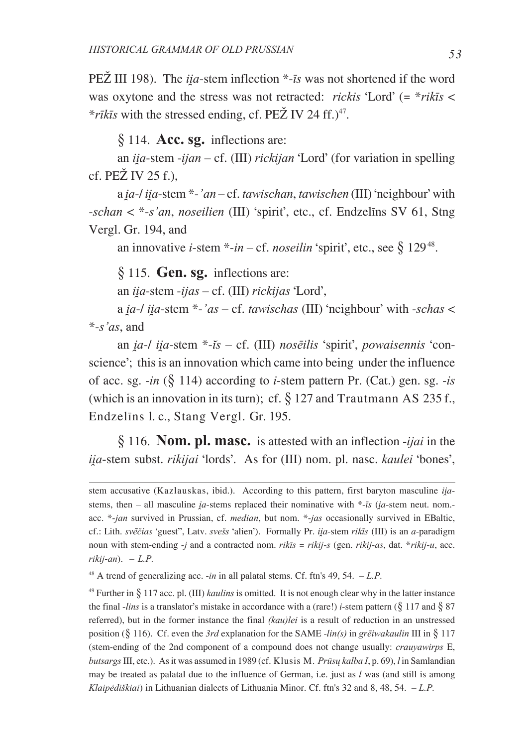PEŽ III 198). The *iia*-stem inflection \*-*īs* was not shortened if the word was oxytone and the stress was not retracted: *rickis* 'Lord' (= \**rikîs* <  $*$ *rīkīs* with the stressed ending, cf. PEŽ IV 24 ff.)<sup>47</sup>.

*\** 114. **Acc. sg.** inflections are:

an *iÙa*-stem -*ijan* – cf. (III) *rickijan* 'Lord' (for variation in spelling cf. PE $\check{Z}$  IV 25 f.).

a *Ùa*-/ *iÙa*-stem \*-*'an* – cf. *tawischan*, *tawischen* (III) 'neighbour' with -*schan* < \*-*s'an*, *noseilien* (III) 'spirit', etc., cf. Endzelîns SV 61, Stng Vergl. Gr. 194, and

an innovative *i*-stem \*-*in* – cf. *noseilin* 'spirit', etc., see *\** 12948.

*\** 115. **Gen. sg.** inflections are:

an *iÙa*-stem -*ijas* – cf. (III) *rickijas* 'Lord',

a *Ùa*-/ *iÙa*-stem \*-*'as* – cf. *tawischas* (III) 'neighbour' with -*schas* < \*-*s'as*, and

an *Ùa*-/ *iÙa*-stem \*-*Ÿs* – cf. (III) *nosçilis* 'spirit', *powaisennis* 'conscience'; this is an innovation which came into being under the influence of acc. sg.  $-in$  ( $\S$  114) according to *i*-stem pattern Pr. (Cat.) gen. sg.  $-is$ (which is an innovation in its turn); cf. *\** 127 and Trautmann AS 235 f., Endzelîns l. c., Stang Vergl. Gr. 195.

*\** 116. **Nom. pl. masc.** is attested with an inflection -*ijai* in the *iia*-stem subst. *rikijai* 'lords'. As for (III) nom. pl. nasc. *kaulei* 'bones',

stem accusative (Kazlauskas, ibid.). According to this pattern, first baryton masculine *ija*stems, then – all masculine *Ùa*-stems replaced their nominative with \*-*îs* (*Ùa*-stem neut. nom. acc. \*-*jan* survived in Prussian, cf. *median*, but nom. \*-*jas* occasionally survived in EBaltic, cf.: Lith. *svēčias* 'guest'', Latv. *svešs* 'alien'). Formally Pr. *iia*-stem *rikīs* (III) is an *a*-paradigm noun with stem-ending -*j* and a contracted nom. *rikîs* = *rikij*-*s* (gen. *rikij*-*as*, dat. \**rikij*-*u*, acc. *rikij*-*an*). – *L.P.*

 $^{48}$  A trend of generalizing acc. *-in* in all palatal stems. Cf. ftn's 49, 54. *-L.P.* 

<sup>&</sup>lt;sup>49</sup> Further in § 117 acc. pl. (III) *kaulins* is omitted. It is not enough clear why in the latter instance the final -*lins* is a translator's mistake in accordance with a (rare!) *i*-stem pattern (*\** 117 and *\** 87 referred), but in the former instance the final *(kau)lei* is a result of reduction in an unstressed position (*\** 116). Cf. even the *3rd* explanation for the SAME -*lin(s)* in *grçiwakaulin* III in *\** 117 (stem-ending of the 2nd component of a compound does not change usually: *crauyawirps* E, *butsargs* III, etc.). As it was assumed in 1989 (cf. Klusis M. *Prûsø kalba I*, p. 69), *l* in Samlandian may be treated as palatal due to the influence of German, i.e. just as *l* was (and still is among *Klaipëdiðkiai*) in Lithuanian dialects of Lithuania Minor. Cf. ftn's 32 and 8, 48, 54. – *L.P.*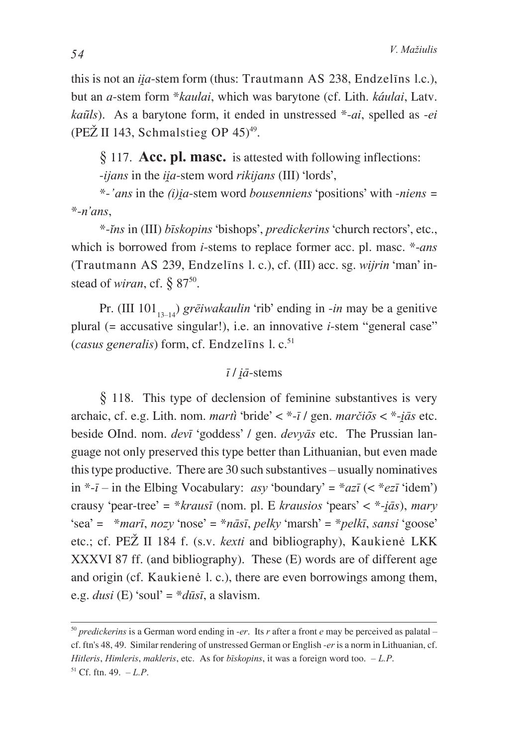this is not an *iia*-stem form (thus: Trautmann AS 238, Endzelins l.c.), but an *a*-stem form \**kaulai*, which was barytone (cf. Lith. *káulai*, Latv. *kauls …* ). As a barytone form, it ended in unstressed \*-*ai*, spelled as -*ei* (PEŽ II 143, Schmalstieg OP  $45)^{49}$ .

*\** 117. **Acc. pl. masc.** is attested with following inflections: -*ijans* in the *iia*-stem word *rikijans* (III) 'lords',

\*-*'ans* in the *(i)Ùa*-stem word *bousenniens* 'positions' with -*niens* = \*-*n'ans*,

\*-*Ÿns* in (III) *bîskopins* 'bishops', *predickerins* 'church rectors', etc., which is borrowed from *i*-stems to replace former acc. pl. masc. \*-*ans* (Trautmann AS 239, Endzelîns l. c.), cf. (III) acc. sg. *wijrin* 'man' instead of *wiran*, cf. § 87<sup>50</sup>.

Pr. (III 101<sub>13–14</sub>) *grēiwakaulin* 'rib' ending in -*in* may be a genitive plural (= accusative singular!), i.e. an innovative *i*-stem "general case" (*casus generalis*) form, cf. Endzelins l. c.<sup>51</sup>

## *î* / *Ù`*-stems

 $\frac{1}{8}$  118. This type of declension of feminine substantives is very archaic, cf. e.g. Lith. nom. *marti* 'bride'  $\lt$  \*-*ī* / gen. *marčiõs*  $\lt$  \*-*i* $\bar{a}s$  etc. beside OInd. nom. *devī* 'goddess' / gen. *devyās* etc. The Prussian language not only preserved this type better than Lithuanian, but even made this type productive. There are 30 such substantives – usually nominatives in  $\overline{*}$ -*ī* – in the Elbing Vocabulary: *asy* 'boundary' =  $\overline{*}$ *azī* (<  $\overline{*}$ *ezī* 'idem') crausy 'pear-tree' = \**krausî* (nom. pl. E *krausios* 'pears' < \*-*Ù`s*), *mary* 'sea' = \**marî*, *nozy* 'nose' = \**n`sî*, *pelky* 'marsh' = \**pelkî*, *sansi* 'goose' etc.; cf. PEŽ II 184 f. (s.v. *kexti* and bibliography), Kaukienė LKK XXXVI 87 ff. (and bibliography). These (E) words are of different age and origin (cf. Kaukienë l. c.), there are even borrowings among them, e.g. *dusi* (E) 'soul' = \**dûsî*, a slavism.

<sup>50</sup> *predickerins* is a German word ending in -*er*. Its *r* after a front *e* may be perceived as palatal – cf. ftn's 48, 49. Similar rendering of unstressed German or English -*er* is a norm in Lithuanian, cf. *Hitleris*, *Himleris*, *makleris*, etc. As for *bîskopins*, it was a foreign word too. – *L.P*.  $51$  Cf. ftn. 49. – L.P.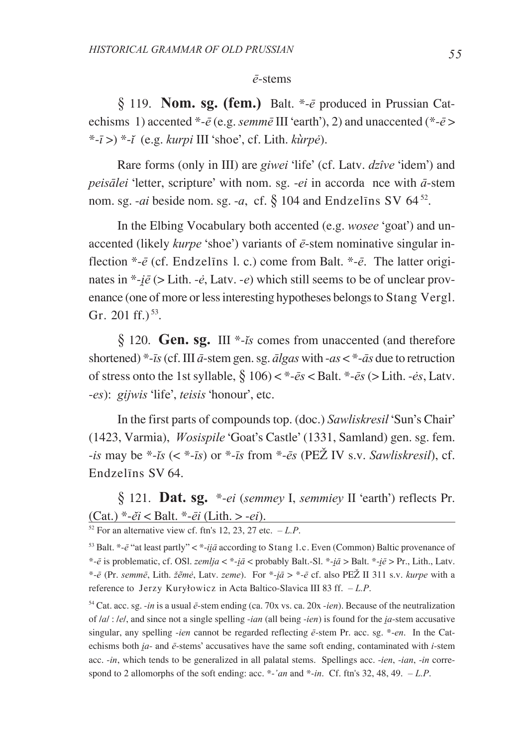#### $\bar{\rho}$ -stems

§ 119. **Nom. sg. (fem.)** Balt.  $*$ - $\bar{e}$  produced in Prussian Catechisms 1) accented \*- $\bar{e}$  (e.g. *semme* III 'earth'), 2) and unaccented (\*- $\bar{e}$  >  $*$ - $\bar{i}$  >)  $*$ - $\bar{i}$  (e.g. kurpi III 'shoe', cf. Lith. kurpe).

Rare forms (only in III) are *giwei* 'life' (cf. Laty, *dzîve* 'idem') and *peisālei* 'letter, scripture' with nom. sg. *-ei* in accorda nce with  $\bar{a}$ -stem nom. sg. -*ai* beside nom. sg. -*a*, cf.  $\frac{6}{9}$  104 and Endzelins SV 64<sup>52</sup>.

In the Elbing Vocabulary both accented (e.g. wosee 'goat') and unaccented (likely  $k$ urpe 'shoe') variants of  $\bar{e}$ -stem nominative singular inflection \*- $\bar{e}$  (cf. Endzelins 1, c.) come from Balt. \*- $\bar{e}$ . The latter originates in \*- $i\bar{e}$  (> Lith. - $\dot{e}$ , Latv. - $e$ ) which still seems to be of unclear provenance (one of more or less interesting hypotheses belongs to Stang Vergl. Gr. 201 ff.)<sup>53</sup>.

 $\S$  120. **Gen. sg.** III \*-*is* comes from unaccented (and therefore shortened) \*- $\bar{i}s$  (cf. III  $\bar{a}$ -stem gen. sg.  $\bar{a}lgas$  with - $as <$ \*- $\bar{a}s$  due to retruction of stress onto the 1st syllable,  $\S$  106) <  $*$ - $\bar{e}s$  < Balt.  $*$ - $\bar{e}s$  (> Lith. - $\dot{e}s$ , Latv. -es): gijwis 'life', teisis 'honour', etc.

In the first parts of compounds top. (doc.) Sawliskresil 'Sun's Chair' (1423, Varmia), *Wosispile* 'Goat's Castle' (1331, Samland) gen. sg. fem. *-is* may be \*-is (< \*-is) or \*-is from \*-es (PEZ IV s.v. Sawlisk resil), cf. Endzelīns SV 64

<sup>§ 121.</sup> Dat. sg. \*-ei (semmey I, semmiey II 'earth') reflects Pr. (Cat.) \*- $\tilde{ei}$  < Balt. \*- $\tilde{ei}$  (Lith. > - $ei$ ).

<sup>&</sup>lt;sup>52</sup> For an alternative view cf. ftn's 12, 23, 27 etc.  $-L.P$ .

<sup>&</sup>lt;sup>53</sup> Balt. \*- $\bar{e}$  "at least partly" < \*-*iia* according to Stang 1.c. Even (Common) Baltic provenance of \*- $\bar{e}$  is problematic, cf. OSI. zemlja < \*- $i\bar{a}$  < probably Balt.-Sl. \*- $i\bar{a}$  > Balt. \*- $i\bar{e}$  > Pr., Lith., Latv.  $\overline{z}$  =  $\overline{e}$  (Pr. semme, Lith.  $\overline{z}$ eme, Latv. zeme). For  $\overline{z}$ -ia  $\overline{z}$  =  $\overline{z}$  cf. also PE $\overline{Z}$  II 311 s.v. kurpe with a reference to Jerzy Kuryłowicz in Acta Baltico-Slavica III 83 ff.  $-L.P$ .

<sup>&</sup>lt;sup>54</sup> Cat. acc. sg. -in is a usual  $\bar{e}$ -stem ending (ca. 70x vs. ca. 20x -ien). Because of the neutralization of  $|a|$ :  $|e|$ , and since not a single spelling -ian (all being -ian) is found for the ia-stem accusative singular, any spelling *-ien* cannot be regarded reflecting  $\bar{e}$ -stem Pr. acc. sg. \*-en. In the Catechisms both *ia*- and  $\bar{e}$ -stems' accusatives have the same soft ending, contaminated with *i*-stem acc. -in, which tends to be generalized in all palatal stems. Spellings acc. -ien, -ian, -in correspond to 2 allomorphs of the soft ending; acc. \*-'an and \*-in. Cf. ftn's 32, 48, 49. -L.P.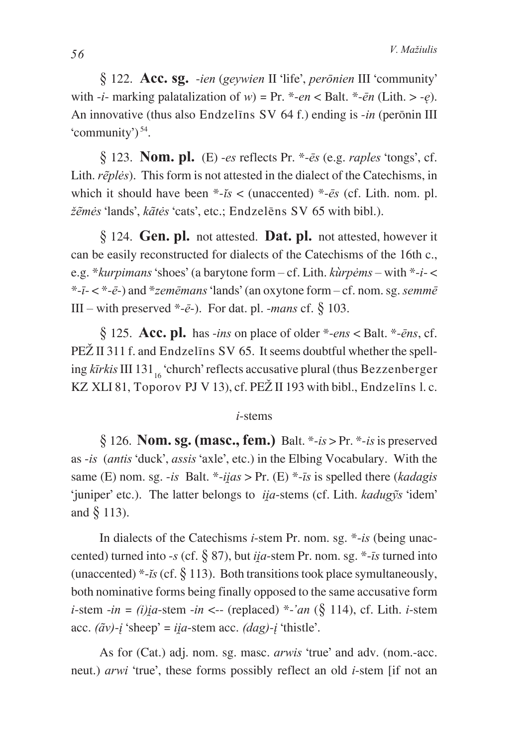§ 122. Acc. sg. -ien (geywien II 'life', peronien III 'community' with -*i*- marking palatalization of  $w$ ) = Pr. \*-en < Balt. \*-en (Lith. > -e). An innovative (thus also Endzelins SV 64 f.) ending is -in (peronin III 'community')<sup>54</sup>.

§ 123. **Nom. pl.** (E) -es reflects Pr.  $*$ -es (e.g. *raples* 'tongs', cf. Lith. *rẽples*). This form is not attested in the dialect of the Catechisms, in which it should have been  $*-\tilde{i}s$  < (unaccented)  $*-\tilde{e}s$  (cf. Lith. nom. pl. žėmės 'lands', katės 'cats', etc.; Endzelens SV 65 with bibl.).

 $\S$  124. Gen. pl. not attested. Dat. pl. not attested, however it can be easily reconstructed for dialects of the Catechisms of the 16th c., e.g. \* kurpimans 'shoes' (a barytone form – cf. Lith.  $k\hat{u}$ rpems – with \*-i- $\leq$ \*- $\bar{i}$ - $\langle$ \*- $\bar{e}$ - $\rangle$  and \**zemēmans* 'lands' (an oxytone form – cf. nom. sg. *semm*ē III – with preserved \*- $\bar{e}$ -). For dat. pl. -mans cf. § 103.

§ 125. Acc. pl. has -ins on place of older  $*$ -ens < Balt.  $*$ -ens, cf. PEZ II 311 f. and Endzelins SV 65. It seems doubtful whether the spelling  $k\bar{t}$ rkis III 131. 'church' reflects accusative plural (thus Bezzenberger KZ XLI 81, Toporov PJ V 13), cf. PEŽ II 193 with bibl., Endzelins l.c.

#### $i$ -stems

§ 126. Nom. sg. (masc., fem.) Balt.  $*-is$  > Pr.  $*-is$  is preserved as -is (antis 'duck', assis 'axle', etc.) in the Elbing Vocabulary. With the same (E) nom. sg. -is Balt. \*-iias > Pr. (E) \*-is is spelled there (kadagis 'juniper' etc.). The latter belongs to *iia*-stems (cf. Lith. *kadug* $\tilde{v}$ s 'idem' and  $\S$  113).

In dialects of the Catechisms *i*-stem Pr. nom. sg.  $*-is$  (being unaccented) turned into -s (cf.  $\S$  87), but *iia*-stem Pr. nom. sg. \*-*is* turned into (unaccented) \*- $i\delta$  (cf. § 113). Both transitions took place symultaneously, both nominative forms being finally opposed to the same accusative form *i*-stem -*in* = *(i)ia*-stem -*in* <-- (replaced) \*-'*an* (§ 114), cf. Lith. *i*-stem acc.  $(\tilde{a}v)$ -*i* 'sheep' = *iia*-stem acc.  $(dag)$ -*i* 'thistle'.

As for (Cat.) adj. nom. sg. masc. arwis 'true' and adv. (nom.-acc. neut.) arwi 'true', these forms possibly reflect an old *i*-stem [if not an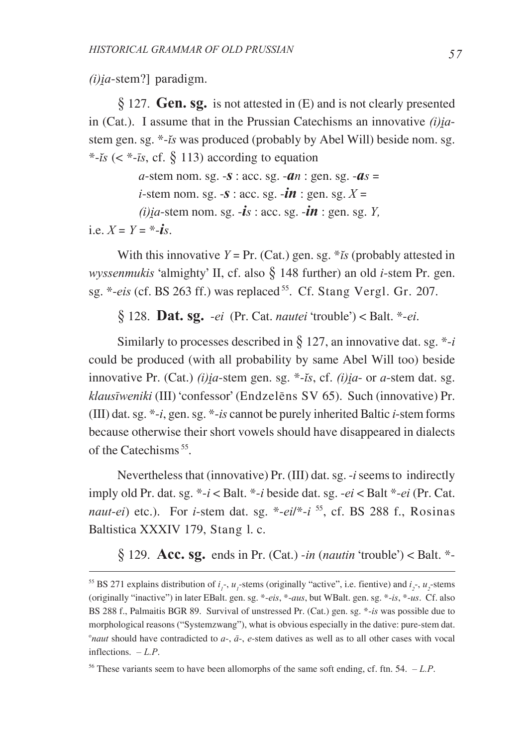$(i)$ *ia*-stem?] paradigm.

*\** 127. **Gen. sg.** is not attested in (E) and is not clearly presented in (Cat.). I assume that in the Prussian Catechisms an innovative *(i)ia*stem gen. sg. \*-*Ÿs* was produced (probably by Abel Will) beside nom. sg.  $*$ -*is* (<  $*$ -*is*, cf.  $\frac{1}{2}$  113) according to equation

```
a-stem nom. sg. -S: acc. sg. -a^2 : gen. sg. -a^2i-stem nom. sg. -S: acc. sg. -i\mathbf{n}: gen. sg. X =(i)ia-stem nom. sg. -is : acc. sg. -in : gen. sg. Y,
```
i.e.  $X = Y = * -iS$ .

With this innovative  $Y = Pr$ . (Cat.) gen. sg. \* $\check{t}s$  (probably attested in *wyssenmukis* 'almighty' II, cf. also  $\frac{8}{9}$  148 further) an old *i*-stem Pr. gen. sg. \*-*eis* (cf. BS 263 ff.) was replaced <sup>55</sup>. Cf. Stang Vergl. Gr. 207.

*\** 128. **Dat. sg.** -*ei* (Pr. Cat. *nautei* 'trouble') < Balt. \*-*ei*.

Similarly to processes described in  $\frac{6}{5}$  127, an innovative dat. sg. \*-*i* could be produced (with all probability by same Abel Will too) beside innovative Pr. (Cat.)  $(i)$ *ia*-stem gen. sg. \*-*is*, cf.  $(i)$ *ia*- or *a*-stem dat. sg. *klausîweniki* (III) 'confessor' (Endzelçns SV 65). Such (innovative) Pr. (III) dat. sg. \*-*i*, gen. sg. \*-*is* cannot be purely inherited Baltic *i*-stem forms because otherwise their short vowels should have disappeared in dialects of the Catechisms 55.

Nevertheless that (innovative) Pr. (III) dat. sg. -*i* seems to indirectly imply old Pr. dat. sg. \*-*i* < Balt. \*-*i* beside dat. sg. -*ei* < Balt \*-*ei* (Pr. Cat. *naut*-*ei*) etc.). For *i*-stem dat. sg. \*-*ei*/\*-*i* 55, cf. BS 288 f., Rosinas Baltistica XXXIV 179, Stang l. c.

*\** 129. **Acc. sg.** ends in Pr. (Cat.) -*in* (*nautin* 'trouble') < Balt. \*-

<sup>&</sup>lt;sup>55</sup> BS 271 explains distribution of  $i_j$ ,  $u_j$ -stems (originally "active", i.e. fientive) and  $i_z$ ,  $u_z$ -stems (originally "inactive") in later EBalt. gen. sg. \*-*eis*, \*-*aus*, but WBalt. gen. sg. \*-*is*, \*-*us*. Cf. also BS 288 f., Palmaitis BGR 89. Survival of unstressed Pr. (Cat.) gen. sg. \*-*is* was possible due to morphological reasons ("Systemzwang"), what is obvious especially in the dative: pure-stem dat.  $^n$ naut should have contradicted to  $a$ -,  $\bar{a}$ -,  $e$ -stem datives as well as to all other cases with vocal inflections. – *L.P*.

<sup>&</sup>lt;sup>56</sup> These variants seem to have been allomorphs of the same soft ending, cf. ftn. 54.  $-L.P$ .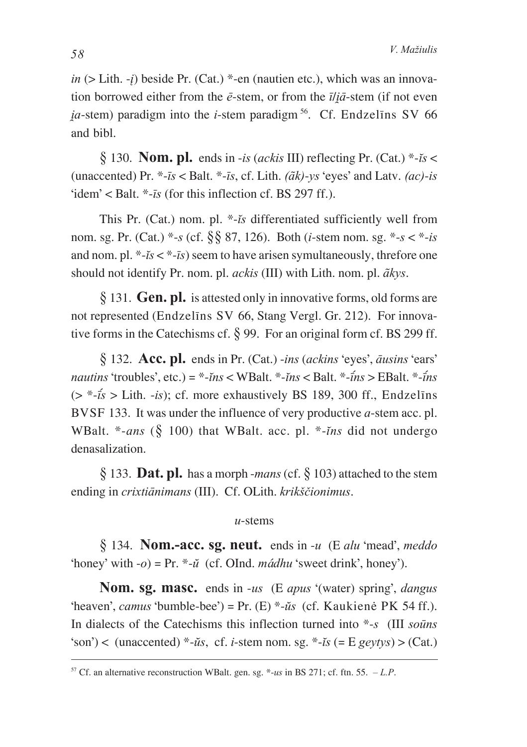in (> Lith. -i) beside Pr. (Cat.) \*-en (nautien etc.), which was an innovation borrowed either from the  $\bar{e}$ -stem, or from the  $\bar{t}/i\bar{a}$ -stem (if not even *ia*-stem) paradigm into the *i*-stem paradigm<sup>56</sup>. Cf. Endzellins SV 66 and bibl.

§ 130. **Nom. pl.** ends in -is (ackis III) reflecting Pr. (Cat.)  $*$ -is < (unaccented) Pr. \*- $\bar{i}s$  < Balt. \*- $\bar{i}s$ , cf. Lith. ( $\tilde{a}k$ )- $\gamma s$  'eyes' and Latv. (ac)- $i\bar{s}$ 'idem' < Balt.  $*$ -*īs* (for this inflection cf. BS 297 ff.).

This Pr. (Cat.) nom. pl. \*- is differentiated sufficiently well from nom. sg. Pr. (Cat.) \*-s (cf.  $\S 87, 126$ ). Both (*i*-stem nom. sg. \*-s < \*-is and nom. pl.  $*-iz < *-iz$ ) seem to have arisen symultaneously, threfore one should not identify Pr. nom. pl. *ackis* (III) with Lith. nom. pl.  $\tilde{a}$ *kys.* 

 $\S$  131. Gen. pl. is attested only in innovative forms, old forms are not represented (Endzelins SV 66, Stang Vergl. Gr. 212). For innovative forms in the Catechisms cf.  $\S$  99. For an original form cf. BS 299 ff.

 $\S$  132. Acc. pl. ends in Pr. (Cat.) -ins (ackins 'eyes', ausins 'ears' *nautins* 'troubles', etc.) =  $*$ -*ins* < WBalt.  $*$ -*ins* < Balt.  $*$ -*ins* > EBalt.  $*$ -*ins*  $(>\ast$ -is > Lith. -is); cf. more exhaustively BS 189, 300 ff., Endzelins BVSF 133. It was under the influence of very productive  $a$ -stem acc. pl. WBalt. \*-ans (§ 100) that WBalt. acc. pl. \*-ins did not undergo denasalization.

§ 133. Dat. pl. has a morph -*mans* (cf. § 103) attached to the stem ending in crixtiānimans (III). Cf. OLith. krikščionimus.

#### $u$ -stems

§ 134. Nom.-acc. sg. neut. ends in -u (E alu 'mead', meddo 'honey' with -o) = Pr.  $*$ - $\tilde{u}$  (cf. OInd. *mádhu* 'sweet drink', honey').

**Nom. sg. masc.** ends in -us (E apus '(water) spring', dangus 'heaven', camus 'bumble-bee') = Pr. (E)  $*$ - $\tilde{u}s$  (cf. Kaukienė PK 54 ff.). In dialects of the Catechisms this inflection turned into  $*$ -s (III souns 'son') < (unaccented) \*- $\check{u}s$ , cf. *i*-stem nom. sg. \*- $\check{u}s$  (= E gevtys) > (Cat.)

<sup>&</sup>lt;sup>57</sup> Cf. an alternative reconstruction WBalt. gen. sg.  $*$ -us in BS 271; cf. ftn. 55. - L.P.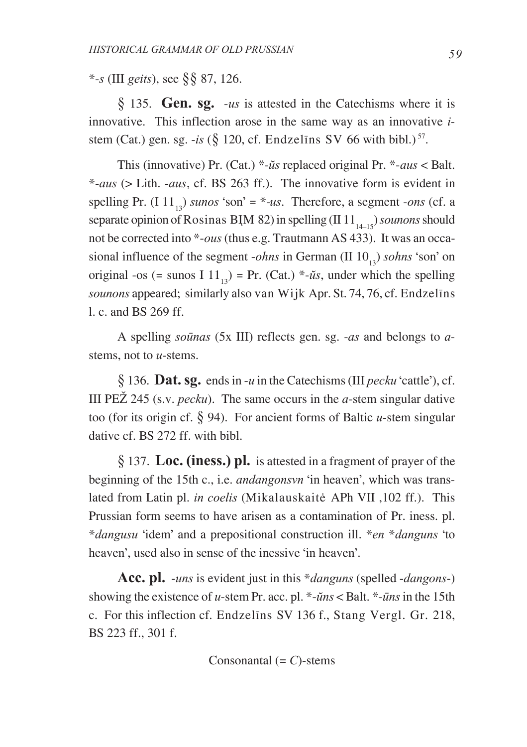\*-*s* (III *geits*), see *\*\** 87, 126.

*\** 135. **Gen. sg.** -*us* is attested in the Catechisms where it is innovative. This inflection arose in the same way as an innovative *i*stem (Cat.) gen. sg.  $-is$  ( $\S$  120, cf. Endzelins SV 66 with bibl.)<sup>57</sup>.

This (innovative) Pr. (Cat.) \*-*us* replaced original Pr. \*-*aus* < Balt. \*-*aus* (> Lith. -*aus*, cf. BS 263 ff.). The innovative form is evident in spelling Pr. (I 11<sub>12</sub>) *sunos* 'son' = \*-*us*. Therefore, a segment -*ons* (cf. a separate opinion of Rosinas BIM 82) in spelling (II 11<sub>14-15</sub>) *sounons* should not be corrected into \*-*ous* (thus e.g. Trautmann AS 433). It was an occasional influence of the segment *-ohns* in German (II 10<sub>10</sub>) *sohns* 'son' on original -os (= sunos I 11<sub>12</sub>) = Pr. (Cat.) \*- $\check{u}s$ , under which the spelling *sounons* appeared; similarly also van Wijk Apr. St. 74, 76, cf. Endzelîns l. c. and BS 269 ff.

A spelling *soûnas* (5x III) reflects gen. sg. -*as* and belongs to *a*stems, not to *u*-stems.

*\** 136. **Dat. sg.** ends in -*u* in the Catechisms (III *pecku* 'cattle'), cf. III PEZ 245 (s.v. *pecku*). The same occurs in the *a*-stem singular dative too (for its origin cf. *\** 94). For ancient forms of Baltic *u*-stem singular dative cf. BS 272 ff. with bibl.

*\** 137. **Loc. (iness.) pl.** is attested in a fragment of prayer of the beginning of the 15th c., i.e. *andangonsvn* 'in heaven', which was translated from Latin pl. *in coelis* (Mikalauskaitë APh VII ,102 ff.). This Prussian form seems to have arisen as a contamination of Pr. iness. pl. \**dangusu* 'idem' and a prepositional construction ill. \**en* \**danguns* 'to heaven', used also in sense of the inessive 'in heaven'.

**Acc. pl.** -*uns* is evident just in this \**danguns* (spelled -*dangons*-) showing the existence of *u*-stem Pr. acc. pl.  $*$ - $\tilde{u}$ ns < Balt.  $*$ - $\tilde{u}$ ns in the 15th c. For this inflection cf. Endzelîns SV 136 f., Stang Vergl. Gr. 218, BS 223 ff., 301 f.

Consonantal (= *C*)-stems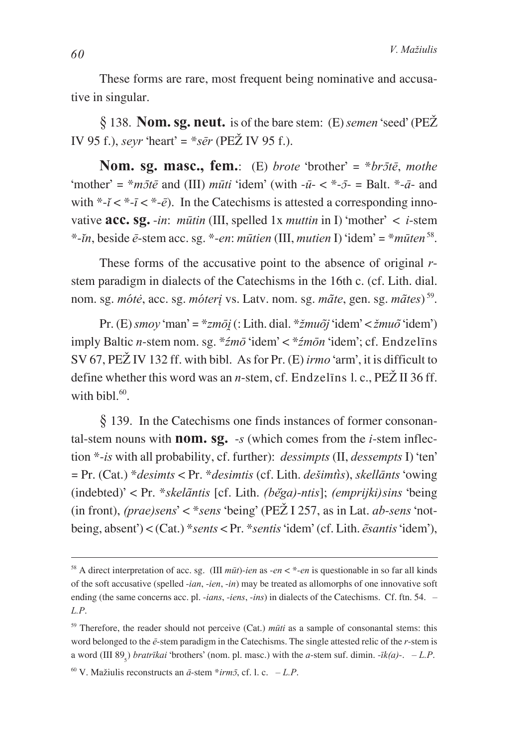These forms are rare, most frequent being nominative and accusative in singular.

§ 138. Nom. sg. neut. is of the bare stem:  $(E)$  semen 'seed' (PEZ IV 95 f.), sevr 'heart' =  $*_{S\bar{e}r}$  (PEŽ IV 95 f.).

**Nom. sg. masc., fem.**: (E) *brote* 'brother' =  $*br\bar{t}\bar{e}$ , mothe 'mother' =  $*_{m}5t\bar{e}$  and (III) *mūti* 'idem' (with  $-\bar{u} - \langle *_{-\bar{2}} - \text{Balt.} *_{-\bar{a}} - \text{and}$ with \*- $\tilde{i} < \tilde{i} < \tilde{j} < \tilde{j} < \tilde{k}$  . In the Catechisms is attested a corresponding innovative **acc.** sg. -in: mūtin (III, spelled 1x muttin in I) 'mother'  $\lt$  i-stem \*-*in*, beside  $\bar{e}$ -stem acc. sg. \*-en: mūtien (III, mutien I) 'idem' = \*mūten<sup>58</sup>.

These forms of the accusative point to the absence of original  $r$ stem paradigm in dialects of the Catechisms in the 16th c. (cf. Lith. dial. nom. sg. mótė, acc. sg. móterį vs. Latv. nom. sg. mãte, gen. sg. mãtes)<sup>59</sup>.

Pr. (E) smov 'man' = \*zmōi (: Lith. dial. \*žmuōj 'idem' < žmuō 'idem') imply Baltic *n*-stem nom. sg. \**źmō* 'idem' < \**źmōn* 'idem'; cf. Endzelins SV 67, PEŽ IV 132 ff. with bibl. As for Pr. (E) *irmo* 'arm', it is difficult to define whether this word was an *n*-stem, cf. Endzelins 1. c.,  $PEZII$  36 ff. with  $\frac{1}{100}$  60

 $\S$  139. In the Catechisms one finds instances of former consonantal-stem nouns with **nom. sg.**  $-s$  (which comes from the *i*-stem inflection  $*$ -is with all probability, cf. further): *dessimpts* (II, *dessempts* I) 'ten'  $= Pr. (Cat.) * desimts < Pr. * desimtis (cf. Lith. dešimtis), skellānts 'owing$ (indebted)' < Pr. \*skel $\tilde{a}$ ntis [cf. Lith. *(běga)-ntis*]; *(emprijki)sins* 'being (in front), (prae)sens'  $\lt$  \*sens 'being' (PEŽ I 257, as in Lat. ab-sens 'notbeing, absent') < (Cat.) \* sents < Pr. \* sentis 'idem' (cf. Lith.  $\tilde{e}$ santis 'idem'),

<sup>&</sup>lt;sup>58</sup> A direct interpretation of acc. sg. (III  $m\bar{u}t$ )-ien as -en < \*-en is questionable in so far all kinds of the soft accusative (spelled -ian, -ien, -in) may be treated as allomorphs of one innovative soft ending (the same concerns acc. pl. -ians, -iens, -ins) in dialects of the Catechisms. Cf. ftn. 54. - $L.P.$ 

 $59$  Therefore, the reader should not perceive (Cat.) *mūti* as a sample of consonantal stems: this word belonged to the  $\bar{e}$ -stem paradigm in the Catechisms. The single attested relic of the r-stem is a word (III 89<sub>5</sub>) *bratrīkai* 'brothers' (nom. pl. masc.) with the *a*-stem suf. dimin.  $-i k(a) - L.P$ .

<sup>&</sup>lt;sup>60</sup> V. Mažiulis reconstructs an  $\bar{a}$ -stem \**irm* $\bar{c}$ , cf. l. c. - L.P.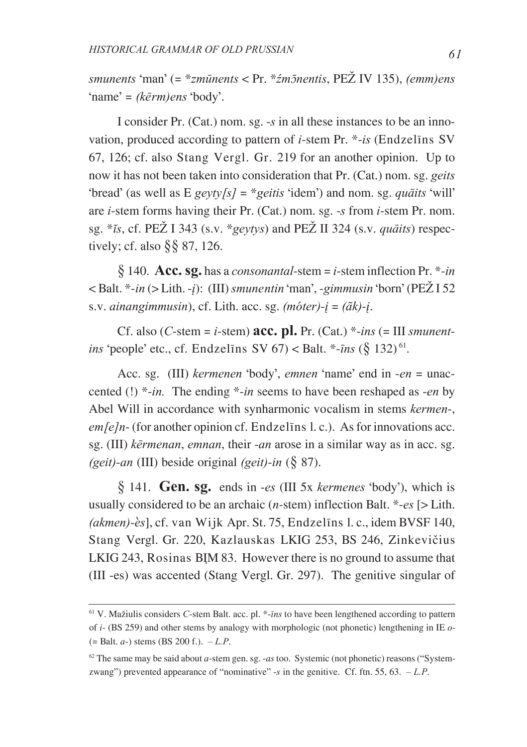smunents 'man' (=  $*zm\bar{u}$ nents < Pr.  $*zm\bar{z}$ nentis, PEŽ IV 135), (emm)ens 'name' =  $(k\bar{e}rm)ens$  'body'.

I consider Pr. (Cat.) nom. sg.  $-s$  in all these instances to be an innovation, produced according to pattern of *i*-stem Pr.  $*$ -*is* (Endzelins SV) 67, 126; cf. also Stang Vergl. Gr. 219 for an another opinion. Up to now it has not been taken into consideration that Pr. (Cat.) nom. sg. geits 'bread' (as well as E geyty/s] = \*geitis 'idem') and nom. sg. qualits 'will' are *i*-stem forms having their Pr. (Cat.) nom. sg.  $-s$  from *i*-stem Pr. nom. sg. \**is*, cf. PEŽ I 343 (s.v. \**gevtvs*) and PEŽ II 324 (s.v. *quatits*) respectively; cf. also  $\S$  87, 126.

§ 140. Acc. sg. has a *consonantal*-stem = *i*-stem inflection Pr. \*-*in*  $\langle$  Balt. \*-in (> Lith. -i): (III) smunentin 'man', -gimmusin 'born' (PE $\check{Z}$  I 52 s.v. ainangimmusin), cf. Lith. acc. sg. (móter)- $i = (\tilde{a}k)$ - $i$ .

Cf. also (*C*-stem = *i*-stem) **acc. pl.** Pr. (Cat.) \*-*ins* (= III *smunent*ins 'people' etc., cf. Endzelins SV  $67$ ) < Balt. \*-*ins* (§ 132)<sup>61</sup>.

Acc. sg. (III) kermenen 'body', emnen 'name' end in  $-en =$ unaccented (!) \*-in. The ending \*-in seems to have been reshaped as -en by Abel Will in accordance with synharmonic vocalism in stems kermen-,  $em$ [e]n- (for another opinion cf. Endzelins 1, c.). As for innovations acc. sg. (III) kermenan, emnan, their -an arose in a similar way as in acc. sg. (geit)-an (III) beside original (geit)-in  $(\S 87)$ .

§ 141. Gen. sg. ends in -es (III 5x kermenes 'body'), which is usually considered to be an archaic (*n*-stem) inflection Balt. \*-es [> Lith. (akmen)-ès], cf. van Wijk Apr. St. 75, Endzelins 1. c., idem BVSF 140, Stang Vergl. Gr. 220, Kazlauskas LKIG 253, BS 246, Zinkevičius LKIG 243, Rosinas BIM 83. However there is no ground to assume that (III -es) was accented (Stang Vergl. Gr. 297). The genitive singular of

 $61$  V. Mažiulis considers C-stem Balt. acc. pl.  $*$ -*īns* to have been lengthened according to pattern of  $i$ - (BS 259) and other stems by analogy with morphologic (not phonetic) lengthening in IE  $o$ - $(=$  Balt.  $a$ -) stems (BS 200 f.).  $-L.P$ .

 $62$  The same may be said about a-stem gen. sg. - as too. Systemic (not phonetic) reasons ("Systemzwang") prevented appearance of "nominative" -s in the genitive. Cf. ftn. 55, 63.  $-L.P$ .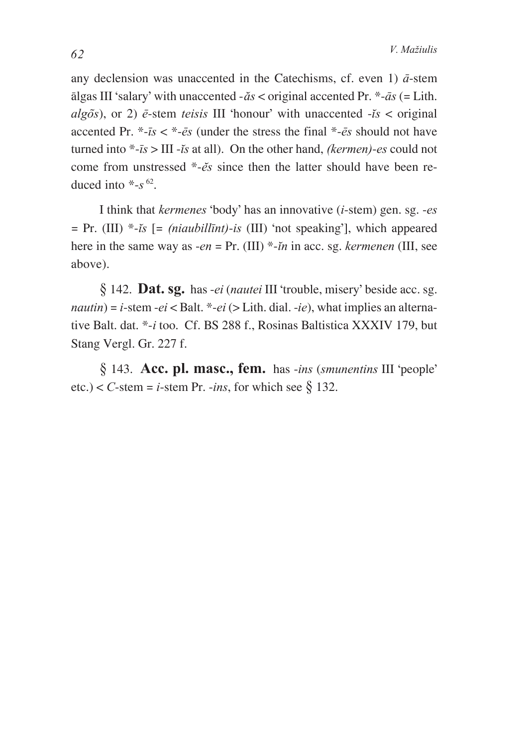any declension was unaccented in the Catechisms, cf. even 1)  $\bar{a}$ -stem algas III 'salary' with unaccented -  $\tilde{a}s$  < original accented Pr. \*- $\tilde{a}s$  (= Lith. algos), or 2)  $\bar{e}$ -stem *teisis* III 'honour' with unaccented -is < original accented Pr. \*- $\bar{i}s <$ \*- $\bar{e}s$  (under the stress the final \*- $\bar{e}s$  should not have turned into  $*$ -*is* > III -*is* at all). On the other hand, *(kermen)*-*es* could not come from unstressed  $*$ - $\check{e}s$  since then the latter should have been reduced into  $*-s$ <sup>62</sup>.

I think that *kermenes* 'body' has an innovative  $(i\text{-stem})$  gen. sg. -es = Pr. (III)  $*$ -*is*  $[$  = *(niaubillint)*-*is* (III) 'not speaking'], which appeared here in the same way as  $-en = Pr$ . (III) \*-*in* in acc. sg. *kermenen* (III, see above).

§ 142. Dat. sg. has *-ei* (*nautei* III 'trouble, misery' beside acc. sg. *nautin*) = *i*-stem -*ei* < Balt. \*-*ei* (> Lith. dial. -*ie*), what implies an alternative Balt. dat. \*-*i* too. Cf. BS 288 f., Rosinas Baltistica XXXIV 179, but Stang Vergl. Gr. 227 f.

§ 143. Acc. pl. masc., fem. has -ins (smunentins III 'people' etc.) < C-stem = *i*-stem Pr. -*ins*, for which see  $\S$  132.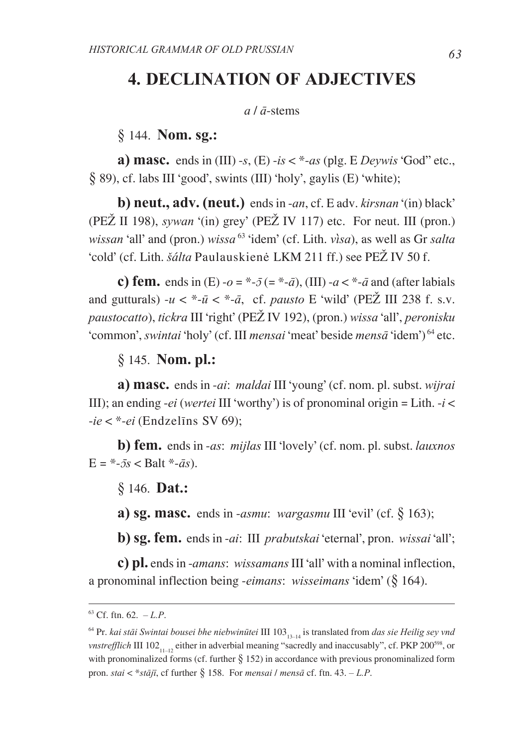## **4. DECLINATION OF ADJECTIVES**

 $a/\bar{a}$ -stems

§ 144. Nom. sg.:

a) masc. ends in (III) -s, (E) -is  $\lt^*$ -as (plg. E Deywis 'God" etc.,  $\S$  89), cf. labs III 'good', swints (III) 'holy', gaylis (E) 'white);

b) neut.,  $adv.$  (neut.) ends in -an, cf. E adv.  $kirsnan$  '(in) black' (PEŽ II 198), *sywan* '(in) grey' (PEŽ IV 117) etc. For neut. III (pron.) wissan 'all' and (pron.) wissa<sup>63</sup> 'idem' (cf. Lith. vìsa), as well as Gr salta 'cold' (cf. Lith. šálta Paulauskienė LKM 211 ff.) see PEŽ IV 50 f.

c) fem. ends in (E) - $o = *$ - $\bar{0} (= *$ - $\bar{a}$ ), (III) - $a < *$ - $\bar{a}$  and (after labials and gutturals)  $-u < *-\bar{u} < *-\bar{a}$ , cf. *pausto* E 'wild' (PEŽ III 238 f. s.v. paustocatto), tickra III 'right' (PEŽ IV 192), (pron.) wissa 'all', peronisku 'common', swintai 'holy' (cf. III mensai 'meat' beside mensa 'idem')<sup>64</sup> etc.

§ 145. Nom. pl.:

a) masc. ends in -*ai*: *maldai* III 'young' (cf. nom. pl. subst. *wijrai* III); an ending *-ei* (*wertei* III 'worthy') is of pronominal origin = Lith.  $-i$  $-ie < *-ei$  (Endzelins SV 69);

b) fem. ends in -as: miilas III 'lovely' (cf. nom. pl. subst. lauxnos  $E = *-5s <$ Balt  $*-a s$ ).

 $§ 146.$  **Dat.:** 

a) sg. masc. ends in *-asmu*: *wargasmu* III 'evil' (cf.  $\S$  163);

**b)** sg. fem. ends in *-ai*: III *prabutskai* 'eternal', pron. *wissai* 'all';

c) pl. ends in *-amans*: wissamans III 'all' with a nominal inflection, a pronominal inflection being *-eimans*: *wisseimans* 'idem'  $(\S$  164).

 $63$  Cf. ftn. 62.  $-L.P$ .

<sup>&</sup>lt;sup>64</sup> Pr. kai stāi Swintai bousei bhe niebwinūtei III 103<sub>13-14</sub> is translated from das sie Heilig sey vnd *vnstrefflich* III 102<sub>11</sub>, either in adverbial meaning "sacredly and inaccusably", cf. PKP 200<sup>598</sup>, or with pronominalized forms (cf. further  $\S$  152) in accordance with previous pronominalized form pron. stai < \* stājī, cf further  $\S$  158. For *mensai* / *mensā* cf. ftn. 43. - L.P.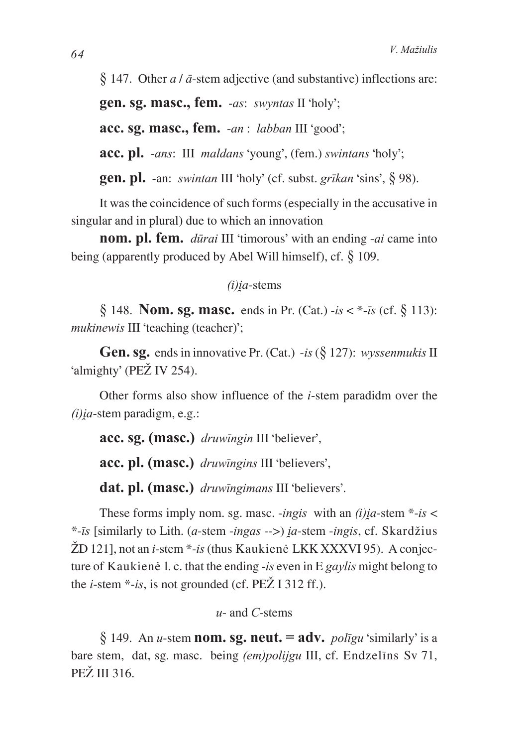$\frac{1}{2}$  147. Other *a* /  $\bar{a}$ -stem adjective (and substantive) inflections are:

**gen. sg. masc., fem.** -*as*: *swyntas* II 'holy';

**acc. sg. masc., fem.** -*an* : *labban* III 'good';

**acc. pl.** -*ans*: III *maldans* 'young', (fem.) *swintans* 'holy';

**gen. pl.** -an: *swintan* III 'holy' (cf. subst. *grîkan* 'sins', *\** 98).

It was the coincidence of such forms (especially in the accusative in singular and in plural) due to which an innovation

**nom. pl. fem.** *dûrai* III 'timorous' with an ending -*ai* came into being (apparently produced by Abel Will himself), cf. *\** 109.

### *(i)Ùa*-stems

*\** 148. **Nom. sg. masc.** ends in Pr. (Cat.) -*is* < \*-*îs* (cf. *\** 113): *mukinewis* III 'teaching (teacher)';

**Gen. sg.** ends in innovative Pr. (Cat.) -*is* (*\** 127): *wyssenmukis* II 'almighty' (PEŽ IV 254).

Other forms also show influence of the *i*-stem paradidm over the  $(i)$ *ia*-stem paradigm, e.g.:

**acc. sg. (masc.)** *druwîngin* III 'believer',

**acc. pl. (masc.)** *druwîngins* III 'believers',

**dat. pl. (masc.)** *druwîngimans* III 'believers'.

These forms imply nom. sg. masc. -*ingis* with an  $(i)$ *ia*-stem  $*$ -*is* < \*-*îs* [similarly to Lith. (*a*-stem -*ingas* -->) *Ùa*-stem -*ingis*, cf. Skardþius ÞD 121], not an *i*-stem \*-*is* (thus Kaukienë LKK XXXVI 95). A conjecture of Kaukienë l. c. that the ending -*is* even in E *gaylis* might belong to the *i*-stem  $*$ -*is*, is not grounded (cf. PE $\check{Z}$  I 312 ff.).

*u*- and *C*-stems

 $\frac{1}{2}$  149. An *u*-stem **nom. sg. neut.** = **adv.** *poligu* 'similarly' is a bare stem, dat, sg. masc. being *(em)polijgu* III, cf. Endzelîns Sv 71, PEŽ III 316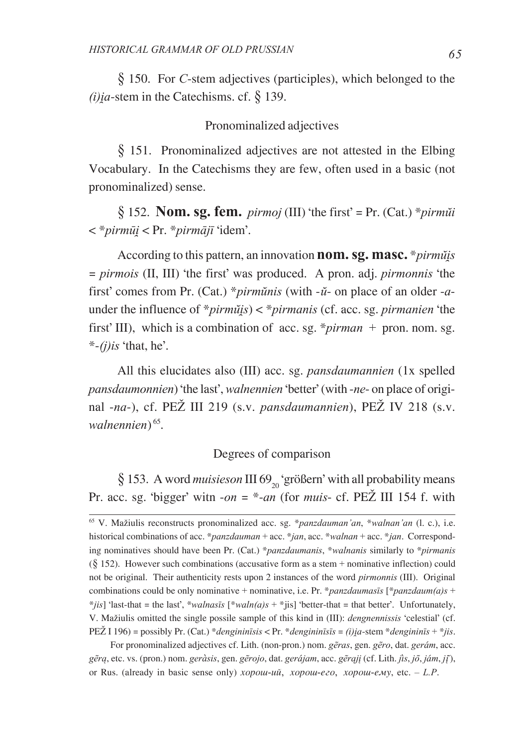*\** 150. For *C*-stem adjectives (participles), which belonged to the  $(i)$ *ia*-stem in the Catechisms. cf.  $\frac{1}{2}$  139.

### Pronominalized adjectives

*\** 151. Pronominalized adjectives are not attested in the Elbing Vocabulary. In the Catechisms they are few, often used in a basic (not pronominalized) sense.

*\** 152. **Nom. sg. fem.** *pirmoj* (III) 'the first' = Pr. (Cat.) \**pirmui ‹* < \**pirmûÙ* < Pr. \**pirm`jî* 'idem'.

According to this pattern, an innovation **nom. sg. masc.** \**pirmulis* = *pirmois* (II, III) 'the first' was produced. A pron. adj. *pirmonnis* 'the first' comes from Pr. (Cat.) \**pirmunis* (with  $-i\tilde{\iota}$ - on place of an older  $-a$ under the influence of  $**primüis*$   $\lt$   $**primanis*$  (cf. acc. sg. *pirmanien* 'the first' III), which is a combination of acc. sg. \**pirman* + pron. nom. sg. \*-*(j)is* 'that, he'.

All this elucidates also (III) acc. sg. *pansdaumannien* (1x spelled *pansdaumonnien*) 'the last', *walnennien* 'better' (with -*ne*- on place of original -na-), cf. PEŽ III 219 (s.v. *pansdaumannien*), PEŽ IV 218 (s.v. walnennien)<sup>65</sup>.

### Degrees of comparison

§ 153. A word *muisieson* III 69<sub>20</sub> 'größern' with all probability means Pr. acc. sg. 'bigger' witn  $\text{-}on = \text{*_-}an$  (for *muis*- cf. PE $\text{Z}$  III 154 f. with

For pronominalized adjectives cf. Lith. (non-pron.) nom. *geras*, gen. *gero*, dat. *geram*, acc. *gerà …* , etc. vs. (pron.) nom. *ger\$sis*, gen. *gerojo …* , dat. *ger³jam*, acc. *geràjá …* (cf. Lith. *jÑs*, *jõ*, *j³m*, *j…á*), or Rus. (already in basic sense only) *xopou-uũ*, *xopou-ezo*, *xopou-emy*, etc. – *L.P.* 

<sup>&</sup>lt;sup>65</sup> V. Mažiulis reconstructs pronominalized acc. sg. \**panzdauman'an*, \*walnan'an (l. c.), i.e. historical combinations of acc. \**panzdauman* + acc. \**jan*, acc. \**walnan* + acc. \**jan*. Corresponding nominatives should have been Pr. (Cat.) \**panzdaumanis*, \**walnanis* similarly to \**pirmanis* (*\** 152). However such combinations (accusative form as a stem + nominative inflection) could not be original. Their authenticity rests upon 2 instances of the word *pirmonnis* (III). Original combinations could be only nominative + nominative, i.e. Pr. \**panzdaumasîs* [\**panzdaum(a)s* + \**jis*] 'last-that = the last', \**walnasîs* [\**waln(a)s* + \*jis] 'better-that = that better'. Unfortunately, V. Mažiulis omitted the single possile sample of this kind in (III): *dengnennissis* 'celestial' (cf. PEÞ I 196) = possibly Pr. (Cat.) \**dengininîsis* < Pr. \**dengininîsîs* = *(i)Ùa*-stem \**dengininîs* + \**jis*.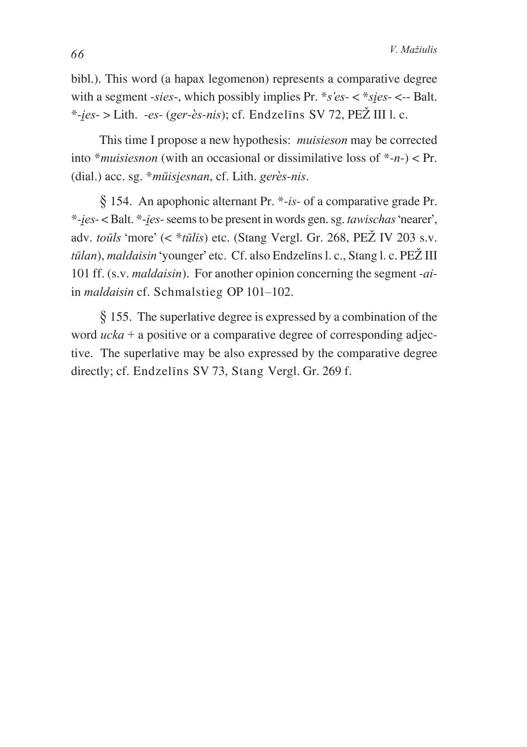bibl.). This word (a hapax legomenon) represents a comparative degree with a segment -sies-, which possibly implies Pr.  $*s'es - < *sies - < -$  Balt. \*-ies- > Lith. -es- (ger-ès-nis); cf. Endzelins SV 72, PEŽ III l. c.

This time I propose a new hypothesis: *muisieson* may be corrected into \**muisiesnon* (with an occasional or dissimilative loss of \*- $n$ -) < Pr. (dial.) acc. sg. \*mūisiesnan, cf. Lith. gerès-nis.

§ 154. An apophonic alternant Pr.  $*-is$ - of a comparative grade Pr. \*-ies- < Balt. \*-ies- seems to be present in words gen. sg. tawischas 'nearer', adv. toūls 'more' (< \*tūlis) etc. (Stang Vergl. Gr. 268, PEŽ IV 203 s.v. tūlan), maldaisin 'younger' etc. Cf. also Endzelīns l. c., Stang l. c. PEŽ III 101 ff. (s.v. *maldaisin*). For another opinion concerning the segment -*ai*in *maldaisin* cf. Schmalstieg OP 101-102.

 $\S$  155. The superlative degree is expressed by a combination of the word  $ucka + a$  positive or a comparative degree of corresponding adjective. The superlative may be also expressed by the comparative degree directly; cf. Endzelins SV 73, Stang Vergl. Gr. 269 f.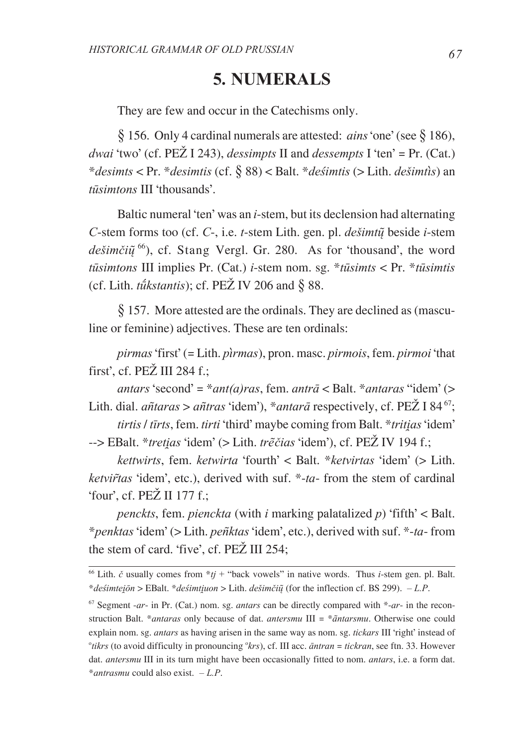## 5. NUMERALS

They are few and occur in the Catechisms only.

§ 156. Only 4 cardinal numerals are attested: *ains* 'one' (see § 186), *dwai* 'two' (cf. PE $\check{Z}$  I 243), *dessimpts* II and *dessempts* I 'ten' = Pr. (Cat.) \*desimts < Pr. \*desimtis (cf. § 88) < Balt. \*desimtis (> Lith. desimtis) an tūsimtons III 'thousands'.

Baltic numeral 'ten' was an *i*-stem, but its declension had alternating C-stem forms too (cf. C-, i.e. t-stem Lith. gen. pl. *dešimtų*̃ beside *i*-stem dešimči $\tilde{u}^{66}$ , cf. Stang Vergl. Gr. 280. As for 'thousand', the word *tūsimtons* III implies Pr. (Cat.) *i*-stem nom. sg. \**tūsimts* < Pr. \**tūsimtis* (cf. Lith. *tukstantis*); cf. PEŽ IV 206 and  $\S$  88.

 $\S$  157. More attested are the ordinals. They are declined as (masculine or feminine) adjectives. These are ten ordinals:

*pirmas* 'first' (= Lith. *pirmas*), pron. masc. *pirmois*, fem. *pirmoi* 'that first', cf.  $PEZ III 284 f$ .:

antars 'second' =  $*ant(a)ras$ , fem. antrā < Balt. \* antaras "idem' (> Lith. dial. antaras > antras 'idem'), \*antara respectively, cf. PEŽ I 84<sup>67</sup>; tirtis / tīrts, fem. tirti 'third' maybe coming from Balt. \*tritias 'idem'

--> EBalt. \*tretias 'idem' (> Lith. trēčias 'idem'), cf. PEŽ IV 194 f.;

kettwirts, fem. ketwirta 'fourth' < Balt. \*ketvirtas 'idem' (> Lith. ketvirtas 'idem', etc.), derived with suf. \*-ta- from the stem of cardinal 'four', cf. PEŽ II 177 f.;

*penckts*, fem. *pienckta* (with *i* marking palatalized *p*) 'fifth' < Balt. *\*penktas* 'idem' (> Lith. *peñktas* 'idem', etc.), derived with suf. \*-ta-from the stem of card. 'five', cf. PEŽ III 254:

<sup>&</sup>lt;sup>66</sup> Lith.  $\check{c}$  usually comes from  $* t j +$  "back vowels" in native words. Thus *i*-stem gen. pl. Balt. \*desimteiōn > EBalt. \*desimtiuon > Lith. desimči $\tilde{u}$  (for the inflection cf. BS 299). -L.P.

<sup>&</sup>lt;sup>67</sup> Segment -ar- in Pr. (Cat.) nom. sg. antars can be directly compared with \*-ar- in the reconstruction Balt. \* *antaras* only because of dat. *antersmu* III = \*  $\tilde{a}$ *ntarsmu*. Otherwise one could explain nom. sg. *antars* as having arisen in the same way as nom. sg. *tickars* III 'right' instead of *etikrs* (to avoid difficulty in pronouncing  $\mathcal{C}_{krs}$ ), cf. III acc. *āntran* = tickran, see ftn. 33. However dat. antersmu III in its turn might have been occasionally fitted to nom. antars, i.e. a form dat. \**antrasmu* could also exist.  $-L.P$ .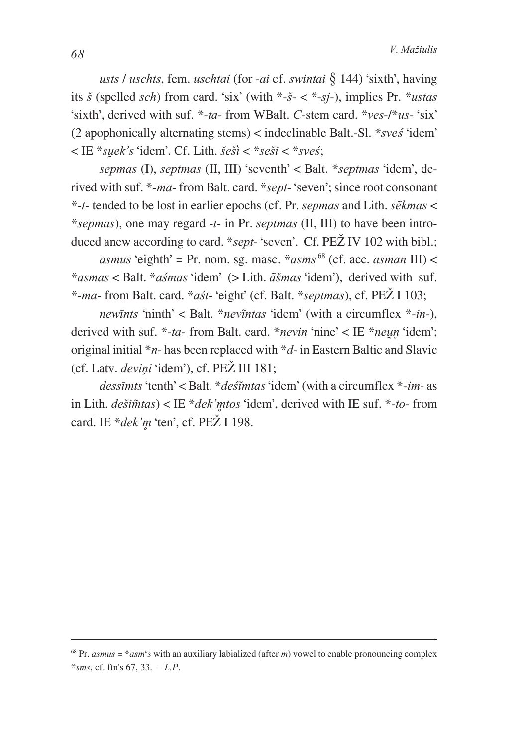usts / uschts, fem. uschtai (for -ai cf. swintai  $\frac{1}{2}$  144) 'sixth', having its  $\check{s}$  (spelled *sch*) from card. 'six' (with \*- $\check{s}$ - $\lt$  \*- $sj$ -), implies Pr. \**ustas* 'sixth', derived with suf. \*-ta- from WBalt. C-stem card. \*ves-/\*us- 'six' (2 apophonically alternating stems) < indeclinable Balt.-Sl.  $*<sub>s</sub> \vee <sub>s</sub>$  'idem'  $\leq$  IE \*suek's 'idem'. Cf. Lith.  $\check{s}e\check{s}i \leq$  \*sest  $\leq$  \*svest.

sepmas (I), septmas (II, III) 'seventh' < Balt. \*septmas 'idem', derived with suf. \*-ma-from Balt. card. \*sept-'seven'; since root consonant \*-t- tended to be lost in earlier epochs (cf. Pr. sepmas and Lith. sekmas < \*sepmas), one may regard -t- in Pr. septmas (II, III) to have been introduced anew according to card. \*sept-'seven'. Cf. PEŽ IV 102 with bibl.;

asmus 'eighth' = Pr. nom. sg. masc.  $*_{\text{asms}}$ <sup>68</sup> (cf. acc. asman III) < \*asmas < Balt. \*asmas 'idem' (> Lith.  $\tilde{a}$ smas 'idem'), derived with suf. \*-ma- from Balt. card. \*ast-'eight' (cf. Balt. \*septmas), cf. PEŽ I 103;

*newints* 'ninth' < Balt. \**nevintas* 'idem' (with a circumflex \*-in-), derived with suf. \*-ta- from Balt. card. \*nevin 'nine' < IE \*neun 'idem'; original initial  $*_n$ - has been replaced with  $*_d$ - in Eastern Baltic and Slavic (cf. Latv. devini 'idem'), cf. PEŽ III 181;

*dessimts* 'tenth' < Balt. \**desimtas* 'idem' (with a circumflex \*-*im*- as in Lith.  $dešimtas$ ) < IE \* $dek'mtos$  'idem', derived with IE suf. \*-to-from card. IE  $*dek'm$  'ten', cf. PEŽ I 198.

<sup>&</sup>lt;sup>68</sup> Pr. *asmus* =  $*$ *asm<sup>u</sup>s* with an auxiliary labialized (after *m*) vowel to enable pronouncing complex \*sms, cf. ftn's 67, 33,  $-L.P$ .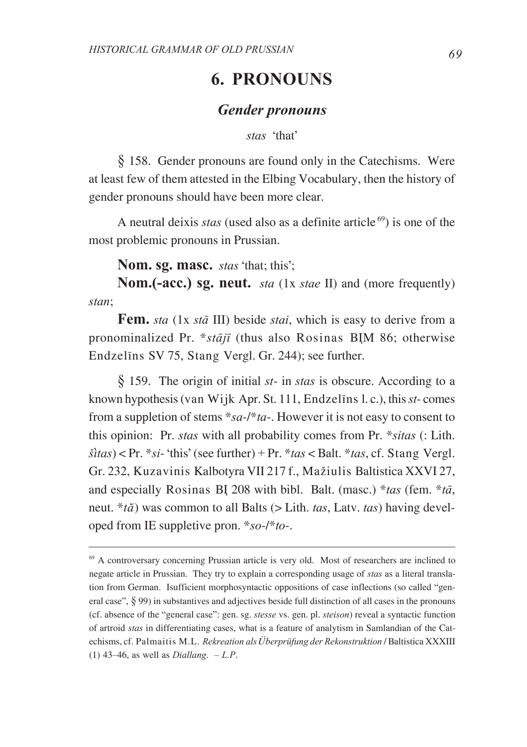# **6. PRONOUNS**

## *Gender pronouns*

*stas* 'that'

*\** 158. Gender pronouns are found only in the Catechisms. Were at least few of them attested in the Elbing Vocabulary, then the history of gender pronouns should have been more clear.

A neutral deixis *stas* (used also as a definite article<sup>69</sup>) is one of the most problemic pronouns in Prussian.

**Nom. sg. masc.** *stas* 'that; this';

**Nom.(-acc.) sg. neut.** *sta* (1x *stae* II) and (more frequently) *stan*;

**Fem.** *sta* (1x *sta* III) beside *stai*, which is easy to derive from a pronominalized Pr. \**stājī* (thus also Rosinas BIM 86; otherwise Endzelîns SV 75, Stang Vergl. Gr. 244); see further.

*\** 159. The origin of initial *st*- in *stas* is obscure. According to a known hypothesis (van Wijk Apr. St. 111, Endzelîns l. c.), this *st*- comes from a suppletion of stems \**sa*-/\**ta*-. However it is not easy to consent to this opinion: Pr. *stas* with all probability comes from Pr. \**sitas* (: Lith. *ðÑtas*) < Pr. \**si*- 'this' (see further) + Pr. \**tas* < Balt. \**tas*, cf. Stang Vergl. Gr. 232, Kuzavinis Kalbotyra VII 217 f., Mažiulis Baltistica XXVI 27, and especially Rosinas BI 208 with bibl. Balt. (masc.)  $*$ *tas* (fem.  $*$ *tā*, neut. \**t* $\check{a}$ ) was common to all Balts (> Lith. *tas*, Latv. *tas*) having developed from IE suppletive pron. \**so*-/\**to*-.

<sup>&</sup>lt;sup>69</sup> A controversary concerning Prussian article is very old. Most of researchers are inclined to negate article in Prussian. They try to explain a corresponding usage of *stas* as a literal translation from German. Isufficient morphosyntactic oppositions of case inflections (so called "general case",  $\frac{8}{99}$  in substantives and adjectives beside full distinction of all cases in the pronouns (cf. absence of the "general case": gen. sg. *stesse* vs. gen. pl. *steison*) reveal a syntactic function of artroid *stas* in differentiating cases, what is a feature of analytism in Samlandian of the Catechisms, cf. Palmaitis M.L. *Rekreation als Überprüfung der Rekonstruktion* / Baltistica XXXIII (1) 43–46, as well as *Diallang*. – *L.P*.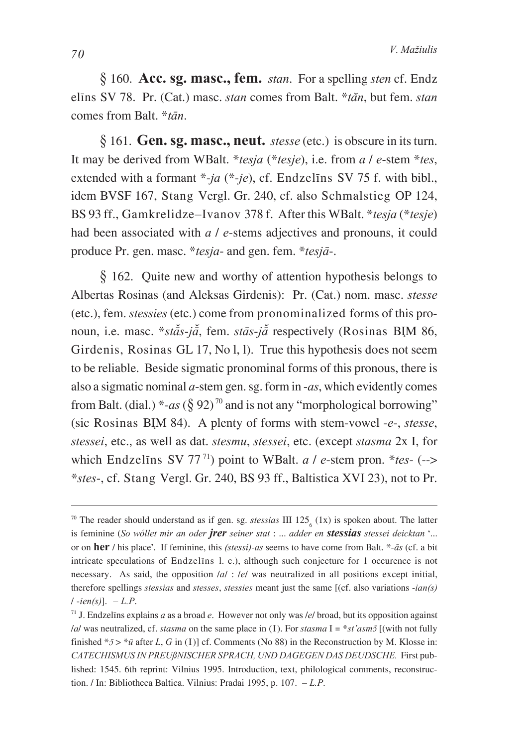*\** 160. **Acc. sg. masc., fem.** *stan*. For a spelling *sten* cf. Endz elîns SV 78. Pr. (Cat.) masc. *stan* comes from Balt. \**tan‹* , but fem. *stan* comes from Balt. \**tān*.

*\** 161. **Gen. sg. masc., neut.** *stesse* (etc.) is obscure in its turn. It may be derived from WBalt. \**tesja* (\**tesje*), i.e. from *a* / *e*-stem \**tes*, extended with a formant \*-*ja* (\*-*je*), cf. Endzelîns SV 75 f. with bibl., idem BVSF 167, Stang Vergl. Gr. 240, cf. also Schmalstieg OP 124, BS 93 ff., Gamkrelidze–Ivanov 378 f. After this WBalt. \**tesja* (\**tesje*) had been associated with *a* / *e*-stems adjectives and pronouns, it could produce Pr. gen. masc. \**tesja*- and gen. fem. \**tesjā*-.

*\** 162. Quite new and worthy of attention hypothesis belongs to Albertas Rosinas (and Aleksas Girdenis): Pr. (Cat.) nom. masc. *stesse* (etc.), fem. *stessies* (etc.) come from pronominalized forms of this pronoun, i.e. masc. \**stãs-jā*, fem. *stās-jā* respectively (Rosinas BIM 86, Girdenis, Rosinas GL 17, No l, l). True this hypothesis does not seem to be reliable. Beside sigmatic pronominal forms of this pronous, there is also a sigmatic nominal *a*-stem gen. sg. form in -*as*, which evidently comes from Balt. (dial.)  $*$ -*as* ( $\frac{6}{92}$ )<sup>70</sup> and is not any "morphological borrowing" (sic Rosinas BIM 84). A plenty of forms with stem-vowel -*e*-, *stesse*, *stessei*, etc., as well as dat. *stesmu*, *stessei*, etc. (except *stasma* 2x I, for which Endzelîns SV 77 71) point to WBalt. *a* / *e*-stem pron. \**tes*- (--> \**stes*-, cf. Stang Vergl. Gr. 240, BS 93 ff., Baltistica XVI 23), not to Pr.

<sup>&</sup>lt;sup>70</sup> The reader should understand as if gen. sg. *stessias* III  $125<sub>6</sub>$  (1x) is spoken about. The latter is feminine (*So wollet mir an oder jrer seiner stat : ... adder en stessias stessei deicktan '...* or on **her** / his place'. If feminine, this *(stessi)*-*as* seems to have come from Balt. \*-*ās* (cf. a bit intricate speculations of Endzelîns l. c.), although such conjecture for 1 occurence is not necessary. As said, the opposition /*a*/ : /*e*/ was neutralized in all positions except initial, therefore spellings *stessias* and *stesses*, *stessies* meant just the same [(cf. also variations -*ian(s)* / -*ien(s)*]. – *L.P*.

<sup>71</sup> J. Endzelîns explains *a* as a broad *e*. However not only was /*e*/ broad, but its opposition against */a/* was neutralized, cf. *stasma* on the same place in (I). For *stasma* I = \**st'asm* $\bar{J}$  [(with not fully finished  $* \bar{\sigma} > * \bar{u}$  after *L*, *G* in (I)] cf. Comments (No 88) in the Reconstruction by M. Klosse in: *CATECHISMUS IN PREUßNISCHER SPRACH, UND DAGEGEN DAS DEUDSCHE.* First published: 1545. 6th reprint: Vilnius 1995. Introduction, text, philological comments, reconstruction. / In: Bibliotheca Baltica. Vilnius: Pradai 1995, p. 107. – *L.P*.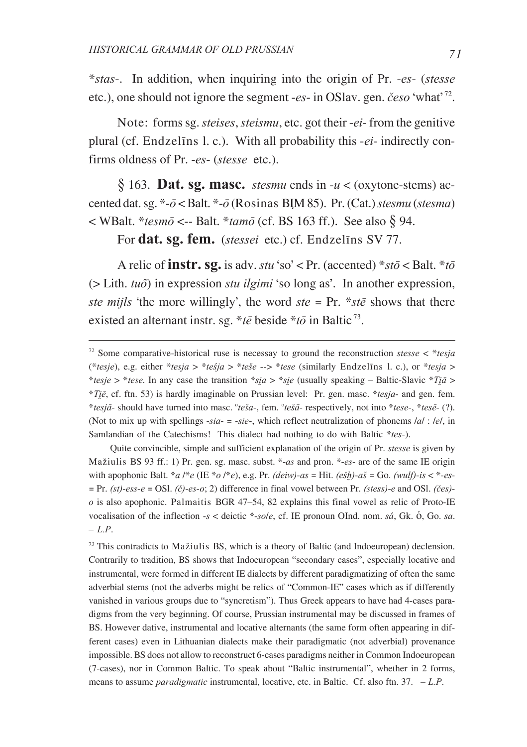\*stas-. In addition, when inquiring into the origin of Pr. -es- (stesse etc.), one should not ignore the segment -es- in OSlav. gen. česo 'what'<sup>72</sup>.

Note: forms sg. *steises*, *steismu*, etc. got their -ei-from the genitive plural (cf. Endzelins 1, c.). With all probability this -ei- indirectly confirms oldness of Pr. -es- (stesse etc.).

§ 163. Dat. sg. masc. *stesmu* ends in  $-u <$  (oxytone-stems) accented dat. sg.  $*- \bar{o} <$ Balt.  $*- \bar{o}$  (Rosinas BIM 85). Pr. (Cat.) *stesmu* (*stesma*) < WBalt. \* tesmō <-- Balt. \* tamō (cf. BS 163 ff.). See also § 94.

For dat. sg. fem. (stessei etc.) cf. Endzelins SV 77.

A relic of **instr. sg.** is adv.  $stu$  'so' < Pr. (accented) \* $st\bar{o}$  < Balt. \* $t\bar{o}$ ( $>$ Lith. tuõ) in expression *stu ilgimi* 'so long as'. In another expression, ste mijls 'the more willingly', the word ste = Pr. \*ste shows that there existed an alternant instr. sg. \* $t\bar{e}$  beside \* $t\bar{o}$  in Baltic<sup>73</sup>.

Quite convincible, simple and sufficient explanation of the origin of Pr. stesse is given by Mažiulis BS 93 ff.: 1) Pr. gen. sg. masc. subst. \*-as and pron. \*-es- are of the same IE origin with apophonic Balt. \* a /\*e (IE \*o /\*e), e.g. Pr. (deiw)-as = Hit. (ešh)-aš = Go. (wulf)-is < \*-es-= Pr. (st)-ess-e = OS1. (č)-es-o; 2) difference in final vowel between Pr. (stess)-e and OS1. (čes)- $\alpha$  is also apophonic. Palmaitis BGR 47-54, 82 explains this final vowel as relic of Proto-IE vocalisation of the inflection  $-s$  < deictic \*-sole, cf. IE pronoun OInd. nom. sá, Gk.  $\dot{\text{o}}$ , Go. sa.  $-L.P.$ 

<sup>73</sup> This contradicts to Mažiulis BS, which is a theory of Baltic (and Indoeuropean) declension. Contrarily to tradition, BS shows that Indoeuropean "secondary cases", especially locative and instrumental, were formed in different IE dialects by different paradigmatizing of often the same adverbial stems (not the adverbs might be relics of "Common-IE" cases which as if differently vanished in various groups due to "syncretism"). Thus Greek appears to have had 4-cases paradigms from the very beginning. Of course, Prussian instrumental may be discussed in frames of BS. However dative, instrumental and locative alternants (the same form often appearing in different cases) even in Lithuanian dialects make their paradigmatic (not adverbial) provenance impossible. BS does not allow to reconstruct 6-cases paradigms neither in Common Indoeuropean (7-cases), nor in Common Baltic. To speak about "Baltic instrumental", whether in 2 forms, means to assume *paradigmatic* instrumental, locative, etc. in Baltic. Cf. also ftn. 37.  $-L.P$ .

<sup>&</sup>lt;sup>72</sup> Some comparative-historical ruse is necessay to ground the reconstruction *stesse* < \**tesja* (\*tesje), e.g. either \*tesja > \*tesja > \*tese --> \*tese (similarly Endzelins 1. c.), or \*tesja > \*tesie > \*tese. In any case the transition \*sia > \*sie (usually speaking - Baltic-Slavic \*Tiā > \*Tie, cf. ftn. 53) is hardly imaginable on Prussian level: Pr. gen. masc. \*tesja- and gen. fem. \*tesjā- should have turned into masc. °teša-, fem. °tešā- respectively, not into \*tese-, \*tesē- (?). (Not to mix up with spellings -sia- = -sie-, which reflect neutralization of phonems  $\ell a$  :  $\ell e$ , in Samlandian of the Catechisms! This dialect had nothing to do with Baltic  $*$ tes-).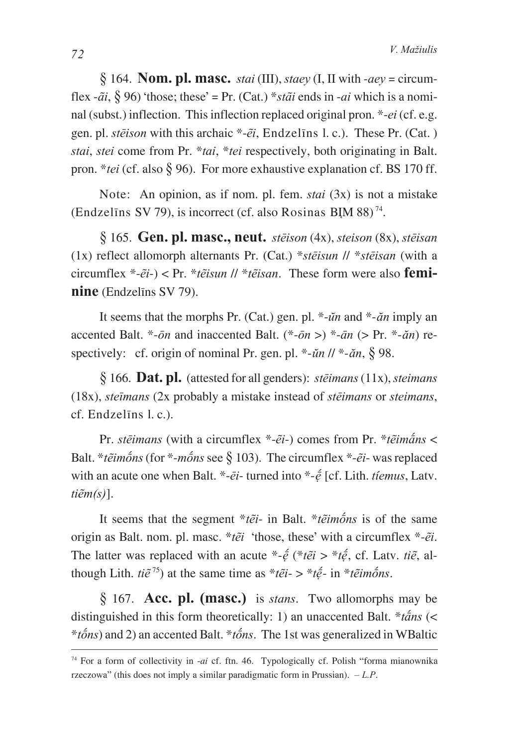§ 164. Nom. pl. masc. *stai* (III), *staev* (I, II with -*aev* = circumflex - $\tilde{a}i$ , § 96) 'those; these' = Pr. (Cat.) \*st $\tilde{a}i$  ends in -*ai* which is a nominal (subst.) inflection. This inflection replaced original pron. \*-ei (cf. e.g. gen. pl. *stētson* with this archaic \*-*et*, Endzelins 1. c.). These Pr. (Cat.) stai, stei come from Pr. \*tai, \*tei respectively, both originating in Balt. pron. \**tei* (cf. also  $\S$  96). For more exhaustive explanation cf. BS 170 ff.

Note: An opinion, as if nom. pl. fem. *stai* (3x) is not a mistake (Endzelins SV 79), is incorrect (cf. also Rosinas BIM 88)<sup>74</sup>.

§ 165. Gen. pl. masc., neut. stēison (4x), steison (8x), stēisan (1x) reflect allomorph alternants Pr. (Cat.) \*steisun  $\pi$  \*steisun (with a circumflex \*- $\tilde{e}i$ -) < Pr. \**tetsun || \*tetsan*. These form were also **femi**nine (Endzelins SV 79).

It seems that the morphs Pr. (Cat.) gen. pl.  $*$ -*ŭn* and  $*$ -*ăn* imply an accented Balt. \*- $\bar{a}n$  and inaccented Balt. (\*- $\bar{a}n$  >) \*- $\bar{a}n$  (> Pr. \*- $\bar{a}n$ ) respectively: cf. origin of nominal Pr. gen. pl.  $*$ - $\tilde{u}n$  //  $*$ - $\tilde{a}n$ , § 98.

 $\S$  166. **Dat. pl.** (attested for all genders): *stējmans* (11x), *steimans*  $(18x)$ , *stermans*  $(2x$  probably a mistake instead of *stermans* or *stermans*, cf. Endzelins l. c.).

Pr. stētmans (with a circumflex  $*-\tilde{e}i$ -) comes from Pr.  $*t\tilde{e}im\tilde{a}ns <$ Balt. \* temos for \*-mons see § 103). The circumflex \*-et- was replaced with an acute one when Balt. \*-ei- turned into \*-e [cf. Lith. *tiemus*, Latv.  $ti\tilde{e}m(s)$ ].

It seems that the segment \**te* $i$ - in Balt. \**te* $i$ *emong* is of the same origin as Balt. nom. pl. masc. \**te* $i$  'those, these' with a circumflex \*- $\tilde{e}i$ . The latter was replaced with an acute \*- $\dot{\tilde{e}}$  (\* $t\tilde{e}i > *t\tilde{e}$ , cf. Latv. ti $\tilde{e}$ , although Lith.  $ti\tilde{e}^{75}$  at the same time as \* $t\tilde{e}i \rightarrow$  \* $t\tilde{e}$ - in \* $t\tilde{e}im\tilde{o}ns$ .

 $§$  167. **Acc. pl. (masc.)** is *stans*. Two allomorphs may be distinguished in this form theoretically: 1) an unaccented Balt. \**tans* (<  $*_{t} \delta_{n}$  and 2) an accented Balt. \**tons*. The 1st was generalized in WBaltic

 $74$  For a form of collectivity in *-ai* cf. ftn. 46. Typologically cf. Polish "forma mianownika" rzeczowa" (this does not imply a similar paradigmatic form in Prussian).  $-L.P$ .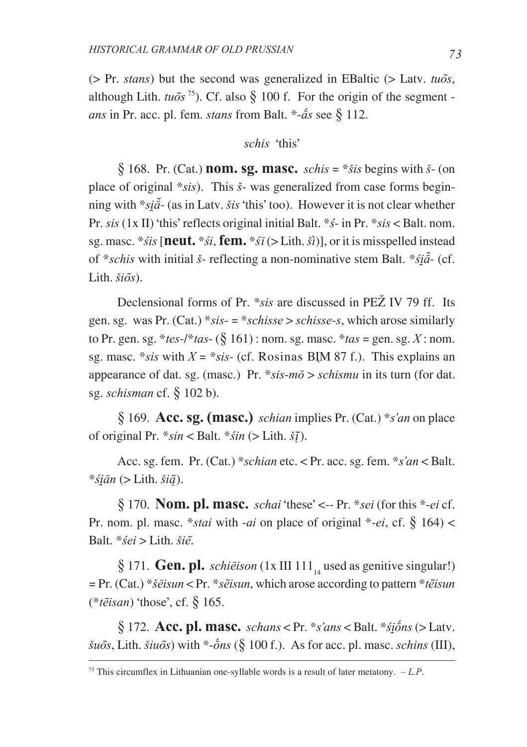( $> Pr. stans$ ) but the second was generalized in EBaltic ( $> Latv. tu\tilde{o}s$ , although Lith.  $tu\tilde{\sigma}s^{75}$ . Cf. also  $\hat{\xi}$  100 f. For the origin of the segment *ans* in Pr. acc. pl. fem. *stans* from Balt. \*- $\acute{a}s$  see § 112.

### schis 'this'

§ 168. Pr. (Cat.) **nom. sg. masc.** schis = \**šis* begins with  $\check{s}$ - (on place of original  $*_{sis}$ ). This  $\zeta$ - was generalized from case forms beginning with \* $si\bar{a}$  (as in Laty,  $\dot{g}is$  'this' too). However it is not clear whether Pr. sis  $(1x \text{ II})$  'this' reflects original initial Balt. \*  $\zeta$ - in Pr. \* sis < Balt. nom. sg. masc. \**śis* [**neut.** \**śi*, **fem.** \**ś* $\overline{i}$  (> Lith. *ši*)], or it is misspelled instead of \*schis with initial  $\check{s}$ - reflecting a non-nominative stem Balt. \*si $\check{a}$ - (cf. Lith.  $\check{s}i\tilde{o}s$ ).

Declensional forms of Pr. \*sis are discussed in PEZ IV 79 ff. Its gen, sg. was Pr. (Cat.) \* sis- = \* schisse > schisse-s, which arose similarly to Pr. gen. sg. \**tes-/\*tas-* ( $\S$  161): nom. sg. masc. \**tas* = gen. sg. X: nom. sg. masc. \*sis with  $X =$  \*sis- (cf. Rosinas BIM 87 f.). This explains an appearance of dat. sg. (masc.) Pr. \*sis- $m\bar{o} > schismu$  in its turn (for dat. sg. schisman cf.  $\S$  102 b).

§ 169. Acc. sg. (masc.) schian implies Pr. (Cat.)  $*_{s'an}$  on place of original Pr. \*sin < Balt. \*sin (> Lith.  $\tilde{s}\tilde{\iota}$ ).

Acc. sg. fem. Pr. (Cat.) \* schian etc. < Pr. acc. sg. fem. \* s'an < Balt. \*siān (> Lith. ši $\tilde{q}$ ).

§ 170. **Nom. pl. masc.** schai 'these' <-- Pr. \*sei (for this \*-ei cf. Pr. nom. pl. masc. \*stai with -ai on place of original \*-ei, cf.  $\S$  164) < Balt. \*  $\dot{s}ei$  > Lith.  $\dot{s}i\tilde{e}$ .

§ 171. Gen. pl. schietson (1x III 111, used as genitive singular!) = Pr. (Cat.) \*  $\check{s}$  etisun < Pr. \*  $s$  etisun, which arose according to pattern \*  $t \check{e}$  isun  $(*t\tilde{e}isan)$  'those', cf.  $\delta$  165.

§ 172. Acc. pl. masc. schans < Pr. \*s'ans < Balt. \* sions (> Latv.  $\delta u\delta s$ , Lith.  $\delta u\delta s$ ) with  $*-\delta ns$  (§ 100 f.). As for acc. pl. masc. schins (III),

<sup>&</sup>lt;sup>75</sup> This circumflex in Lithuanian one-syllable words is a result of later metatony.  $-L.P$ .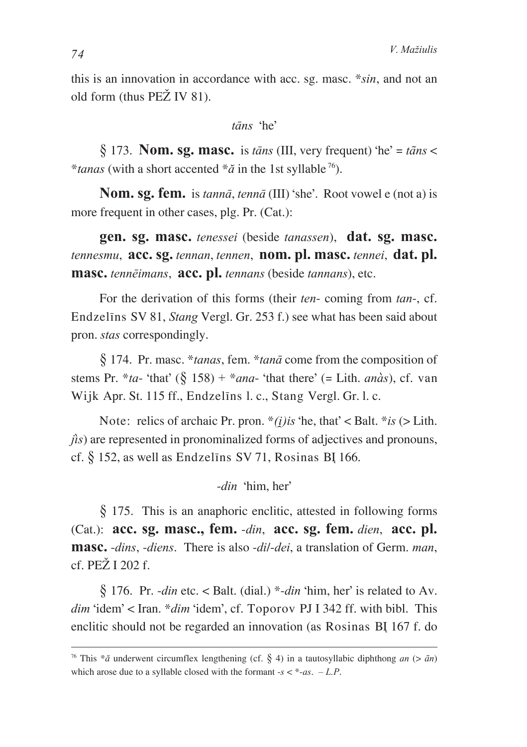this is an innovation in accordance with acc. sg. masc. \*sin, and not an old form (thus PEŽ IV 81).

### $t\bar{a}ns$  'he'

§ 173. **Nom. sg. masc.** is *tans* (III, very frequent) 'he' = *tans* < \*tanas (with a short accented \* $\tilde{a}$  in the 1st syllable <sup>76</sup>).

Nom. sg. fem. is tannā, tennā (III) 'she'. Root vowel e (not a) is more frequent in other cases, plg. Pr. (Cat.):

gen. sg. masc. tenessei (beside tanassen), dat. sg. masc. tennesmu, acc. sg. tennan, tennen, nom. pl. masc. tennei, dat. pl. masc. tennēimans, acc. pl. tennans (beside tannans), etc.

For the derivation of this forms (their *ten*-coming from *tan*-, cf. Endzelins SV 81, Stang Vergl. Gr. 253 f.) see what has been said about pron. stas correspondingly.

§ 174. Pr. masc. \*tanas, fem. \*tana come from the composition of stems Pr. \**ta*- 'that' (§ 158) + \**ana*- 'that there' (= Lith. *anàs*), cf. van Wijk Apr. St. 115 ff., Endzelins 1. c., Stang Vergl. Gr. 1. c.

Note: relics of archaic Pr. pron. \*(i) is 'he, that' < Balt. \* is (> Lith.  $\hat{u}$ s) are represented in pronominalized forms of adjectives and pronouns, cf.  $\S$  152, as well as Endzelins SV 71, Rosinas BI 166.

#### -din 'him, her'

 $\S$  175. This is an anaphoric enclitic, attested in following forms (Cat.): acc. sg. masc., fem. -din, acc. sg. fem. dien, acc. pl. **masc.** -dins, -diens. There is also -dil-dei, a translation of Germ. man,  $cf$  PE $\check{Z}$  I 202  $f$ 

§ 176. Pr. -din etc. < Balt. (dial.) \*-din 'him, her' is related to Av. dim 'idem' < Iran. \* dim 'idem', cf. Toporov PJ I 342 ff. with bibl. This enclitic should not be regarded an innovation (as Rosinas BI 167 f. do

<sup>&</sup>lt;sup>76</sup> This \* $\tilde{a}$  underwent circumflex lengthening (cf. § 4) in a tautosyllabic diphthong an (>  $\tilde{a}n$ ) which arose due to a syllable closed with the formant  $-s < * -a s$ .  $-L.P$ .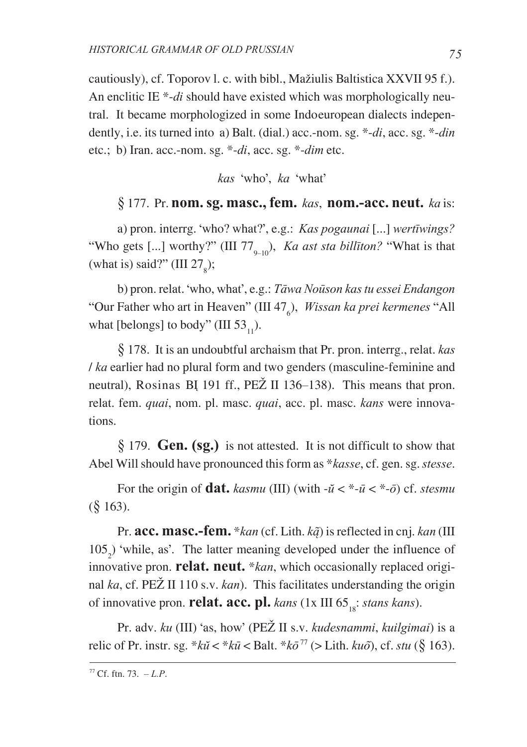cautiously), cf. Toporov l. c. with bibl., Mažiulis Baltistica XXVII 95 f.). An enclitic IE  $*$ -*di* should have existed which was morphologically neutral. It became morphologized in some Indoeuropean dialects independently, i.e. its turned into a) Balt. (dial.) acc.-nom. sg.  $*$ -di, acc. sg.  $*$ -din etc.; b) Iran. acc.-nom. sg.  $*$ -di, acc. sg.  $*$ -dim etc.

 $kas$  'who',  $ka$  'what'

## $\S 177$ . Pr. nom. sg. masc., fem. kas. nom.-acc. neut. ka is:

a) pron. interrg. 'who? what?', e.g.: Kas pogaunai [...] wertiwings? "Who gets [...] worthy?" (III 77. a), *Ka ast sta billiton?* "What is that (what is) said?" (III  $27<sub>o</sub>$ );

b) pron. relat. 'who, what', e.g.: Tāwa Noūson kas tu essei Endangon "Our Father who art in Heaven" (III 47), Wissan ka prei kermenes "All what [belongs] to body" (III  $53_{11}$ ).

 $\S$  178. It is an undoubtful archaism that Pr. pron. interrg., relat. kas / ka earlier had no plural form and two genders (masculine-feminine and neutral), Rosinas BI 191 ff., PEŽ II 136–138). This means that pron. relat. fem. quai, nom. pl. masc. quai, acc. pl. masc. kans were innovations.

§ 179. Gen. (sg.) is not attested. It is not difficult to show that Abel Will should have pronounced this form as \*kasse, cf. gen. sg. stesse.

For the origin of **dat.** kasmu (III) (with  $-\tilde{u} < \tilde{\tau} - \bar{u} < \tilde{\tau} - \tilde{\sigma}$ ) cf. stesmu  $(\S$  163).

Pr. acc. masc.-fem. \*  $kan$  (cf. Lith.  $k\tilde{q}$ ) is reflected in cnj.  $kan$  (III)  $105$ .) 'while, as'. The latter meaning developed under the influence of innovative pron. **relat. neut.** \*kan, which occasionally replaced original ka, cf. PEŽ II 110 s.v. kan). This facilitates understanding the origin of innovative pron. **relat.** acc. pl. kans (1x III  $65_{18}$ : stans kans).

Pr. adv. ku (III) 'as, how' (PEŽ II s.v. kudesnammi, kuilgimai) is a relic of Pr. instr. sg. \* $k\tilde{u} <$  \* $k\tilde{u} <$  Balt. \* $k\tilde{\sigma}^{77}$  (> Lith.  $ku\tilde{\sigma}$ ), cf. stu (§ 163).

<sup>&</sup>lt;sup>77</sup> Cf. ftn. 73. –  $L.P.$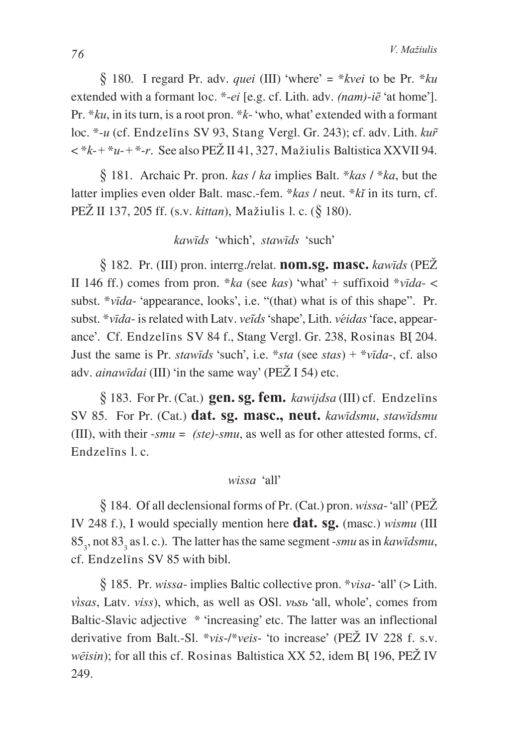$\frac{1}{2}$  180. I regard Pr. adv. *quei* (III) 'where' = \**kvei* to be Pr. \**ku* extended with a formant loc. \*-*ei* [e.g. cf. Lith. adv. *(nam)*-*i* $\tilde{e}$  'at home']. Pr. \**ku*, in its turn, is a root pron. \**k*- 'who, what' extended with a formant loc.  $*$ -*u* (cf. Endzelins SV 93, Stang Vergl. Gr. 243); cf. adv. Lith.  $ku\tilde{r}$  $\langle \times^* k + \times^* u + \times^* r \rangle$ . See also PEŽ II 41, 327, Mažiulis Baltistica XXVII 94.

*\** 181. Archaic Pr. pron. *kas* / *ka* implies Balt. \**kas* / \**ka*, but the latter implies even older Balt. masc.-fem. \**kas* / neut. \**ki* in its turn, cf. PEŽ II 137, 205 ff. (s.v. *kittan*), Mažiulis 1. c. (§ 180).

### *kawîds* 'which', *stawîds* 'such'

*\** 182. Pr. (III) pron. interrg./relat. **nom.sg. masc.** *kawîds* (PEÞ II 146 ff.) comes from pron. \**ka* (see *kas*) 'what' + suffixoid \**vîda*- < subst. \**vîda*- 'appearance, looks', i.e. "(that) what is of this shape". Pr. subst. \**vīda*- is related with Laty. *veīds* 'shape', Lith. *véidas* 'face, appearance'. Cf. Endzelins SV 84 f., Stang Vergl. Gr. 238, Rosinas BI 204. Just the same is Pr. *stawîds* 'such', i.e. \**sta* (see *stas*) + \**vîda*-, cf. also adv. *ainawīdai* (III) 'in the same way' (PEŽ I 54) etc.

*\** 183. For Pr. (Cat.) **gen. sg. fem.** *kawijdsa* (III) cf. Endzelîns SV 85. For Pr. (Cat.) **dat. sg. masc., neut.** *kawîdsmu*, *stawîdsmu* (III), with their -*smu* = *(ste)*-*smu*, as well as for other attested forms, cf. Endzelîns l. c.

### *wissa* 'all'

§ 184. Of all declensional forms of Pr. (Cat.) pron. *wissa*- 'all' (PEŽ IV 248 f.), I would specially mention here **dat. sg.** (masc.) *wismu* (III 85<sub>3</sub>, not 83<sub>3</sub> as l. c.). The latter has the same segment -*smu* as in *kawīdsmu*, cf. Endzelîns SV 85 with bibl.

*\** 185. Pr. *wissa*- implies Baltic collective pron. \**visa*- 'all' (> Lith. *visas*, Latv. *viss*), which, as well as OSl. *v*<sub>bsb</sub> 'all, whole', comes from Baltic-Slavic adjective \* 'increasing' etc. The latter was an inflectional derivative from Balt.-Sl. \*vis-/\*veis- 'to increase' (PEŽ IV 228 f. s.v. *wēisin*); for all this cf. Rosinas Baltistica XX 52, idem BI 196, PEŽ IV 249.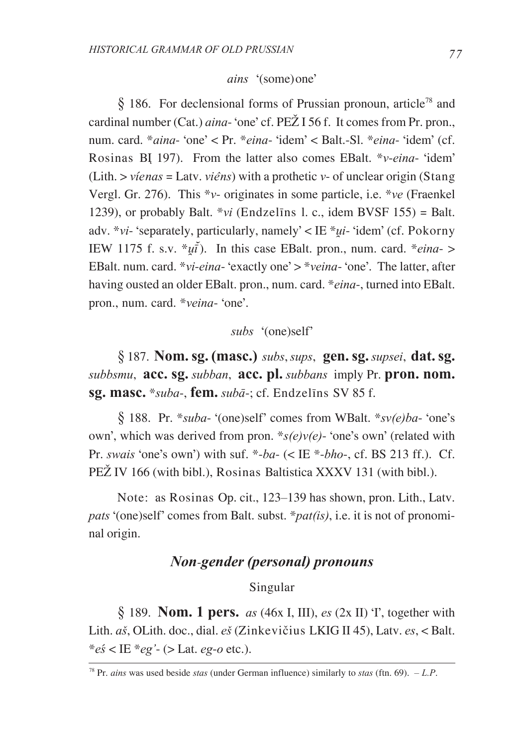#### *ains* '(some) one'

 $\S$  186. For declensional forms of Prussian pronoun, article<sup>78</sup> and cardinal number (Cat.) *aina*-'one' cf. PEŽ I 56 f. It comes from Pr. pron.. num. card. \* aina- 'one' < Pr. \* eina- 'idem' < Balt.-Sl. \* eina- 'idem' (cf. Rosinas BI 197). From the latter also comes EBalt. \*v-eina- 'idem' (Lith.  $>$  *vienas* = Latv. *viêns*) with a prothetic *v*- of unclear origin (Stang Vergl. Gr. 276). This \*v- originates in some particle, i.e. \*ve (Fraenkel) 1239), or probably Balt. \*vi (Endzelins 1. c., idem BVSF  $155$ ) = Balt. adv. \*vi- 'separately, particularly, namely' < IE \*ui- 'idem' (cf. Pokorny IEW 1175 f. s.v.  $*u\check{i}$ ). In this case EBalt. pron., num. card.  $*eina$  > EBalt. num. card. \*vi-eina- 'exactly one' > \*veina- 'one'. The latter, after having ousted an older EBalt. pron., num. card. \*eina-, turned into EBalt. pron., num. card. \*veina- 'one'.

#### subs '(one)self'

 $\S 187.$  Nom. sg. (masc.) subs, sups, gen. sg. supsei, dat. sg. subbsmu, **acc. sg.** subban, **acc. pl.** subbans imply Pr. **pron. nom.** sg. masc.  $*_{suba}$ , fem.  $suba$ -; cf. Endzelins SV 85 f.

§ 188. Pr. \*suba- '(one)self' comes from WBalt. \*sv(e)ba- 'one's own', which was derived from pron. \* $s(e)v(e)$ - 'one's own' (related with Pr. swais 'one's own') with suf. \*-ba-  $\ll$  IE \*-bho-, cf. BS 213 ff.). Cf. PEŽ IV 166 (with bibl.), Rosinas Baltistica XXXV 131 (with bibl.).

Note: as Rosinas Op. cit., 123–139 has shown, pron. Lith., Latv. *pats* '(one)self' comes from Balt. subst. \**pat(is)*, i.e. it is not of pronominal origin.

# Non-gender (personal) pronouns

### Singular

 $\S$  189. **Nom. 1 pers.** as (46x I, III), es (2x II) T, together with Lith. aš, OLith. doc., dial. eš (Zinkevičius LKIG II 45), Latv. es, < Balt. \* $e\acute{s}$  < IE \* $e\acute{e}$  eq' - (> Lat. eg-o etc.).

<sup>&</sup>lt;sup>78</sup> Pr. *ains* was used beside *stas* (under German influence) similarly to *stas* (ftn. 69).  $-L.P$ .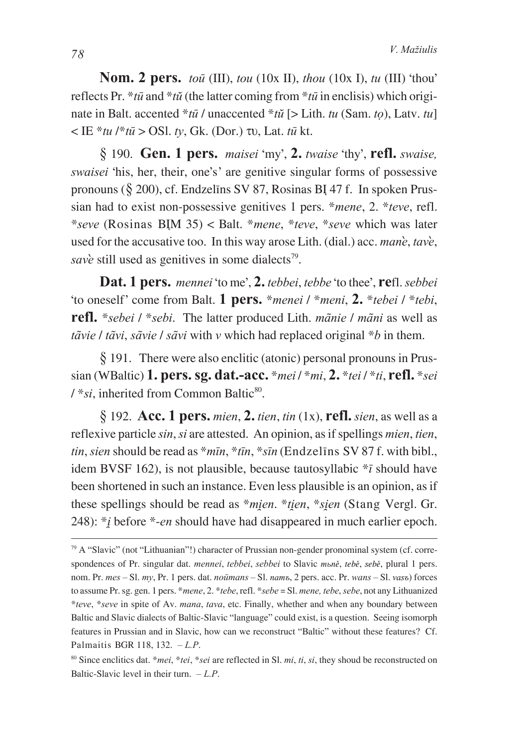**Nom. 2 pers.** *toû* (III), *tou* (10x II), *thou* (10x I), *tu* (III) 'thou' reflects Pr.  $*$ *tū* and  $*$ *tŭ* (the latter coming from  $*$ *tū* in enclisis) which originate in Balt. accented  $* t\bar{u}$  / unaccented  $* t\tilde{u}$  [> Lith. *tu* (Sam. *to*), Latv. *tu*]  $\langle$  IE \**tu* /\**tū* > OSl. *tv*, Gk. (Dor.)  $\tau v$ , Lat. *tū* kt.

*\** 190. **Gen. 1 pers.** *maisei* 'my', **2.** *twaise* 'thy', **refl.** *swaise, swaisei* 'his, her, their, one's' are genitive singular forms of possessive pronouns  $(\S$  200), cf. Endzelins SV 87, Rosinas BI 47 f. In spoken Prussian had to exist non-possessive genitives 1 pers. \**mene*, 2. \**teve*, refl. \**seve* (Rosinas BÁM 35) < Balt. \**mene*, \**teve*, \**seve* which was later used for the accusative too. In this way arose Lith. (dial.) acc. *mane*, *tave*, *save* still used as genitives in some dialects<sup>79</sup>.

**Dat. 1 pers.** *mennei* 'to me', **2.** *tebbei*, *tebbe* 'to thee', **re**fl. *sebbei* 'to oneself' come from Balt. **1 pers.** \**menei* / \**meni*, **2.** \**tebei* / \**tebi*, **refl.** \**sebei* / \**sebi*. The latter produced Lith. *mãnie* / *mãni* as well as *tãvie* / *tãvi*, *sãvie* / *sãvi* with *v* which had replaced original \**b* in them.

*\** 191. There were also enclitic (atonic) personal pronouns in Prussian (WBaltic) **1. pers. sg. dat.-acc.** \**mei* / \**mi*, **2.** \**tei* / \**ti*, **refl.** \**sei*  $\frac{f * s_i}{g}$ , inherited from Common Baltic<sup>80</sup>.

*\** 192. **Acc. 1 pers.** *mien*, **2.** *tien*, *tin* (1x), **refl.** *sien*, as well as a reflexive particle *sin*, *si* are attested. An opinion, as if spellings *mien*, *tien*, *tin*, *sien* should be read as \**mîn*, \**tîn*, \**sîn* (Endzelîns SV 87 f. with bibl., idem BVSF 162), is not plausible, because tautosyllabic \**î* should have been shortened in such an instance. Even less plausible is an opinion, as if these spellings should be read as \**mien*. \**tien*, \**sien* (Stang Vergl. Gr. 248): \**Ù* before \*-*en* should have had disappeared in much earlier epoch.

 $79$  A "Slavic" (not "Lithuanian"!) character of Prussian non-gender pronominal system (cf. correspondences of Pr. singular dat. *mennei*, *tebbei*, *sebbei* to Slavic *muně*, *tebě*, *sebě*, plural 1 pers. nom. Pr. *mes* – Sl. *my*, Pr. 1 pers. dat. *noûmans* – Sl. *namú*, 2 pers. acc. Pr. *wans* – Sl. *vasú*) forces to assume Pr. sg. gen. 1 pers. \**mene*, 2. \**tebe*, refl. \**sebe* = Sl. *mene, tebe*, *sebe*, not any Lithuanized \**teve*, \**seve* in spite of Av. *mana*, *tava*, etc. Finally, whether and when any boundary between Baltic and Slavic dialects of Baltic-Slavic "language" could exist, is a question. Seeing isomorph features in Prussian and in Slavic, how can we reconstruct "Baltic" without these features? Cf. Palmaitis BGR 118, 132. – *L.P*.

<sup>80</sup> Since enclitics dat. \**mei*, \**tei*, \**sei* are reflected in Sl. *mi*, *ti*, *si*, they shoud be reconstructed on Baltic-Slavic level in their turn. – *L.P*.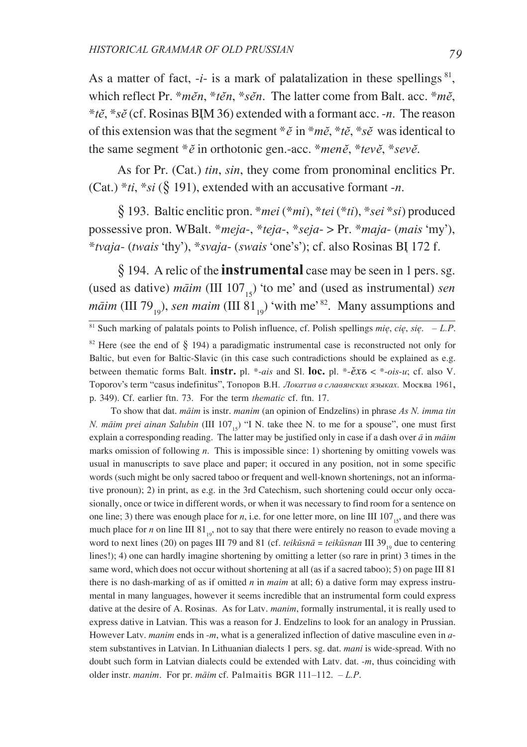As a matter of fact,  $-i$ - is a mark of palatalization in these spellings  $s<sup>i</sup>$ , which reflect Pr. \**men*, \**ten*, \**sen*. The latter come from Balt. acc. \**me*, \**t* $\check{\epsilon}$ , \**s* $\check{\epsilon}$  (cf. Rosinas BIM 36) extended with a formant acc. -*n*. The reason of this extension was that the segment  $*e$  in  $*m\tilde{e}$ ,  $*t\tilde{e}$ ,  $*s\tilde{e}$  was identical to the same segment  $* \check{e}$  in orthotonic gen.-acc.  $*$ *men* $\check{e}$ ,  $*$ *tev* $\check{e}$ ,  $*$ *sev* $\check{e}$ .

As for Pr. (Cat.) *tin*, *sin*, they come from pronominal enclitics Pr. (Cat.) \**ti*, \**si* (*\** 191), extended with an accusative formant -*n*.

*\** 193. Baltic enclitic pron. \**mei* (\**mi*), \**tei* (\**ti*), \**sei* \**si*) produced possessive pron. WBalt. \**meja*-, \**teja*-, \**seja*- > Pr. \**maja*- (*mais* 'my'), \**tvaja*- (*twais* 'thy'), \**svaja*- (*swais* 'one's'); cf. also Rosinas BÁ 172 f.

*\** 194. A relic of the **instrumental** case may be seen in 1 pers. sg. (used as dative)  $m\overline{a}$  im (III 107<sub>15</sub>) 'to me' and (used as instrumental) *sen māim* (III 79<sub>10</sub>), *sen maim* (III 81<sub>10</sub>) 'with me' <sup>82</sup>. Many assumptions and

81 Such marking of palatals points to Polish influence, cf. Polish spellings *miæ*, *ciæ*, *siæ*. – *L.P*.

To show that dat. *m`im* is instr. *manim* (an opinion of Endzelîns) in phrase *As N. imma tin N. māim prei ainan Salubin* (III 107<sub>15</sub>) "I N. take thee N. to me for a spouse", one must first explain a corresponding reading. The latter may be justified only in case if a dash over  $\bar{a}$  in  $m\bar{a}$ *im* marks omission of following *n*. This is impossible since: 1) shortening by omitting vowels was usual in manuscripts to save place and paper; it occured in any position, not in some specific words (such might be only sacred taboo or frequent and well-known shortenings, not an informative pronoun); 2) in print, as e.g. in the 3rd Catechism, such shortening could occur only occasionally, once or twice in different words, or when it was necessary to find room for a sentence on one line; 3) there was enough place for  $n$ , i.e. for one letter more, on line III 107<sub>..</sub>, and there was much place for *n* on line III 81<sub>10</sub>, not to say that there were entirely no reason to evade moving a word to next lines (20) on pages III 79 and 81 (cf. *teikūsnā* = *teikūsnan* III 39<sub>10</sub> due to centering lines!); 4) one can hardly imagine shortening by omitting a letter (so rare in print) 3 times in the same word, which does not occur without shortening at all (as if a sacred taboo); 5) on page III 81 there is no dash-marking of as if omitted *n* in *maim* at all; 6) a dative form may express instrumental in many languages, however it seems incredible that an instrumental form could express dative at the desire of A. Rosinas. As for Latv. *manim*, formally instrumental, it is really used to express dative in Latvian. This was a reason for J. Endzelîns to look for an analogy in Prussian. However Latv. *manim* ends in -*m*, what is a generalized inflection of dative masculine even in *a*stem substantives in Latvian. In Lithuanian dialects 1 pers. sg. dat. *mani* is wide-spread. With no doubt such form in Latvian dialects could be extended with Latv. dat. -*m*, thus coinciding with older instr. *manim*. For pr. *m`im* cf. Palmaitis BGR 111–112. – *L.P*.

 $82$  Here (see the end of  $\frac{8}{9}$  194) a paradigmatic instrumental case is reconstructed not only for Baltic, but even for Baltic-Slavic (in this case such contradictions should be explained as e.g. between thematic forms Balt. **instr.** pl. \*-*ais* and Sl. **loc.** pl. \*- $\check{e}x\sigma <$ \*-*ois-u*; cf. also V. Toporov's term "casus indefinitus", Топоров В.Н. *Локатив в славянских языках*. Москва 1961, p. 349). Cf. earlier ftn. 73. For the term *thematic* cf. ftn. 17.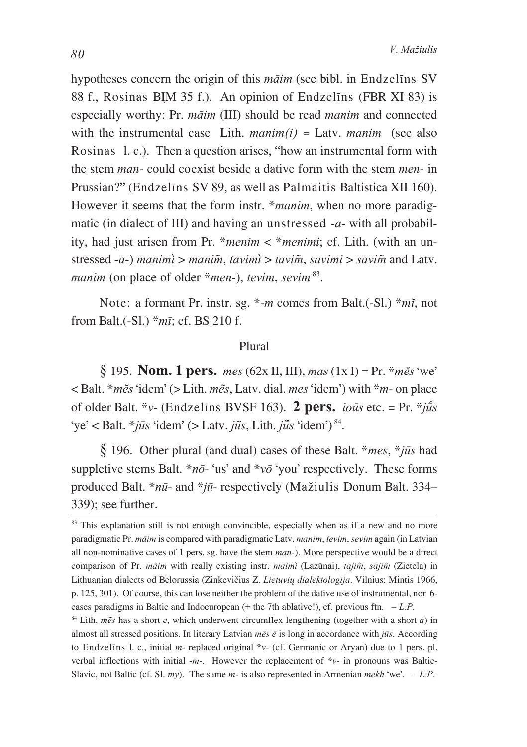hypotheses concern the origin of this *maim* (see bibl. in Endzelins SV 88 f., Rosinas BIM 35 f.). An opinion of Endzelins (FBR XI 83) is especially worthy: Pr. *m`im* (III) should be read *manim* and connected with the instrumental case Lith.  $\text{manim}(i) = \text{Latv}$ .  $\text{manim}$  (see also Rosinas l. c.). Then a question arises, "how an instrumental form with the stem *man*- could coexist beside a dative form with the stem *men*- in Prussian?" (Endzelîns SV 89, as well as Palmaitis Baltistica XII 160). However it seems that the form instr. \**manim*, when no more paradigmatic (in dialect of III) and having an unstressed -*a*- with all probability, had just arisen from Pr. \**menim* < \**menimi*; cf. Lith. (with an unstressed -*a*-) *manimì* > *manim̃*, *tavimì* > *tavim̃*, *savimi* > *savim̃* and Latv. *manim* (on place of older \**men*-), *tevim*, *sevim* 83.

Note: a formant Pr. instr. sg. \*-*m* comes from Balt.(-Sl.) \**mi*, not from Balt.(-Sl.) \**mî*; cf. BS 210 f.

#### Plural

 $\frac{1}{2}$  195. **Nom. 1 pers.** *mes* (62x II, III), *mas* (1x I) = Pr. \**mes* 'we'  $\leq$  Balt. \**měs* 'idem' (> Lith. *měs*, Latv. dial. *mes* 'idem') with \**m*- on place of older Balt. \* $v$ - (Endzelins BVSF 163). **2 pers.** *ious* etc. = Pr. \* $i\hat{u}s$ 'ye' < Balt.  $*ji\bar{a}$ s 'idem' (> Latv.  $ji\bar{a}$ s, Lith.  $j\bar{u}$ s 'idem')<sup>84</sup>.

*\** 196. Other plural (and dual) cases of these Balt. \**mes*, \**jûs* had suppletive stems Balt.  $*\overline{n}\overline{o}$ -'us' and  $*\overline{v}\overline{o}$  'you' respectively. These forms produced Balt. \**nū*- and \**jū*- respectively (Mažiulis Donum Balt. 334– 339); see further.

<sup>&</sup>lt;sup>83</sup> This explanation still is not enough convincible, especially when as if a new and no more paradigmatic Pr. *m`im* is compared with paradigmatic Latv. *manim*, *tevim*, *sevim* again (in Latvian all non-nominative cases of 1 pers. sg. have the stem *man*-). More perspective would be a direct comparison of Pr. *māim* with really existing instr. *maimî* (Lazūnai), *tajim̃*, *sajim̃* (Zietela) in Lithuanian dialects od Belorussia (Zinkevièius Z. *Lietuviø dialektologija*. Vilnius: Mintis 1966, p. 125, 301). Of course, this can lose neither the problem of the dative use of instrumental, nor 6 cases paradigms in Baltic and Indoeuropean (+ the 7th ablative!), cf. previous ftn. – *L.P*.

 $84$  Lith. *m*es has a short *e*, which underwent circumflex lengthening (together with a short *a*) in almost all stressed positions. In literary Latvian  $m\bar{e}s \bar{e}$  is long in accordance with *jūs*. According to Endzelîns l. c., initial *m*- replaced original \**v*- (cf. Germanic or Aryan) due to 1 pers. pl. verbal inflections with initial -*m*-. However the replacement of \**v*- in pronouns was Baltic-Slavic, not Baltic (cf. Sl. *my*). The same *m*- is also represented in Armenian *mekh* 'we'. – *L.P*.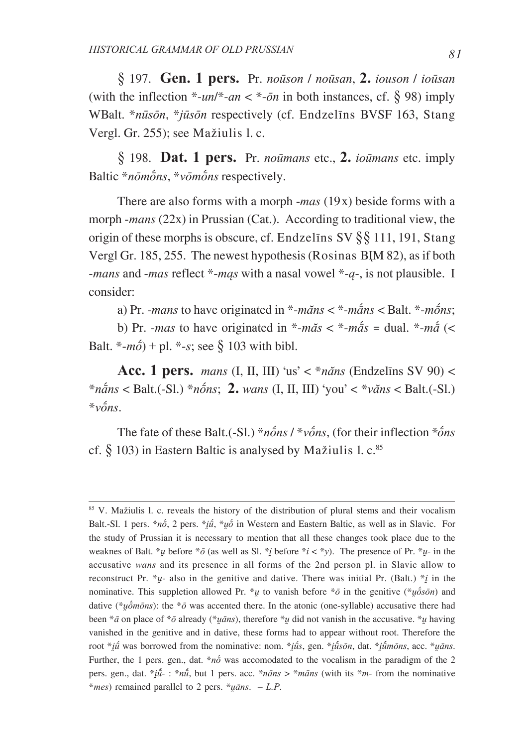*\** 197. **Gen. 1 pers.** Pr. *noûson* / *noûsan*, **2.** *iouson* / *ioûsan* (with the inflection  $*$ -*un*/ $*$ -*an* <  $*$ - $\bar{0}n$  in both instances, cf. § 98) imply WBalt. \**nûsôn*, \**jûsôn* respectively (cf. Endzelîns BVSF 163, Stang Vergl. Gr. 255); see Mažiulis l. c.

*\** 198. **Dat. 1 pers.** Pr. *noûmans* etc., **2.** *ioûmans* etc. imply Baltic \**nōmôns*, \**vōmôns* respectively.

There are also forms with a morph -*mas* (19x) beside forms with a morph -*mans* (22x) in Prussian (Cat.). According to traditional view, the origin of these morphs is obscure, cf. Endzelins SV § § 111, 191, Stang Vergl Gr.  $185, 255$ . The newest hypothesis (Rosinas BIM 82), as if both -*mans* and -*mas* reflect \*-*màs* with a nasal vowel \*-*à*-, is not plausible. I consider:

a) Pr. -*mans* to have originated in  $*$ -*mans*  $\lt$   $*$ -*mâns*  $\lt$  Balt.  $*$ -*môns*;

b) Pr. -*mas* to have originated in  $*$ -*mas* <  $*$ -*mas* = dual.  $*$ -*mas* (< Balt.  $*$ -*mô* $)$  + pl.  $*$ -*s*; see  $\frac{8}{3}$  103 with bibl.

**Acc. 1 pers.** *mans* (I, II, III) 'us'  $\lt^*$  *nans* (Endzelins SV 90)  $\lt$ \**n`ns #* < Balt.(-Sl.) \**nôns #* ; **2.** *wans* (I, II, III) 'you' < \**v‹ans* < Balt.(-Sl.) \**vôns #* .

The fate of these Balt.(-Sl.)  $*\overline{n}$ *ons* /  $*\overline{v}$ *ons*, (for their inflection  $*\overline{\overline{o}}$ *ns* cf. § 103) in Eastern Baltic is analysed by Mažiulis 1. c.<sup>85</sup>

 $85$  V. Mažiulis 1. c. reveals the history of the distribution of plural stems and their vocalism Balt.-Sl. 1 pers. \**nô*, 2 pers. \**iû*, \**uô* in Western and Eastern Baltic, as well as in Slavic. For the study of Prussian it is necessary to mention that all these changes took place due to the weaknes of Balt. \**u* before \**ô* (as well as Sl. \**i* before \**i* < \**v*). The presence of Pr. \**u*- in the accusative *wans* and its presence in all forms of the 2nd person pl. in Slavic allow to reconstruct Pr.  $*_u$ - also in the genitive and dative. There was initial Pr. (Balt.)  $*_i$  in the nominative. This suppletion allowed Pr. \**u* to vanish before \**ô* in the genitive (\* $\psi \delta \delta n$ ) and dative ( $*\overline{a}$  *mons*): the  $*\overline{o}$  was accented there. In the atonic (one-syllable) accusative there had been  $*\bar{a}$  on place of  $*\bar{o}$  already ( $*\bar{u}$ *ans*), therefore  $*\bar{u}$  did not vanish in the accusative.  $*\bar{u}$  having vanished in the genitive and in dative, these forms had to appear without root. Therefore the root \**iû* was borrowed from the nominative: nom. \**iûs*, gen. \**iûsōn*, dat. \**iûmôns*, acc. \**uans*. Further, the 1 pers. gen., dat.  $*\overline{n}\acute{o}$  was accomodated to the vocalism in the paradigm of the 2 pers. gen., dat.  $*_{\hat{i}}\hat{u}$  -:  $*_{n}\hat{u}$ , but 1 pers. acc.  $*_{n}\hat{a}$  ns  $> *_{m}\hat{a}$  (with its  $*_{m}$ - from the nominative  $*$ *mes*) remained parallel to 2 pers.  $**u*āns. - L.P$ .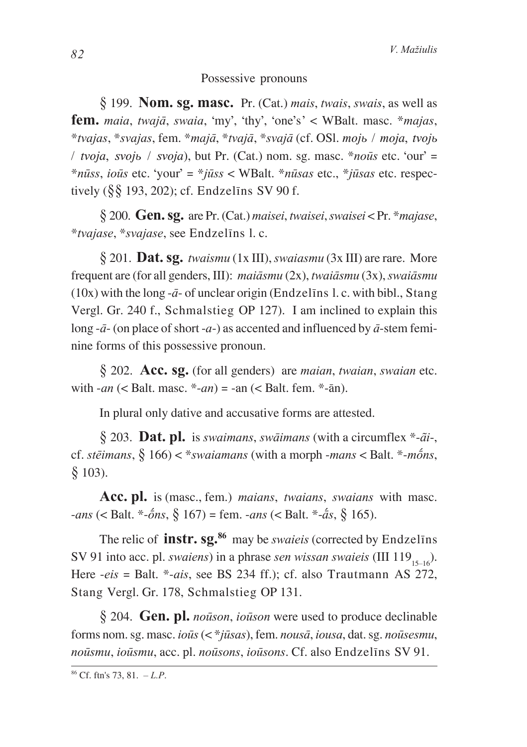#### Possessive pronouns

*\** 199. **Nom. sg. masc.** Pr. (Cat.) *mais*, *twais*, *swais*, as well as **fem.** *maia*, *twajā*, *swaia*, 'my', 'thy', 'one's' < WBalt. masc. \**majas*, \**tvajas*, \**svajas*, fem. \**maj`*, \**tvaj`*, \**svaj`* (cf. OSl. *mojü* / *moja*, *tvojü* / *tvoja*, *svojü* / *svoja*), but Pr. (Cat.) nom. sg. masc. \**noûs* etc. 'our' = \**nûss*, *ioûs* etc. 'your' = \**jûss* < WBalt. \**nûsas* etc., \**jûsas* etc. respectively (§§ 193, 202); cf. Endzelins SV 90 f.

*\** 200. **Gen. sg.** are Pr. (Cat.) *maisei*, *twaisei*, *swaisei* < Pr. \**majase*, \**tvajase*, \**svajase*, see Endzelîns l. c.

*\** 201. **Dat. sg.** *twaismu* (1x III), *swaiasmu* (3x III) are rare. More frequent are (for all genders, III): *maiāsmu* (2x), *twaiāsmu* (3x), *swaiāsmu*  $(10x)$  with the long - $\bar{a}$ - of unclear origin (Endzelins 1. c. with bibl., Stang Vergl. Gr. 240 f., Schmalstieg OP 127). I am inclined to explain this long  $-\bar{a}$ - (on place of short  $-a$ ) as accented and influenced by  $\bar{a}$ -stem feminine forms of this possessive pronoun.

*\** 202. **Acc. sg.** (for all genders) are *maian*, *twaian*, *swaian* etc. with  $-an \left( <$  Balt. masc.  $*$ -*an* $\right)$  = -an  $\left( <$  Balt. fem.  $*$ -*ān* $\right)$ .

In plural only dative and accusative forms are attested.

*\** 203. **Dat. pl.** is *swaimans*, *sw`imans* (with a circumflex \*-*ãi*-, cf. *stēimans*,  $\frac{8}{9}$  166) < \**swaiamans* (with a morph *-mans* < Balt. \**-môns*, *\** 103).

**Acc. pl.** is (masc., fem.) *maians*, *twaians*, *swaians* with masc.  $-ans$  (< Balt.  $*- \delta ns$ ,  $\S$  167) = fem.  $-ans$  (< Balt.  $*- \delta s$ ,  $\S$  165).

The relic of **instr. sg.86** may be *swaieis* (corrected by Endzelîns SV 91 into acc. pl. *swaiens*) in a phrase *sen wissan swaieis* (III 119<sub>15</sub><sup>16</sup>). Here -*eis* = Balt. \*-*ais*, see BS 234 ff.); cf. also Trautmann AS 272, Stang Vergl. Gr. 178, Schmalstieg OP 131.

*\** 204. **Gen. pl.** *noûson*, *ioûson* were used to produce declinable forms nom. sg. masc. *ioûs* (< \**jûsas*), fem. *nous`*, *iousa*, dat. sg. *noûsesmu*, *noûsmu*, *ioûsmu*, acc. pl. *noûsons*, *ioûsons*. Cf. also Endzelîns SV 91.

<sup>86</sup> Cf. ftn's 73, 81. – *L.P*.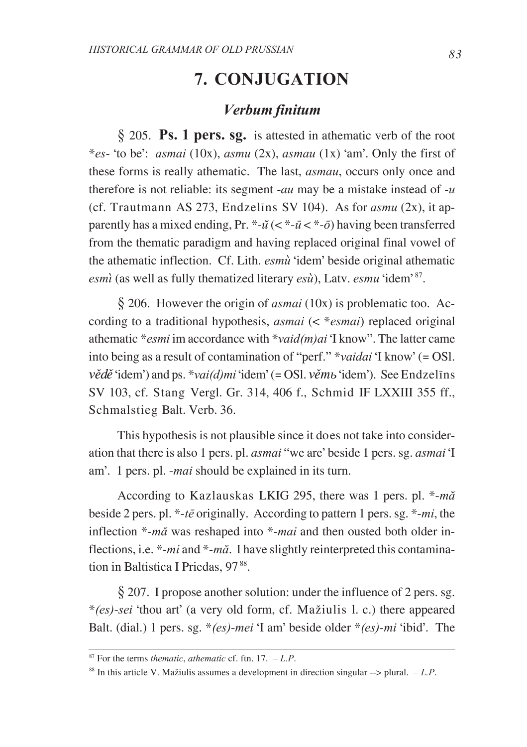# **7. CONJUGATION**

# *Verbum finitum*

*\** 205. **Ps. 1 pers. sg.** is attested in athematic verb of the root \**es*- 'to be': *asmai* (10x), *asmu* (2x), *asmau* (1x) 'am'. Only the first of these forms is really athematic. The last, *asmau*, occurs only once and therefore is not reliable: its segment -*au* may be a mistake instead of -*u* (cf. Trautmann AS 273, Endzelîns SV 104). As for *asmu* (2x), it apparently has a mixed ending, Pr.  $*\text{-}u \leq \text{-}x - \bar{u} \leq \text{-}x - \bar{v}$  having been transferred from the thematic paradigm and having replaced original final vowel of the athematic inflection. Cf. Lith. *esmù* 'idem' beside original athematic *esmì* (as well as fully thematized literary *esù*), Latv. *esmu* 'idem' <sup>87</sup>.

*\** 206. However the origin of *asmai* (10x) is problematic too. According to a traditional hypothesis, *asmai* (< \**esmai*) replaced original athematic \**esmi* im accordance with \**vaid(m)ai* 'I know". The latter came into being as a result of contamination of "perf." \**vaidai* 'I know' (= OSl. *vědě* 'idem') and ps. \**vai(d)mi* 'idem' (= OSl. *věm*b 'idem'). See Endzelīns SV 103, cf. Stang Vergl. Gr. 314, 406 f., Schmid IF LXXIII 355 ff., Schmalstieg Balt. Verb. 36.

This hypothesis is not plausible since it does not take into consideration that there is also 1 pers. pl. *asmai* "we are' beside 1 pers. sg. *asmai* 'I am'. 1 pers. pl. -*mai* should be explained in its turn.

According to Kazlauskas LKIG 295, there was 1 pers. pl. \*-*mă* beside 2 pers. pl. \*-*tç* originally. According to pattern 1 pers. sg. \*-*mi*, the inflection \*-*ma*<sup>\*</sup> was reshaped into \*-*mai* and then ousted both older inflections, i.e. \*-*mi* and \*-*ma*. I have slightly reinterpreted this contamination in Baltistica I Priedas, 97<sup>88</sup>.

*\** 207. I propose another solution: under the influence of 2 pers. sg. \*(es)-sei 'thou art' (a very old form, cf. Mažiulis l. c.) there appeared Balt. (dial.) 1 pers. sg. \**(es)*-*mei* 'I am' beside older \**(es)*-*mi* 'ibid'. The

 $87$  For the terms *thematic*, *athematic* cf. ftn. 17.  $-L.P$ .

 $88$  In this article V. Mažiulis assumes a development in direction singular  $\rightarrow$  plural.  $-L.P$ .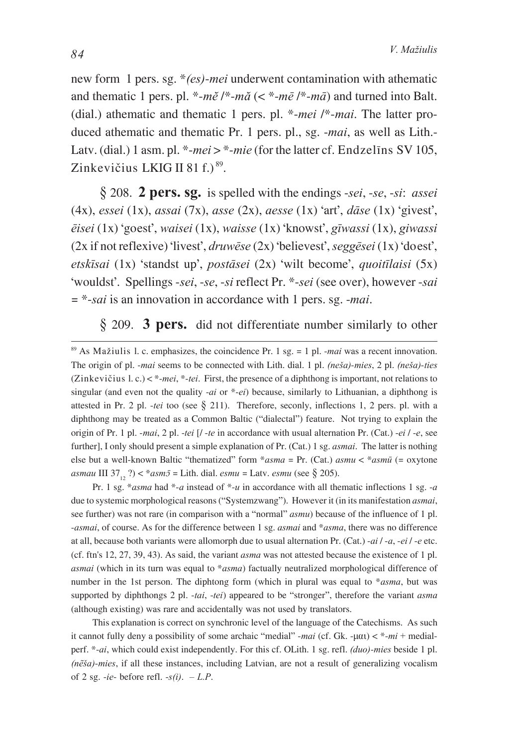new form 1 pers. sg. \**(es)*-*mei* underwent contamination with athematic and thematic 1 pers. pl.  $*$ - $m\tilde{e}/*$ - $m\tilde{a}$  (<  $*$ - $m\tilde{e}/*$ - $m\tilde{a}$ ) and turned into Balt. (dial.) athematic and thematic 1 pers. pl. \*-*mei* /\*-*mai*. The latter produced athematic and thematic Pr. 1 pers. pl., sg. -*mai*, as well as Lith.- Latv. (dial.) 1 asm. pl. \*-*mei* > \*-*mie* (for the latter cf. Endzelins SV 105, Zinkevičius LKIG II 81 f.)<sup>89</sup>.

*\** 208. **2 pers. sg.** is spelled with the endings -*sei*, -*se*, -*si*: *assei* (4x), *essei* (1x), *assai* (7x), *asse* (2x), *aesse* (1x) 'art', *d`se* (1x) 'givest', *çisei* (1x) 'goest', *waisei* (1x), *waisse* (1x) 'knowst', *gîwassi* (1x), *giwassi* (2x if not reflexive) 'livest', *druwçse* (2x) 'believest', *seggçsei* (1x) 'doest', *etskîsai* (1x) 'standst up', *post`sei* (2x) 'wilt become', *quoitîlaisi* (5x) 'wouldst'. Spellings -*sei*, -*se*, -*si* reflect Pr. \*-*sei* (see over), however -*sai* = \*-*sai* is an innovation in accordance with 1 pers. sg. -*mai*.

*\** 209. **3 pers.** did not differentiate number similarly to other

Pr. 1 sg. \**asma* had \*-*a* instead of \*-*u* in accordance with all thematic inflections 1 sg. -*a* due to systemic morphological reasons ("Systemzwang"). However it (in its manifestation *asmai*, see further) was not rare (in comparison with a "normal" *asmu*) because of the influence of 1 pl. -*asmai*, of course. As for the difference between 1 sg. *asmai* and \**asma*, there was no difference at all, because both variants were allomorph due to usual alternation Pr. (Cat.) -*ai* / -*a*, -*ei* / -*e* etc. (cf. ftn's 12, 27, 39, 43). As said, the variant *asma* was not attested because the existence of 1 pl. *asmai* (which in its turn was equal to \**asma*) factually neutralized morphological difference of number in the 1st person. The diphtong form (which in plural was equal to \**asma*, but was supported by diphthongs 2 pl. -*tai*, -*tei*) appeared to be "stronger", therefore the variant *asma* (although existing) was rare and accidentally was not used by translators.

This explanation is correct on synchronic level of the language of the Catechisms. As such it cannot fully deny a possibility of some archaic "medial" -*mai* (cf. Gk. -µ $\alpha$ ) < \*- $mi$  + medialperf. \*-*ai*, which could exist independently. For this cf. OLith. 1 sg. refl. *(duo)*-*mies* beside 1 pl. *(n…eða)*-*mies*, if all these instances, including Latvian, are not a result of generalizing vocalism of 2 sg. -*ie*- before refl. -*s(i)*. – *L.P*.

<sup>&</sup>lt;sup>89</sup> As Mažiulis 1. c. emphasizes, the coincidence Pr. 1 sg. = 1 pl. -*mai* was a recent innovation. The origin of pl. -*mai* seems to be connected with Lith. dial. 1 pl. *(neða)*-*mies*, 2 pl. *(neða)*-*ties* (Zinkevièius l. c.) < \*-*mei*, \*-*tei*. First, the presence of a diphthong is important, not relations to singular (and even not the quality -*ai* or \*-*ei*) because, similarly to Lithuanian, a diphthong is attested in Pr. 2 pl. -*tei* too (see *\** 211). Therefore, seconly, inflections 1, 2 pers. pl. with a diphthong may be treated as a Common Baltic ("dialectal") feature. Not trying to explain the origin of Pr. 1 pl. -*mai*, 2 pl. -*tei* [/ -*te* in accordance with usual alternation Pr. (Cat.) -*ei* / -*e*, see further], I only should present a simple explanation of Pr. (Cat.) 1 sg. *asmai*. The latter is nothing else but a well-known Baltic "thematized" form \**asma* = Pr. (Cat.) *asmu* < \**asmû* (= oxytone  $a$ *smau* III 37<sub>12</sub> ?) < \* $a$ *sm* $\overline{a}$  = Lith. dial.  $e$ *smu* = Latv.  $e$ *smu* (see § 205).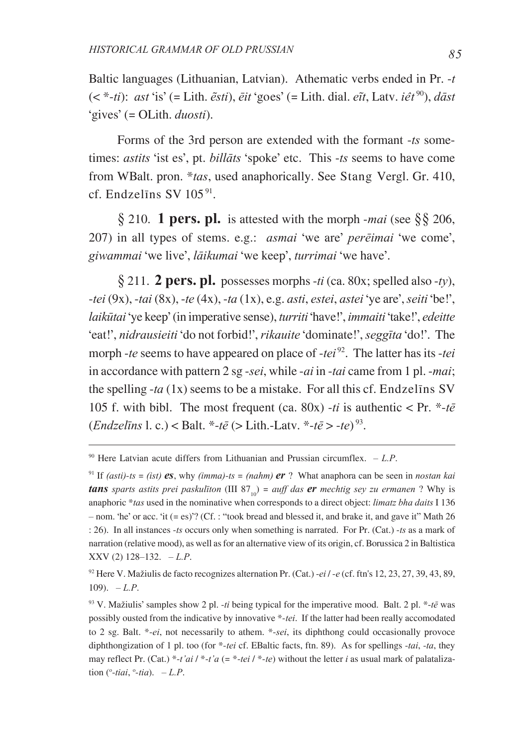Baltic languages (Lithuanian, Latvian). Athematic verbs ended in Pr. -*t*  $(\langle \xi^* - t_i \rangle)$ : *ast* 'is' (= Lith.  $\tilde{\epsilon}$ *sti*),  $\tilde{\epsilon}$ *it* 'goes' (= Lith. dial.  $\tilde{\epsilon}$ *it*, Latv. *i* $\hat{\epsilon}$ *t*<sup>90</sup>), *d* $\tilde{a}$ *st* 'gives' (= OLith. *duosti*).

Forms of the 3rd person are extended with the formant -*ts* sometimes: *astits* 'ist es', pt. *billats* 'spoke' etc. This -*ts* seems to have come from WBalt. pron. \**tas*, used anaphorically. See Stang Vergl. Gr. 410, cf. Endzelīns SV  $105^{91}$ .

 $\frac{1}{2}$  210. **1 pers. pl.** is attested with the morph *-mai* (see  $\frac{1}{2}$  206, 207) in all types of stems. e.g.: *asmai* 'we are' *perçimai* 'we come', *giwammai* 'we live', *l`ikumai* 'we keep', *turrimai* 'we have'.

 $\oint$  211. **2 pers. pl.** possesses morphs -*ti* (ca. 80x; spelled also -*ty*), -*tei* (9x), -*tai* (8x), -*te* (4x), -*ta* (1x), e.g. *asti*, *estei*, *astei* 'ye are', *seiti* 'be!', *laikûtai* 'ye keep' (in imperative sense), *turriti* 'have!', *immaiti* 'take!', *edeitte* 'eat!', *nidrausieiti* 'do not forbid!', *rikauite* 'dominate!', *seggîta* 'do!'. The morph *-te* seems to have appeared on place of *-tei*<sup>92</sup>. The latter has its *-tei* in accordance with pattern 2 sg -*sei*, while -*ai* in -*tai* came from 1 pl. -*mai*; the spelling -*ta* (1x) seems to be a mistake. For all this cf. Endzelîns SV 105 f. with bibl. The most frequent (ca. 80x) -*ti* is authentic < Pr. \*-*tç* (*Endzelîns* l. c.) < Balt. \*-*tç* (> Lith.-Latv. \*-*tç* > -*te*) 93.

<sup>92</sup> Here V. Mažiulis de facto recognizes alternation Pr. (Cat.) -*ei*  $l$  -*e* (cf. ftn's 12, 23, 27, 39, 43, 89, 109). – *L.P*.

<sup>&</sup>lt;sup>90</sup> Here Latvian acute differs from Lithuanian and Prussian circumflex.  $-L.P$ .

<sup>&</sup>lt;sup>91</sup> If *(asti)*-*ts* = *(ist) es*, why *(imma)*-*ts* = *(nahm) er* ? What anaphora can be seen in *nostan kai* **tans** sparts astits prei paskulīton  $(III 87<sub>o</sub>) = \alpha$ uff das **er** mechtig sey zu ermanen ? Why is anaphoric \**tas* used in the nominative when corresponds to a direct object: *limatz bha daits* I 136 – nom. 'he' or acc. 'it (= es)'? (Cf. : "took bread and blessed it, and brake it, and gave it" Math 26 : 26). In all instances -*ts* occurs only when something is narrated. For Pr. (Cat.) -*ts* as a mark of narration (relative mood), as well as for an alternative view of its origin, cf. Borussica 2 in Baltistica XXV (2) 128–132. – *L.P*.

<sup>&</sup>lt;sup>93</sup> V. Mažiulis' samples show 2 pl. -*ti* being typical for the imperative mood. Balt. 2 pl.  $*$ -*t* $\bar{e}$  was possibly ousted from the indicative by innovative \*-*tei*. If the latter had been really accomodated to 2 sg. Balt. \*-*ei*, not necessarily to athem. \*-*sei*, its diphthong could occasionally provoce diphthongization of 1 pl. too (for \*-*tei* cf. EBaltic facts, ftn. 89). As for spellings -*tai*, -*ta*, they may reflect Pr. (Cat.) \*-*t'ai* / \*-*t'a* (= \*-*tei* / \*-*te*) without the letter *i* as usual mark of palataliza- $\lim$  ( $\textdegree$ -*tiai*,  $\textdegree$ -*tia*). – *L.P.*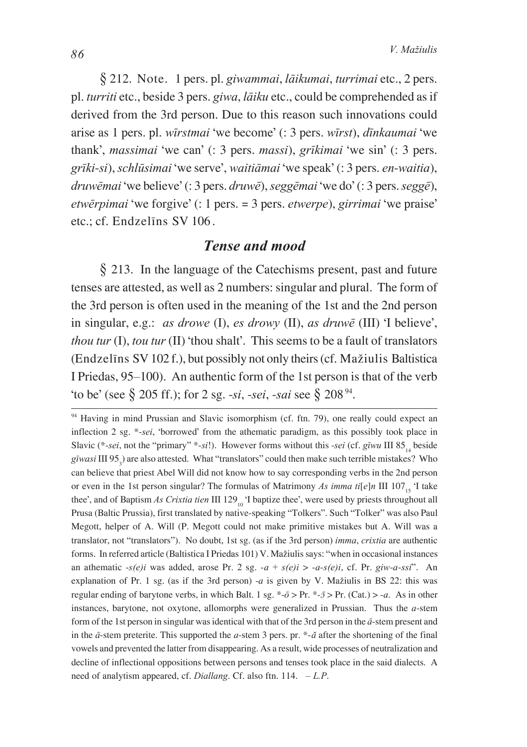*\** 212. Note. 1 pers. pl. *giwammai*, *l`ikumai*, *turrimai* etc., 2 pers. pl. *turriti* etc., beside 3 pers. *giwa*, *l`iku* etc., could be comprehended as if derived from the 3rd person. Due to this reason such innovations could arise as 1 pers. pl. *wîrstmai* 'we become' (: 3 pers. *wîrst*), *dînkaumai* 'we thank', *massimai* 'we can' (: 3 pers. *massi*), *grîkimai* 'we sin' (: 3 pers. *grîki*-*si*), *schlûsimai* 'we serve', *waiti`mai* 'we speak' (: 3 pers. *en*-*waitia*), *druwçmai* 'we believe' (: 3 pers. *druwç*), *seggçmai* 'we do' (: 3 pers. *seggç*), *etwçrpimai* 'we forgive' (: 1 pers. = 3 pers. *etwerpe*), *girrimai* 'we praise' etc.; cf. Endzelîns SV 106 .

# *Tense and mood*

*\** 213. In the language of the Catechisms present, past and future tenses are attested, as well as 2 numbers: singular and plural. The form of the 3rd person is often used in the meaning of the 1st and the 2nd person in singular, e.g.: *as drowe* (I), *es drowy* (II), *as druwç* (III) 'I believe', *thou tur* (I), *tou tur* (II) 'thou shalt'. This seems to be a fault of translators (Endzelins SV 102 f.), but possibly not only theirs (cf. Mažiulis Baltistica I Priedas, 95–100). An authentic form of the 1st person is that of the verb 'to be' (see  $\frac{8}{3}$  205 ff.); for 2 sg. -*si*, -*sei*, -*sai* see  $\frac{8}{3}$  208<sup>94</sup>.

<sup>&</sup>lt;sup>94</sup> Having in mind Prussian and Slavic isomorphism (cf. ftn. 79), one really could expect an inflection 2 sg. \*-*sei*, 'borrowed' from the athematic paradigm, as this possibly took place in Slavic (\*-*sei*, not the "primary" \*-*si*!). However forms without this -*sei* (cf. *gīwu* III 85<sub>14</sub> beside gīwasi III 95<sub>3</sub>) are also attested. What "translators" could then make such terrible mistakes? Who can believe that priest Abel Will did not know how to say corresponding verbs in the 2nd person or even in the 1st person singular? The formulas of Matrimony *As imma ti*[ $e$ ]*n* III 107<sub>15</sub> 'I take thee', and of Baptism *As Crixtia tien* III 129<sub>10</sub> 'I baptize thee', were used by priests throughout all Prusa (Baltic Prussia), first translated by native-speaking "Tolkers". Such "Tolker" was also Paul Megott, helper of A. Will (P. Megott could not make primitive mistakes but A. Will was a translator, not "translators"). No doubt, 1st sg. (as if the 3rd person) *imma*, *crixtia* are authentic forms. In referred article (Baltistica I Priedas 101) V. Mažiulis says: "when in occasional instances an athematic  $-s(e)i$  was added, arose Pr. 2 sg.  $-a + s(e)i > -a-s(e)i$ , cf. Pr.  $giw-a-ssi$ . An explanation of Pr. 1 sg. (as if the 3rd person) -*a* is given by V. Mažiulis in BS 22: this was regular ending of barytone verbs, in which Balt. 1 sg.  $*-\bar{\sigma}$  > Pr.  $*-\bar{\sigma}$  > Pr. (Cat.) > -*a*. As in other instances, barytone, not oxytone, allomorphs were generalized in Prussian. Thus the *a*-stem form of the 1st person in singular was identical with that of the  $3r$ d person in the  $\bar{a}$ -stem present and in the  $\bar{a}$ -stem preterite. This supported the  $a$ -stem 3 pers. pr.  $*$ - $\bar{a}$  after the shortening of the final vowels and prevented the latter from disappearing. As a result, wide processes of neutralization and decline of inflectional oppositions between persons and tenses took place in the said dialects. A need of analytism appeared, cf. *Diallang*. Cf. also ftn. 114. – *L.P*.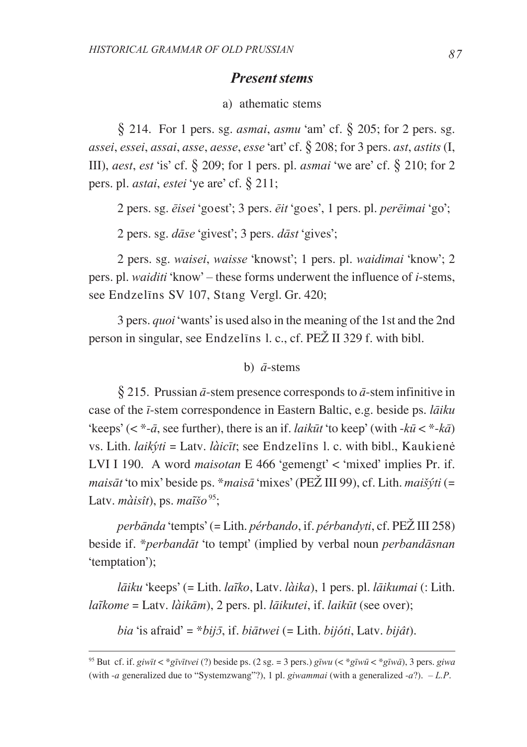### **Present stems**

### a) athematic stems

 $\S$  214. For 1 pers. sg. *asmai*, *asmu* 'am' cf.  $\S$  205; for 2 pers. sg. assei, essei, assai, asse, aesse, esse 'art' cf.  $\S$  208; for 3 pers. ast, astits (I, III), *aest, est* 'is' cf.  $\frac{5}{209}$ ; for 1 pers. pl. *asmai* 'we are' cf.  $\frac{5}{210}$ ; for 2 pers. pl. *astai*, *estei* 'ye are' cf.  $\S$  211;

2 pers. sg. *ēisei* 'goest'; 3 pers. *ēit* 'goes', 1 pers. pl. *perēimai* 'go';

2 pers. sg. *dāse* 'givest'; 3 pers. *dāst* 'gives';

2 pers. sg. waisei, waisse 'knowst'; 1 pers. pl. waidimai 'know'; 2 pers. pl. *waiditi* 'know' – these forms underwent the influence of *i*-stems, see Endzelins SV 107, Stang Vergl. Gr. 420;

3 pers. *quoi* 'wants' is used also in the meaning of the 1st and the 2nd person in singular, see Endzelins 1. c., cf. PEŽ II 329 f. with bibl.

#### b)  $\bar{a}$ -stems

 $\S$  215. Prussian  $\bar{a}$ -stem presence corresponds to  $\bar{a}$ -stem infinitive in case of the *ī*-stem correspondence in Eastern Baltic, e.g. beside ps. *lāiku* 'keeps' (<  $*$ - $\bar{a}$ , see further), there is an if. *laikūt* 'to keep' (with  $-k\bar{u}$  <  $*$ - $k\bar{a}$ ) vs. Lith. laikýti = Latv. làicīt; see Endzelīns 1. c. with bibl., Kaukienė LVI I 190. A word *maisotan* E 466 'gemengt' < 'mixed' implies Pr. if. *maisāt* 'to mix' beside ps. \**maisā* 'mixes' (PEŽ III 99), cf. Lith. *maišvti* (= Latv.  $m\dot{a}$ *isît*), ps.  $ma\tilde{a}$ so<sup>95</sup>;

perbānda 'tempts' (= Lith. pérbando, if. pérbandvti, cf. PEŽ III 258) beside if. \**perbandāt* 'to tempt' (implied by verbal noun *perbandāsnan* 'temptation');

 $l\bar{a}$ iku 'keeps' (= Lith.  $l\alpha\bar{i}k\alpha$ , Latv.  $l\dot{\alpha}ika$ ), 1 pers. pl.  $l\bar{a}ikumai$  (: Lith.  $la\tilde{\mathbf{k}}$  and  $\tilde{\mathbf{k}}$  and  $\tilde{\mathbf{k}}$  and  $\tilde{\mathbf{k}}$  and  $\tilde{\mathbf{k}}$  are pers. pl. *laikutei*, if. *laikut* (see over);

bia 'is afraid' = \*bij5, if. biātwei (= Lith. bijóti, Latv. bijât).

<sup>&</sup>lt;sup>95</sup> But cf. if. giwīt < \* gīvītvei (?) beside ps. (2 sg. = 3 pers.) gīwu (< \* gīwū < \* gīwā), 3 pers. giwa (with -a generalized due to "Systemzwang"?), 1 pl. giwammai (with a generalized -a?).  $-L.P$ .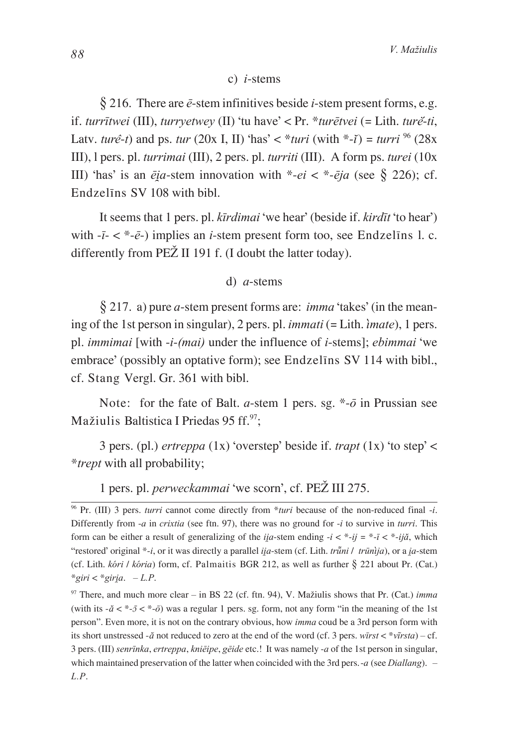#### c) *i*-stems

*\** 216. There are *ç*-stem infinitives beside *i*-stem present forms, e.g. if. *turrîtwei* (III), *turryetwey* (II) 'tu have' < Pr. \**turçtvei* (= Lith. *turê*-*ti*, Latv. *turê-t*) and ps. *tur* (20x I, II) 'has' < \**turi* (with \*-*ĭ*) = *turri*  $\frac{96}{28x}$ III), l pers. pl. *turrimai* (III), 2 pers. pl. *turriti* (III). A form ps. *turei* (10x III) 'has' is an  $\overline{e}ia$ -stem innovation with  $\overline{e}$ - $\overline{e}i$  <  $\overline{e}$ - $\overline{e}ia$  (see  $\overline{\xi}$  226); cf. Endzelîns SV 108 with bibl.

It seems that 1 pers. pl. *kîrdimai* 'we hear' (beside if. *kirdît* 'to hear') with  $-i - < \overline{\cdot} - \overline{e}$  implies an *i*-stem present form too, see Endzelins 1. c. differently from  $PEZ$  II 191 f. (I doubt the latter today).

### d) *a*-stems

*\** 217. a) pure *a*-stem present forms are: *imma* 'takes' (in the meaning of the 1st person in singular), 2 pers. pl. *immati* (= Lith. *Ñmate*), 1 pers. pl. *immimai* [with -*i*-*(mai)* under the influence of *i*-stems]; *ebimmai* 'we embrace' (possibly an optative form); see Endzelîns SV 114 with bibl., cf. Stang Vergl. Gr. 361 with bibl.

Note: for the fate of Balt. *a*-stem 1 pers. sg. \*-*ô* in Prussian see Mažiulis Baltistica I Priedas 95 ff.<sup>97</sup>;

3 pers. (pl.) *ertreppa* (1x) 'overstep' beside if. *trapt* (1x) 'to step' < \**trept* with all probability;

1 pers. pl. *perweckammai* 'we scorn', cf. PEŽ III 275.

<sup>&</sup>lt;sup>96</sup> Pr. (III) 3 pers. *turri* cannot come directly from \**turi* because of the non-reduced final -*i*. Differently from -*a* in *crixtia* (see ftn. 97), there was no ground for -*i* to survive in *turri*. This form can be either a result of generalizing of the *iia*-stem ending  $-i < \frac{1}{i}i < \frac{1}{i}i < \frac{1}{i}i$ , which "restored' original \*-*i*, or it was directly a parallel *iia*-stem (cf. Lith. *trūni* / *trūnija*), or a *ia*-stem (cf. Lith. *kóri / kória*) form, cf. Palmaitis BGR 212, as well as further § 221 about Pr. (Cat.) \**giri* < \**girÙa*. – *L.P*.

 $97$  There, and much more clear – in BS 22 (cf. ftn. 94), V. Mažiulis shows that Pr. (Cat.) *imma* (with its  $-\tilde{a} < \tilde{\alpha} < \tilde{\alpha} < \tilde{\alpha}$ ) was a regular 1 pers. sg. form, not any form "in the meaning of the 1st person". Even more, it is not on the contrary obvious, how *imma* coud be a 3rd person form with its short unstressed -*a* not reduced to zero at the end of the word (cf. 3 pers.  $wirst < *virsta$ ) – cf. 3 pers. (III) *senrînka*, *ertreppa*, *kniçipe*, *gçide* etc.! It was namely -*a* of the 1st person in singular, which maintained preservation of the latter when coincided with the 3rd pers. -*a* (see *Diallang*). – *L.P*.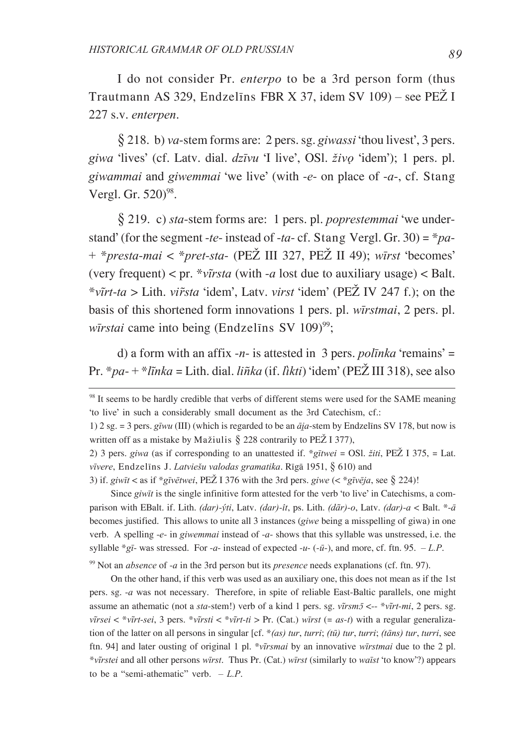I do not consider Pr. *enterpo* to be a 3rd person form (thus Trautmann AS 329, Endzelins FBR X 37, idem SV  $109$ ) – see PE $\ddot{Z}$  I 227 s.v. *enterpen*.

*\** 218. b) *va*-stem forms are: 2 pers. sg. *giwassi* 'thou livest', 3 pers. *giwa* 'lives' (cf. Latv. dial. *dzîvu* 'I live', OSl. *þiv¢* 'idem'); 1 pers. pl. *giwammai* and *giwemmai* 'we live' (with -*e*- on place of -*a*-, cf. Stang Vergl. Gr.  $520)^{98}$ .

*\** 219. c) *sta*-stem forms are: 1 pers. pl. *poprestemmai* 'we understand' (for the segment -*te*- instead of -*ta*- cf. Stang Vergl. Gr. 30) = \**pa*- + \**presta*-*mai* < \**pret*-*sta*- (PEÞ III 327, PEÞ II 49); *wîrst* 'becomes' (very frequent)  $\lt$  pr. \**virsta* (with -*a* lost due to auxiliary usage)  $\lt$  Balt. \**vµrt*-*ta* > Lith. *vi…rsta* 'idem', Latv. *virst* 'idem' (PEÞ IV 247 f.); on the basis of this shortened form innovations 1 pers. pl. *wîrstmai*, 2 pers. pl. *wīrstai* came into being (Endzelīns SV 109)<sup>99</sup>;

d) a form with an affix -*n*- is attested in 3 pers. *polînka* 'remains' = Pr.  $*pa - * i\tilde{n}ka =$ Lith. dial. *liñka* (if. *lìkti*) 'idem' (PEŽ III 318), see also

2) 3 pers. *giwa* (as if corresponding to an unattested if. \**gītwei* = OSl.  $\check{z}$ *iti*, PE $\check{Z}$  I 375, = Lat. *vîvere*, Endzelîns J. *Latvieðu valodas gramatika*. Rîg` 1951, *\** 610) and

3) if. *giwīt* < as if  $*g\bar{v}$ *etwei*, PEŽ I 376 with the 3rd pers. *giwe* (<  $*g\bar{v}$ *eja*, see § 224)!

Since *giwît* is the single infinitive form attested for the verb 'to live' in Catechisms, a comparison with EBalt. if. Lith.  $(dar)$ - $\dot{\gamma}$ ti, Latv.  $(dar)$ - $\hat{\iota}$ , ps. Lith.  $(d\tilde{a}r)$ - $o$ , Latv.  $(dar)$ - $a$  < Balt.  $*$ - $\tilde{a}$ becomes justified. This allows to unite all 3 instances (*giwe* being a misspelling of giwa) in one verb. A spelling -*e*- in *giwemmai* instead of -*a*- shows that this syllable was unstressed, i.e. the syllable  $*g\bar{t}$ - was stressed. For -*a*- instead of expected -*u*- (- $\bar{u}$ -), and more, cf. ftn. 95. – *L.P.* 

99 Not an *absence* of -*a* in the 3rd person but its *presence* needs explanations (cf. ftn. 97).

On the other hand, if this verb was used as an auxiliary one, this does not mean as if the 1st pers. sg. -*a* was not necessary. Therefore, in spite of reliable East-Baltic parallels, one might assume an athematic (not a *sta*-stem!) verb of a kind 1 pers. sg. *virsm* $\bar{j} \leftarrow$  \**virt-mi*, 2 pers. sg.  $v\tilde{i}$ *rsei* < \**v* $\tilde{i}$ *rt*-*sei*, 3 pers. \**v* $\tilde{i}$ *rsti* < \**v* $\tilde{i}$ *rt*-*ti* > Pr. (Cat.) *wirst* (= *as-t*) with a regular generalization of the latter on all persons in singular [cf. \*(as) tur, turri; (tū) tur, turri; (tāns) tur, turri, see ftn. 94] and later ousting of original 1 pl. \*virsmai by an innovative *wirstmai* due to the 2 pl. \**vµrstei* and all other persons *wîrst*. Thus Pr. (Cat.) *wîrst* (similarly to *waîst* 'to know'?) appears to be a "semi-athematic" verb. – *L.P*.

<sup>&</sup>lt;sup>98</sup> It seems to be hardly credible that verbs of different stems were used for the SAME meaning 'to live' in such a considerably small document as the 3rd Catechism, cf.:

<sup>1) 2</sup> sg. = 3 pers.  $g\bar{u}wu$  (III) (which is regarded to be an  $\bar{a}ia$ -stem by Endzelins SV 178, but now is written off as a mistake by Mažiulis § 228 contrarily to PEŽ I 377),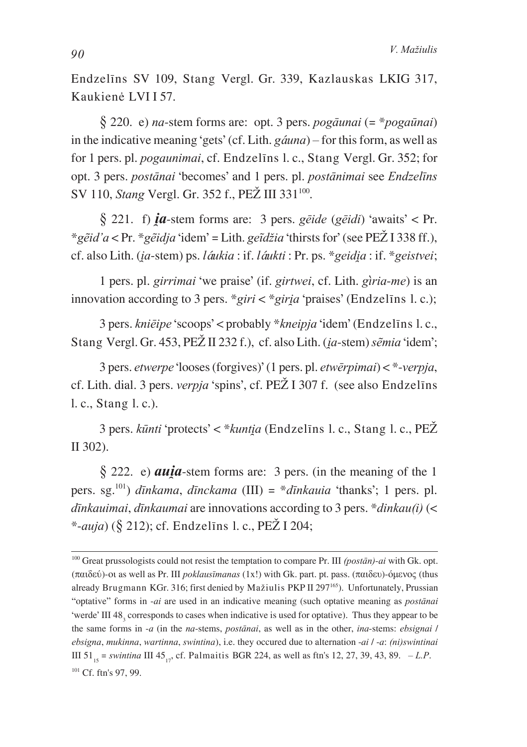Endzelins SV 109, Stang Vergl. Gr. 339, Kazlauskas LKIG 317, Kaukienė LVI I 57.

 $\S$  220. e) na-stem forms are: opt. 3 pers. pogāunai (= \*pogaūnai) in the indicative meaning 'gets' (cf. Lith.  $g\hat{a}$ una) – for this form, as well as for 1 pers. pl. pogaunimai, cf. Endzelins 1. c., Stang Vergl. Gr. 352; for opt. 3 pers. *postānai* 'becomes' and 1 pers. pl. *postānimai* see *Endzelīns* SV 110, Stang Vergl. Gr. 352 f., PEŽ III 331<sup>100</sup>.

§ 221. f) *ia*-stem forms are: 3 pers. getal (getal) 'awaits' < Pr. \*getd'a < Pr. \*getdja 'idem' = Lith. getdžia 'thirsts for' (see PEŽ I 338 ff.). cf. also Lith. (ia-stem) ps. *láukia* : if. *láukti* : Pr. ps. \*geidia : if. \*geistvei;

1 pers. pl. girrimai 'we praise' (if. girtwei, cf. Lith. giria-me) is an innovation according to 3 pers. \* girl < \* girla 'praises' (Endzelins l. c.);

3 pers. kniety e 'scoops' < probably \* kneipja 'idem' (Endzelins 1. c., Stang Vergl. Gr. 453, PEŽ II 232 f.), cf. also Lith. (ia-stem) sẽmia 'idem';

3 pers. *etwerpe* 'looses (forgives)' (1 pers. pl. *etwerpimai*) < \*-verpja, cf. Lith. dial. 3 pers. verpja 'spins', cf. PEŽ I 307 f. (see also Endzelins l. c., Stang 1. c.).

3 pers. kūnti 'protects' < \* kuntia (Endzelins 1, c., Stang 1, c., PEŽ  $II$  302).

 $\&$  222. e) *auia*-stem forms are: 3 pers. (in the meaning of the 1 pers. sg.<sup>101</sup>) dīnkama, dīnckama (III) = \*dīnkauja 'thanks'; 1 pers. pl.  $\pi$  dīnkauimai, dīnkaumai are innovations according to 3 pers. \* $\pi$ dinkau(i) (< \*-*auja*) (§ 212); cf. Endzelins 1. c., PEŽ I 204;

 $100$  Great prussologists could not resist the temptation to compare Pr. III (postan)-ai with Gk. opt. (παιδεύ)-οι as well as Pr. III poklausīmanas (1x!) with Gk. part. pt. pass. (παιδευ)-όμενος (thus already Brugmann KGr. 316; first denied by Mažiulis PKP II 297<sup>165</sup>). Unfortunately, Prussian "optative" forms in -ai are used in an indicative meaning (such optative meaning as *postanai* 'werde' III 48, corresponds to cases when indicative is used for optative). Thus they appear to be the same forms in  $-a$  (in the *na*-stems, *postanai*, as well as in the other, *ina*-stems: *ebsignai* / ebsigna, mukinna, wartinna, swintina), i.e. they occured due to alternation  $-ai$   $\rightarrow a$ : (ni)swintinai III 51 = swinting III 45 ..., cf. Palmaitis BGR 224, as well as ftn's 12, 27, 39, 43, 89. - L.P. <sup>101</sup> Cf. ftn's 97, 99.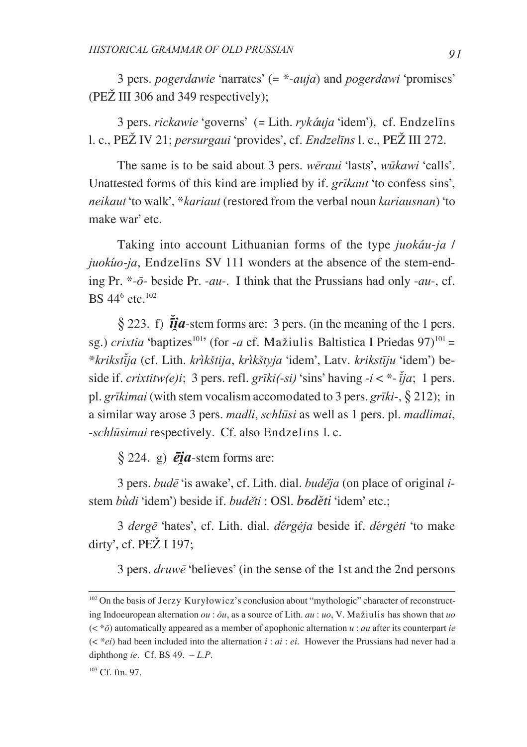3 pers. *pogerdawie* 'narrates' (= \*-*auja*) and *pogerdawi* 'promises' (PE $\check{Z}$  III 306 and 349 respectively);

3 pers. *rickawie* 'governs' (= Lith. *ryk³uja* 'idem'), cf. Endzelîns l. c., PEÞ IV 21; *persurgaui* 'provides', cf. *Endzelîns* l. c., PEÞ III 272.

The same is to be said about 3 pers. *wçraui* 'lasts', *wûkawi* 'calls'. Unattested forms of this kind are implied by if. *grîkaut* 'to confess sins', *neikaut* 'to walk', \**kariaut* (restored from the verbal noun *kariausnan*) 'to make war' etc.

Taking into account Lithuanian forms of the type *juokáu-ja* / *juokuo-ja*, Endzelins SV 111 wonders at the absence of the stem-ending Pr. \*-*ô*- beside Pr. -*au*-. I think that the Prussians had only -*au*-, cf. BS 44<sup>6</sup> etc.<sup>102</sup>

 $\hat{\mathcal{S}}$  223. f)  $\overrightarrow{i}$ *iu*-stem forms are: 3 pers. (in the meaning of the 1 pers. sg.) *crixtia* 'baptizes<sup>101</sup>' (for -*a* cf. Mažiulis Baltistica I Priedas 97)<sup>101</sup> = \**krikstŠîja* (cf. Lith. *krÑkðtija*, *krÑkðtyja* 'idem', Latv. *krikstîju* 'idem') beside if. *crixtitw(e)i*; 3 pers. refl. *grîki(*-*si)* 'sins' having -*i* < \*-*Šîja*; 1 pers. pl. *grîkimai* (with stem vocalism accomodated to 3 pers. *grîki*-, *\** 212); in a similar way arose 3 pers. *madli*, *schlûsi* as well as 1 pers. pl. *madlimai*, -*schlûsimai* respectively. Cf. also Endzelîns l. c.

 $\hat{\mathcal{S}}$  224. g)  $\vec{e}$ *ia*-stem forms are:

3 pers. *budç* 'is awake', cf. Lith. dial. *budêja* (on place of original *i*stem *bùdi* 'idem') beside if. *buděti* : OSl. *b*<sup>o</sup>děti 'idem' etc.;

3 *dergē* 'hates', cf. Lith. dial. *dérgėja* beside if. *dérgėti* 'to make dirty', cf. PEŽ I 197;

3 pers. *druwç* 'believes' (in the sense of the 1st and the 2nd persons

<sup>&</sup>lt;sup>102</sup> On the basis of Jerzy Kuryłowicz's conclusion about "mythologic" character of reconstructing Indoeuropean alternation  $ou : \overline{ou}$ , as a source of Lith.  $au : u_0$ , V. Mažiulis has shown that  $uo$  $( $\times \bar{\sigma}$ )$  automatically appeared as a member of apophonic alternation *u* : *au* after its counterpart *ie* (< \**ei*) had been included into the alternation *i* : *ai* : *ei*. However the Prussians had never had a diphthong *ie*. Cf. BS 49. – *L.P*.

<sup>103</sup> Cf. ftn. 97.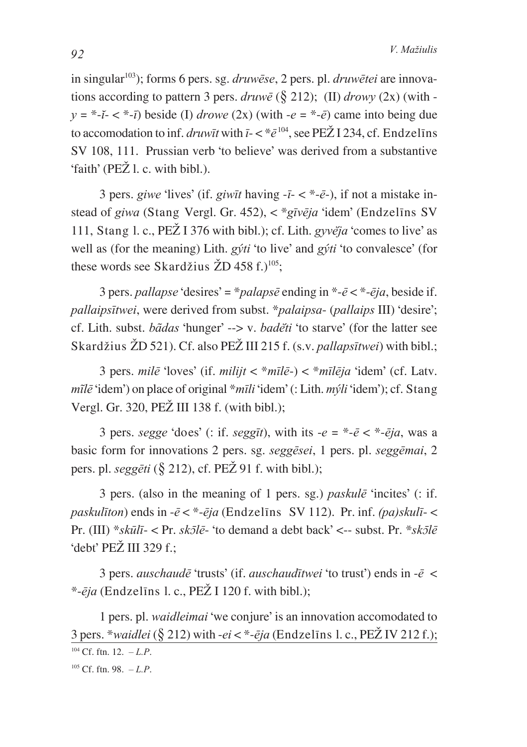in singular<sup>103</sup>); forms 6 pers. sg. *druwese*, 2 pers. pl. *druwetei* are innovations according to pattern 3 pers.  $druw\bar{e}$  (§ 212); (II)  $drowy$  (2x) (with  $y = *-i<sup>2</sup> - i<sup>2</sup> - i<sup>2</sup>$  beside (I) *drowe* (2x) (with  $-e = *-i<sup>2</sup>$ ) came into being due to accomodation to inf. *druwit* with  $\bar{i}$ - $\lt \tilde{\tau}$ <sup>104</sup>, see PE $\tilde{Z}$ I 234, cf. Endzelins SV 108, 111. Prussian verb 'to believe' was derived from a substantive 'faith' ( $PE\check{Z}$  l. c. with bibl.).

3 pers. *giwe* 'lives' (if. *giwît* having -*î*- < \*-*ç*-), if not a mistake instead of *giwa* (Stang Vergl. Gr. 452), < \**gîvçja* 'idem' (Endzelîns SV 111, Stang 1. c.,  $PE\check{Z}$  I 376 with bibl.); cf. Lith. *gyvėja* 'comes to live' as well as (for the meaning) Lith. *gi*ti 'to live' and *gi*ti 'to convalesce' (for these words see Skardžius ŽD 458 f.)<sup>105</sup>;

3 pers. *pallapse* 'desires' = \**palapsç* ending in \*-*ç* < \*-*çja*, beside if. *pallaipsîtwei*, were derived from subst. \**palaipsa*- (*pallaips* III) 'desire'; cf. Lith. subst. *bãdas* 'hunger' --> v. *badêti* 'to starve' (for the latter see Skardžius ŽD 521). Cf. also PEŽ III 215 f. (s.v. *pallapsītwei*) with bibl.;

3 pers. *milç* 'loves' (if. *milijt* < \**mîlç*-) < \**mîlçja* 'idem' (cf. Latv. *mîlē* 'idem') on place of original \**mīli* 'idem' (: Lith. *mýli* 'idem'); cf. Stang Vergl. Gr. 320,  $PEŽ$  III 138 f. (with bibl.);

3 pers. *segge* 'does' (: if. *seggīt*), with its  $-e = *-\bar{e} < *-\bar{e}i\bar{a}$ , was a basic form for innovations 2 pers. sg. *seggçsei*, 1 pers. pl. *seggçmai*, 2 pers. pl. *seggēti* (§ 212), cf. PEŽ 91 f. with bibl.);

3 pers. (also in the meaning of 1 pers. sg.) *paskulç* 'incites' (: if. *paskulîton*) ends in -*ç* < \*-*çja* (Endzelîns SV 112). Pr. inf. *(pa)skulî*- < Pr. (III) \**skûlî*- < Pr. *sk¯Élç*- 'to demand a debt back' <-- subst. Pr. \**sk¯Élç* 'debt' PEŽ III 329 f.:

3 pers. *auschaudç* 'trusts' (if. *auschaudîtwei* 'to trust') ends in -*ç* <  $*-eja$  (Endzelins l. c., PE $\check{Z}$  I 120 f. with bibl.);

1 pers. pl. *waidleimai* 'we conjure' is an innovation accomodated to 3 pers. \**waidlei* ( $\frac{6}{3}$  212) with *-ei* < \**-eja* (Endzelīns 1. c., PEŽ IV 212 f.);

<sup>104</sup> Cf. ftn. 12. – *L.P*.

<sup>105</sup> Cf. ftn. 98. – *L.P*.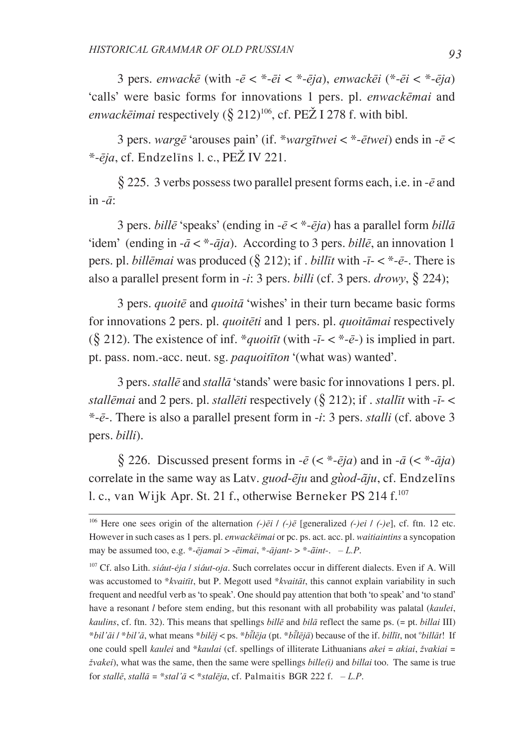3 pers. enwackē (with  $-\bar{e} < *-\bar{e}i < *-\bar{e}ia$ ), enwackēi (\*- $\bar{e}i < *-\bar{e}ia$ ) 'calls' were basic forms for innovations 1 pers. pl. enwackemai and enwacketimal respectively (§ 212)<sup>106</sup>, cf. PEŽ I 278 f. with bibl.

3 pers. warge 'arouses pain' (if. \*wargitwei < \*-etwei) ends in  $-\bar{e}$  < \*- $\vec{e}$ ja, cf. Endzelīns 1. c., PEŽ IV 221.

§ 225. 3 verbs possess two parallel present forms each, i.e. in - $\bar{e}$  and in  $-\bar{a}$ :

3 pers. bille 'speaks' (ending in  $-\bar{e} < *-\bar{e}i\bar{a}$ ) has a parallel form billa 'idem' (ending in  $-\bar{a} < \dot{\tau} - \bar{a}i\bar{a}$ ). According to 3 pers. *bille*, an innovation 1 pers. pl. *billemai* was produced (§ 212); if . *bill* $\bar{t}$ t with  $-\bar{t} < \dot{\tau} - \bar{e}$ . There is also a parallel present form in -*i*: 3 pers. *billi* (cf. 3 pers. *drowy*,  $\S$  224);

3 pers. *quoite* and *quoita* 'wishes' in their turn became basic forms for innovations 2 pers. pl. *quoiteti* and 1 pers. pl. *quoitamai* respectively (§ 212). The existence of inf. \**quoitīt* (with  $-i$  < \*- $\bar{e}$ -) is implied in part. pt. pass. nom.-acc. neut. sg. *paquoititon* '(what was) wanted'.

3 pers. *stalle* and *stalla* 'stands' were basic for innovations 1 pers. pl. *stallemai* and 2 pers. pl. *stalleti* respectively ( $\frac{8}{212}$ ); if *. stallti* with  $-\bar{i}$  < \*- $\bar{e}$ -. There is also a parallel present form in -*i*: 3 pers. *stalli* (cf. above 3 pers. billi).

§ 226. Discussed present forms in  $-\bar{e}$  (< \*- $\bar{e}$ *ja*) and in  $-\bar{a}$  (< \*- $\bar{a}$ *ja*) correlate in the same way as Latv. guod-eju and gùod-aju, cf. Endzelins l. c., van Wijk Apr. St. 21 f., otherwise Berneker PS 214 f.<sup>107</sup>

<sup>&</sup>lt;sup>106</sup> Here one sees origin of the alternation (-) $\bar{e}i / (-\bar{e}$  [generalized (-) $e$ i / (-) $e$ ], cf. ftn. 12 etc. However in such cases as 1 pers. pl. enwacketimai or pc. ps. act. acc. pl. waitiaintins a syncopation may be assumed too, e.g. \*-ejamai > -ẽimai, \*-ājant- > \*-ãint-. - L.P.

<sup>&</sup>lt;sup>107</sup> Cf. also Lith. siáut-éja / siáut-oja. Such correlates occur in different dialects. Even if A. Will was accustomed to \*kvaitūt, but P. Megott used \*kvaitāt, this cannot explain variability in such frequent and needful verb as 'to speak'. One should pay attention that both 'to speak' and 'to stand' have a resonant *l* before stem ending, but this resonant with all probability was palatal (kaulei, kaulins, cf. ftn. 32). This means that spellings bille and bila reflect the same ps.  $(=$  pt. billai III) \*bil'āi / \*bil'ā, what means \*bilēj < ps. \*bilēja (pt. \*bilējā) because of the if. billīt, not 'billāt! If one could spell *kaulei* and \**kaulai* (cf. spellings of illiterate Lithuanians *akei* = *akiai*, žvakiai = žvakei), what was the same, then the same were spellings  $bille(i)$  and  $billa$  too. The same is true for stalle, stalla = \*stal'a < \*staleja, cf. Palmaitis BGR 222 f. - L.P.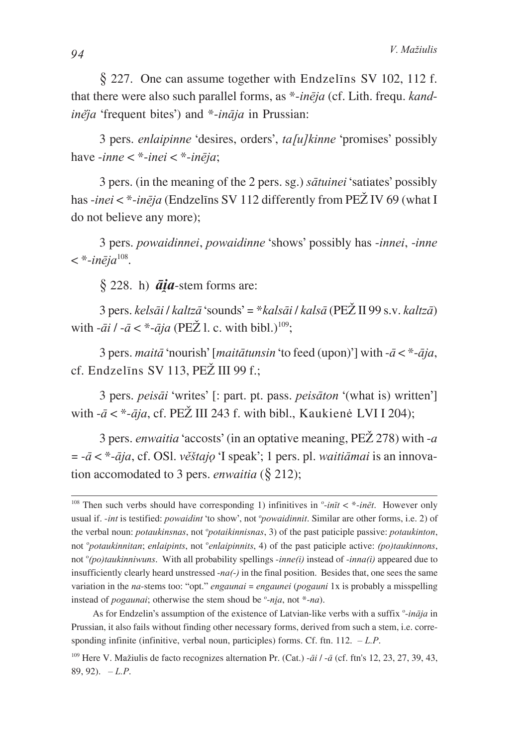*\** 227. One can assume together with Endzelîns SV 102, 112 f. that there were also such parallel forms, as \*-*inçja* (cf. Lith. frequ. *kandinéja* 'frequent bites') and \*-*ināja* in Prussian:

3 pers. *enlaipinne* 'desires, orders', *ta[u]kinne* 'promises' possibly have -*inne* < \*-*inei* < \*-*inçja*;

3 pers. (in the meaning of the 2 pers. sg.) *s`tuinei* 'satiates' possibly has -*inei* < \*-*inēja* (Endzelīns SV 112 differently from PEŽ IV 69 (what I do not believe any more);

3 pers. *powaidinnei*, *powaidinne* 'shows' possibly has -*innei*, -*inne*  $\langle \times \times in \bar{e} i a^{108} \rangle$ .

 $\hat{\mathcal{S}}$  228. h)  $\vec{a}$ **i***a*-stem forms are:

3 pers. *kels`i* / *kaltz`* 'sounds' = \**kals`i* / *kals`* (PEÞ II 99 s.v. *kaltz`*) with  $-\bar{a}i$  /  $-\bar{a} < \dot{\tau} - \bar{a}ia$  (PEŽ l. c. with bibl.)<sup>109</sup>;

3 pers. *maitā* 'nourish' [*maitātunsin* 'to feed (upon)'] with  $-\bar{a} <$  \*- $\bar{a}j\bar{a}$ , cf. Endzelīns SV 113,  $PE\check{Z}$  III 99 f.:

3 pers. *peis`i* 'writes' [: part. pt. pass. *peis`ton* '(what is) written'] with  $-\bar{a} < \dot{\tau} - \bar{a}ja$ , cf. PEŽ III 243 f. with bibl., Kaukienė LVI I 204);

3 pers. *enwaitia* 'accosts' (in an optative meaning, PEÞ 278) with -*a*  $\overline{\alpha}$  =  $-\overline{a}$  <  $\overline{\alpha}$   $\overline{\alpha}$ , cf. OSl. *veštajo* 'I speak'; 1 pers. pl. *waitiāmai* is an innovation accomodated to 3 pers. *enwaitia* (*\** 212);

<sup>&</sup>lt;sup>108</sup> Then such verbs should have corresponding 1) infinitives in  $\degree$ -*inīt* <  $\degree$ -*inēt*. However only usual if. *-int* is testified: *powaidint* 'to show', not '*powaidinnit*. Similar are other forms, i.e. 2) of the verbal noun: *potaukinsnas*, not 'potaikinnisnas, 3) of the past paticiple passive: potaukinton, not 'potaukinnitan; enlaipints, not 'enlaipinnits, 4) of the past paticiple active: (po)taukinnons, not <sup>o</sup>(po)taukinniwuns. With all probability spellings -inne(i) instead of -inna(i) appeared due to insufficiently clearly heard unstressed -*na(*-*)* in the final position. Besides that, one sees the same variation in the *na*-stems too: "opt." *engaunai* = *engaunei* (*pogauni* 1x is probably a misspelling instead of *pogaunai*; otherwise the stem shoud be  $\degree$ -nia, not  $*$ -na).

As for Endzelin's assumption of the existence of Latvian-like verbs with a suffix <sup>o</sup>-ināja in Prussian, it also fails without finding other necessary forms, derived from such a stem, i.e. corresponding infinite (infinitive, verbal noun, participles) forms. Cf. ftn. 112. – *L.P*.

 $^{109}$  Here V. Mažiulis de facto recognizes alternation Pr. (Cat.)  $-\tilde{a}i / -\tilde{a}$  (cf. ftn's 12, 23, 27, 39, 43, 89, 92). – *L.P*.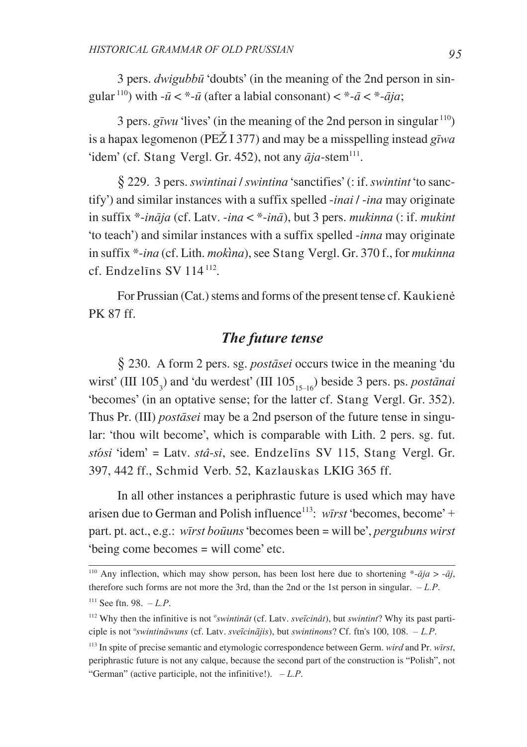3 pers. *dwigubbû* 'doubts' (in the meaning of the 2nd person in singular<sup>110</sup>) with  $-\bar{u} < *-\bar{u}$  (after a labial consonant)  $< *-\bar{a} < *-\bar{a}i\bar{a}$ ;

3 pers.  $g\bar{u}wu'$  lives' (in the meaning of the 2nd person in singular  $110$ ) is a hapax legomenon (PE $\check{Z}$  I 377) and may be a misspelling instead *gīwa* 'idem' (cf. Stang Vergl. Gr. 452), not any  $\overline{a}$ *ja*-stem<sup>111</sup>.

*\** 229. 3 pers. *swintinai* / *swintina* 'sanctifies' (: if. *swintint* 'to sanctify') and similar instances with a suffix spelled -*inai* / -*ina* may originate in suffix \*-*in`ja* (cf. Latv. -*ina* < \*-*in`*), but 3 pers. *mukinna* (: if. *mukint* 'to teach') and similar instances with a suffix spelled -*inna* may originate in suffix  $*$ -*ina* (cf. Lith. *mokina*), see Stang Vergl. Gr. 370 f., for *mukinna* cf. Endzelîns SV 114 112.

For Prussian (Cat.) stems and forms of the present tense cf. Kaukienë PK 87 ff.

# *The future tense*

§ 230. A form 2 pers. sg. *postāsei* occurs twice in the meaning 'du wirst' (III 105<sub>3</sub>) and 'du werdest' (III 105<sub>15-16</sub>) beside 3 pers. ps. *postānai* 'becomes' (in an optative sense; for the latter cf. Stang Vergl. Gr. 352). Thus Pr. (III) *postasei* may be a 2nd pserson of the future tense in singular: 'thou wilt become', which is comparable with Lith. 2 pers. sg. fut. *stƒosi* 'idem' = Latv. *stâ*-*si*, see. Endzelîns SV 115, Stang Vergl. Gr. 397, 442 ff., Schmid Verb. 52, Kazlauskas LKIG 365 ff.

In all other instances a periphrastic future is used which may have arisen due to German and Polish influence<sup>113</sup>: *wīrst* 'becomes, become' + part. pt. act., e.g.: *wîrst boûuns* 'becomes been = will be', *pergubuns wirst* 'being come becomes = will come' etc.

113 In spite of precise semantic and etymologic correspondence between Germ. *wird* and Pr. *wîrst*, periphrastic future is not any calque, because the second part of the construction is "Polish", not "German" (active participle, not the infinitive!).  $-L.P$ .

<sup>&</sup>lt;sup>110</sup> Any inflection, which may show person, has been lost here due to shortening \*- $\vec{a}$ *ja* > - $\vec{a}$ *j*, therefore such forms are not more the 3rd, than the 2nd or the 1st person in singular. – *L.P*. 111 See ftn. 98. – *L.P*.

<sup>&</sup>lt;sup>112</sup> Why then the infinitive is not *'swintināt* (cf. Latv. *sveicinât*), but *swintint*? Why its past participle is not *°swintināwuns* (cf. Latv. *sveĩcinãjis*), but *swintinons*? Cf. ftn's 100, 108. – *L.P*.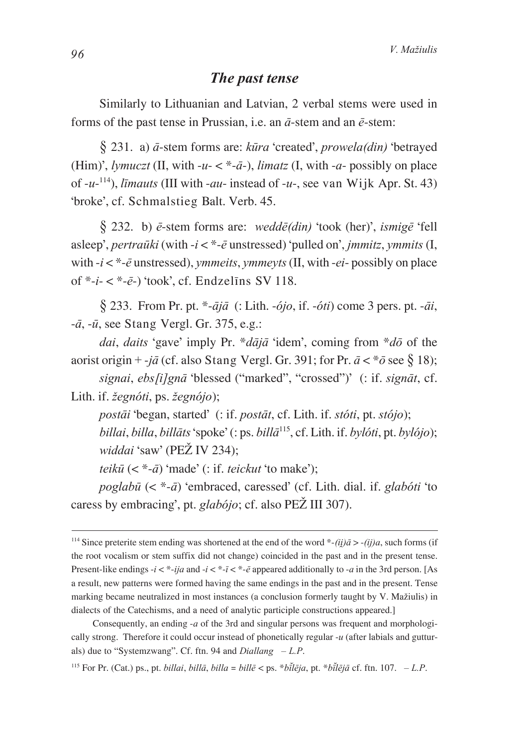## *The past tense*

Similarly to Lithuanian and Latvian, 2 verbal stems were used in forms of the past tense in Prussian, i.e. an  $\bar{a}$ -stem and an  $\bar{e}$ -stem:

*\** 231. a) *`*-stem forms are: *kûra* 'created', *prowela(din)* 'betrayed (Him)', *lymuczt* (II, with  $-u - \langle \overline{x} - \overline{a} \rangle$ , *limatz* (I, with  $-a$ - possibly on place of -*u*-114), *lîmauts* (III with -*au*- instead of -*u*-, see van Wijk Apr. St. 43) 'broke', cf. Schmalstieg Balt. Verb. 45.

*\** 232. b) *ç*-stem forms are: *weddç(din)* 'took (her)', *ismigç* 'fell asleep', *pertraûki* (with -*i* < \*-*ç* unstressed) 'pulled on', *jmmitz*, *ymmits* (I, with -*i* < \*-*ç* unstressed), *ymmeits*, *ymmeyts* (II, with -*ei*- possibly on place of \*-*i*- < \*-*ç*-) 'took', cf. Endzelîns SV 118.

 $\frac{1}{2}$  233. From Pr. pt.  $*$ - $\overline{a}$ *j* $\overline{a}$  (: Lith. -*ojo*, if. -*oti*) come 3 pers. pt. - $\overline{a}$ *i*, -*`*, -*û*, see Stang Vergl. Gr. 375, e.g.:

*dai*, *daits* 'gave' imply Pr.  $*d\overline{a}i\overline{a}$  'idem', coming from  $*d\overline{o}$  of the aorist origin +  $-i\bar{a}$  (cf. also Stang Vergl. Gr. 391; for Pr.  $\bar{a} < * \bar{o}$  see  $\hat{\zeta}$  18);

*signai*, *ebs[i]gn`* 'blessed ("marked", "crossed")' (: if. *sign`t*, cf. Lith. if. *žegnóti*, ps. *žegnójo*);

*postāi* 'began, started' (: if. *postāt*, cf. Lith. if. *stóti*, pt. *stójo*); *billai*, *billa*, *billāts* 'spoke' (: ps. *billā*<sup>115</sup>, cf. Lith. if. *bylóti*, pt. *bylójo*); *widdai* 'saw' (PEŽ IV 234):

*teikū*  $( $\times$  -*a*) 'made' (: if. *teickut*' to make');$ 

*poglabû* (< \*-*`*) 'embraced, caressed' (cf. Lith. dial. if. *glaboti ƒ* 'to caress by embracing', pt. *glabójo*; cf. also PEŽ III 307).

<sup>&</sup>lt;sup>114</sup> Since preterite stem ending was shortened at the end of the word  $\dot{\alpha}$ -*(ii)a* > -*(ii)a*, such forms (if the root vocalism or stem suffix did not change) coincided in the past and in the present tense. Present-like endings -*i* < \*-*ija* and -*i* < \*-*î* < \*-*ç* appeared additionally to -*a* in the 3rd person. [As a result, new patterns were formed having the same endings in the past and in the present. Tense marking became neutralized in most instances (a conclusion formerly taught by V. Mažiulis) in dialects of the Catechisms, and a need of analytic participle constructions appeared.]

Consequently, an ending -*a* of the 3rd and singular persons was frequent and morphologically strong. Therefore it could occur instead of phonetically regular -*u* (after labials and gutturals) due to "Systemzwang". Cf. ftn. 94 and *Diallang* – *L.P*.

<sup>&</sup>lt;sup>115</sup> For Pr. (Cat.) ps., pt. *billai*, *billa*, *billa* = *bill* $\bar{e}$  < ps. \**b* $\bar{i}$ *legia*, pt. \**b* $\bar{i}$ *legia* cf. ftn. 107. – *L.P.*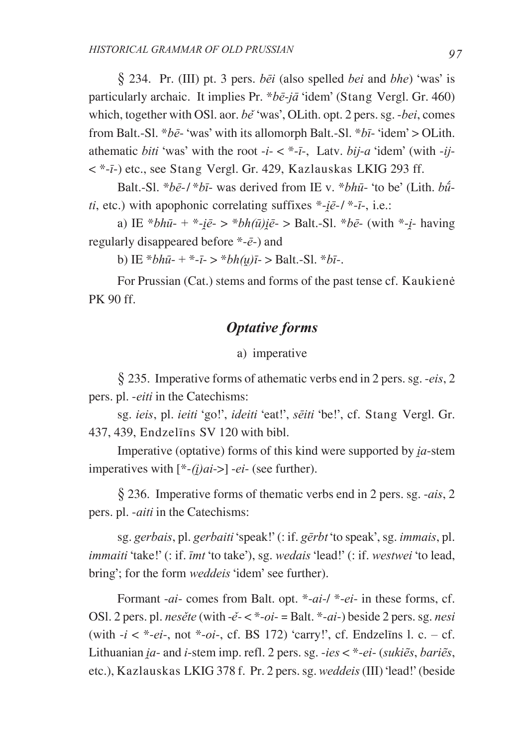*\** 234. Pr. (III) pt. 3 pers. *bçi* (also spelled *bei* and *bhe*) 'was' is particularly archaic. It implies Pr. \**b* $\bar{e}$ -*j* $\bar{a}$  'idem' (Stang Vergl. Gr. 460) which, together with OSI, aor. *be* 'was', OLith. opt. 2 pers. sg. *-bei*, comes from Balt.-Sl. \**bç*- 'was' with its allomorph Balt.-Sl. \**bî*- 'idem' > OLith. athematic *biti* 'was' with the root  $-i - < \overline{\cdot} - \overline{\cdot} -$ . Latv. *bij-a* 'idem' (with  $-i$ *j*-< \*-*î*-) etc., see Stang Vergl. Gr. 429, Kazlauskas LKIG 293 ff.

Balt.-Sl. \**b* $\bar{e}$ -/\**b* $\bar{i}$ - was derived from IE v. \**bhū*- 'to be' (Lith. *bûti*, etc.) with apophonic correlating suffixes  $*-i\bar{e}-/*i\bar{e}$ , i.e.:

a) IE \* $bh\bar{u}$ - + \*- $i\bar{e}$ - > \* $bh(\bar{u})i\bar{e}$ - > Balt.-Sl. \* $b\bar{e}$ - (with \*- $i$ - having regularly disappeared before \*-*ç*-) and

b) IE  $*bh\bar{u}$ <sup>-+  $*$ </sup>- $\bar{i}$ -> $*bh(u)\bar{i}$ ->Balt.-Sl.  $*b\bar{i}$ -.

For Prussian (Cat.) stems and forms of the past tense cf. Kaukienë PK 90 ff.

# *Optative forms*

### a) imperative

*\** 235. Imperative forms of athematic verbs end in 2 pers. sg. -*eis*, 2 pers. pl. -*eiti* in the Catechisms:

sg. *ieis*, pl. *ieiti* 'go!', *ideiti* 'eat!', *sçiti* 'be!', cf. Stang Vergl. Gr. 437, 439, Endzelîns SV 120 with bibl.

Imperative (optative) forms of this kind were supported by *ia*-stem imperatives with [\*-*(Ù)ai*->] -*ei*- (see further).

*\** 236. Imperative forms of thematic verbs end in 2 pers. sg. -*ais*, 2 pers. pl. -*aiti* in the Catechisms:

sg. *gerbais*, pl. *gerbaiti* 'speak!' (: if. *gçrbt* 'to speak', sg. *immais*, pl. *immaiti* 'take!' (: if. *îmt* 'to take'), sg. *wedais* 'lead!' (: if. *westwei* 'to lead, bring'; for the form *weddeis* 'idem' see further).

Formant -*ai*- comes from Balt. opt. \*-*ai*-/ \*-*ei*- in these forms, cf. OSl. 2 pers. pl. *nesete ‰* (with -*e‰*- < \*-*oi*- = Balt. \*-*ai*-) beside 2 pers. sg. *nesi* (with  $-i < *$ -*ei*-, not  $*-$ *oi*-, cf. BS 172) 'carry!', cf. Endzelins l. c. – cf. Lithuanian *ia*- and *i*-stem imp. refl. 2 pers. sg. -*ies*  $\lt^*$ -*ei*- (*sukies*, *baries*, etc.), Kazlauskas LKIG 378 f. Pr. 2 pers. sg. *weddeis* (III) 'lead!' (beside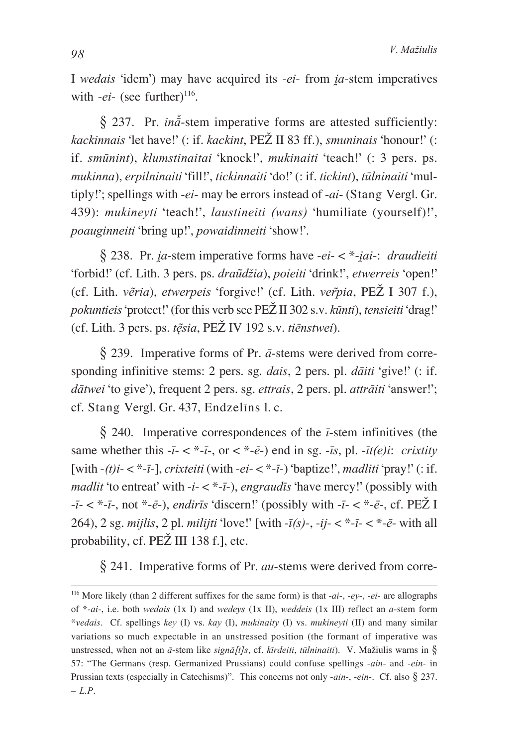I *wedais* 'idem') may have acquired its *-ei-* from *ia-stem* imperatives with  $-ei$ - (see further)<sup>116</sup>.

*\** 237. Pr. *inŠ`*-stem imperative forms are attested sufficiently: *kackinnais* 'let have!' (: if. *kackint*, PEŽ II 83 ff.), *smuninais* 'honour!' (: if. *smûnint*), *klumstinaitai* 'knock!', *mukinaiti* 'teach!' (: 3 pers. ps. *mukinna*), *erpilninaiti* 'fill!', *tickinnaiti* 'do!' (: if. *tickint*), *tûlninaiti* 'multiply!'; spellings with -*ei*- may be errors instead of -*ai*- (Stang Vergl. Gr. 439): *mukineyti* 'teach!', *laustineiti (wans)* 'humiliate (yourself)!', *poauginneiti* 'bring up!', *powaidinneiti* 'show!'.

*\** 238. Pr. *Ùa*-stem imperative forms have -*ei*- < \*-*Ùai*-: *draudieiti* 'forbid!' (cf. Lith. 3 pers. ps. *draudžia*), *poieiti* 'drink!', *etwerreis* 'open!' (cf. Lith. *v*eria), *etwerpeis* 'forgive!' (cf. Lith. *ver̃pia*, PEŽ I 307 f.), *pokuntieis* 'protect!' (for this verb see PEŽ II 302 s.v. *kūnti*), *tensieiti* 'drag!' (cf. Lith. 3 pers. ps. *tæsia …* , PEÞ IV 192 s.v. *tiçnstwei*).

*\** 239. Imperative forms of Pr. *`*-stems were derived from corresponding infinitive stems: 2 pers. sg. *dais*, 2 pers. pl. *daiti* 'give!' (: if. *dātwei* 'to give'), frequent 2 pers. sg. *ettrais*, 2 pers. pl. *attrāiti* 'answer!'; cf. Stang Vergl. Gr. 437, Endzelîns l. c.

*\** 240. Imperative correspondences of the *î*-stem infinitives (the same whether this  $-i - *z* - *i* -$ , or *) end in sg.*  $-i\bar{s}$ *, pl.*  $-i\bar{t}(e)i$ *: <i>crixtity* [with -*(t)i*- < \*-*î*-], *crixteiti* (with -*ei*- < \*-*î*-) 'baptize!', *madliti* 'pray!' (: if. *madlit* 'to entreat' with -*i*- < \*-*î*-), *engraudîs* 'have mercy!' (possibly with  $-i<sup>7</sup>-*é* -*i* - *é* -*i*$ , not \*-*ę*-), *endirīs* 'discern!' (possibly with  $-i<sup>7</sup>-*é* -*é* - *cf*$ . PEŽ I 264), 2 sg. *mijlis*, 2 pl. *milijti* 'love!' [with -*î(s)*-, -*ij*- < \*-*î*- < \*-*ç*- with all probability, cf. PEŽ III 138 f.], etc.

*\** 241. Imperative forms of Pr. *au*-stems were derived from corre-

<sup>116</sup> More likely (than 2 different suffixes for the same form) is that -*ai*-, -*ey*-, -*ei*- are allographs of \*-*ai*-, i.e. both *wedais* (1x I) and *wedeys* (1x II), *weddeis* (1x III) reflect an *a*-stem form \**vedais*. Cf. spellings *key* (I) vs. *kay* (I), *mukinaity* (I) vs. *mukineyti* (II) and many similar variations so much expectable in an unstressed position (the formant of imperative was unstressed, when not an  $\bar{a}$ -stem like *sign* $\bar{a}[t]s$ , cf. *kīrdeiti*, *tūlninaiti*). V. Mažiulis warns in § 57: "The Germans (resp. Germanized Prussians) could confuse spellings -*ain*- and -*ein*- in Prussian texts (especially in Catechisms)". This concerns not only -*ain*-, -*ein*-. Cf. also *\** 237. – *L.P*.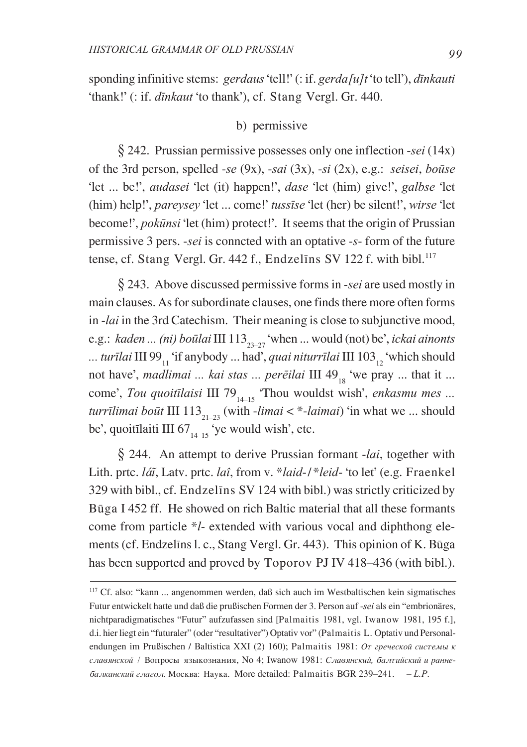sponding infinitive stems: *gerdaus* 'tell!' (: if. *gerda[u]t* 'to tell'), *dînkauti* 'thank!' (: if. *dînkaut* 'to thank'), cf. Stang Vergl. Gr. 440.

### b) permissive

*\** 242. Prussian permissive possesses only one inflection -*sei* (14x) of the 3rd person, spelled -*se* (9x), -*sai* (3x), -*si* (2x), e.g.: *seisei*, *boûse* 'let ... be!', *audasei* 'let (it) happen!', *dase* 'let (him) give!', *galbse* 'let (him) help!', *pareysey* 'let ... come!' *tussîse* 'let (her) be silent!', *wirse* 'let become!', *pokûnsi* 'let (him) protect!'. It seems that the origin of Prussian permissive 3 pers. -*sei* is conncted with an optative -*s*- form of the future tense, cf. Stang Vergl. Gr. 442 f., Endzelīns SV 122 f. with bibl.<sup>117</sup>

*\** 243. Above discussed permissive forms in -*sei* are used mostly in main clauses. As for subordinate clauses, one finds there more often forms in -*lai* in the 3rd Catechism. Their meaning is close to subjunctive mood, e.g.: *kaden ... (ni) boūlai* III 113<sub>33</sub> y 'when ... would (not) be', *ickai ainonts* ... *turīlai* III 99<sub>11</sub> 'if anybody ... had', *quai niturrīlai* III 103<sub>12</sub> 'which should not have', *madlimai* ... *kai stas* ... *perēilai* III 49<sub>18</sub> 'we pray ... that it ... come', *Tou quoitīlaisi* III 79<sub>14-15</sub> 'Thou wouldst wish', *enkasmu mes ... turrīlimai boūt* III 113<sub>21–23</sub> (with *-limai*  $\lt^*$ *-laimai*) 'in what we ... should be', quoitilaiti III 67 $_{14-15}$  'ye would wish', etc.

*\** 244. An attempt to derive Prussian formant -*lai*, together with Lith. prtc. *lái*, Latv. prtc. *laî*, from v. \**laid-/\*leid-'*to let' (e.g. Fraenkel 329 with bibl., cf. Endzelîns SV 124 with bibl.) was strictly criticized by Bûga I 452 ff. He showed on rich Baltic material that all these formants come from particle \**l*- extended with various vocal and diphthong elements (cf. Endzelîns l. c., Stang Vergl. Gr. 443). This opinion of K. Bûga has been supported and proved by Toporov PJ IV 418–436 (with bibl.).

<sup>117</sup> Cf. also: "kann ... angenommen werden, daß sich auch im Westbaltischen kein sigmatisches Futur entwickelt hatte und daß die prußischen Formen der 3. Person auf -*sei* als ein "embrionäres, nichtparadigmatisches "Futur" aufzufassen sind [Palmaitis 1981, vgl. Iwanow 1981, 195 f.], d.i. hier liegt ein "futuraler" (oder "resultativer") Optativ vor" (Palmaitis L. Optativ und Personalendungen im Prußischen / Baltistica XXI (2) 160); Palmaitis 1981: *От греческой системы к* славянской / Вопросы языкознания, No 4; Iwanow 1981: Славянский, балтийский и ранне*áàëêàíñêèé ãëàãîë.* Ìîñêâà: Íàóêà. More detailed: Palmaitis BGR 239–241. – *L.P*.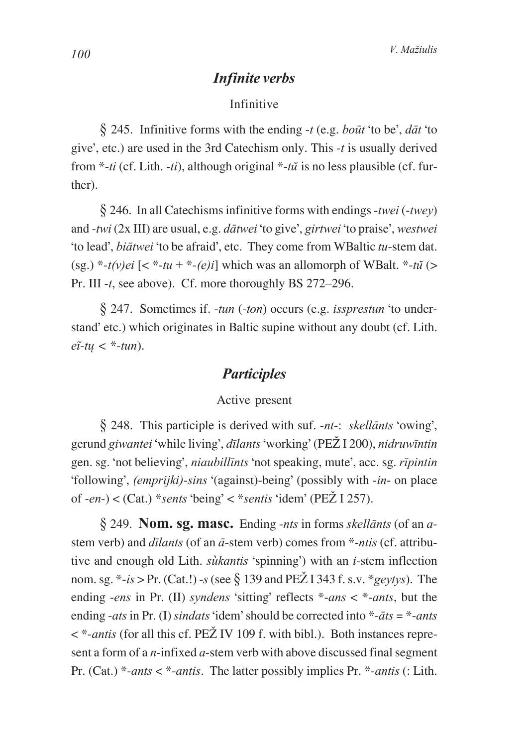# *Infinite verbs*

### Infinitive

 $\frac{1}{2}$  245. Infinitive forms with the ending -*t* (e.g. *boūt* 'to be', *dāt* 'to give', etc.) are used in the 3rd Catechism only. This -*t* is usually derived from \*-*ti* (cf. Lith. -*ti*), although original \*-*tu*<sup>\*</sup> is no less plausible (cf. further).

*\** 246. In all Catechisms infinitive forms with endings -*twei* (-*twey*) and -*twi* (2x III) are usual, e.g. *d`twei* 'to give', *girtwei* 'to praise', *westwei* 'to lead', *biātwei* 'to be afraid', etc. They come from WBaltic *tu*-stem dat. (sg.)  $*$ -*t*(*v*)*ei* [<  $*$ -*tu* +  $*$ -(*e*)*i*] which was an allomorph of WBalt.  $*$ -*tu*̃ (> Pr. III -*t*, see above). Cf. more thoroughly BS 272–296.

*\** 247. Sometimes if. -*tun* (-*ton*) occurs (e.g. *issprestun* 'to understand' etc.) which originates in Baltic supine without any doubt (cf. Lith.  $e\tilde{i}$ -*tu* < \*-*tun*).

# *Participles*

### Active present

*\** 248. This participle is derived with suf. -*nt*-: *skell`nts* 'owing', gerund *giwantei* 'while living', *dîlants* 'working' (PEÞ I 200), *nidruwîntin* gen. sg. 'not believing', *niaubillînts* 'not speaking, mute', acc. sg. *rîpintin* 'following', *(emprijki)*-*sins* '(against)-being' (possibly with -*in*- on place of  $-en$ - $)$  < (Cat.) \* *sents* 'being' < \* *sentis* 'idem' (PE $\angle$  I 257).

*\** 249. **Nom. sg. masc.** Ending -*nts* in forms *skell`nts* (of an *a*stem verb) and *dilants* (of an  $\bar{a}$ -stem verb) comes from \*-*ntis* (cf. attributive and enough old Lith. *sùkantis* 'spinning') with an *i*-stem inflection nom. sg.  $*$ -*is* > Pr. (Cat.!) -*s* (see § 139 and PE $\check{Z}$  I 343 f. s.v.  $*$ *geytys*). The ending -*ens* in Pr. (II) *syndens* 'sitting' reflects \*-*ans* < \*-*ants*, but the ending *-ats* in Pr. (I) *sindats* 'idem' should be corrected into  $*$ - $\bar{a}$ ts =  $*$ -*ants*  $\epsilon$  \*-*antis* (for all this cf. PE $\check{Z}$  IV 109 f. with bibl.). Both instances represent a form of a *n*-infixed *a*-stem verb with above discussed final segment Pr. (Cat.) \*-*ants* < \*-*antis*. The latter possibly implies Pr. \*-*antis* (: Lith.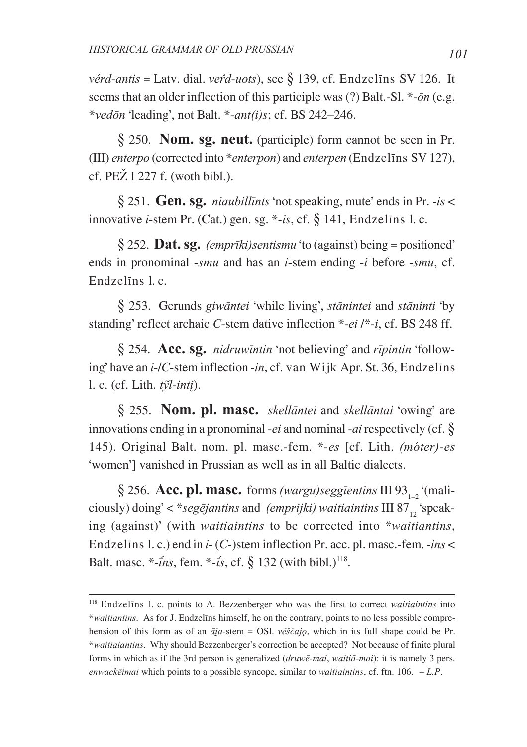vérd-antis = Latv. dial. verd-uots), see  $\S$  139, cf. Endzelins SV 126. It seems that an older inflection of this participle was (?) Balt.-Sl.  $*$ - $\bar{o}n$  (e.g. \*vedōn 'leading', not Balt. \*-ant(i)s; cf. BS 242-246.

 $\S$  250. **Nom. sg. neut.** (participle) form cannot be seen in Pr. (III) enterpo (corrected into \*enterpon) and enterpen (Endzelins SV 127), cf.  $PEZ I 227 f.$  (woth bibl.).

§ 251. Gen. sg. *niqubillints* 'not speaking, mute' ends in Pr. -is < innovative *i*-stem Pr. (Cat.) gen. sg.  $*-is$ , cf. § 141, Endzelins 1. c.

 $\S$  252. **Dat. sg.** (empriki)sentismu 'to (against) being = positioned' ends in pronominal -smu and has an *i*-stem ending -*i* before -smu, cf. Endzelins l. c.

§ 253. Gerunds giwäntei 'while living', *stänintei* and *stäninti* 'by standing' reflect archaic C-stem dative inflection  $*-ei/*-i$ , cf. BS 248 ff.

§ 254. Acc. sg. *nidruwintin* 'not believing' and *ripintin* 'following' have an i-/C-stem inflection -in, cf. van Wijk Apr. St. 36, Endzelins l. c. (cf. Lith.  $t\tilde{y}$ *l-inti*).

§ 255. Nom. pl. masc. skelläntei and skelläntai 'owing' are innovations ending in a pronominal -ei and nominal -q i respectively (cf.  $\delta$ 145). Original Balt. nom. pl. masc.-fem. \*-es [cf. Lith. (móter)-es 'women'] vanished in Prussian as well as in all Baltic dialects.

§ 256. Acc. pl. masc. forms (wargu)seggientins III 93<sub>1-2</sub> '(maliciously) doing' < \*segetiantins and (emprijki) waitiaintins III 87, 'speaking (against)' (with *waitiaintins* to be corrected into \*waitiantins, Endzelins 1. c.) end in  $i$ - (C-)stem inflection Pr. acc. pl. masc.-fem. -ins < Balt. masc. \*- $\frac{7}{10}$  fem. \*- $\frac{7}{10}$ , cf. § 132 (with bibl.)<sup>118</sup>.

<sup>&</sup>lt;sup>118</sup> Endzelins 1. c. points to A. Bezzenberger who was the first to correct waitiaintins into \*waitiantins. As for J. Endzelins himself, he on the contrary, points to no less possible comprehension of this form as of an  $\overline{a}ia$ -stem = OSI. veščajo, which in its full shape could be Pr. \*waitiaiantins. Why should Bezzenberger's correction be accepted? Not because of finite plural forms in which as if the 3rd person is generalized *(druwe-mai, waitiā-mai)*: it is namely 3 pers. enwackējmai which points to a possible syncope, similar to *waitiaintins*, cf. ftn.  $106. - L.P$ .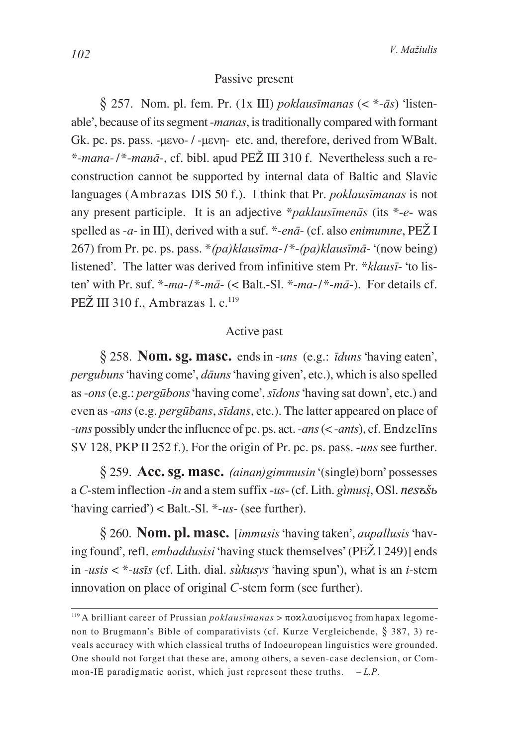#### Passive present

 $\frac{1}{2}$  257. Nom. pl. fem. Pr. (1x III) *poklausīmanas* (< \*- $\bar{a}s$ ) 'listenable', because of its segment -*manas*, is traditionally compared with formant Gk. pc. ps. pass. -µɛvo- / -µɛvŋ- etc. and, therefore, derived from WBalt. \*-*mana*- /\*-*man`*-, cf. bibl. apud PEÞ III 310 f. Nevertheless such a reconstruction cannot be supported by internal data of Baltic and Slavic languages (Ambrazas DIS 50 f.). I think that Pr. *poklausîmanas* is not any present participle. It is an adjective \**paklausīmenās* (its \*-*e*- was spelled as -*a*- in III), derived with a suf. \*-*enā*- (cf. also *enimumne*, PEŽ I 267) from Pr. pc. ps. pass. \**(pa)klausîma*- /\*-*(pa)klausîm`*- '(now being) listened'. The latter was derived from infinitive stem Pr. \**klausî*- 'to listen' with Pr. suf.  $*$ -*ma*-/ $*$ -*ma*-(< Balt.-Sl.  $*$ -*ma*-/ $*$ -*ma*-). For details cf. PEŽ III 310 f., Ambrazas 1,  $c$ .<sup>119</sup>

### Active past

*\** 258. **Nom. sg. masc.** ends in -*uns* (e.g.: *îduns* 'having eaten', *pergubuns* 'having come', *dāuns* 'having given', etc.), which is also spelled as -*ons* (e.g.: *pergûbons* 'having come', *sîdons* 'having sat down', etc.) and even as -*ans* (e.g. *pergûbans*, *sîdans*, etc.). The latter appeared on place of -*uns* possibly under the influence of pc. ps. act. -*ans* (< -*ants*), cf. Endzelîns SV 128, PKP II 252 f.). For the origin of Pr. pc. ps. pass. -*uns* see further.

*\** 259. **Acc. sg. masc.** *(ainan)gimmusin* '(single)born' possesses a *C*-stem inflection -*in* and a stem suffix -us- (cf. Lith. *gimusi*, OSI. *nes* 65b 'having carried') < Balt.-Sl. \*-*us*- (see further).

*\** 260. **Nom. pl. masc.** [*immusis* 'having taken', *aupallusis* 'having found', refl. *embaddusisi* 'having stuck themselves' (PEŽ I 249)] ends in -*usis* < \*-*usîs* (cf. Lith. dial. *sùkusys* 'having spun'), what is an *i*-stem innovation on place of original *C*-stem form (see further).

<sup>&</sup>lt;sup>119</sup> A brilliant career of Prussian *poklausīmanas* > ποκλαυσίμενος from hapax legomenon to Brugmann's Bible of comparativists (cf. Kurze Vergleichende, *\** 387, 3) reveals accuracy with which classical truths of Indoeuropean linguistics were grounded. One should not forget that these are, among others, a seven-case declension, or Common-IE paradigmatic aorist, which just represent these truths.  $-L.P$ .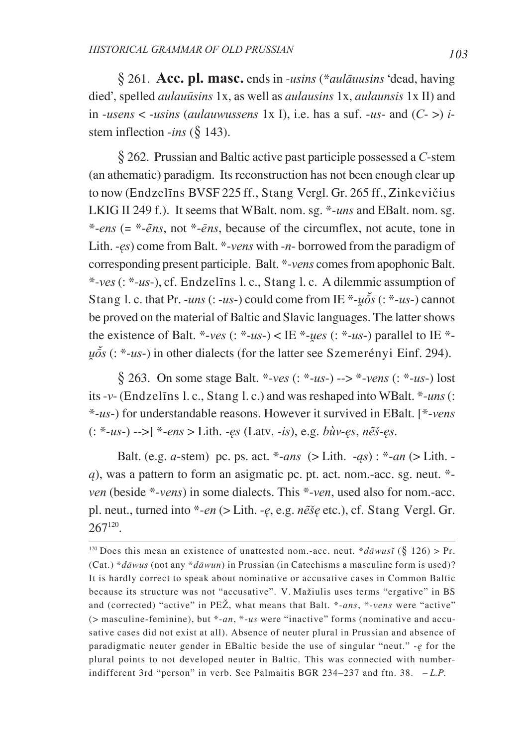§ 261. Acc. pl. masc. ends in -usins (\*aulāuusins 'dead, having died', spelled *aulauusins* 1x, as well as *aulausins* 1x, *aulaunsis* 1x II) and in -usens < -usins (aulauwussens 1x I), i.e. has a suf. -us- and  $(C >)$  istem inflection -ins  $(\S$  143).

 $\S$  262. Prussian and Baltic active past participle possessed a C-stem (an athematic) paradigm. Its reconstruction has not been enough clear up to now (Endzelins BVSF 225 ff., Stang Vergl. Gr. 265 ff., Zinkevičius LKIG II 249 f.). It seems that WBalt. nom. sg. \*-uns and EBalt. nom. sg. \*-ens (=  $\ast$ -ens, not  $\ast$ -ens, because of the circumflex, not acute, tone in Lith. -es) come from Balt.  $*$ -vens with -n- borrowed from the paradigm of corresponding present participle. Balt. \*-vens comes from apophonic Balt. \*-ves (: \*-us-), cf. Endzelins l. c., Stang l. c. A dilemmic assumption of Stang 1. c. that Pr. -uns (: -us-) could come from IE \*- $u\overline{\delta s}$  (: \*-us-) cannot be proved on the material of Baltic and Slavic languages. The latter shows the existence of Balt. \*-ves (: \*-us-) < IE \*-ues (: \*-us-) parallel to IE \* $u\overline{\delta}s$  (: \*-us-) in other dialects (for the latter see Szemerényi Einf. 294).

§ 263. On some stage Balt. \*-*ves* (: \*-*us*-) --> \*-*vens* (: \*-*us*-) lost its -v- (Endzelins 1, c., Stang 1, c.) and was reshaped into WBalt. \*-uns (: \*-us-) for understandable reasons. However it survived in EBalt. [\*-vens]  $(: * -us -) -->)* -ens > Lith. -es (Latv. -is), e.g. bùv-es, n\tilde{e}s-es.$ 

Balt. (e.g. a-stem) pc. ps. act.  $*-ans$  (> Lith.  $-qs$ ):  $*-an$  (> Lith.  $q$ ), was a pattern to form an asigmatic pc. pt. act. nom.-acc. sg. neut.  $*$ ven (beside \*-vens) in some dialects. This \*-ven, used also for nom.-acc. pl. neut., turned into  $*$ -en (> Lith. -e, e.g.  $n\tilde{e}$ se etc.), cf. Stang Vergl. Gr.  $267^{120}$ 

<sup>&</sup>lt;sup>120</sup> Does this mean an existence of unattested nom.-acc. neut. \* $d\bar{a}wus\bar{i}$  (§ 126) > Pr. (Cat.) \*dāwus (not any \*dāwun) in Prussian (in Catechisms a masculine form is used)? It is hardly correct to speak about nominative or accusative cases in Common Baltic because its structure was not "accusative". V. Mažiulis uses terms "ergative" in BS and (corrected) "active" in PEŽ, what means that Balt. \*-ans, \*-vens were "active" ( $>$  masculine-feminine), but  $*$ -*an*,  $*$ -*us* were "inactive" forms (nominative and accusative cases did not exist at all). Absence of neuter plural in Prussian and absence of paradigmatic neuter gender in EBaltic beside the use of singular "neut."  $-e$  for the plural points to not developed neuter in Baltic. This was connected with numberindifferent 3rd "person" in verb. See Palmaitis BGR 234-237 and ftn. 38.  $-L.P.$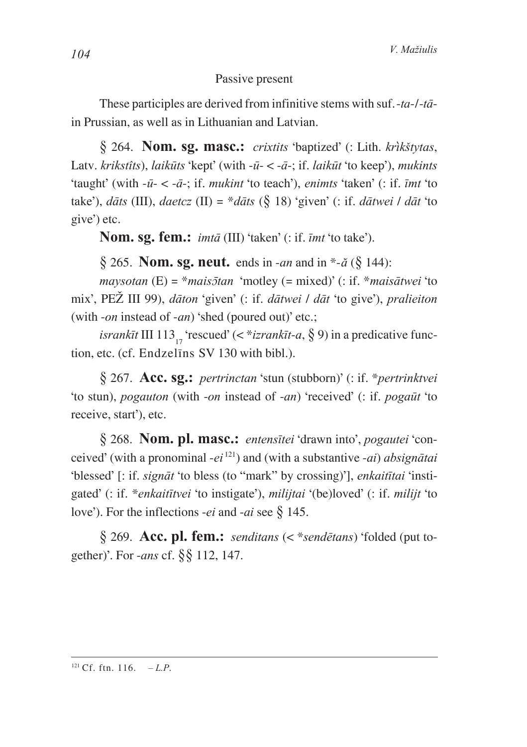### Passive present

These participles are derived from infinitive stems with suf.-ta-/-tāin Prussian, as well as in Lithuanian and Latvian.

§ 264. Nom. sg. masc.: crixtits 'baptized' (: Lith. krikštytas, Latv. krikstîts), laikūts 'kept' (with  $-\bar{u}$  <  $-\bar{a}$  -; if. laikūt 'to keep'), mukints 'taught' (with  $-\bar{u}$  -  $\bar{a}$  -; if, mukint 'to teach'), enimts 'taken' (: if,  $\bar{u}$ t 'to take'), dāts (III), daetcz (II) = \*dāts (§ 18) 'given' (: if. dātwei / dāt 'to give') etc.

**Nom. sg. fem.:** *imtā* (III) 'taken' (: if. *imt* 'to take').

§ 265. Nom. sg. neut. ends in -an and in  $*-\tilde{a}$  (§ 144):

maysotan (E) = \*mais5tan 'motley (= mixed)' (: if. \*maisātwei 'to mix', PEŽ III 99), dāton 'given' (: if. dātwei / dāt 'to give'), pralieiton (with *-on* instead of *-an*) 'shed (poured out)' etc.;

*isrankīt* III 113<sub>17</sub> 'rescued' (< \**izrankīt-a*, § 9) in a predicative function, etc. (cf. Endzelins SV 130 with bibl.).

§ 267. Acc. sg.: pertrinctan 'stun (stubborn)' (: if. \*pertrinktvei 'to stun), *pogauton* (with -*on* instead of -*an*) 'received' (: if. *pogaut* 'to receive, start'), etc.

§ 268. Nom. pl. masc.: entensitei 'drawn into', pogautei 'conceived' (with a pronominal -ei<sup>121</sup>) and (with a substantive -ai) absignatai 'blessed' [: if. *signāt* 'to bless (to "mark" by crossing)'], *enkaitītai* 'instigated' (: if. \**enkaitītvei* 'to instigate'), *milijtai* '(be)loved' (: if. *milijt* 'to love'). For the inflections *-ei* and *-ai* see  $\frac{8}{3}$  145.

§ 269. Acc. pl. fem.: senditans (< \*sendētans) 'folded (put together)'. For -ans cf.  $\S$  $\S$  112, 147.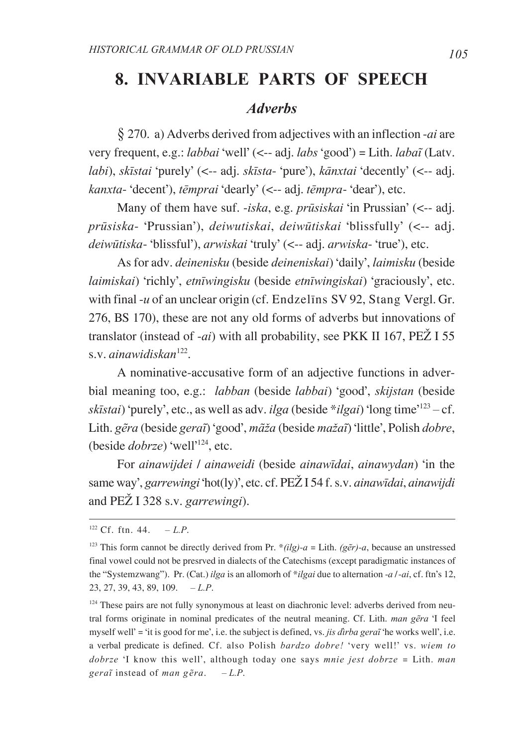# **8. INVARIABLE PARTS OF SPEECH**

# *Adverbs*

*\** 270. a) Adverbs derived from adjectives with an inflection -*ai* are very frequent, e.g.: *labbai* 'well' (<-- adj. *labs* 'good') = Lith. *labai* (Latv. *labi*), *skîstai* 'purely' (<-- adj. *skîsta*- 'pure'), *k`nxtai* 'decently' (<-- adj. *kanxta*- 'decent'), *tçmprai* 'dearly' (<-- adj. *tçmpra*- 'dear'), etc.

Many of them have suf. -*iska*, e.g. *prûsiskai* 'in Prussian' (<-- adj. *prûsiska*- 'Prussian'), *deiwutiskai*, *deiwûtiskai* 'blissfully' (<-- adj. *deiwûtiska*- 'blissful'), *arwiskai* 'truly' (<-- adj. *arwiska*- 'true'), etc.

As for adv. *deinenisku* (beside *deineniskai*) 'daily', *laimisku* (beside *laimiskai*) 'richly', *etnîwingisku* (beside *etnîwingiskai*) 'graciously', etc. with final -*u* of an unclear origin (cf. Endzelîns SV 92, Stang Vergl. Gr. 276, BS 170), these are not any old forms of adverbs but innovations of translator (instead of *-ai*) with all probability, see PKK II 167,  $PEZ$  I 55 s.v. *ainawidiskan*122.

A nominative-accusative form of an adjective functions in adverbial meaning too, e.g.: *labban* (beside *labbai*) 'good', *skijstan* (beside *skîstai*) 'purely', etc., as well as adv. *ilga* (beside \**ilgai*) 'long time'123 – cf. Lith. *gera* (beside *gerai*) 'good', *mãža* (beside *mažai*) 'little', Polish *dobre*, (beside *dobrze*) 'well'124, etc.

For *ainawijdei* / *ainaweidi* (beside *ainawîdai*, *ainawydan*) 'in the same way', *garrewingi* 'hot(ly)', etc. cf. PEÞ I 54 f. s.v. *ainawîdai*, *ainawijdi* and PE $\check{Z}$  I 328 s.v. *garrewingi*).

<sup>&</sup>lt;sup>122</sup> Cf. ftn. 44.  $-L.P.$ 

<sup>&</sup>lt;sup>123</sup> This form cannot be directly derived from Pr.  $*$ *(ilg)*-*a* = Lith. *(gẽr)*-*a*, because an unstressed final vowel could not be presrved in dialects of the Catechisms (except paradigmatic instances of the "Systemzwang"). Pr. (Cat.) *ilga* is an allomorh of \**ilgai* due to alternation -*a* /-*ai*, cf. ftn's 12, 23, 27, 39, 43, 89, 109. – *L.P*.

<sup>&</sup>lt;sup>124</sup> These pairs are not fully synonymous at least on diachronic level: adverbs derived from neutral forms originate in nominal predicates of the neutral meaning. Cf. Lith. *man gera* 'I feel myself well' = 'it is good for me', i.e. the subject is defined, vs. *jis dirba gerai* 'he works well', i.e. a verbal predicate is defined. Cf. also Polish *bardzo dobre!* 'very well!' vs. *wiem to dobrze* 'I know this well', although today one says *mnie jest dobrze* = Lith. *man gerai* instead of *man geta*.  $-L.P.$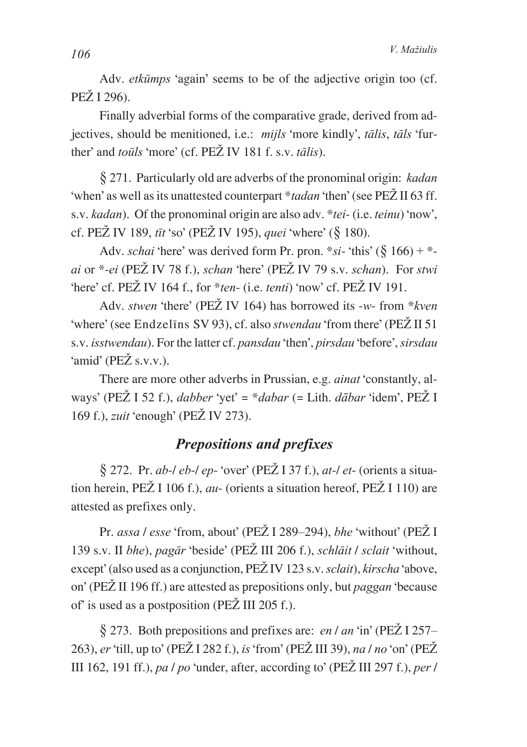Adv. *etkûmps* 'again' seems to be of the adjective origin too (cf. PEŽ I 296).

Finally adverbial forms of the comparative grade, derived from adjectives, should be menitioned, i.e.: *mijls* 'more kindly', *tālis*, *tāls* 'further' and *toūls* 'more' (cf. PEŽ IV 181 f. s.v. *tālis*).

*\** 271. Particularly old are adverbs of the pronominal origin: *kadan* 'when' as well as its unattested counterpart \**tadan* 'then' (see PEŽ II 63 ff. s.v. *kadan*). Of the pronominal origin are also adv. \**tei*- (i.e. *teinu*) 'now', cf. PEÞ IV 189, *tît* 'so' (PEÞ IV 195), *quei* 'where' (*\** 180).

Adv. *schai* 'here' was derived form Pr. pron. \* $si$ - 'this' ( $\frac{8}{166}$ ) + \**ai* or \*-*ei* (PEÞ IV 78 f.), *schan* 'here' (PEÞ IV 79 s.v. *schan*). For *stwi* 'here' cf. PEŽ IV 164 f., for \**ten-* (i.e. *tenti*) 'now' cf. PEŽ IV 191.

Adv. *stwen* 'there' (PEŽ IV 164) has borrowed its -*w*- from \**kven* 'where' (see Endzelins SV 93), cf. also *stwendau* 'from there' (PEŽ II 51) s.v. *isstwendau*). For the latter cf. *pansdau* 'then', *pirsdau* 'before', *sirsdau* 'amid' (PEŽ s.v.v.).

There are more other adverbs in Prussian, e.g. *ainat* 'constantly, always' (PEŽ I 52 f.), *dabber* 'yet' = \**dabar* (= Lith. *dãbar* 'idem', PEŽ I 169 f.), *zuit* 'enough' (PEŽ IV 273).

# *Prepositions and prefixes*

*\** 272. Pr. *ab*-/ *eb*-/ *ep*- 'over' (PEÞ I 37 f.), *at*-/ *et*- (orients a situation herein, PEŽ I 106 f.), *au*- (orients a situation hereof, PEŽ I 110) are attested as prefixes only.

Pr. *assa | esse* 'from, about' (PEŽ I 289–294), *bhe* 'without' (PEŽ I 139 s.v. II *bhe*), *pag`r* 'beside' (PEÞ III 206 f.), *schl`it* / *sclait* 'without, except' (also used as a conjunction, PEŽ IV 123 s.v. *sclait*), *kirscha* 'above, on' (PEŽ II 196 ff.) are attested as prepositions only, but *paggan* 'because of' is used as a postposition (PE $\check{Z}$  III 205 f.).

*\** 273. Both prepositions and prefixes are: *en* / *an* 'in' (PEÞ I 257– 263), *er* 'till, up to' (PEŽ I 282 f.), *is* 'from' (PEŽ III 39), *na l* no 'on' (PEŽ III 162, 191 ff.), *pa* / *po* 'under, after, according to' (PEÞ III 297 f.), *per* /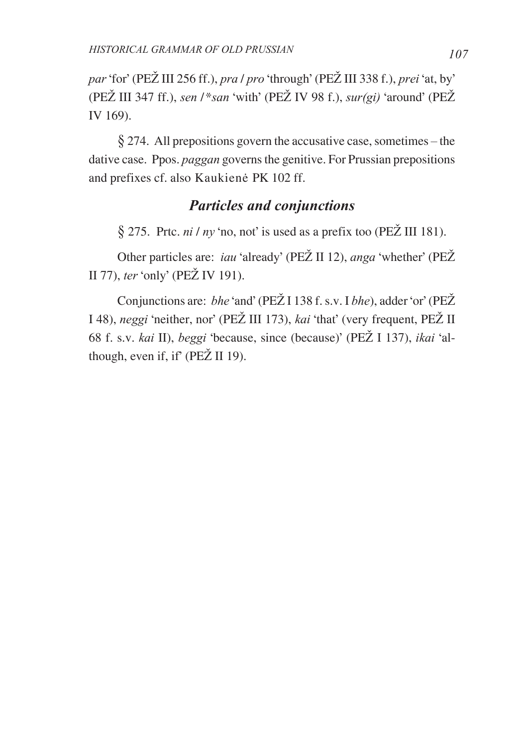*par* 'for' (PEŽ III 256 ff.), *pra l pro* 'through' (PEŽ III 338 f.), *prei* 'at, by' (PEŽ III 347 ff.), sen /\*san 'with' (PEŽ IV 98 f.), sur(gi) 'around' (PEŽ IV 169).

 $\S$  274. All prepositions govern the accusative case, sometimes – the dative case. Ppos. *paggan* governs the genitive. For Prussian prepositions and prefixes cf. also Kaukienė PK 102 ff.

# **Particles and conjunctions**

§ 275. Prtc. *ni l ny* 'no, not' is used as a prefix too (PEŽ III 181).

Other particles are: *iau* 'already' (PEŽ II 12), anga 'whether' (PEŽ II 77), ter 'only' (PE $\check{Z}$  IV 191).

Conjunctions are: bhe 'and' (PEŽ I 138 f. s.v. I bhe), adder 'or' (PEŽ I 48), neggi 'neither, nor' (PEŽ III 173), kai 'that' (very frequent, PEŽ II 68 f. s.v. kai II), beggi 'because, since (because)' (PEŽ I 137), ikai 'although, even if, if' ( $PEZ \nI1 19$ ).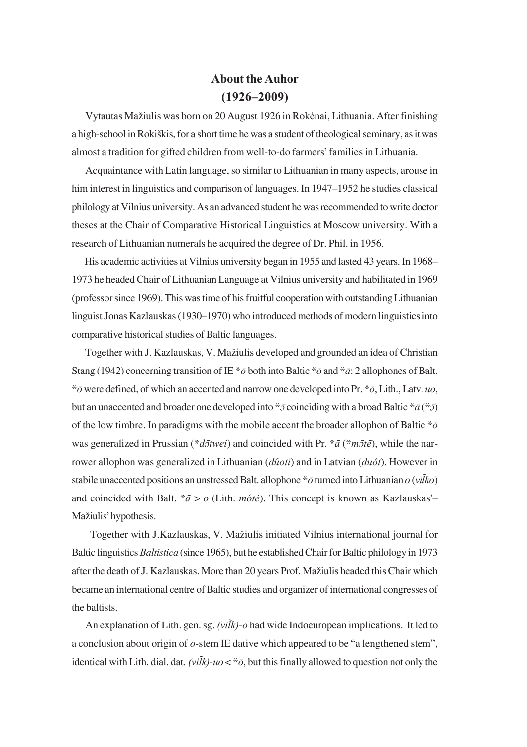# **About the Auhor (1926–2009)**

Vytautas Mažiulis was born on 20 August 1926 in Rokėnai, Lithuania. After finishing a high-school in Rokiðkis, for a short time he was a student of theological seminary, as it was almost a tradition for gifted children from well-to-do farmers' families in Lithuania.

 Acquaintance with Latin language, so similar to Lithuanian in many aspects, arouse in him interest in linguistics and comparison of languages. In 1947–1952 he studies classical philology at Vilnius university. As an advanced student he was recommended to write doctor theses at the Chair of Comparative Historical Linguistics at Moscow university. With a research of Lithuanian numerals he acquired the degree of Dr. Phil. in 1956.

 His academic activities at Vilnius university began in 1955 and lasted 43 years. In 1968– 1973 he headed Chair of Lithuanian Language at Vilnius university and habilitated in 1969 (professor since 1969). This was time of his fruitful cooperation with outstanding Lithuanian linguist Jonas Kazlauskas (1930–1970) who introduced methods of modern linguistics into comparative historical studies of Baltic languages.

Together with J. Kazlauskas, V. Mažiulis developed and grounded an idea of Christian Stang (1942) concerning transition of IE  $*$ *ô* both into Baltic  $*$ *ô* and  $*$ *â*: 2 allophones of Balt. \**ô* were defined, of which an accented and narrow one developed into Pr. \**ô*, Lith., Latv. *uo*, but an unaccented and broader one developed into  $*$ *j* coinciding with a broad Baltic  $*$ *ā* ( $*$ *j*) of the low timbre. In paradigms with the mobile accent the broader allophon of Baltic \**ô* was generalized in Prussian (\**dɔ̄twei*) and coincided with Pr. \* $\bar{a}$  (\**mɔ̄tē*), while the narrower allophon was generalized in Lithuanian (*dúoti*) and in Latvian (*duôt*). However in stabile unaccented positions an unstressed Balt. allophone \**ô* turned into Lithuanian *o* (*vi¿ko*) and coincided with Balt.  $*\bar{a} > o$  (Lith. *mote*). This concept is known as Kazlauskas'– Mažiulis' hypothesis.

Together with J.Kazlauskas, V. Mažiulis initiated Vilnius international journal for Baltic linguistics *Baltistica* (since 1965), but he established Chair for Baltic philology in 1973 after the death of J. Kazlauskas. More than 20 years Prof. Mažiulis headed this Chair which became an international centre of Baltic studies and organizer of international congresses of the baltists.

An explanation of Lith. gen. sg. *(vilk)-o* had wide Indoeuropean implications. It led to a conclusion about origin of *o*-stem IE dative which appeared to be "a lengthened stem", identical with Lith. dial. dat.  $(v\tilde{i}k)$ -*uo* <  $*{\bar{\sigma}}$ , but this finally allowed to question not only the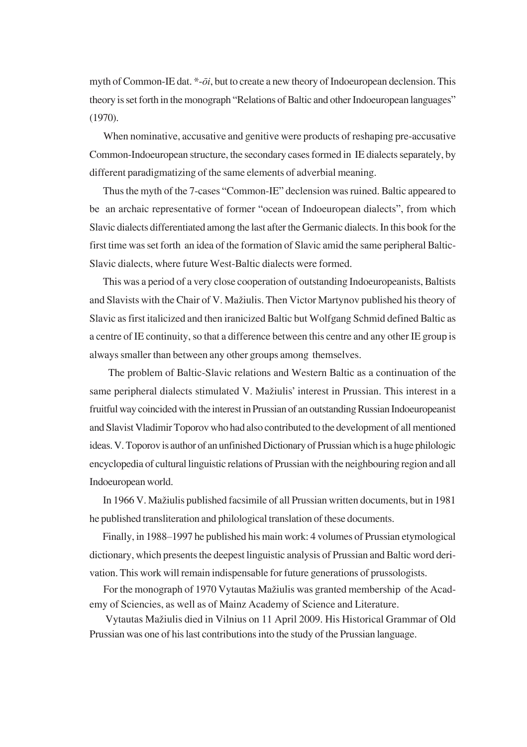myth of Common-IE dat. \*-*ôi*, but to create a new theory of Indoeuropean declension. This theory is set forth in the monograph "Relations of Baltic and other Indoeuropean languages" (1970).

 When nominative, accusative and genitive were products of reshaping pre-accusative Common-Indoeuropean structure, the secondary cases formed in IE dialects separately, by different paradigmatizing of the same elements of adverbial meaning.

 Thus the myth of the 7-cases "Common-IE" declension was ruined. Baltic appeared to be an archaic representative of former "ocean of Indoeuropean dialects", from which Slavic dialects differentiated among the last after the Germanic dialects. In this book for the first time was set forth an idea of the formation of Slavic amid the same peripheral Baltic-Slavic dialects, where future West-Baltic dialects were formed.

 This was a period of a very close cooperation of outstanding Indoeuropeanists, Baltists and Slavists with the Chair of V. Mažiulis. Then Victor Martynov published his theory of Slavic as first italicized and then iranicized Baltic but Wolfgang Schmid defined Baltic as a centre of IE continuity, so that a difference between this centre and any other IE group is always smaller than between any other groups among themselves.

 The problem of Baltic-Slavic relations and Western Baltic as a continuation of the same peripheral dialects stimulated V. Mažiulis' interest in Prussian. This interest in a fruitful way coincided with the interest in Prussian of an outstanding Russian Indoeuropeanist and Slavist Vladimir Toporov who had also contributed to the development of all mentioned ideas. V. Toporov is author of an unfinished Dictionary of Prussian which is a huge philologic encyclopedia of cultural linguistic relations of Prussian with the neighbouring region and all Indoeuropean world.

In 1966 V. Mažiulis published facsimile of all Prussian written documents, but in 1981 he published transliteration and philological translation of these documents.

 Finally, in 1988–1997 he published his main work: 4 volumes of Prussian etymological dictionary, which presents the deepest linguistic analysis of Prussian and Baltic word derivation. This work will remain indispensable for future generations of prussologists.

For the monograph of 1970 Vytautas Mažiulis was granted membership of the Academy of Sciencies, as well as of Mainz Academy of Science and Literature.

Vytautas Mažiulis died in Vilnius on 11 April 2009. His Historical Grammar of Old Prussian was one of his last contributions into the study of the Prussian language.